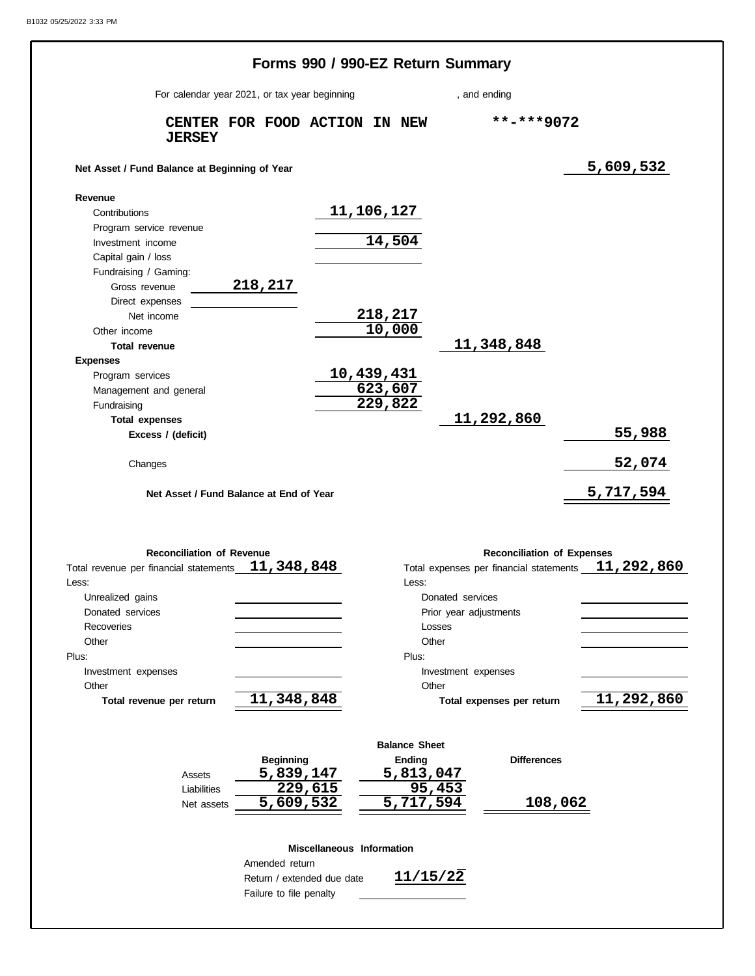|                                                                       |                               |                            |                       | Forms 990 / 990-EZ Return Summary |                                   |                                                                    |
|-----------------------------------------------------------------------|-------------------------------|----------------------------|-----------------------|-----------------------------------|-----------------------------------|--------------------------------------------------------------------|
| For calendar year 2021, or tax year beginning                         |                               |                            | , and ending          |                                   |                                   |                                                                    |
| <b>JERSEY</b>                                                         | CENTER FOR FOOD ACTION IN NEW |                            |                       |                                   | $***$ -***9072                    |                                                                    |
| Net Asset / Fund Balance at Beginning of Year                         |                               |                            |                       |                                   |                                   | 5,609,532                                                          |
| Revenue                                                               |                               |                            |                       |                                   |                                   |                                                                    |
| Contributions                                                         |                               |                            | 11,106,127            |                                   |                                   |                                                                    |
| Program service revenue                                               |                               |                            |                       |                                   |                                   |                                                                    |
| Investment income                                                     |                               |                            | 14,504                |                                   |                                   |                                                                    |
| Capital gain / loss                                                   |                               |                            |                       |                                   |                                   |                                                                    |
| Fundraising / Gaming:                                                 |                               |                            |                       |                                   |                                   |                                                                    |
| Gross revenue                                                         | 218,217                       |                            |                       |                                   |                                   |                                                                    |
| Direct expenses                                                       |                               |                            |                       |                                   |                                   |                                                                    |
| Net income                                                            |                               |                            | 218,217               |                                   |                                   |                                                                    |
| Other income                                                          |                               |                            | 10,000                |                                   |                                   |                                                                    |
| Total revenue                                                         |                               |                            |                       | 11,348,848                        |                                   |                                                                    |
| <b>Expenses</b>                                                       |                               |                            |                       |                                   |                                   |                                                                    |
| Program services                                                      |                               |                            | 10,439,431<br>623,607 |                                   |                                   |                                                                    |
| Management and general                                                |                               |                            | $\overline{229,822}$  |                                   |                                   |                                                                    |
| Fundraising                                                           |                               |                            |                       | 11,292,860                        |                                   |                                                                    |
| <b>Total expenses</b>                                                 |                               |                            |                       |                                   |                                   | 55,988                                                             |
| Excess / (deficit)                                                    |                               |                            |                       |                                   |                                   |                                                                    |
| Changes                                                               |                               |                            |                       |                                   |                                   | 52,074                                                             |
| Net Asset / Fund Balance at End of Year                               |                               |                            |                       |                                   |                                   | 5,717,594                                                          |
|                                                                       |                               |                            |                       |                                   |                                   |                                                                    |
| <b>Reconciliation of Revenue</b>                                      |                               |                            |                       |                                   | <b>Reconciliation of Expenses</b> |                                                                    |
|                                                                       |                               |                            |                       |                                   |                                   |                                                                    |
|                                                                       |                               |                            | Less: <b>Access</b>   |                                   |                                   |                                                                    |
| Unrealized gains                                                      |                               |                            |                       | Donated services                  |                                   |                                                                    |
| Donated services                                                      |                               |                            |                       | Prior year adjustments            |                                   |                                                                    |
| Recoveries                                                            |                               |                            |                       | Losses                            |                                   |                                                                    |
| Other                                                                 |                               |                            | Other                 |                                   |                                   |                                                                    |
|                                                                       |                               |                            | Plus:                 |                                   |                                   |                                                                    |
| Investment expenses                                                   |                               |                            |                       | Investment expenses               |                                   |                                                                    |
| Other                                                                 |                               |                            | Other                 |                                   |                                   |                                                                    |
| Total revenue per return                                              | 11,348,848                    |                            |                       | Total expenses per return         |                                   |                                                                    |
|                                                                       |                               |                            | <b>Balance Sheet</b>  |                                   |                                   |                                                                    |
|                                                                       | <b>Beginning</b>              |                            | Ending                |                                   | <b>Differences</b>                |                                                                    |
| Assets                                                                | 5,839,147                     |                            | 5,813,047             |                                   |                                   | Total expenses per financial statements 11, 292, 860<br>11,292,860 |
| Liabilities                                                           |                               | $\overline{229,615}$       |                       | 95,453                            |                                   |                                                                    |
| Net assets                                                            | 5,609,532                     |                            | 5,717,594             |                                   | 108,062                           |                                                                    |
|                                                                       |                               | Miscellaneous Information  |                       |                                   |                                   |                                                                    |
|                                                                       | Amended return                |                            |                       |                                   |                                   |                                                                    |
| Total revenue per financial statements $11,348,848$<br>Less:<br>Plus: |                               | Return / extended due date | 11/15/22              |                                   |                                   |                                                                    |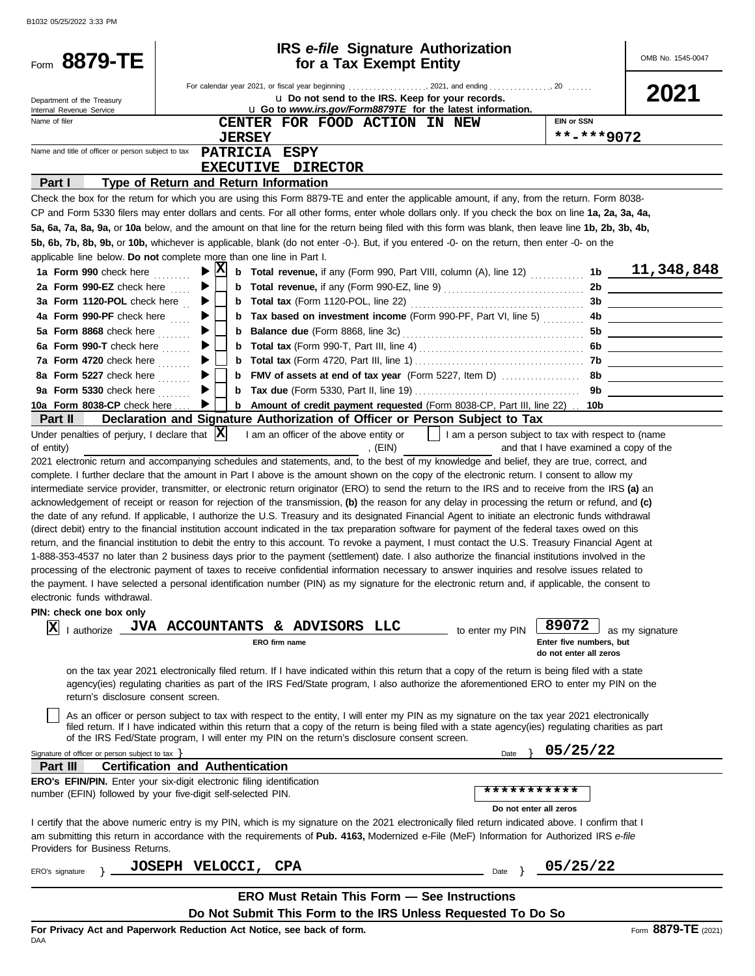| For calendar year 2021, or fiscal year beginning  2021, and ending 20<br>2021<br>u Do not send to the IRS. Keep for your records.<br>Department of the Treasury<br>u Go to www.irs.gov/Form8879TE for the latest information.<br>Internal Revenue Service<br>Name of filer<br><b>EIN or SSN</b><br>CENTER FOR FOOD ACTION IN NEW<br>**-***9072<br><b>JERSEY</b><br>Name and title of officer or person subject to tax<br>PATRICIA ESPY<br>EXECUTIVE DIRECTOR<br>Part I<br>Type of Return and Return Information<br>Check the box for the return for which you are using this Form 8879-TE and enter the applicable amount, if any, from the return. Form 8038-<br>CP and Form 5330 filers may enter dollars and cents. For all other forms, enter whole dollars only. If you check the box on line 1a, 2a, 3a, 4a,<br>5a, 6a, 7a, 8a, 9a, or 10a below, and the amount on that line for the return being filed with this form was blank, then leave line 1b, 2b, 3b, 4b,<br>5b, 6b, 7b, 8b, 9b, or 10b, whichever is applicable, blank (do not enter -0-). But, if you entered -0- on the return, then enter -0- on the<br>applicable line below. Do not complete more than one line in Part I.<br>$ {\bf X} $<br>1b $11,348,848$<br>▶<br><b>b</b> Total revenue, if any (Form 990, Part VIII, column (A), line 12)<br>1a Form 990 check here<br>2a Form 990-EZ check here<br>2b<br>▶<br><u> 1999 - John Stein, Amerikaansk politiker (</u><br>3a Form 1120-POL check here $\frac{1}{10}$<br>▶<br><b>b</b> Tax based on investment income (Form 990-PF, Part VI, line 5)<br>4a Form 990-PF check here<br>▶<br>5a Form 8868 check here<br>▶<br>6a Form 990-T check here<br>▶<br>7a Form 4720 check here<br>8a Form 5227 check here<br><u> 1990 - Johann Barbara, martin a</u><br>9a Form 5330 check here<br>9b<br>▶<br>10a Form 8038-CP check here<br><b>b</b> Amount of credit payment requested (Form 8038-CP, Part III, line 22) . 10b<br>▶<br>Declaration and Signature Authorization of Officer or Person Subject to Tax<br>Part II<br>Under penalties of perjury, I declare that $ \mathbf{X} $<br>    I am a person subject to tax with respect to (name<br>I am an officer of the above entity or<br>, (EIN)<br>and that I have examined a copy of the<br>of entity)<br>2021 electronic return and accompanying schedules and statements, and, to the best of my knowledge and belief, they are true, correct, and<br>complete. I further declare that the amount in Part I above is the amount shown on the copy of the electronic return. I consent to allow my<br>intermediate service provider, transmitter, or electronic return originator (ERO) to send the return to the IRS and to receive from the IRS (a) an<br>acknowledgement of receipt or reason for rejection of the transmission, (b) the reason for any delay in processing the return or refund, and (c)<br>the date of any refund. If applicable, I authorize the U.S. Treasury and its designated Financial Agent to initiate an electronic funds withdrawal<br>(direct debit) entry to the financial institution account indicated in the tax preparation software for payment of the federal taxes owed on this<br>return, and the financial institution to debit the entry to this account. To revoke a payment, I must contact the U.S. Treasury Financial Agent at<br>1-888-353-4537 no later than 2 business days prior to the payment (settlement) date. I also authorize the financial institutions involved in the<br>processing of the electronic payment of taxes to receive confidential information necessary to answer inquiries and resolve issues related to<br>the payment. I have selected a personal identification number (PIN) as my signature for the electronic return and, if applicable, the consent to<br>electronic funds withdrawal.<br>PIN: check one box only<br>89072<br><b>JVA ACCOUNTANTS</b><br>& ADVISORS LLC<br>X<br>I authorize _<br>to enter my PIN<br>as my signature<br>Enter five numbers, but<br>ERO firm name<br>do not enter all zeros<br>on the tax year 2021 electronically filed return. If I have indicated within this return that a copy of the return is being filed with a state<br>agency(ies) regulating charities as part of the IRS Fed/State program, I also authorize the aforementioned ERO to enter my PIN on the<br>return's disclosure consent screen.<br>As an officer or person subject to tax with respect to the entity, I will enter my PIN as my signature on the tax year 2021 electronically<br>filed return. If I have indicated within this return that a copy of the return is being filed with a state agency(ies) regulating charities as part<br>of the IRS Fed/State program, I will enter my PIN on the return's disclosure consent screen.<br>05/25/22<br>Signature of officer or person subject to tax $\}$<br>Date<br><b>Certification and Authentication</b><br>Part III<br>ERO's EFIN/PIN. Enter your six-digit electronic filing identification<br>***********<br>number (EFIN) followed by your five-digit self-selected PIN.<br>Do not enter all zeros<br>I certify that the above numeric entry is my PIN, which is my signature on the 2021 electronically filed return indicated above. I confirm that I<br>am submitting this return in accordance with the requirements of Pub. 4163, Modernized e-File (MeF) Information for Authorized IRS e-file<br>Providers for Business Returns.<br>05/25/22<br><b>JOSEPH VELOCCI, CPA</b><br>Date<br>ERO's signature<br><b>ERO Must Retain This Form - See Instructions</b><br>Do Not Submit This Form to the IRS Unless Requested To Do So | Form 8879-TE | for a Tax Exempt Entity | <b>IRS</b> e-file Signature Authorization |  | OMB No. 1545-0047 |
|-----------------------------------------------------------------------------------------------------------------------------------------------------------------------------------------------------------------------------------------------------------------------------------------------------------------------------------------------------------------------------------------------------------------------------------------------------------------------------------------------------------------------------------------------------------------------------------------------------------------------------------------------------------------------------------------------------------------------------------------------------------------------------------------------------------------------------------------------------------------------------------------------------------------------------------------------------------------------------------------------------------------------------------------------------------------------------------------------------------------------------------------------------------------------------------------------------------------------------------------------------------------------------------------------------------------------------------------------------------------------------------------------------------------------------------------------------------------------------------------------------------------------------------------------------------------------------------------------------------------------------------------------------------------------------------------------------------------------------------------------------------------------------------------------------------------------------------------------------------------------------------------------------------------------------------------------------------------------------------------------------------------------------------------------------------------------------------------------------------------------------------------------------------------------------------------------------------------------------------------------------------------------------------------------------------------------------------------------------------------------------------------------------------------------------------------------------------------------------------------------------------------------------------------------------------------------------------------------------------------------------------------------------------------------------------------------------------------------------------------------------------------------------------------------------------------------------------------------------------------------------------------------------------------------------------------------------------------------------------------------------------------------------------------------------------------------------------------------------------------------------------------------------------------------------------------------------------------------------------------------------------------------------------------------------------------------------------------------------------------------------------------------------------------------------------------------------------------------------------------------------------------------------------------------------------------------------------------------------------------------------------------------------------------------------------------------------------------------------------------------------------------------------------------------------------------------------------------------------------------------------------------------------------------------------------------------------------------------------------------------------------------------------------------------------------------------------------------------------------------------------------------------------------------------------------------------------------------------------------------------------------------------------------------------------------------------------------------------------------------------------------------------------------------------------------------------------------------------------------------------------------------------------------------------------------------------------------------------------------------------------------------------------------------------------------------------------------------------------------------------------------------------------------------------------------------------------------------------------------------------------------------------------------------------------------------------------------------------------------------------------------------------------------------------------------------------------------------------------------------------------------------------------------------------------------------------------------------------------------------------------------------------------------------------------------------------------------------------------------------------------------------------------------------------------------------------------------------------------------------------------------------------------------------------------------------------------------------------------------------------------------------------------------|--------------|-------------------------|-------------------------------------------|--|-------------------|
|                                                                                                                                                                                                                                                                                                                                                                                                                                                                                                                                                                                                                                                                                                                                                                                                                                                                                                                                                                                                                                                                                                                                                                                                                                                                                                                                                                                                                                                                                                                                                                                                                                                                                                                                                                                                                                                                                                                                                                                                                                                                                                                                                                                                                                                                                                                                                                                                                                                                                                                                                                                                                                                                                                                                                                                                                                                                                                                                                                                                                                                                                                                                                                                                                                                                                                                                                                                                                                                                                                                                                                                                                                                                                                                                                                                                                                                                                                                                                                                                                                                                                                                                                                                                                                                                                                                                                                                                                                                                                                                                                                                                                                                                                                                                                                                                                                                                                                                                                                                                                                                                                                                                                                                                                                                                                                                                                                                                                                                                                                                                                                                                                                                           |              |                         |                                           |  |                   |
|                                                                                                                                                                                                                                                                                                                                                                                                                                                                                                                                                                                                                                                                                                                                                                                                                                                                                                                                                                                                                                                                                                                                                                                                                                                                                                                                                                                                                                                                                                                                                                                                                                                                                                                                                                                                                                                                                                                                                                                                                                                                                                                                                                                                                                                                                                                                                                                                                                                                                                                                                                                                                                                                                                                                                                                                                                                                                                                                                                                                                                                                                                                                                                                                                                                                                                                                                                                                                                                                                                                                                                                                                                                                                                                                                                                                                                                                                                                                                                                                                                                                                                                                                                                                                                                                                                                                                                                                                                                                                                                                                                                                                                                                                                                                                                                                                                                                                                                                                                                                                                                                                                                                                                                                                                                                                                                                                                                                                                                                                                                                                                                                                                                           |              |                         |                                           |  |                   |
|                                                                                                                                                                                                                                                                                                                                                                                                                                                                                                                                                                                                                                                                                                                                                                                                                                                                                                                                                                                                                                                                                                                                                                                                                                                                                                                                                                                                                                                                                                                                                                                                                                                                                                                                                                                                                                                                                                                                                                                                                                                                                                                                                                                                                                                                                                                                                                                                                                                                                                                                                                                                                                                                                                                                                                                                                                                                                                                                                                                                                                                                                                                                                                                                                                                                                                                                                                                                                                                                                                                                                                                                                                                                                                                                                                                                                                                                                                                                                                                                                                                                                                                                                                                                                                                                                                                                                                                                                                                                                                                                                                                                                                                                                                                                                                                                                                                                                                                                                                                                                                                                                                                                                                                                                                                                                                                                                                                                                                                                                                                                                                                                                                                           |              |                         |                                           |  |                   |
|                                                                                                                                                                                                                                                                                                                                                                                                                                                                                                                                                                                                                                                                                                                                                                                                                                                                                                                                                                                                                                                                                                                                                                                                                                                                                                                                                                                                                                                                                                                                                                                                                                                                                                                                                                                                                                                                                                                                                                                                                                                                                                                                                                                                                                                                                                                                                                                                                                                                                                                                                                                                                                                                                                                                                                                                                                                                                                                                                                                                                                                                                                                                                                                                                                                                                                                                                                                                                                                                                                                                                                                                                                                                                                                                                                                                                                                                                                                                                                                                                                                                                                                                                                                                                                                                                                                                                                                                                                                                                                                                                                                                                                                                                                                                                                                                                                                                                                                                                                                                                                                                                                                                                                                                                                                                                                                                                                                                                                                                                                                                                                                                                                                           |              |                         |                                           |  |                   |
|                                                                                                                                                                                                                                                                                                                                                                                                                                                                                                                                                                                                                                                                                                                                                                                                                                                                                                                                                                                                                                                                                                                                                                                                                                                                                                                                                                                                                                                                                                                                                                                                                                                                                                                                                                                                                                                                                                                                                                                                                                                                                                                                                                                                                                                                                                                                                                                                                                                                                                                                                                                                                                                                                                                                                                                                                                                                                                                                                                                                                                                                                                                                                                                                                                                                                                                                                                                                                                                                                                                                                                                                                                                                                                                                                                                                                                                                                                                                                                                                                                                                                                                                                                                                                                                                                                                                                                                                                                                                                                                                                                                                                                                                                                                                                                                                                                                                                                                                                                                                                                                                                                                                                                                                                                                                                                                                                                                                                                                                                                                                                                                                                                                           |              |                         |                                           |  |                   |
|                                                                                                                                                                                                                                                                                                                                                                                                                                                                                                                                                                                                                                                                                                                                                                                                                                                                                                                                                                                                                                                                                                                                                                                                                                                                                                                                                                                                                                                                                                                                                                                                                                                                                                                                                                                                                                                                                                                                                                                                                                                                                                                                                                                                                                                                                                                                                                                                                                                                                                                                                                                                                                                                                                                                                                                                                                                                                                                                                                                                                                                                                                                                                                                                                                                                                                                                                                                                                                                                                                                                                                                                                                                                                                                                                                                                                                                                                                                                                                                                                                                                                                                                                                                                                                                                                                                                                                                                                                                                                                                                                                                                                                                                                                                                                                                                                                                                                                                                                                                                                                                                                                                                                                                                                                                                                                                                                                                                                                                                                                                                                                                                                                                           |              |                         |                                           |  |                   |
|                                                                                                                                                                                                                                                                                                                                                                                                                                                                                                                                                                                                                                                                                                                                                                                                                                                                                                                                                                                                                                                                                                                                                                                                                                                                                                                                                                                                                                                                                                                                                                                                                                                                                                                                                                                                                                                                                                                                                                                                                                                                                                                                                                                                                                                                                                                                                                                                                                                                                                                                                                                                                                                                                                                                                                                                                                                                                                                                                                                                                                                                                                                                                                                                                                                                                                                                                                                                                                                                                                                                                                                                                                                                                                                                                                                                                                                                                                                                                                                                                                                                                                                                                                                                                                                                                                                                                                                                                                                                                                                                                                                                                                                                                                                                                                                                                                                                                                                                                                                                                                                                                                                                                                                                                                                                                                                                                                                                                                                                                                                                                                                                                                                           |              |                         |                                           |  |                   |
|                                                                                                                                                                                                                                                                                                                                                                                                                                                                                                                                                                                                                                                                                                                                                                                                                                                                                                                                                                                                                                                                                                                                                                                                                                                                                                                                                                                                                                                                                                                                                                                                                                                                                                                                                                                                                                                                                                                                                                                                                                                                                                                                                                                                                                                                                                                                                                                                                                                                                                                                                                                                                                                                                                                                                                                                                                                                                                                                                                                                                                                                                                                                                                                                                                                                                                                                                                                                                                                                                                                                                                                                                                                                                                                                                                                                                                                                                                                                                                                                                                                                                                                                                                                                                                                                                                                                                                                                                                                                                                                                                                                                                                                                                                                                                                                                                                                                                                                                                                                                                                                                                                                                                                                                                                                                                                                                                                                                                                                                                                                                                                                                                                                           |              |                         |                                           |  |                   |
|                                                                                                                                                                                                                                                                                                                                                                                                                                                                                                                                                                                                                                                                                                                                                                                                                                                                                                                                                                                                                                                                                                                                                                                                                                                                                                                                                                                                                                                                                                                                                                                                                                                                                                                                                                                                                                                                                                                                                                                                                                                                                                                                                                                                                                                                                                                                                                                                                                                                                                                                                                                                                                                                                                                                                                                                                                                                                                                                                                                                                                                                                                                                                                                                                                                                                                                                                                                                                                                                                                                                                                                                                                                                                                                                                                                                                                                                                                                                                                                                                                                                                                                                                                                                                                                                                                                                                                                                                                                                                                                                                                                                                                                                                                                                                                                                                                                                                                                                                                                                                                                                                                                                                                                                                                                                                                                                                                                                                                                                                                                                                                                                                                                           |              |                         |                                           |  |                   |
|                                                                                                                                                                                                                                                                                                                                                                                                                                                                                                                                                                                                                                                                                                                                                                                                                                                                                                                                                                                                                                                                                                                                                                                                                                                                                                                                                                                                                                                                                                                                                                                                                                                                                                                                                                                                                                                                                                                                                                                                                                                                                                                                                                                                                                                                                                                                                                                                                                                                                                                                                                                                                                                                                                                                                                                                                                                                                                                                                                                                                                                                                                                                                                                                                                                                                                                                                                                                                                                                                                                                                                                                                                                                                                                                                                                                                                                                                                                                                                                                                                                                                                                                                                                                                                                                                                                                                                                                                                                                                                                                                                                                                                                                                                                                                                                                                                                                                                                                                                                                                                                                                                                                                                                                                                                                                                                                                                                                                                                                                                                                                                                                                                                           |              |                         |                                           |  |                   |
|                                                                                                                                                                                                                                                                                                                                                                                                                                                                                                                                                                                                                                                                                                                                                                                                                                                                                                                                                                                                                                                                                                                                                                                                                                                                                                                                                                                                                                                                                                                                                                                                                                                                                                                                                                                                                                                                                                                                                                                                                                                                                                                                                                                                                                                                                                                                                                                                                                                                                                                                                                                                                                                                                                                                                                                                                                                                                                                                                                                                                                                                                                                                                                                                                                                                                                                                                                                                                                                                                                                                                                                                                                                                                                                                                                                                                                                                                                                                                                                                                                                                                                                                                                                                                                                                                                                                                                                                                                                                                                                                                                                                                                                                                                                                                                                                                                                                                                                                                                                                                                                                                                                                                                                                                                                                                                                                                                                                                                                                                                                                                                                                                                                           |              |                         |                                           |  |                   |
|                                                                                                                                                                                                                                                                                                                                                                                                                                                                                                                                                                                                                                                                                                                                                                                                                                                                                                                                                                                                                                                                                                                                                                                                                                                                                                                                                                                                                                                                                                                                                                                                                                                                                                                                                                                                                                                                                                                                                                                                                                                                                                                                                                                                                                                                                                                                                                                                                                                                                                                                                                                                                                                                                                                                                                                                                                                                                                                                                                                                                                                                                                                                                                                                                                                                                                                                                                                                                                                                                                                                                                                                                                                                                                                                                                                                                                                                                                                                                                                                                                                                                                                                                                                                                                                                                                                                                                                                                                                                                                                                                                                                                                                                                                                                                                                                                                                                                                                                                                                                                                                                                                                                                                                                                                                                                                                                                                                                                                                                                                                                                                                                                                                           |              |                         |                                           |  |                   |
|                                                                                                                                                                                                                                                                                                                                                                                                                                                                                                                                                                                                                                                                                                                                                                                                                                                                                                                                                                                                                                                                                                                                                                                                                                                                                                                                                                                                                                                                                                                                                                                                                                                                                                                                                                                                                                                                                                                                                                                                                                                                                                                                                                                                                                                                                                                                                                                                                                                                                                                                                                                                                                                                                                                                                                                                                                                                                                                                                                                                                                                                                                                                                                                                                                                                                                                                                                                                                                                                                                                                                                                                                                                                                                                                                                                                                                                                                                                                                                                                                                                                                                                                                                                                                                                                                                                                                                                                                                                                                                                                                                                                                                                                                                                                                                                                                                                                                                                                                                                                                                                                                                                                                                                                                                                                                                                                                                                                                                                                                                                                                                                                                                                           |              |                         |                                           |  |                   |
|                                                                                                                                                                                                                                                                                                                                                                                                                                                                                                                                                                                                                                                                                                                                                                                                                                                                                                                                                                                                                                                                                                                                                                                                                                                                                                                                                                                                                                                                                                                                                                                                                                                                                                                                                                                                                                                                                                                                                                                                                                                                                                                                                                                                                                                                                                                                                                                                                                                                                                                                                                                                                                                                                                                                                                                                                                                                                                                                                                                                                                                                                                                                                                                                                                                                                                                                                                                                                                                                                                                                                                                                                                                                                                                                                                                                                                                                                                                                                                                                                                                                                                                                                                                                                                                                                                                                                                                                                                                                                                                                                                                                                                                                                                                                                                                                                                                                                                                                                                                                                                                                                                                                                                                                                                                                                                                                                                                                                                                                                                                                                                                                                                                           |              |                         |                                           |  |                   |
|                                                                                                                                                                                                                                                                                                                                                                                                                                                                                                                                                                                                                                                                                                                                                                                                                                                                                                                                                                                                                                                                                                                                                                                                                                                                                                                                                                                                                                                                                                                                                                                                                                                                                                                                                                                                                                                                                                                                                                                                                                                                                                                                                                                                                                                                                                                                                                                                                                                                                                                                                                                                                                                                                                                                                                                                                                                                                                                                                                                                                                                                                                                                                                                                                                                                                                                                                                                                                                                                                                                                                                                                                                                                                                                                                                                                                                                                                                                                                                                                                                                                                                                                                                                                                                                                                                                                                                                                                                                                                                                                                                                                                                                                                                                                                                                                                                                                                                                                                                                                                                                                                                                                                                                                                                                                                                                                                                                                                                                                                                                                                                                                                                                           |              |                         |                                           |  |                   |
|                                                                                                                                                                                                                                                                                                                                                                                                                                                                                                                                                                                                                                                                                                                                                                                                                                                                                                                                                                                                                                                                                                                                                                                                                                                                                                                                                                                                                                                                                                                                                                                                                                                                                                                                                                                                                                                                                                                                                                                                                                                                                                                                                                                                                                                                                                                                                                                                                                                                                                                                                                                                                                                                                                                                                                                                                                                                                                                                                                                                                                                                                                                                                                                                                                                                                                                                                                                                                                                                                                                                                                                                                                                                                                                                                                                                                                                                                                                                                                                                                                                                                                                                                                                                                                                                                                                                                                                                                                                                                                                                                                                                                                                                                                                                                                                                                                                                                                                                                                                                                                                                                                                                                                                                                                                                                                                                                                                                                                                                                                                                                                                                                                                           |              |                         |                                           |  |                   |
|                                                                                                                                                                                                                                                                                                                                                                                                                                                                                                                                                                                                                                                                                                                                                                                                                                                                                                                                                                                                                                                                                                                                                                                                                                                                                                                                                                                                                                                                                                                                                                                                                                                                                                                                                                                                                                                                                                                                                                                                                                                                                                                                                                                                                                                                                                                                                                                                                                                                                                                                                                                                                                                                                                                                                                                                                                                                                                                                                                                                                                                                                                                                                                                                                                                                                                                                                                                                                                                                                                                                                                                                                                                                                                                                                                                                                                                                                                                                                                                                                                                                                                                                                                                                                                                                                                                                                                                                                                                                                                                                                                                                                                                                                                                                                                                                                                                                                                                                                                                                                                                                                                                                                                                                                                                                                                                                                                                                                                                                                                                                                                                                                                                           |              |                         |                                           |  |                   |
|                                                                                                                                                                                                                                                                                                                                                                                                                                                                                                                                                                                                                                                                                                                                                                                                                                                                                                                                                                                                                                                                                                                                                                                                                                                                                                                                                                                                                                                                                                                                                                                                                                                                                                                                                                                                                                                                                                                                                                                                                                                                                                                                                                                                                                                                                                                                                                                                                                                                                                                                                                                                                                                                                                                                                                                                                                                                                                                                                                                                                                                                                                                                                                                                                                                                                                                                                                                                                                                                                                                                                                                                                                                                                                                                                                                                                                                                                                                                                                                                                                                                                                                                                                                                                                                                                                                                                                                                                                                                                                                                                                                                                                                                                                                                                                                                                                                                                                                                                                                                                                                                                                                                                                                                                                                                                                                                                                                                                                                                                                                                                                                                                                                           |              |                         |                                           |  |                   |
|                                                                                                                                                                                                                                                                                                                                                                                                                                                                                                                                                                                                                                                                                                                                                                                                                                                                                                                                                                                                                                                                                                                                                                                                                                                                                                                                                                                                                                                                                                                                                                                                                                                                                                                                                                                                                                                                                                                                                                                                                                                                                                                                                                                                                                                                                                                                                                                                                                                                                                                                                                                                                                                                                                                                                                                                                                                                                                                                                                                                                                                                                                                                                                                                                                                                                                                                                                                                                                                                                                                                                                                                                                                                                                                                                                                                                                                                                                                                                                                                                                                                                                                                                                                                                                                                                                                                                                                                                                                                                                                                                                                                                                                                                                                                                                                                                                                                                                                                                                                                                                                                                                                                                                                                                                                                                                                                                                                                                                                                                                                                                                                                                                                           |              |                         |                                           |  |                   |
|                                                                                                                                                                                                                                                                                                                                                                                                                                                                                                                                                                                                                                                                                                                                                                                                                                                                                                                                                                                                                                                                                                                                                                                                                                                                                                                                                                                                                                                                                                                                                                                                                                                                                                                                                                                                                                                                                                                                                                                                                                                                                                                                                                                                                                                                                                                                                                                                                                                                                                                                                                                                                                                                                                                                                                                                                                                                                                                                                                                                                                                                                                                                                                                                                                                                                                                                                                                                                                                                                                                                                                                                                                                                                                                                                                                                                                                                                                                                                                                                                                                                                                                                                                                                                                                                                                                                                                                                                                                                                                                                                                                                                                                                                                                                                                                                                                                                                                                                                                                                                                                                                                                                                                                                                                                                                                                                                                                                                                                                                                                                                                                                                                                           |              |                         |                                           |  |                   |
|                                                                                                                                                                                                                                                                                                                                                                                                                                                                                                                                                                                                                                                                                                                                                                                                                                                                                                                                                                                                                                                                                                                                                                                                                                                                                                                                                                                                                                                                                                                                                                                                                                                                                                                                                                                                                                                                                                                                                                                                                                                                                                                                                                                                                                                                                                                                                                                                                                                                                                                                                                                                                                                                                                                                                                                                                                                                                                                                                                                                                                                                                                                                                                                                                                                                                                                                                                                                                                                                                                                                                                                                                                                                                                                                                                                                                                                                                                                                                                                                                                                                                                                                                                                                                                                                                                                                                                                                                                                                                                                                                                                                                                                                                                                                                                                                                                                                                                                                                                                                                                                                                                                                                                                                                                                                                                                                                                                                                                                                                                                                                                                                                                                           |              |                         |                                           |  |                   |
|                                                                                                                                                                                                                                                                                                                                                                                                                                                                                                                                                                                                                                                                                                                                                                                                                                                                                                                                                                                                                                                                                                                                                                                                                                                                                                                                                                                                                                                                                                                                                                                                                                                                                                                                                                                                                                                                                                                                                                                                                                                                                                                                                                                                                                                                                                                                                                                                                                                                                                                                                                                                                                                                                                                                                                                                                                                                                                                                                                                                                                                                                                                                                                                                                                                                                                                                                                                                                                                                                                                                                                                                                                                                                                                                                                                                                                                                                                                                                                                                                                                                                                                                                                                                                                                                                                                                                                                                                                                                                                                                                                                                                                                                                                                                                                                                                                                                                                                                                                                                                                                                                                                                                                                                                                                                                                                                                                                                                                                                                                                                                                                                                                                           |              |                         |                                           |  |                   |
|                                                                                                                                                                                                                                                                                                                                                                                                                                                                                                                                                                                                                                                                                                                                                                                                                                                                                                                                                                                                                                                                                                                                                                                                                                                                                                                                                                                                                                                                                                                                                                                                                                                                                                                                                                                                                                                                                                                                                                                                                                                                                                                                                                                                                                                                                                                                                                                                                                                                                                                                                                                                                                                                                                                                                                                                                                                                                                                                                                                                                                                                                                                                                                                                                                                                                                                                                                                                                                                                                                                                                                                                                                                                                                                                                                                                                                                                                                                                                                                                                                                                                                                                                                                                                                                                                                                                                                                                                                                                                                                                                                                                                                                                                                                                                                                                                                                                                                                                                                                                                                                                                                                                                                                                                                                                                                                                                                                                                                                                                                                                                                                                                                                           |              |                         |                                           |  |                   |
|                                                                                                                                                                                                                                                                                                                                                                                                                                                                                                                                                                                                                                                                                                                                                                                                                                                                                                                                                                                                                                                                                                                                                                                                                                                                                                                                                                                                                                                                                                                                                                                                                                                                                                                                                                                                                                                                                                                                                                                                                                                                                                                                                                                                                                                                                                                                                                                                                                                                                                                                                                                                                                                                                                                                                                                                                                                                                                                                                                                                                                                                                                                                                                                                                                                                                                                                                                                                                                                                                                                                                                                                                                                                                                                                                                                                                                                                                                                                                                                                                                                                                                                                                                                                                                                                                                                                                                                                                                                                                                                                                                                                                                                                                                                                                                                                                                                                                                                                                                                                                                                                                                                                                                                                                                                                                                                                                                                                                                                                                                                                                                                                                                                           |              |                         |                                           |  |                   |
|                                                                                                                                                                                                                                                                                                                                                                                                                                                                                                                                                                                                                                                                                                                                                                                                                                                                                                                                                                                                                                                                                                                                                                                                                                                                                                                                                                                                                                                                                                                                                                                                                                                                                                                                                                                                                                                                                                                                                                                                                                                                                                                                                                                                                                                                                                                                                                                                                                                                                                                                                                                                                                                                                                                                                                                                                                                                                                                                                                                                                                                                                                                                                                                                                                                                                                                                                                                                                                                                                                                                                                                                                                                                                                                                                                                                                                                                                                                                                                                                                                                                                                                                                                                                                                                                                                                                                                                                                                                                                                                                                                                                                                                                                                                                                                                                                                                                                                                                                                                                                                                                                                                                                                                                                                                                                                                                                                                                                                                                                                                                                                                                                                                           |              |                         |                                           |  |                   |
|                                                                                                                                                                                                                                                                                                                                                                                                                                                                                                                                                                                                                                                                                                                                                                                                                                                                                                                                                                                                                                                                                                                                                                                                                                                                                                                                                                                                                                                                                                                                                                                                                                                                                                                                                                                                                                                                                                                                                                                                                                                                                                                                                                                                                                                                                                                                                                                                                                                                                                                                                                                                                                                                                                                                                                                                                                                                                                                                                                                                                                                                                                                                                                                                                                                                                                                                                                                                                                                                                                                                                                                                                                                                                                                                                                                                                                                                                                                                                                                                                                                                                                                                                                                                                                                                                                                                                                                                                                                                                                                                                                                                                                                                                                                                                                                                                                                                                                                                                                                                                                                                                                                                                                                                                                                                                                                                                                                                                                                                                                                                                                                                                                                           |              |                         |                                           |  |                   |
|                                                                                                                                                                                                                                                                                                                                                                                                                                                                                                                                                                                                                                                                                                                                                                                                                                                                                                                                                                                                                                                                                                                                                                                                                                                                                                                                                                                                                                                                                                                                                                                                                                                                                                                                                                                                                                                                                                                                                                                                                                                                                                                                                                                                                                                                                                                                                                                                                                                                                                                                                                                                                                                                                                                                                                                                                                                                                                                                                                                                                                                                                                                                                                                                                                                                                                                                                                                                                                                                                                                                                                                                                                                                                                                                                                                                                                                                                                                                                                                                                                                                                                                                                                                                                                                                                                                                                                                                                                                                                                                                                                                                                                                                                                                                                                                                                                                                                                                                                                                                                                                                                                                                                                                                                                                                                                                                                                                                                                                                                                                                                                                                                                                           |              |                         |                                           |  |                   |
|                                                                                                                                                                                                                                                                                                                                                                                                                                                                                                                                                                                                                                                                                                                                                                                                                                                                                                                                                                                                                                                                                                                                                                                                                                                                                                                                                                                                                                                                                                                                                                                                                                                                                                                                                                                                                                                                                                                                                                                                                                                                                                                                                                                                                                                                                                                                                                                                                                                                                                                                                                                                                                                                                                                                                                                                                                                                                                                                                                                                                                                                                                                                                                                                                                                                                                                                                                                                                                                                                                                                                                                                                                                                                                                                                                                                                                                                                                                                                                                                                                                                                                                                                                                                                                                                                                                                                                                                                                                                                                                                                                                                                                                                                                                                                                                                                                                                                                                                                                                                                                                                                                                                                                                                                                                                                                                                                                                                                                                                                                                                                                                                                                                           |              |                         |                                           |  |                   |
|                                                                                                                                                                                                                                                                                                                                                                                                                                                                                                                                                                                                                                                                                                                                                                                                                                                                                                                                                                                                                                                                                                                                                                                                                                                                                                                                                                                                                                                                                                                                                                                                                                                                                                                                                                                                                                                                                                                                                                                                                                                                                                                                                                                                                                                                                                                                                                                                                                                                                                                                                                                                                                                                                                                                                                                                                                                                                                                                                                                                                                                                                                                                                                                                                                                                                                                                                                                                                                                                                                                                                                                                                                                                                                                                                                                                                                                                                                                                                                                                                                                                                                                                                                                                                                                                                                                                                                                                                                                                                                                                                                                                                                                                                                                                                                                                                                                                                                                                                                                                                                                                                                                                                                                                                                                                                                                                                                                                                                                                                                                                                                                                                                                           |              |                         |                                           |  |                   |
|                                                                                                                                                                                                                                                                                                                                                                                                                                                                                                                                                                                                                                                                                                                                                                                                                                                                                                                                                                                                                                                                                                                                                                                                                                                                                                                                                                                                                                                                                                                                                                                                                                                                                                                                                                                                                                                                                                                                                                                                                                                                                                                                                                                                                                                                                                                                                                                                                                                                                                                                                                                                                                                                                                                                                                                                                                                                                                                                                                                                                                                                                                                                                                                                                                                                                                                                                                                                                                                                                                                                                                                                                                                                                                                                                                                                                                                                                                                                                                                                                                                                                                                                                                                                                                                                                                                                                                                                                                                                                                                                                                                                                                                                                                                                                                                                                                                                                                                                                                                                                                                                                                                                                                                                                                                                                                                                                                                                                                                                                                                                                                                                                                                           |              |                         |                                           |  |                   |
|                                                                                                                                                                                                                                                                                                                                                                                                                                                                                                                                                                                                                                                                                                                                                                                                                                                                                                                                                                                                                                                                                                                                                                                                                                                                                                                                                                                                                                                                                                                                                                                                                                                                                                                                                                                                                                                                                                                                                                                                                                                                                                                                                                                                                                                                                                                                                                                                                                                                                                                                                                                                                                                                                                                                                                                                                                                                                                                                                                                                                                                                                                                                                                                                                                                                                                                                                                                                                                                                                                                                                                                                                                                                                                                                                                                                                                                                                                                                                                                                                                                                                                                                                                                                                                                                                                                                                                                                                                                                                                                                                                                                                                                                                                                                                                                                                                                                                                                                                                                                                                                                                                                                                                                                                                                                                                                                                                                                                                                                                                                                                                                                                                                           |              |                         |                                           |  |                   |
|                                                                                                                                                                                                                                                                                                                                                                                                                                                                                                                                                                                                                                                                                                                                                                                                                                                                                                                                                                                                                                                                                                                                                                                                                                                                                                                                                                                                                                                                                                                                                                                                                                                                                                                                                                                                                                                                                                                                                                                                                                                                                                                                                                                                                                                                                                                                                                                                                                                                                                                                                                                                                                                                                                                                                                                                                                                                                                                                                                                                                                                                                                                                                                                                                                                                                                                                                                                                                                                                                                                                                                                                                                                                                                                                                                                                                                                                                                                                                                                                                                                                                                                                                                                                                                                                                                                                                                                                                                                                                                                                                                                                                                                                                                                                                                                                                                                                                                                                                                                                                                                                                                                                                                                                                                                                                                                                                                                                                                                                                                                                                                                                                                                           |              |                         |                                           |  |                   |
|                                                                                                                                                                                                                                                                                                                                                                                                                                                                                                                                                                                                                                                                                                                                                                                                                                                                                                                                                                                                                                                                                                                                                                                                                                                                                                                                                                                                                                                                                                                                                                                                                                                                                                                                                                                                                                                                                                                                                                                                                                                                                                                                                                                                                                                                                                                                                                                                                                                                                                                                                                                                                                                                                                                                                                                                                                                                                                                                                                                                                                                                                                                                                                                                                                                                                                                                                                                                                                                                                                                                                                                                                                                                                                                                                                                                                                                                                                                                                                                                                                                                                                                                                                                                                                                                                                                                                                                                                                                                                                                                                                                                                                                                                                                                                                                                                                                                                                                                                                                                                                                                                                                                                                                                                                                                                                                                                                                                                                                                                                                                                                                                                                                           |              |                         |                                           |  |                   |
|                                                                                                                                                                                                                                                                                                                                                                                                                                                                                                                                                                                                                                                                                                                                                                                                                                                                                                                                                                                                                                                                                                                                                                                                                                                                                                                                                                                                                                                                                                                                                                                                                                                                                                                                                                                                                                                                                                                                                                                                                                                                                                                                                                                                                                                                                                                                                                                                                                                                                                                                                                                                                                                                                                                                                                                                                                                                                                                                                                                                                                                                                                                                                                                                                                                                                                                                                                                                                                                                                                                                                                                                                                                                                                                                                                                                                                                                                                                                                                                                                                                                                                                                                                                                                                                                                                                                                                                                                                                                                                                                                                                                                                                                                                                                                                                                                                                                                                                                                                                                                                                                                                                                                                                                                                                                                                                                                                                                                                                                                                                                                                                                                                                           |              |                         |                                           |  |                   |
|                                                                                                                                                                                                                                                                                                                                                                                                                                                                                                                                                                                                                                                                                                                                                                                                                                                                                                                                                                                                                                                                                                                                                                                                                                                                                                                                                                                                                                                                                                                                                                                                                                                                                                                                                                                                                                                                                                                                                                                                                                                                                                                                                                                                                                                                                                                                                                                                                                                                                                                                                                                                                                                                                                                                                                                                                                                                                                                                                                                                                                                                                                                                                                                                                                                                                                                                                                                                                                                                                                                                                                                                                                                                                                                                                                                                                                                                                                                                                                                                                                                                                                                                                                                                                                                                                                                                                                                                                                                                                                                                                                                                                                                                                                                                                                                                                                                                                                                                                                                                                                                                                                                                                                                                                                                                                                                                                                                                                                                                                                                                                                                                                                                           |              |                         |                                           |  |                   |
|                                                                                                                                                                                                                                                                                                                                                                                                                                                                                                                                                                                                                                                                                                                                                                                                                                                                                                                                                                                                                                                                                                                                                                                                                                                                                                                                                                                                                                                                                                                                                                                                                                                                                                                                                                                                                                                                                                                                                                                                                                                                                                                                                                                                                                                                                                                                                                                                                                                                                                                                                                                                                                                                                                                                                                                                                                                                                                                                                                                                                                                                                                                                                                                                                                                                                                                                                                                                                                                                                                                                                                                                                                                                                                                                                                                                                                                                                                                                                                                                                                                                                                                                                                                                                                                                                                                                                                                                                                                                                                                                                                                                                                                                                                                                                                                                                                                                                                                                                                                                                                                                                                                                                                                                                                                                                                                                                                                                                                                                                                                                                                                                                                                           |              |                         |                                           |  |                   |
|                                                                                                                                                                                                                                                                                                                                                                                                                                                                                                                                                                                                                                                                                                                                                                                                                                                                                                                                                                                                                                                                                                                                                                                                                                                                                                                                                                                                                                                                                                                                                                                                                                                                                                                                                                                                                                                                                                                                                                                                                                                                                                                                                                                                                                                                                                                                                                                                                                                                                                                                                                                                                                                                                                                                                                                                                                                                                                                                                                                                                                                                                                                                                                                                                                                                                                                                                                                                                                                                                                                                                                                                                                                                                                                                                                                                                                                                                                                                                                                                                                                                                                                                                                                                                                                                                                                                                                                                                                                                                                                                                                                                                                                                                                                                                                                                                                                                                                                                                                                                                                                                                                                                                                                                                                                                                                                                                                                                                                                                                                                                                                                                                                                           |              |                         |                                           |  |                   |
|                                                                                                                                                                                                                                                                                                                                                                                                                                                                                                                                                                                                                                                                                                                                                                                                                                                                                                                                                                                                                                                                                                                                                                                                                                                                                                                                                                                                                                                                                                                                                                                                                                                                                                                                                                                                                                                                                                                                                                                                                                                                                                                                                                                                                                                                                                                                                                                                                                                                                                                                                                                                                                                                                                                                                                                                                                                                                                                                                                                                                                                                                                                                                                                                                                                                                                                                                                                                                                                                                                                                                                                                                                                                                                                                                                                                                                                                                                                                                                                                                                                                                                                                                                                                                                                                                                                                                                                                                                                                                                                                                                                                                                                                                                                                                                                                                                                                                                                                                                                                                                                                                                                                                                                                                                                                                                                                                                                                                                                                                                                                                                                                                                                           |              |                         |                                           |  |                   |
|                                                                                                                                                                                                                                                                                                                                                                                                                                                                                                                                                                                                                                                                                                                                                                                                                                                                                                                                                                                                                                                                                                                                                                                                                                                                                                                                                                                                                                                                                                                                                                                                                                                                                                                                                                                                                                                                                                                                                                                                                                                                                                                                                                                                                                                                                                                                                                                                                                                                                                                                                                                                                                                                                                                                                                                                                                                                                                                                                                                                                                                                                                                                                                                                                                                                                                                                                                                                                                                                                                                                                                                                                                                                                                                                                                                                                                                                                                                                                                                                                                                                                                                                                                                                                                                                                                                                                                                                                                                                                                                                                                                                                                                                                                                                                                                                                                                                                                                                                                                                                                                                                                                                                                                                                                                                                                                                                                                                                                                                                                                                                                                                                                                           |              |                         |                                           |  |                   |
|                                                                                                                                                                                                                                                                                                                                                                                                                                                                                                                                                                                                                                                                                                                                                                                                                                                                                                                                                                                                                                                                                                                                                                                                                                                                                                                                                                                                                                                                                                                                                                                                                                                                                                                                                                                                                                                                                                                                                                                                                                                                                                                                                                                                                                                                                                                                                                                                                                                                                                                                                                                                                                                                                                                                                                                                                                                                                                                                                                                                                                                                                                                                                                                                                                                                                                                                                                                                                                                                                                                                                                                                                                                                                                                                                                                                                                                                                                                                                                                                                                                                                                                                                                                                                                                                                                                                                                                                                                                                                                                                                                                                                                                                                                                                                                                                                                                                                                                                                                                                                                                                                                                                                                                                                                                                                                                                                                                                                                                                                                                                                                                                                                                           |              |                         |                                           |  |                   |
|                                                                                                                                                                                                                                                                                                                                                                                                                                                                                                                                                                                                                                                                                                                                                                                                                                                                                                                                                                                                                                                                                                                                                                                                                                                                                                                                                                                                                                                                                                                                                                                                                                                                                                                                                                                                                                                                                                                                                                                                                                                                                                                                                                                                                                                                                                                                                                                                                                                                                                                                                                                                                                                                                                                                                                                                                                                                                                                                                                                                                                                                                                                                                                                                                                                                                                                                                                                                                                                                                                                                                                                                                                                                                                                                                                                                                                                                                                                                                                                                                                                                                                                                                                                                                                                                                                                                                                                                                                                                                                                                                                                                                                                                                                                                                                                                                                                                                                                                                                                                                                                                                                                                                                                                                                                                                                                                                                                                                                                                                                                                                                                                                                                           |              |                         |                                           |  |                   |
|                                                                                                                                                                                                                                                                                                                                                                                                                                                                                                                                                                                                                                                                                                                                                                                                                                                                                                                                                                                                                                                                                                                                                                                                                                                                                                                                                                                                                                                                                                                                                                                                                                                                                                                                                                                                                                                                                                                                                                                                                                                                                                                                                                                                                                                                                                                                                                                                                                                                                                                                                                                                                                                                                                                                                                                                                                                                                                                                                                                                                                                                                                                                                                                                                                                                                                                                                                                                                                                                                                                                                                                                                                                                                                                                                                                                                                                                                                                                                                                                                                                                                                                                                                                                                                                                                                                                                                                                                                                                                                                                                                                                                                                                                                                                                                                                                                                                                                                                                                                                                                                                                                                                                                                                                                                                                                                                                                                                                                                                                                                                                                                                                                                           |              |                         |                                           |  |                   |
|                                                                                                                                                                                                                                                                                                                                                                                                                                                                                                                                                                                                                                                                                                                                                                                                                                                                                                                                                                                                                                                                                                                                                                                                                                                                                                                                                                                                                                                                                                                                                                                                                                                                                                                                                                                                                                                                                                                                                                                                                                                                                                                                                                                                                                                                                                                                                                                                                                                                                                                                                                                                                                                                                                                                                                                                                                                                                                                                                                                                                                                                                                                                                                                                                                                                                                                                                                                                                                                                                                                                                                                                                                                                                                                                                                                                                                                                                                                                                                                                                                                                                                                                                                                                                                                                                                                                                                                                                                                                                                                                                                                                                                                                                                                                                                                                                                                                                                                                                                                                                                                                                                                                                                                                                                                                                                                                                                                                                                                                                                                                                                                                                                                           |              |                         |                                           |  |                   |
|                                                                                                                                                                                                                                                                                                                                                                                                                                                                                                                                                                                                                                                                                                                                                                                                                                                                                                                                                                                                                                                                                                                                                                                                                                                                                                                                                                                                                                                                                                                                                                                                                                                                                                                                                                                                                                                                                                                                                                                                                                                                                                                                                                                                                                                                                                                                                                                                                                                                                                                                                                                                                                                                                                                                                                                                                                                                                                                                                                                                                                                                                                                                                                                                                                                                                                                                                                                                                                                                                                                                                                                                                                                                                                                                                                                                                                                                                                                                                                                                                                                                                                                                                                                                                                                                                                                                                                                                                                                                                                                                                                                                                                                                                                                                                                                                                                                                                                                                                                                                                                                                                                                                                                                                                                                                                                                                                                                                                                                                                                                                                                                                                                                           |              |                         |                                           |  |                   |
|                                                                                                                                                                                                                                                                                                                                                                                                                                                                                                                                                                                                                                                                                                                                                                                                                                                                                                                                                                                                                                                                                                                                                                                                                                                                                                                                                                                                                                                                                                                                                                                                                                                                                                                                                                                                                                                                                                                                                                                                                                                                                                                                                                                                                                                                                                                                                                                                                                                                                                                                                                                                                                                                                                                                                                                                                                                                                                                                                                                                                                                                                                                                                                                                                                                                                                                                                                                                                                                                                                                                                                                                                                                                                                                                                                                                                                                                                                                                                                                                                                                                                                                                                                                                                                                                                                                                                                                                                                                                                                                                                                                                                                                                                                                                                                                                                                                                                                                                                                                                                                                                                                                                                                                                                                                                                                                                                                                                                                                                                                                                                                                                                                                           |              |                         |                                           |  |                   |
|                                                                                                                                                                                                                                                                                                                                                                                                                                                                                                                                                                                                                                                                                                                                                                                                                                                                                                                                                                                                                                                                                                                                                                                                                                                                                                                                                                                                                                                                                                                                                                                                                                                                                                                                                                                                                                                                                                                                                                                                                                                                                                                                                                                                                                                                                                                                                                                                                                                                                                                                                                                                                                                                                                                                                                                                                                                                                                                                                                                                                                                                                                                                                                                                                                                                                                                                                                                                                                                                                                                                                                                                                                                                                                                                                                                                                                                                                                                                                                                                                                                                                                                                                                                                                                                                                                                                                                                                                                                                                                                                                                                                                                                                                                                                                                                                                                                                                                                                                                                                                                                                                                                                                                                                                                                                                                                                                                                                                                                                                                                                                                                                                                                           |              |                         |                                           |  |                   |
|                                                                                                                                                                                                                                                                                                                                                                                                                                                                                                                                                                                                                                                                                                                                                                                                                                                                                                                                                                                                                                                                                                                                                                                                                                                                                                                                                                                                                                                                                                                                                                                                                                                                                                                                                                                                                                                                                                                                                                                                                                                                                                                                                                                                                                                                                                                                                                                                                                                                                                                                                                                                                                                                                                                                                                                                                                                                                                                                                                                                                                                                                                                                                                                                                                                                                                                                                                                                                                                                                                                                                                                                                                                                                                                                                                                                                                                                                                                                                                                                                                                                                                                                                                                                                                                                                                                                                                                                                                                                                                                                                                                                                                                                                                                                                                                                                                                                                                                                                                                                                                                                                                                                                                                                                                                                                                                                                                                                                                                                                                                                                                                                                                                           |              |                         |                                           |  |                   |
|                                                                                                                                                                                                                                                                                                                                                                                                                                                                                                                                                                                                                                                                                                                                                                                                                                                                                                                                                                                                                                                                                                                                                                                                                                                                                                                                                                                                                                                                                                                                                                                                                                                                                                                                                                                                                                                                                                                                                                                                                                                                                                                                                                                                                                                                                                                                                                                                                                                                                                                                                                                                                                                                                                                                                                                                                                                                                                                                                                                                                                                                                                                                                                                                                                                                                                                                                                                                                                                                                                                                                                                                                                                                                                                                                                                                                                                                                                                                                                                                                                                                                                                                                                                                                                                                                                                                                                                                                                                                                                                                                                                                                                                                                                                                                                                                                                                                                                                                                                                                                                                                                                                                                                                                                                                                                                                                                                                                                                                                                                                                                                                                                                                           |              |                         |                                           |  |                   |
|                                                                                                                                                                                                                                                                                                                                                                                                                                                                                                                                                                                                                                                                                                                                                                                                                                                                                                                                                                                                                                                                                                                                                                                                                                                                                                                                                                                                                                                                                                                                                                                                                                                                                                                                                                                                                                                                                                                                                                                                                                                                                                                                                                                                                                                                                                                                                                                                                                                                                                                                                                                                                                                                                                                                                                                                                                                                                                                                                                                                                                                                                                                                                                                                                                                                                                                                                                                                                                                                                                                                                                                                                                                                                                                                                                                                                                                                                                                                                                                                                                                                                                                                                                                                                                                                                                                                                                                                                                                                                                                                                                                                                                                                                                                                                                                                                                                                                                                                                                                                                                                                                                                                                                                                                                                                                                                                                                                                                                                                                                                                                                                                                                                           |              |                         |                                           |  |                   |
|                                                                                                                                                                                                                                                                                                                                                                                                                                                                                                                                                                                                                                                                                                                                                                                                                                                                                                                                                                                                                                                                                                                                                                                                                                                                                                                                                                                                                                                                                                                                                                                                                                                                                                                                                                                                                                                                                                                                                                                                                                                                                                                                                                                                                                                                                                                                                                                                                                                                                                                                                                                                                                                                                                                                                                                                                                                                                                                                                                                                                                                                                                                                                                                                                                                                                                                                                                                                                                                                                                                                                                                                                                                                                                                                                                                                                                                                                                                                                                                                                                                                                                                                                                                                                                                                                                                                                                                                                                                                                                                                                                                                                                                                                                                                                                                                                                                                                                                                                                                                                                                                                                                                                                                                                                                                                                                                                                                                                                                                                                                                                                                                                                                           |              |                         |                                           |  |                   |
|                                                                                                                                                                                                                                                                                                                                                                                                                                                                                                                                                                                                                                                                                                                                                                                                                                                                                                                                                                                                                                                                                                                                                                                                                                                                                                                                                                                                                                                                                                                                                                                                                                                                                                                                                                                                                                                                                                                                                                                                                                                                                                                                                                                                                                                                                                                                                                                                                                                                                                                                                                                                                                                                                                                                                                                                                                                                                                                                                                                                                                                                                                                                                                                                                                                                                                                                                                                                                                                                                                                                                                                                                                                                                                                                                                                                                                                                                                                                                                                                                                                                                                                                                                                                                                                                                                                                                                                                                                                                                                                                                                                                                                                                                                                                                                                                                                                                                                                                                                                                                                                                                                                                                                                                                                                                                                                                                                                                                                                                                                                                                                                                                                                           |              |                         |                                           |  |                   |
|                                                                                                                                                                                                                                                                                                                                                                                                                                                                                                                                                                                                                                                                                                                                                                                                                                                                                                                                                                                                                                                                                                                                                                                                                                                                                                                                                                                                                                                                                                                                                                                                                                                                                                                                                                                                                                                                                                                                                                                                                                                                                                                                                                                                                                                                                                                                                                                                                                                                                                                                                                                                                                                                                                                                                                                                                                                                                                                                                                                                                                                                                                                                                                                                                                                                                                                                                                                                                                                                                                                                                                                                                                                                                                                                                                                                                                                                                                                                                                                                                                                                                                                                                                                                                                                                                                                                                                                                                                                                                                                                                                                                                                                                                                                                                                                                                                                                                                                                                                                                                                                                                                                                                                                                                                                                                                                                                                                                                                                                                                                                                                                                                                                           |              |                         |                                           |  |                   |
|                                                                                                                                                                                                                                                                                                                                                                                                                                                                                                                                                                                                                                                                                                                                                                                                                                                                                                                                                                                                                                                                                                                                                                                                                                                                                                                                                                                                                                                                                                                                                                                                                                                                                                                                                                                                                                                                                                                                                                                                                                                                                                                                                                                                                                                                                                                                                                                                                                                                                                                                                                                                                                                                                                                                                                                                                                                                                                                                                                                                                                                                                                                                                                                                                                                                                                                                                                                                                                                                                                                                                                                                                                                                                                                                                                                                                                                                                                                                                                                                                                                                                                                                                                                                                                                                                                                                                                                                                                                                                                                                                                                                                                                                                                                                                                                                                                                                                                                                                                                                                                                                                                                                                                                                                                                                                                                                                                                                                                                                                                                                                                                                                                                           |              |                         |                                           |  |                   |
| Form 8879-TE (2021)<br>For Privacy Act and Paperwork Reduction Act Notice, see back of form.                                                                                                                                                                                                                                                                                                                                                                                                                                                                                                                                                                                                                                                                                                                                                                                                                                                                                                                                                                                                                                                                                                                                                                                                                                                                                                                                                                                                                                                                                                                                                                                                                                                                                                                                                                                                                                                                                                                                                                                                                                                                                                                                                                                                                                                                                                                                                                                                                                                                                                                                                                                                                                                                                                                                                                                                                                                                                                                                                                                                                                                                                                                                                                                                                                                                                                                                                                                                                                                                                                                                                                                                                                                                                                                                                                                                                                                                                                                                                                                                                                                                                                                                                                                                                                                                                                                                                                                                                                                                                                                                                                                                                                                                                                                                                                                                                                                                                                                                                                                                                                                                                                                                                                                                                                                                                                                                                                                                                                                                                                                                                              |              |                         |                                           |  |                   |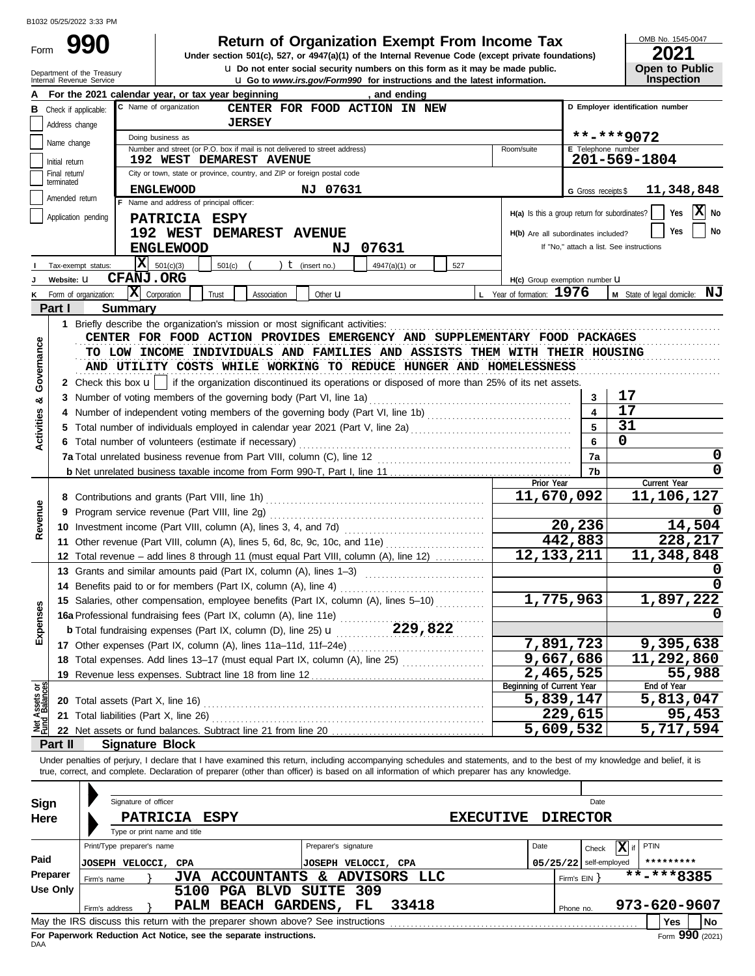Form

# **990 2011 2018 2021 2021 Divider section 501(c), 527, or 4947(a)(1) of the Internal Revenue Code (except private foundations)**

**u** Go to *www.irs.gov/Form990* for instructions and the latest information. **u** Do not enter social security numbers on this form as it may be made public. OMB No. 1545-0047

| ZUZ I                 |
|-----------------------|
| <b>Open to Public</b> |
| <b>Inspection</b>     |

|                                |                       | Department of the Treasury<br>Internal Revenue Service |                            |                                                 |                                                                                                               |                  |                      | <b>u</b> Do not enter social security numbers on this form as it may be made public.<br><b>u</b> Go to <i>www.irs.gov/Form990</i> for instructions and the latest information. |     |                           |            |                                                 |                   | <b>Open to Public</b><br>Inspection |         |
|--------------------------------|-----------------------|--------------------------------------------------------|----------------------------|-------------------------------------------------|---------------------------------------------------------------------------------------------------------------|------------------|----------------------|--------------------------------------------------------------------------------------------------------------------------------------------------------------------------------|-----|---------------------------|------------|-------------------------------------------------|-------------------|-------------------------------------|---------|
|                                |                       |                                                        |                            |                                                 | For the 2021 calendar year, or tax year beginning                                                             |                  |                      | , and ending                                                                                                                                                                   |     |                           |            |                                                 |                   |                                     |         |
| в                              | Check if applicable:  |                                                        |                            | C Name of organization                          |                                                                                                               |                  |                      | CENTER FOR FOOD ACTION IN NEW                                                                                                                                                  |     |                           |            |                                                 |                   | D Employer identification number    |         |
|                                | Address change        |                                                        |                            |                                                 | <b>JERSEY</b>                                                                                                 |                  |                      |                                                                                                                                                                                |     |                           |            |                                                 |                   |                                     |         |
|                                | Name change           |                                                        | Doing business as          |                                                 |                                                                                                               |                  |                      |                                                                                                                                                                                |     |                           |            |                                                 | **-***9072        |                                     |         |
|                                | Initial return        |                                                        |                            |                                                 | Number and street (or P.O. box if mail is not delivered to street address)<br><b>192 WEST DEMAREST AVENUE</b> |                  |                      |                                                                                                                                                                                |     | Room/suite                |            | E Telephone number                              |                   | 201-569-1804                        |         |
|                                | Final return/         |                                                        |                            |                                                 | City or town, state or province, country, and ZIP or foreign postal code                                      |                  |                      |                                                                                                                                                                                |     |                           |            |                                                 |                   |                                     |         |
|                                | terminated            |                                                        |                            | <b>ENGLEWOOD</b>                                |                                                                                                               |                  | NJ 07631             |                                                                                                                                                                                |     |                           |            | G Gross receipts \$                             |                   | 11,348,848                          |         |
|                                | Amended return        |                                                        |                            | F Name and address of principal officer:        |                                                                                                               |                  |                      |                                                                                                                                                                                |     |                           |            |                                                 |                   |                                     |         |
|                                | Application pending   |                                                        |                            | PATRICIA ESPY                                   |                                                                                                               |                  |                      |                                                                                                                                                                                |     |                           |            | $H(a)$ is this a group return for subordinates? |                   | Yes                                 | X No    |
|                                |                       |                                                        |                            | 192 WEST                                        | DEMAREST AVENUE                                                                                               |                  |                      |                                                                                                                                                                                |     |                           |            | H(b) Are all subordinates included?             |                   | Yes                                 | No      |
|                                |                       |                                                        |                            | <b>ENGLEWOOD</b>                                |                                                                                                               |                  |                      | NJ 07631                                                                                                                                                                       |     |                           |            | If "No," attach a list. See instructions        |                   |                                     |         |
|                                | Tax-exempt status:    |                                                        | $ \mathbf{X} $ 501(c)(3)   |                                                 | 501(c)                                                                                                        | $t$ (insert no.) |                      | 4947(a)(1) or                                                                                                                                                                  | 527 |                           |            |                                                 |                   |                                     |         |
|                                | Website: U            |                                                        | <b>CFANJ.ORG</b>           |                                                 |                                                                                                               |                  |                      |                                                                                                                                                                                |     |                           |            | H(c) Group exemption number U                   |                   |                                     |         |
|                                | Form of organization: |                                                        | $ \mathbf{X} $ Corporation |                                                 | Trust<br>Association                                                                                          |                  | Other <b>u</b>       |                                                                                                                                                                                |     | L Year of formation: 1976 |            |                                                 |                   | M State of legal domicile: NJ       |         |
|                                | Part I                | <b>Summary</b>                                         |                            |                                                 |                                                                                                               |                  |                      |                                                                                                                                                                                |     |                           |            |                                                 |                   |                                     |         |
|                                |                       |                                                        |                            |                                                 | 1 Briefly describe the organization's mission or most significant activities:                                 |                  |                      |                                                                                                                                                                                |     |                           |            |                                                 |                   |                                     |         |
|                                |                       |                                                        |                            |                                                 |                                                                                                               |                  |                      | CENTER FOR FOOD ACTION PROVIDES EMERGENCY AND SUPPLEMENTARY FOOD PACKAGES                                                                                                      |     |                           |            |                                                 |                   |                                     |         |
| Governance                     |                       |                                                        |                            |                                                 |                                                                                                               |                  |                      | TO LOW INCOME INDIVIDUALS AND FAMILIES AND ASSISTS THEM WITH THEIR HOUSING                                                                                                     |     |                           |            |                                                 |                   |                                     |         |
|                                |                       |                                                        |                            |                                                 |                                                                                                               |                  |                      | AND UTILITY COSTS WHILE WORKING TO REDUCE HUNGER AND HOMELESSNESS                                                                                                              |     |                           |            |                                                 |                   |                                     |         |
|                                |                       |                                                        |                            |                                                 |                                                                                                               |                  |                      | 2 Check this box $\mathbf{u}$   if the organization discontinued its operations or disposed of more than 25% of its net assets.                                                |     |                           |            |                                                 |                   |                                     |         |
| య                              |                       |                                                        |                            |                                                 | 3 Number of voting members of the governing body (Part VI, line 1a)                                           |                  |                      |                                                                                                                                                                                |     |                           |            | 3                                               | 17                |                                     |         |
|                                | 4                     |                                                        |                            |                                                 |                                                                                                               |                  |                      | Number of independent voting members of the governing body (Part VI, line 1b) [10] [10] [10] [10] [10] [10] [1                                                                 |     |                           |            | 4                                               | 17                |                                     |         |
| <b>Activities</b>              |                       |                                                        |                            |                                                 |                                                                                                               |                  |                      |                                                                                                                                                                                |     |                           |            | 5                                               | 31<br>$\mathbf 0$ |                                     |         |
|                                |                       |                                                        |                            |                                                 | 6 Total number of volunteers (estimate if necessary)                                                          |                  |                      |                                                                                                                                                                                |     |                           |            | 6                                               |                   |                                     | 0       |
|                                |                       |                                                        |                            |                                                 |                                                                                                               |                  |                      |                                                                                                                                                                                |     |                           |            | 7a<br>7b                                        |                   |                                     | 0       |
|                                |                       |                                                        |                            |                                                 |                                                                                                               |                  |                      |                                                                                                                                                                                |     |                           | Prior Year |                                                 |                   | Current Year                        |         |
|                                |                       |                                                        |                            |                                                 |                                                                                                               |                  |                      |                                                                                                                                                                                |     |                           |            | 11,670,092                                      |                   | 11,106,127                          |         |
| Revenue                        |                       |                                                        |                            |                                                 |                                                                                                               |                  |                      |                                                                                                                                                                                |     |                           |            |                                                 |                   |                                     |         |
|                                |                       |                                                        |                            |                                                 |                                                                                                               |                  |                      |                                                                                                                                                                                |     |                           |            | 20,236                                          |                   |                                     | 14,504  |
|                                |                       |                                                        |                            |                                                 |                                                                                                               |                  |                      | 11 Other revenue (Part VIII, column (A), lines 5, 6d, 8c, 9c, 10c, and 11e)                                                                                                    |     |                           |            | 442,883                                         |                   |                                     | 228,217 |
|                                |                       |                                                        |                            |                                                 |                                                                                                               |                  |                      | 12 Total revenue – add lines 8 through 11 (must equal Part VIII, column (A), line 12)                                                                                          |     |                           |            | 12, 133, 211                                    |                   | 11,348,848                          |         |
|                                |                       |                                                        |                            |                                                 |                                                                                                               |                  |                      | 13 Grants and similar amounts paid (Part IX, column (A), lines 1-3)                                                                                                            |     |                           |            |                                                 |                   |                                     |         |
|                                |                       |                                                        |                            |                                                 | 14 Benefits paid to or for members (Part IX, column (A), line 4)                                              |                  |                      |                                                                                                                                                                                |     |                           |            |                                                 |                   |                                     |         |
| <b>ises</b>                    |                       |                                                        |                            |                                                 |                                                                                                               |                  |                      | 15 Salaries, other compensation, employee benefits (Part IX, column (A), lines 5-10)                                                                                           |     |                           |            | 1,775,963                                       |                   | 1,897,222                           |         |
|                                |                       |                                                        |                            |                                                 | 16a Professional fundraising fees (Part IX, column (A), line 11e)                                             |                  |                      |                                                                                                                                                                                |     |                           |            |                                                 |                   |                                     | O       |
| Exper                          |                       |                                                        |                            |                                                 |                                                                                                               |                  |                      | <b>b</b> Total fundraising expenses (Part IX, column (D), line 25) <b>u</b> 229, 822                                                                                           |     |                           |            |                                                 |                   |                                     |         |
|                                |                       |                                                        |                            |                                                 |                                                                                                               |                  |                      |                                                                                                                                                                                |     |                           |            | 7,891,723                                       |                   | 9,395,638                           |         |
|                                |                       |                                                        |                            |                                                 |                                                                                                               |                  |                      | 18 Total expenses. Add lines 13-17 (must equal Part IX, column (A), line 25)                                                                                                   |     |                           |            | 9,667,686<br>2,465,525                          |                   | 11,292,860                          | 55,988  |
|                                |                       |                                                        |                            |                                                 | 19 Revenue less expenses. Subtract line 18 from line 12                                                       |                  |                      |                                                                                                                                                                                |     | Beginning of Current Year |            |                                                 |                   | End of Year                         |         |
| Net Assets or<br>Fund Balances |                       |                                                        |                            |                                                 |                                                                                                               |                  |                      |                                                                                                                                                                                |     |                           |            | 5,839,147                                       |                   | 5,813,047                           |         |
|                                |                       | 21 Total liabilities (Part X, line 26)                 |                            |                                                 |                                                                                                               |                  |                      |                                                                                                                                                                                |     |                           |            | 229,615                                         |                   |                                     | 95,453  |
|                                |                       |                                                        |                            |                                                 |                                                                                                               |                  |                      |                                                                                                                                                                                |     |                           |            | 5,609,532                                       |                   | 5,717,594                           |         |
|                                | Part II               |                                                        |                            | <b>Signature Block</b>                          |                                                                                                               |                  |                      |                                                                                                                                                                                |     |                           |            |                                                 |                   |                                     |         |
|                                |                       |                                                        |                            |                                                 |                                                                                                               |                  |                      | Under penalties of perjury, I declare that I have examined this return, including accompanying schedules and statements, and to the best of my knowledge and belief, it is     |     |                           |            |                                                 |                   |                                     |         |
|                                |                       |                                                        |                            |                                                 |                                                                                                               |                  |                      | true, correct, and complete. Declaration of preparer (other than officer) is based on all information of which preparer has any knowledge.                                     |     |                           |            |                                                 |                   |                                     |         |
|                                |                       |                                                        |                            |                                                 |                                                                                                               |                  |                      |                                                                                                                                                                                |     |                           |            |                                                 |                   |                                     |         |
| Sign                           |                       |                                                        | Signature of officer       |                                                 |                                                                                                               |                  |                      |                                                                                                                                                                                |     |                           |            | Date                                            |                   |                                     |         |
| Here                           |                       |                                                        |                            | <b>PATRICIA</b><br>Type or print name and title | <b>ESPY</b>                                                                                                   |                  |                      |                                                                                                                                                                                |     | <b>EXECUTIVE</b>          |            | <b>DIRECTOR</b>                                 |                   |                                     |         |
|                                |                       | Print/Type preparer's name                             |                            |                                                 |                                                                                                               |                  | Preparer's signature |                                                                                                                                                                                |     |                           | Date       |                                                 | $ \mathbf{X} $ if | PTIN                                |         |
| Paid                           |                       |                                                        |                            |                                                 |                                                                                                               |                  |                      |                                                                                                                                                                                |     |                           |            | Check                                           |                   |                                     |         |
|                                | Preparer              | <b>JOSEPH VELOCCI, CPA</b>                             |                            |                                                 |                                                                                                               |                  |                      | JOSEPH VELOCCI, CPA<br>JVA ACCOUNTANTS & ADVISORS LLC                                                                                                                          |     |                           |            | $05/25/22$ self-employed                        |                   | **-***8385                          |         |
|                                | <b>Use Only</b>       | Firm's name                                            |                            |                                                 | 5100 PGA BLVD SUITE 309                                                                                       |                  |                      |                                                                                                                                                                                |     |                           |            | Firm's EIN                                      |                   |                                     |         |
|                                |                       | Firm's address                                         |                            |                                                 | PALM BEACH GARDENS, FL                                                                                        |                  |                      | 33418                                                                                                                                                                          |     |                           |            | Phone no.                                       |                   | 973-620-9607                        |         |
|                                |                       |                                                        |                            |                                                 | May the IRS discuss this return with the preparer shown above? See instructions                               |                  |                      |                                                                                                                                                                                |     |                           |            |                                                 |                   | Yes                                 | No      |

| Sign     |                                                                                       | Signature of officer                                                            |      |  |                           |    |                      |       |  |      |              | Date            |   |                  |
|----------|---------------------------------------------------------------------------------------|---------------------------------------------------------------------------------|------|--|---------------------------|----|----------------------|-------|--|------|--------------|-----------------|---|------------------|
| Here     | <b>PATRICIA</b><br><b>ESPY</b><br><b>EXECUTIVE</b>                                    |                                                                                 |      |  |                           |    |                      |       |  |      |              | <b>DIRECTOR</b> |   |                  |
|          |                                                                                       | Type or print name and title                                                    |      |  |                           |    |                      |       |  |      |              |                 |   |                  |
|          |                                                                                       | Print/Type preparer's name                                                      |      |  |                           |    | Preparer's signature |       |  | Date |              | Check           | x | <b>PTIN</b>      |
| Paid     |                                                                                       | JOSEPH VELOCCI, CPA                                                             |      |  |                           |    | JOSEPH VELOCCI, CPA  |       |  |      | 05/25/22     | self-employed   |   | *********        |
| Preparer |                                                                                       | Firm's name                                                                     | JVA  |  | <b>ACCOUNTANTS</b>        | &. | ADVISORS LLC         |       |  |      | Firm's $EIN$ |                 |   | **-***8385       |
| Use Only |                                                                                       |                                                                                 | 5100 |  | <b>PGA BLVD SUITE 309</b> |    |                      |       |  |      |              |                 |   |                  |
|          |                                                                                       | Firm's address                                                                  |      |  | PALM BEACH GARDENS, FL    |    |                      | 33418 |  |      | Phone no.    |                 |   | 973-620-9607     |
|          |                                                                                       | May the IRS discuss this return with the preparer shown above? See instructions |      |  |                           |    |                      |       |  |      |              |                 |   | No<br><b>Yes</b> |
| DAA      | Form 990 (2021)<br>For Paperwork Reduction Act Notice, see the separate instructions. |                                                                                 |      |  |                           |    |                      |       |  |      |              |                 |   |                  |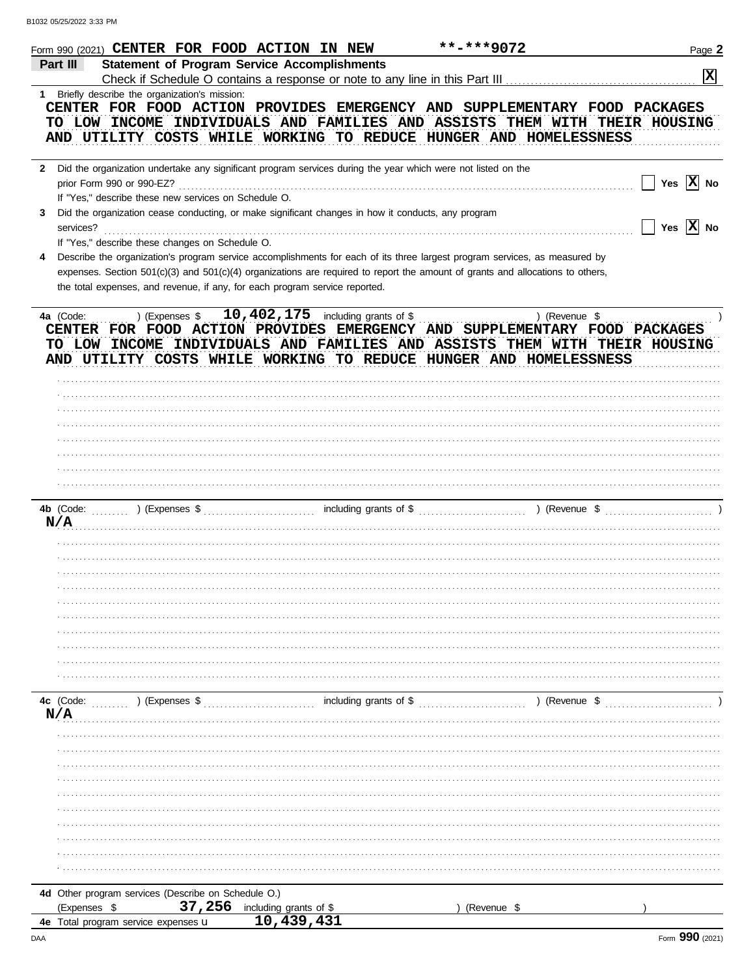|              | Form 990 (2021) <b>CENTER FOR FOOD ACTION IN NEW</b><br>**-***9072                                                             | Page 2                |
|--------------|--------------------------------------------------------------------------------------------------------------------------------|-----------------------|
|              | Part III<br><b>Statement of Program Service Accomplishments</b>                                                                |                       |
|              |                                                                                                                                | x                     |
| $1 \quad$    | Briefly describe the organization's mission:                                                                                   |                       |
|              | CENTER FOR FOOD ACTION PROVIDES EMERGENCY AND SUPPLEMENTARY FOOD PACKAGES                                                      |                       |
|              | TO LOW INCOME INDIVIDUALS AND FAMILIES AND ASSISTS THEM WITH THEIR HOUSING                                                     |                       |
|              |                                                                                                                                |                       |
|              | AND UTILITY COSTS WHILE WORKING TO REDUCE HUNGER AND HOMELESSNESS                                                              |                       |
|              |                                                                                                                                |                       |
| $\mathbf{2}$ | Did the organization undertake any significant program services during the year which were not listed on the                   |                       |
|              | prior Form 990 or 990-EZ?                                                                                                      | Yes $\overline{X}$ No |
|              | If "Yes," describe these new services on Schedule O.                                                                           |                       |
|              |                                                                                                                                |                       |
| 3            | Did the organization cease conducting, or make significant changes in how it conducts, any program                             |                       |
|              | services?                                                                                                                      | Yes $\overline{X}$ No |
|              | If "Yes," describe these changes on Schedule O.                                                                                |                       |
| 4            | Describe the organization's program service accomplishments for each of its three largest program services, as measured by     |                       |
|              | expenses. Section 501(c)(3) and 501(c)(4) organizations are required to report the amount of grants and allocations to others, |                       |
|              |                                                                                                                                |                       |
|              | the total expenses, and revenue, if any, for each program service reported.                                                    |                       |
|              |                                                                                                                                |                       |
|              | ) (Expenses $$10,402,175$ including grants of \$<br>) (Revenue \$<br>4a (Code:                                                 |                       |
|              | CENTER FOR FOOD ACTION PROVIDES EMERGENCY AND SUPPLEMENTARY FOOD PACKAGES                                                      |                       |
|              | TO LOW INCOME INDIVIDUALS AND FAMILIES AND ASSISTS THEM WITH THEIR HOUSING                                                     |                       |
|              |                                                                                                                                |                       |
|              | AND UTILITY COSTS WHILE WORKING TO REDUCE HUNGER AND HOMELESSNESS                                                              |                       |
|              |                                                                                                                                |                       |
|              |                                                                                                                                |                       |
|              |                                                                                                                                |                       |
|              |                                                                                                                                |                       |
|              |                                                                                                                                |                       |
|              |                                                                                                                                |                       |
|              |                                                                                                                                |                       |
|              |                                                                                                                                |                       |
|              |                                                                                                                                |                       |
|              |                                                                                                                                |                       |
|              |                                                                                                                                |                       |
|              |                                                                                                                                |                       |
|              | N/A                                                                                                                            |                       |
|              |                                                                                                                                |                       |
|              |                                                                                                                                |                       |
|              |                                                                                                                                |                       |
|              |                                                                                                                                |                       |
|              |                                                                                                                                |                       |
|              |                                                                                                                                |                       |
|              |                                                                                                                                |                       |
|              |                                                                                                                                |                       |
|              |                                                                                                                                |                       |
|              |                                                                                                                                |                       |
|              |                                                                                                                                |                       |
|              |                                                                                                                                |                       |
|              |                                                                                                                                |                       |
|              |                                                                                                                                |                       |
|              |                                                                                                                                |                       |
|              |                                                                                                                                |                       |
|              | N/A                                                                                                                            |                       |
|              |                                                                                                                                |                       |
|              |                                                                                                                                |                       |
|              |                                                                                                                                |                       |
|              |                                                                                                                                |                       |
|              |                                                                                                                                |                       |
|              |                                                                                                                                |                       |
|              |                                                                                                                                |                       |
|              |                                                                                                                                |                       |
|              |                                                                                                                                |                       |
|              |                                                                                                                                |                       |
|              |                                                                                                                                |                       |
|              |                                                                                                                                |                       |
|              |                                                                                                                                |                       |
|              | 4d Other program services (Describe on Schedule O.)                                                                            |                       |
|              | 37,256<br>(Expenses \$<br>including grants of \$<br>(Revenue \$                                                                |                       |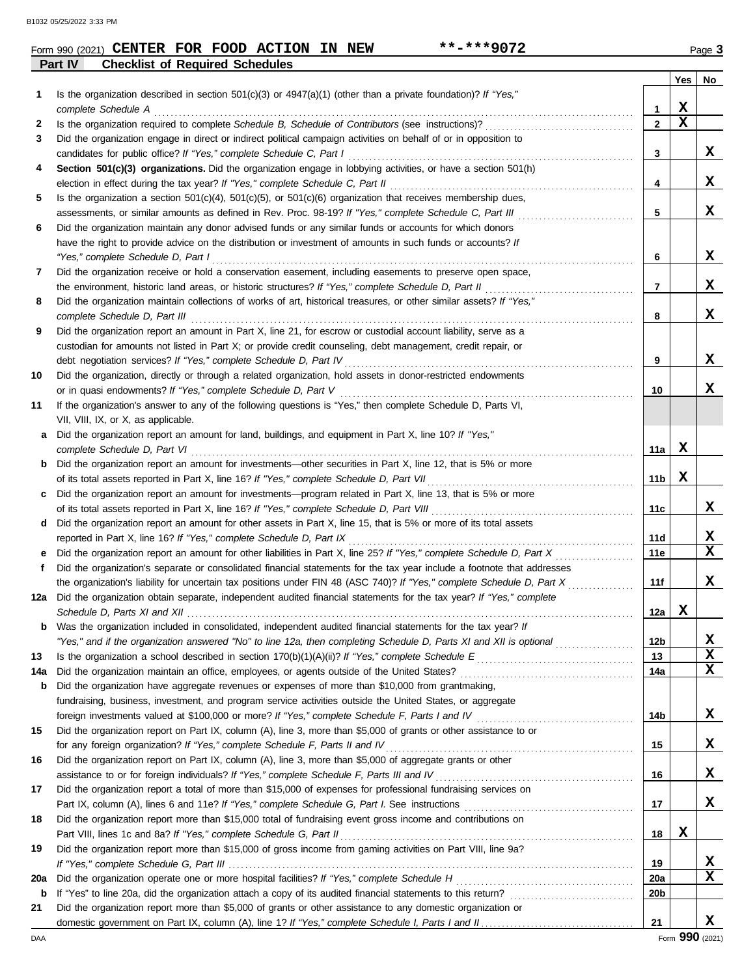|                | Form 990 (2021) CENTER FOR FOOD ACTION IN NEW |  |  | $***$ $***$ 9072                                                                                                 |     | Page 3    |
|----------------|-----------------------------------------------|--|--|------------------------------------------------------------------------------------------------------------------|-----|-----------|
| <b>Part IV</b> | <b>Checklist of Required Schedules</b>        |  |  |                                                                                                                  |     |           |
|                |                                               |  |  |                                                                                                                  | Yes | <b>No</b> |
|                |                                               |  |  | Is the organization described in section $501(c)(3)$ or $1047(a)(1)$ (other than a private foundation)? If "Ves" |     |           |

| Is the organization described in section 501(c)(3) or $4947(a)(1)$ (other than a private foundation)? If "Yes,"<br>1<br>X<br>complete Schedule A<br>1<br>$\mathbf x$<br>$\mathbf{2}$<br>2<br>Did the organization engage in direct or indirect political campaign activities on behalf of or in opposition to<br>3<br>candidates for public office? If "Yes," complete Schedule C, Part I<br>3<br>Section 501(c)(3) organizations. Did the organization engage in lobbying activities, or have a section 501(h)<br>4<br>4<br>Is the organization a section $501(c)(4)$ , $501(c)(5)$ , or $501(c)(6)$ organization that receives membership dues,<br>5<br>x<br>assessments, or similar amounts as defined in Rev. Proc. 98-19? If "Yes," complete Schedule C, Part III<br>5<br>Did the organization maintain any donor advised funds or any similar funds or accounts for which donors<br>6<br>have the right to provide advice on the distribution or investment of amounts in such funds or accounts? If<br>X<br>"Yes," complete Schedule D, Part I<br>6<br>Did the organization receive or hold a conservation easement, including easements to preserve open space,<br>7<br>X<br>the environment, historic land areas, or historic structures? If "Yes," complete Schedule D, Part II<br>7<br>Did the organization maintain collections of works of art, historical treasures, or other similar assets? If "Yes,"<br>8<br>X<br>complete Schedule D, Part III<br>8<br>Did the organization report an amount in Part X, line 21, for escrow or custodial account liability, serve as a<br>9<br>custodian for amounts not listed in Part X; or provide credit counseling, debt management, credit repair, or<br>x<br>debt negotiation services? If "Yes," complete Schedule D, Part IV<br>9<br>10<br>Did the organization, directly or through a related organization, hold assets in donor-restricted endowments<br>x<br>or in quasi endowments? If "Yes," complete Schedule D, Part V<br>10<br>If the organization's answer to any of the following questions is "Yes," then complete Schedule D, Parts VI,<br>11<br>VII, VIII, IX, or X, as applicable.<br>Did the organization report an amount for land, buildings, and equipment in Part X, line 10? If "Yes,"<br>a<br>х<br>complete Schedule D, Part VI<br>11a  <br><b>b</b> Did the organization report an amount for investments—other securities in Part X, line 12, that is 5% or more<br>X<br>11 <sub>b</sub><br>Did the organization report an amount for investments—program related in Part X, line 13, that is 5% or more<br>c<br>11c<br>Did the organization report an amount for other assets in Part X, line 15, that is 5% or more of its total assets<br>d<br>reported in Part X, line 16? If "Yes," complete Schedule D, Part IX<br>11d<br>Did the organization report an amount for other liabilities in Part X, line 25? If "Yes," complete Schedule D, Part X<br>11e<br>е<br>Did the organization's separate or consolidated financial statements for the tax year include a footnote that addresses<br>f<br>the organization's liability for uncertain tax positions under FIN 48 (ASC 740)? If "Yes," complete Schedule D, Part X<br>11f<br>Did the organization obtain separate, independent audited financial statements for the tax year? If "Yes," complete<br>12a<br>X<br>12a<br>Was the organization included in consolidated, independent audited financial statements for the tax year? If<br>b<br>"Yes," and if the organization answered "No" to line 12a, then completing Schedule D, Parts XI and XII is optional<br>12 <sub>b</sub><br>$\mathbf x$<br>13<br>13<br>$\mathbf x$<br>14a<br>14a<br>Did the organization have aggregate revenues or expenses of more than \$10,000 from grantmaking,<br>b<br>fundraising, business, investment, and program service activities outside the United States, or aggregate<br>X<br>14b<br>15<br>Did the organization report on Part IX, column (A), line 3, more than \$5,000 of grants or other assistance to or<br>X<br>for any foreign organization? If "Yes," complete Schedule F, Parts II and IV<br>15<br>Did the organization report on Part IX, column (A), line 3, more than \$5,000 of aggregate grants or other<br>16<br>X<br>assistance to or for foreign individuals? If "Yes," complete Schedule F, Parts III and IV [[[[[[[[[[[[[[[[[[[<br>16<br>Did the organization report a total of more than \$15,000 of expenses for professional fundraising services on<br>17<br>X<br>17<br>Did the organization report more than \$15,000 total of fundraising event gross income and contributions on<br>18<br>X<br>18<br>19<br>Did the organization report more than \$15,000 of gross income from gaming activities on Part VIII, line 9a?<br>х<br>19<br><b>20a</b><br>20a<br>20 <sub>b</sub><br>b<br>Did the organization report more than \$5,000 of grants or other assistance to any domestic organization or<br>21<br>21 |  | Yes | No          |
|--------------------------------------------------------------------------------------------------------------------------------------------------------------------------------------------------------------------------------------------------------------------------------------------------------------------------------------------------------------------------------------------------------------------------------------------------------------------------------------------------------------------------------------------------------------------------------------------------------------------------------------------------------------------------------------------------------------------------------------------------------------------------------------------------------------------------------------------------------------------------------------------------------------------------------------------------------------------------------------------------------------------------------------------------------------------------------------------------------------------------------------------------------------------------------------------------------------------------------------------------------------------------------------------------------------------------------------------------------------------------------------------------------------------------------------------------------------------------------------------------------------------------------------------------------------------------------------------------------------------------------------------------------------------------------------------------------------------------------------------------------------------------------------------------------------------------------------------------------------------------------------------------------------------------------------------------------------------------------------------------------------------------------------------------------------------------------------------------------------------------------------------------------------------------------------------------------------------------------------------------------------------------------------------------------------------------------------------------------------------------------------------------------------------------------------------------------------------------------------------------------------------------------------------------------------------------------------------------------------------------------------------------------------------------------------------------------------------------------------------------------------------------------------------------------------------------------------------------------------------------------------------------------------------------------------------------------------------------------------------------------------------------------------------------------------------------------------------------------------------------------------------------------------------------------------------------------------------------------------------------------------------------------------------------------------------------------------------------------------------------------------------------------------------------------------------------------------------------------------------------------------------------------------------------------------------------------------------------------------------------------------------------------------------------------------------------------------------------------------------------------------------------------------------------------------------------------------------------------------------------------------------------------------------------------------------------------------------------------------------------------------------------------------------------------------------------------------------------------------------------------------------------------------------------------------------------------------------------------------------------------------------------------------------------------------------------------------------------------------------------------------------------------------------------------------------------------------------------------------------------------------------------------------------------------------------------------------------------------------------------------------------------------------------------------------------------------------------------------------------------------------------------------------------------------------------------------------------------------------------------------------------------------------------------------------------------------------------------|--|-----|-------------|
|                                                                                                                                                                                                                                                                                                                                                                                                                                                                                                                                                                                                                                                                                                                                                                                                                                                                                                                                                                                                                                                                                                                                                                                                                                                                                                                                                                                                                                                                                                                                                                                                                                                                                                                                                                                                                                                                                                                                                                                                                                                                                                                                                                                                                                                                                                                                                                                                                                                                                                                                                                                                                                                                                                                                                                                                                                                                                                                                                                                                                                                                                                                                                                                                                                                                                                                                                                                                                                                                                                                                                                                                                                                                                                                                                                                                                                                                                                                                                                                                                                                                                                                                                                                                                                                                                                                                                                                                                                                                                                                                                                                                                                                                                                                                                                                                                                                                                                                                                                          |  |     |             |
|                                                                                                                                                                                                                                                                                                                                                                                                                                                                                                                                                                                                                                                                                                                                                                                                                                                                                                                                                                                                                                                                                                                                                                                                                                                                                                                                                                                                                                                                                                                                                                                                                                                                                                                                                                                                                                                                                                                                                                                                                                                                                                                                                                                                                                                                                                                                                                                                                                                                                                                                                                                                                                                                                                                                                                                                                                                                                                                                                                                                                                                                                                                                                                                                                                                                                                                                                                                                                                                                                                                                                                                                                                                                                                                                                                                                                                                                                                                                                                                                                                                                                                                                                                                                                                                                                                                                                                                                                                                                                                                                                                                                                                                                                                                                                                                                                                                                                                                                                                          |  |     |             |
|                                                                                                                                                                                                                                                                                                                                                                                                                                                                                                                                                                                                                                                                                                                                                                                                                                                                                                                                                                                                                                                                                                                                                                                                                                                                                                                                                                                                                                                                                                                                                                                                                                                                                                                                                                                                                                                                                                                                                                                                                                                                                                                                                                                                                                                                                                                                                                                                                                                                                                                                                                                                                                                                                                                                                                                                                                                                                                                                                                                                                                                                                                                                                                                                                                                                                                                                                                                                                                                                                                                                                                                                                                                                                                                                                                                                                                                                                                                                                                                                                                                                                                                                                                                                                                                                                                                                                                                                                                                                                                                                                                                                                                                                                                                                                                                                                                                                                                                                                                          |  |     |             |
|                                                                                                                                                                                                                                                                                                                                                                                                                                                                                                                                                                                                                                                                                                                                                                                                                                                                                                                                                                                                                                                                                                                                                                                                                                                                                                                                                                                                                                                                                                                                                                                                                                                                                                                                                                                                                                                                                                                                                                                                                                                                                                                                                                                                                                                                                                                                                                                                                                                                                                                                                                                                                                                                                                                                                                                                                                                                                                                                                                                                                                                                                                                                                                                                                                                                                                                                                                                                                                                                                                                                                                                                                                                                                                                                                                                                                                                                                                                                                                                                                                                                                                                                                                                                                                                                                                                                                                                                                                                                                                                                                                                                                                                                                                                                                                                                                                                                                                                                                                          |  |     |             |
|                                                                                                                                                                                                                                                                                                                                                                                                                                                                                                                                                                                                                                                                                                                                                                                                                                                                                                                                                                                                                                                                                                                                                                                                                                                                                                                                                                                                                                                                                                                                                                                                                                                                                                                                                                                                                                                                                                                                                                                                                                                                                                                                                                                                                                                                                                                                                                                                                                                                                                                                                                                                                                                                                                                                                                                                                                                                                                                                                                                                                                                                                                                                                                                                                                                                                                                                                                                                                                                                                                                                                                                                                                                                                                                                                                                                                                                                                                                                                                                                                                                                                                                                                                                                                                                                                                                                                                                                                                                                                                                                                                                                                                                                                                                                                                                                                                                                                                                                                                          |  |     | x           |
|                                                                                                                                                                                                                                                                                                                                                                                                                                                                                                                                                                                                                                                                                                                                                                                                                                                                                                                                                                                                                                                                                                                                                                                                                                                                                                                                                                                                                                                                                                                                                                                                                                                                                                                                                                                                                                                                                                                                                                                                                                                                                                                                                                                                                                                                                                                                                                                                                                                                                                                                                                                                                                                                                                                                                                                                                                                                                                                                                                                                                                                                                                                                                                                                                                                                                                                                                                                                                                                                                                                                                                                                                                                                                                                                                                                                                                                                                                                                                                                                                                                                                                                                                                                                                                                                                                                                                                                                                                                                                                                                                                                                                                                                                                                                                                                                                                                                                                                                                                          |  |     |             |
|                                                                                                                                                                                                                                                                                                                                                                                                                                                                                                                                                                                                                                                                                                                                                                                                                                                                                                                                                                                                                                                                                                                                                                                                                                                                                                                                                                                                                                                                                                                                                                                                                                                                                                                                                                                                                                                                                                                                                                                                                                                                                                                                                                                                                                                                                                                                                                                                                                                                                                                                                                                                                                                                                                                                                                                                                                                                                                                                                                                                                                                                                                                                                                                                                                                                                                                                                                                                                                                                                                                                                                                                                                                                                                                                                                                                                                                                                                                                                                                                                                                                                                                                                                                                                                                                                                                                                                                                                                                                                                                                                                                                                                                                                                                                                                                                                                                                                                                                                                          |  |     | X           |
|                                                                                                                                                                                                                                                                                                                                                                                                                                                                                                                                                                                                                                                                                                                                                                                                                                                                                                                                                                                                                                                                                                                                                                                                                                                                                                                                                                                                                                                                                                                                                                                                                                                                                                                                                                                                                                                                                                                                                                                                                                                                                                                                                                                                                                                                                                                                                                                                                                                                                                                                                                                                                                                                                                                                                                                                                                                                                                                                                                                                                                                                                                                                                                                                                                                                                                                                                                                                                                                                                                                                                                                                                                                                                                                                                                                                                                                                                                                                                                                                                                                                                                                                                                                                                                                                                                                                                                                                                                                                                                                                                                                                                                                                                                                                                                                                                                                                                                                                                                          |  |     |             |
|                                                                                                                                                                                                                                                                                                                                                                                                                                                                                                                                                                                                                                                                                                                                                                                                                                                                                                                                                                                                                                                                                                                                                                                                                                                                                                                                                                                                                                                                                                                                                                                                                                                                                                                                                                                                                                                                                                                                                                                                                                                                                                                                                                                                                                                                                                                                                                                                                                                                                                                                                                                                                                                                                                                                                                                                                                                                                                                                                                                                                                                                                                                                                                                                                                                                                                                                                                                                                                                                                                                                                                                                                                                                                                                                                                                                                                                                                                                                                                                                                                                                                                                                                                                                                                                                                                                                                                                                                                                                                                                                                                                                                                                                                                                                                                                                                                                                                                                                                                          |  |     |             |
|                                                                                                                                                                                                                                                                                                                                                                                                                                                                                                                                                                                                                                                                                                                                                                                                                                                                                                                                                                                                                                                                                                                                                                                                                                                                                                                                                                                                                                                                                                                                                                                                                                                                                                                                                                                                                                                                                                                                                                                                                                                                                                                                                                                                                                                                                                                                                                                                                                                                                                                                                                                                                                                                                                                                                                                                                                                                                                                                                                                                                                                                                                                                                                                                                                                                                                                                                                                                                                                                                                                                                                                                                                                                                                                                                                                                                                                                                                                                                                                                                                                                                                                                                                                                                                                                                                                                                                                                                                                                                                                                                                                                                                                                                                                                                                                                                                                                                                                                                                          |  |     |             |
|                                                                                                                                                                                                                                                                                                                                                                                                                                                                                                                                                                                                                                                                                                                                                                                                                                                                                                                                                                                                                                                                                                                                                                                                                                                                                                                                                                                                                                                                                                                                                                                                                                                                                                                                                                                                                                                                                                                                                                                                                                                                                                                                                                                                                                                                                                                                                                                                                                                                                                                                                                                                                                                                                                                                                                                                                                                                                                                                                                                                                                                                                                                                                                                                                                                                                                                                                                                                                                                                                                                                                                                                                                                                                                                                                                                                                                                                                                                                                                                                                                                                                                                                                                                                                                                                                                                                                                                                                                                                                                                                                                                                                                                                                                                                                                                                                                                                                                                                                                          |  |     |             |
|                                                                                                                                                                                                                                                                                                                                                                                                                                                                                                                                                                                                                                                                                                                                                                                                                                                                                                                                                                                                                                                                                                                                                                                                                                                                                                                                                                                                                                                                                                                                                                                                                                                                                                                                                                                                                                                                                                                                                                                                                                                                                                                                                                                                                                                                                                                                                                                                                                                                                                                                                                                                                                                                                                                                                                                                                                                                                                                                                                                                                                                                                                                                                                                                                                                                                                                                                                                                                                                                                                                                                                                                                                                                                                                                                                                                                                                                                                                                                                                                                                                                                                                                                                                                                                                                                                                                                                                                                                                                                                                                                                                                                                                                                                                                                                                                                                                                                                                                                                          |  |     |             |
|                                                                                                                                                                                                                                                                                                                                                                                                                                                                                                                                                                                                                                                                                                                                                                                                                                                                                                                                                                                                                                                                                                                                                                                                                                                                                                                                                                                                                                                                                                                                                                                                                                                                                                                                                                                                                                                                                                                                                                                                                                                                                                                                                                                                                                                                                                                                                                                                                                                                                                                                                                                                                                                                                                                                                                                                                                                                                                                                                                                                                                                                                                                                                                                                                                                                                                                                                                                                                                                                                                                                                                                                                                                                                                                                                                                                                                                                                                                                                                                                                                                                                                                                                                                                                                                                                                                                                                                                                                                                                                                                                                                                                                                                                                                                                                                                                                                                                                                                                                          |  |     |             |
|                                                                                                                                                                                                                                                                                                                                                                                                                                                                                                                                                                                                                                                                                                                                                                                                                                                                                                                                                                                                                                                                                                                                                                                                                                                                                                                                                                                                                                                                                                                                                                                                                                                                                                                                                                                                                                                                                                                                                                                                                                                                                                                                                                                                                                                                                                                                                                                                                                                                                                                                                                                                                                                                                                                                                                                                                                                                                                                                                                                                                                                                                                                                                                                                                                                                                                                                                                                                                                                                                                                                                                                                                                                                                                                                                                                                                                                                                                                                                                                                                                                                                                                                                                                                                                                                                                                                                                                                                                                                                                                                                                                                                                                                                                                                                                                                                                                                                                                                                                          |  |     |             |
|                                                                                                                                                                                                                                                                                                                                                                                                                                                                                                                                                                                                                                                                                                                                                                                                                                                                                                                                                                                                                                                                                                                                                                                                                                                                                                                                                                                                                                                                                                                                                                                                                                                                                                                                                                                                                                                                                                                                                                                                                                                                                                                                                                                                                                                                                                                                                                                                                                                                                                                                                                                                                                                                                                                                                                                                                                                                                                                                                                                                                                                                                                                                                                                                                                                                                                                                                                                                                                                                                                                                                                                                                                                                                                                                                                                                                                                                                                                                                                                                                                                                                                                                                                                                                                                                                                                                                                                                                                                                                                                                                                                                                                                                                                                                                                                                                                                                                                                                                                          |  |     |             |
|                                                                                                                                                                                                                                                                                                                                                                                                                                                                                                                                                                                                                                                                                                                                                                                                                                                                                                                                                                                                                                                                                                                                                                                                                                                                                                                                                                                                                                                                                                                                                                                                                                                                                                                                                                                                                                                                                                                                                                                                                                                                                                                                                                                                                                                                                                                                                                                                                                                                                                                                                                                                                                                                                                                                                                                                                                                                                                                                                                                                                                                                                                                                                                                                                                                                                                                                                                                                                                                                                                                                                                                                                                                                                                                                                                                                                                                                                                                                                                                                                                                                                                                                                                                                                                                                                                                                                                                                                                                                                                                                                                                                                                                                                                                                                                                                                                                                                                                                                                          |  |     |             |
|                                                                                                                                                                                                                                                                                                                                                                                                                                                                                                                                                                                                                                                                                                                                                                                                                                                                                                                                                                                                                                                                                                                                                                                                                                                                                                                                                                                                                                                                                                                                                                                                                                                                                                                                                                                                                                                                                                                                                                                                                                                                                                                                                                                                                                                                                                                                                                                                                                                                                                                                                                                                                                                                                                                                                                                                                                                                                                                                                                                                                                                                                                                                                                                                                                                                                                                                                                                                                                                                                                                                                                                                                                                                                                                                                                                                                                                                                                                                                                                                                                                                                                                                                                                                                                                                                                                                                                                                                                                                                                                                                                                                                                                                                                                                                                                                                                                                                                                                                                          |  |     |             |
|                                                                                                                                                                                                                                                                                                                                                                                                                                                                                                                                                                                                                                                                                                                                                                                                                                                                                                                                                                                                                                                                                                                                                                                                                                                                                                                                                                                                                                                                                                                                                                                                                                                                                                                                                                                                                                                                                                                                                                                                                                                                                                                                                                                                                                                                                                                                                                                                                                                                                                                                                                                                                                                                                                                                                                                                                                                                                                                                                                                                                                                                                                                                                                                                                                                                                                                                                                                                                                                                                                                                                                                                                                                                                                                                                                                                                                                                                                                                                                                                                                                                                                                                                                                                                                                                                                                                                                                                                                                                                                                                                                                                                                                                                                                                                                                                                                                                                                                                                                          |  |     |             |
|                                                                                                                                                                                                                                                                                                                                                                                                                                                                                                                                                                                                                                                                                                                                                                                                                                                                                                                                                                                                                                                                                                                                                                                                                                                                                                                                                                                                                                                                                                                                                                                                                                                                                                                                                                                                                                                                                                                                                                                                                                                                                                                                                                                                                                                                                                                                                                                                                                                                                                                                                                                                                                                                                                                                                                                                                                                                                                                                                                                                                                                                                                                                                                                                                                                                                                                                                                                                                                                                                                                                                                                                                                                                                                                                                                                                                                                                                                                                                                                                                                                                                                                                                                                                                                                                                                                                                                                                                                                                                                                                                                                                                                                                                                                                                                                                                                                                                                                                                                          |  |     |             |
|                                                                                                                                                                                                                                                                                                                                                                                                                                                                                                                                                                                                                                                                                                                                                                                                                                                                                                                                                                                                                                                                                                                                                                                                                                                                                                                                                                                                                                                                                                                                                                                                                                                                                                                                                                                                                                                                                                                                                                                                                                                                                                                                                                                                                                                                                                                                                                                                                                                                                                                                                                                                                                                                                                                                                                                                                                                                                                                                                                                                                                                                                                                                                                                                                                                                                                                                                                                                                                                                                                                                                                                                                                                                                                                                                                                                                                                                                                                                                                                                                                                                                                                                                                                                                                                                                                                                                                                                                                                                                                                                                                                                                                                                                                                                                                                                                                                                                                                                                                          |  |     |             |
|                                                                                                                                                                                                                                                                                                                                                                                                                                                                                                                                                                                                                                                                                                                                                                                                                                                                                                                                                                                                                                                                                                                                                                                                                                                                                                                                                                                                                                                                                                                                                                                                                                                                                                                                                                                                                                                                                                                                                                                                                                                                                                                                                                                                                                                                                                                                                                                                                                                                                                                                                                                                                                                                                                                                                                                                                                                                                                                                                                                                                                                                                                                                                                                                                                                                                                                                                                                                                                                                                                                                                                                                                                                                                                                                                                                                                                                                                                                                                                                                                                                                                                                                                                                                                                                                                                                                                                                                                                                                                                                                                                                                                                                                                                                                                                                                                                                                                                                                                                          |  |     |             |
|                                                                                                                                                                                                                                                                                                                                                                                                                                                                                                                                                                                                                                                                                                                                                                                                                                                                                                                                                                                                                                                                                                                                                                                                                                                                                                                                                                                                                                                                                                                                                                                                                                                                                                                                                                                                                                                                                                                                                                                                                                                                                                                                                                                                                                                                                                                                                                                                                                                                                                                                                                                                                                                                                                                                                                                                                                                                                                                                                                                                                                                                                                                                                                                                                                                                                                                                                                                                                                                                                                                                                                                                                                                                                                                                                                                                                                                                                                                                                                                                                                                                                                                                                                                                                                                                                                                                                                                                                                                                                                                                                                                                                                                                                                                                                                                                                                                                                                                                                                          |  |     |             |
|                                                                                                                                                                                                                                                                                                                                                                                                                                                                                                                                                                                                                                                                                                                                                                                                                                                                                                                                                                                                                                                                                                                                                                                                                                                                                                                                                                                                                                                                                                                                                                                                                                                                                                                                                                                                                                                                                                                                                                                                                                                                                                                                                                                                                                                                                                                                                                                                                                                                                                                                                                                                                                                                                                                                                                                                                                                                                                                                                                                                                                                                                                                                                                                                                                                                                                                                                                                                                                                                                                                                                                                                                                                                                                                                                                                                                                                                                                                                                                                                                                                                                                                                                                                                                                                                                                                                                                                                                                                                                                                                                                                                                                                                                                                                                                                                                                                                                                                                                                          |  |     |             |
|                                                                                                                                                                                                                                                                                                                                                                                                                                                                                                                                                                                                                                                                                                                                                                                                                                                                                                                                                                                                                                                                                                                                                                                                                                                                                                                                                                                                                                                                                                                                                                                                                                                                                                                                                                                                                                                                                                                                                                                                                                                                                                                                                                                                                                                                                                                                                                                                                                                                                                                                                                                                                                                                                                                                                                                                                                                                                                                                                                                                                                                                                                                                                                                                                                                                                                                                                                                                                                                                                                                                                                                                                                                                                                                                                                                                                                                                                                                                                                                                                                                                                                                                                                                                                                                                                                                                                                                                                                                                                                                                                                                                                                                                                                                                                                                                                                                                                                                                                                          |  |     |             |
|                                                                                                                                                                                                                                                                                                                                                                                                                                                                                                                                                                                                                                                                                                                                                                                                                                                                                                                                                                                                                                                                                                                                                                                                                                                                                                                                                                                                                                                                                                                                                                                                                                                                                                                                                                                                                                                                                                                                                                                                                                                                                                                                                                                                                                                                                                                                                                                                                                                                                                                                                                                                                                                                                                                                                                                                                                                                                                                                                                                                                                                                                                                                                                                                                                                                                                                                                                                                                                                                                                                                                                                                                                                                                                                                                                                                                                                                                                                                                                                                                                                                                                                                                                                                                                                                                                                                                                                                                                                                                                                                                                                                                                                                                                                                                                                                                                                                                                                                                                          |  |     |             |
|                                                                                                                                                                                                                                                                                                                                                                                                                                                                                                                                                                                                                                                                                                                                                                                                                                                                                                                                                                                                                                                                                                                                                                                                                                                                                                                                                                                                                                                                                                                                                                                                                                                                                                                                                                                                                                                                                                                                                                                                                                                                                                                                                                                                                                                                                                                                                                                                                                                                                                                                                                                                                                                                                                                                                                                                                                                                                                                                                                                                                                                                                                                                                                                                                                                                                                                                                                                                                                                                                                                                                                                                                                                                                                                                                                                                                                                                                                                                                                                                                                                                                                                                                                                                                                                                                                                                                                                                                                                                                                                                                                                                                                                                                                                                                                                                                                                                                                                                                                          |  |     |             |
|                                                                                                                                                                                                                                                                                                                                                                                                                                                                                                                                                                                                                                                                                                                                                                                                                                                                                                                                                                                                                                                                                                                                                                                                                                                                                                                                                                                                                                                                                                                                                                                                                                                                                                                                                                                                                                                                                                                                                                                                                                                                                                                                                                                                                                                                                                                                                                                                                                                                                                                                                                                                                                                                                                                                                                                                                                                                                                                                                                                                                                                                                                                                                                                                                                                                                                                                                                                                                                                                                                                                                                                                                                                                                                                                                                                                                                                                                                                                                                                                                                                                                                                                                                                                                                                                                                                                                                                                                                                                                                                                                                                                                                                                                                                                                                                                                                                                                                                                                                          |  |     |             |
|                                                                                                                                                                                                                                                                                                                                                                                                                                                                                                                                                                                                                                                                                                                                                                                                                                                                                                                                                                                                                                                                                                                                                                                                                                                                                                                                                                                                                                                                                                                                                                                                                                                                                                                                                                                                                                                                                                                                                                                                                                                                                                                                                                                                                                                                                                                                                                                                                                                                                                                                                                                                                                                                                                                                                                                                                                                                                                                                                                                                                                                                                                                                                                                                                                                                                                                                                                                                                                                                                                                                                                                                                                                                                                                                                                                                                                                                                                                                                                                                                                                                                                                                                                                                                                                                                                                                                                                                                                                                                                                                                                                                                                                                                                                                                                                                                                                                                                                                                                          |  |     | x           |
|                                                                                                                                                                                                                                                                                                                                                                                                                                                                                                                                                                                                                                                                                                                                                                                                                                                                                                                                                                                                                                                                                                                                                                                                                                                                                                                                                                                                                                                                                                                                                                                                                                                                                                                                                                                                                                                                                                                                                                                                                                                                                                                                                                                                                                                                                                                                                                                                                                                                                                                                                                                                                                                                                                                                                                                                                                                                                                                                                                                                                                                                                                                                                                                                                                                                                                                                                                                                                                                                                                                                                                                                                                                                                                                                                                                                                                                                                                                                                                                                                                                                                                                                                                                                                                                                                                                                                                                                                                                                                                                                                                                                                                                                                                                                                                                                                                                                                                                                                                          |  |     |             |
|                                                                                                                                                                                                                                                                                                                                                                                                                                                                                                                                                                                                                                                                                                                                                                                                                                                                                                                                                                                                                                                                                                                                                                                                                                                                                                                                                                                                                                                                                                                                                                                                                                                                                                                                                                                                                                                                                                                                                                                                                                                                                                                                                                                                                                                                                                                                                                                                                                                                                                                                                                                                                                                                                                                                                                                                                                                                                                                                                                                                                                                                                                                                                                                                                                                                                                                                                                                                                                                                                                                                                                                                                                                                                                                                                                                                                                                                                                                                                                                                                                                                                                                                                                                                                                                                                                                                                                                                                                                                                                                                                                                                                                                                                                                                                                                                                                                                                                                                                                          |  |     | x           |
|                                                                                                                                                                                                                                                                                                                                                                                                                                                                                                                                                                                                                                                                                                                                                                                                                                                                                                                                                                                                                                                                                                                                                                                                                                                                                                                                                                                                                                                                                                                                                                                                                                                                                                                                                                                                                                                                                                                                                                                                                                                                                                                                                                                                                                                                                                                                                                                                                                                                                                                                                                                                                                                                                                                                                                                                                                                                                                                                                                                                                                                                                                                                                                                                                                                                                                                                                                                                                                                                                                                                                                                                                                                                                                                                                                                                                                                                                                                                                                                                                                                                                                                                                                                                                                                                                                                                                                                                                                                                                                                                                                                                                                                                                                                                                                                                                                                                                                                                                                          |  |     | $\mathbf x$ |
|                                                                                                                                                                                                                                                                                                                                                                                                                                                                                                                                                                                                                                                                                                                                                                                                                                                                                                                                                                                                                                                                                                                                                                                                                                                                                                                                                                                                                                                                                                                                                                                                                                                                                                                                                                                                                                                                                                                                                                                                                                                                                                                                                                                                                                                                                                                                                                                                                                                                                                                                                                                                                                                                                                                                                                                                                                                                                                                                                                                                                                                                                                                                                                                                                                                                                                                                                                                                                                                                                                                                                                                                                                                                                                                                                                                                                                                                                                                                                                                                                                                                                                                                                                                                                                                                                                                                                                                                                                                                                                                                                                                                                                                                                                                                                                                                                                                                                                                                                                          |  |     |             |
|                                                                                                                                                                                                                                                                                                                                                                                                                                                                                                                                                                                                                                                                                                                                                                                                                                                                                                                                                                                                                                                                                                                                                                                                                                                                                                                                                                                                                                                                                                                                                                                                                                                                                                                                                                                                                                                                                                                                                                                                                                                                                                                                                                                                                                                                                                                                                                                                                                                                                                                                                                                                                                                                                                                                                                                                                                                                                                                                                                                                                                                                                                                                                                                                                                                                                                                                                                                                                                                                                                                                                                                                                                                                                                                                                                                                                                                                                                                                                                                                                                                                                                                                                                                                                                                                                                                                                                                                                                                                                                                                                                                                                                                                                                                                                                                                                                                                                                                                                                          |  |     | x           |
|                                                                                                                                                                                                                                                                                                                                                                                                                                                                                                                                                                                                                                                                                                                                                                                                                                                                                                                                                                                                                                                                                                                                                                                                                                                                                                                                                                                                                                                                                                                                                                                                                                                                                                                                                                                                                                                                                                                                                                                                                                                                                                                                                                                                                                                                                                                                                                                                                                                                                                                                                                                                                                                                                                                                                                                                                                                                                                                                                                                                                                                                                                                                                                                                                                                                                                                                                                                                                                                                                                                                                                                                                                                                                                                                                                                                                                                                                                                                                                                                                                                                                                                                                                                                                                                                                                                                                                                                                                                                                                                                                                                                                                                                                                                                                                                                                                                                                                                                                                          |  |     |             |
|                                                                                                                                                                                                                                                                                                                                                                                                                                                                                                                                                                                                                                                                                                                                                                                                                                                                                                                                                                                                                                                                                                                                                                                                                                                                                                                                                                                                                                                                                                                                                                                                                                                                                                                                                                                                                                                                                                                                                                                                                                                                                                                                                                                                                                                                                                                                                                                                                                                                                                                                                                                                                                                                                                                                                                                                                                                                                                                                                                                                                                                                                                                                                                                                                                                                                                                                                                                                                                                                                                                                                                                                                                                                                                                                                                                                                                                                                                                                                                                                                                                                                                                                                                                                                                                                                                                                                                                                                                                                                                                                                                                                                                                                                                                                                                                                                                                                                                                                                                          |  |     |             |
|                                                                                                                                                                                                                                                                                                                                                                                                                                                                                                                                                                                                                                                                                                                                                                                                                                                                                                                                                                                                                                                                                                                                                                                                                                                                                                                                                                                                                                                                                                                                                                                                                                                                                                                                                                                                                                                                                                                                                                                                                                                                                                                                                                                                                                                                                                                                                                                                                                                                                                                                                                                                                                                                                                                                                                                                                                                                                                                                                                                                                                                                                                                                                                                                                                                                                                                                                                                                                                                                                                                                                                                                                                                                                                                                                                                                                                                                                                                                                                                                                                                                                                                                                                                                                                                                                                                                                                                                                                                                                                                                                                                                                                                                                                                                                                                                                                                                                                                                                                          |  |     |             |
|                                                                                                                                                                                                                                                                                                                                                                                                                                                                                                                                                                                                                                                                                                                                                                                                                                                                                                                                                                                                                                                                                                                                                                                                                                                                                                                                                                                                                                                                                                                                                                                                                                                                                                                                                                                                                                                                                                                                                                                                                                                                                                                                                                                                                                                                                                                                                                                                                                                                                                                                                                                                                                                                                                                                                                                                                                                                                                                                                                                                                                                                                                                                                                                                                                                                                                                                                                                                                                                                                                                                                                                                                                                                                                                                                                                                                                                                                                                                                                                                                                                                                                                                                                                                                                                                                                                                                                                                                                                                                                                                                                                                                                                                                                                                                                                                                                                                                                                                                                          |  |     | х           |
|                                                                                                                                                                                                                                                                                                                                                                                                                                                                                                                                                                                                                                                                                                                                                                                                                                                                                                                                                                                                                                                                                                                                                                                                                                                                                                                                                                                                                                                                                                                                                                                                                                                                                                                                                                                                                                                                                                                                                                                                                                                                                                                                                                                                                                                                                                                                                                                                                                                                                                                                                                                                                                                                                                                                                                                                                                                                                                                                                                                                                                                                                                                                                                                                                                                                                                                                                                                                                                                                                                                                                                                                                                                                                                                                                                                                                                                                                                                                                                                                                                                                                                                                                                                                                                                                                                                                                                                                                                                                                                                                                                                                                                                                                                                                                                                                                                                                                                                                                                          |  |     |             |
|                                                                                                                                                                                                                                                                                                                                                                                                                                                                                                                                                                                                                                                                                                                                                                                                                                                                                                                                                                                                                                                                                                                                                                                                                                                                                                                                                                                                                                                                                                                                                                                                                                                                                                                                                                                                                                                                                                                                                                                                                                                                                                                                                                                                                                                                                                                                                                                                                                                                                                                                                                                                                                                                                                                                                                                                                                                                                                                                                                                                                                                                                                                                                                                                                                                                                                                                                                                                                                                                                                                                                                                                                                                                                                                                                                                                                                                                                                                                                                                                                                                                                                                                                                                                                                                                                                                                                                                                                                                                                                                                                                                                                                                                                                                                                                                                                                                                                                                                                                          |  |     |             |
|                                                                                                                                                                                                                                                                                                                                                                                                                                                                                                                                                                                                                                                                                                                                                                                                                                                                                                                                                                                                                                                                                                                                                                                                                                                                                                                                                                                                                                                                                                                                                                                                                                                                                                                                                                                                                                                                                                                                                                                                                                                                                                                                                                                                                                                                                                                                                                                                                                                                                                                                                                                                                                                                                                                                                                                                                                                                                                                                                                                                                                                                                                                                                                                                                                                                                                                                                                                                                                                                                                                                                                                                                                                                                                                                                                                                                                                                                                                                                                                                                                                                                                                                                                                                                                                                                                                                                                                                                                                                                                                                                                                                                                                                                                                                                                                                                                                                                                                                                                          |  |     |             |
|                                                                                                                                                                                                                                                                                                                                                                                                                                                                                                                                                                                                                                                                                                                                                                                                                                                                                                                                                                                                                                                                                                                                                                                                                                                                                                                                                                                                                                                                                                                                                                                                                                                                                                                                                                                                                                                                                                                                                                                                                                                                                                                                                                                                                                                                                                                                                                                                                                                                                                                                                                                                                                                                                                                                                                                                                                                                                                                                                                                                                                                                                                                                                                                                                                                                                                                                                                                                                                                                                                                                                                                                                                                                                                                                                                                                                                                                                                                                                                                                                                                                                                                                                                                                                                                                                                                                                                                                                                                                                                                                                                                                                                                                                                                                                                                                                                                                                                                                                                          |  |     |             |
|                                                                                                                                                                                                                                                                                                                                                                                                                                                                                                                                                                                                                                                                                                                                                                                                                                                                                                                                                                                                                                                                                                                                                                                                                                                                                                                                                                                                                                                                                                                                                                                                                                                                                                                                                                                                                                                                                                                                                                                                                                                                                                                                                                                                                                                                                                                                                                                                                                                                                                                                                                                                                                                                                                                                                                                                                                                                                                                                                                                                                                                                                                                                                                                                                                                                                                                                                                                                                                                                                                                                                                                                                                                                                                                                                                                                                                                                                                                                                                                                                                                                                                                                                                                                                                                                                                                                                                                                                                                                                                                                                                                                                                                                                                                                                                                                                                                                                                                                                                          |  |     |             |
|                                                                                                                                                                                                                                                                                                                                                                                                                                                                                                                                                                                                                                                                                                                                                                                                                                                                                                                                                                                                                                                                                                                                                                                                                                                                                                                                                                                                                                                                                                                                                                                                                                                                                                                                                                                                                                                                                                                                                                                                                                                                                                                                                                                                                                                                                                                                                                                                                                                                                                                                                                                                                                                                                                                                                                                                                                                                                                                                                                                                                                                                                                                                                                                                                                                                                                                                                                                                                                                                                                                                                                                                                                                                                                                                                                                                                                                                                                                                                                                                                                                                                                                                                                                                                                                                                                                                                                                                                                                                                                                                                                                                                                                                                                                                                                                                                                                                                                                                                                          |  |     |             |
|                                                                                                                                                                                                                                                                                                                                                                                                                                                                                                                                                                                                                                                                                                                                                                                                                                                                                                                                                                                                                                                                                                                                                                                                                                                                                                                                                                                                                                                                                                                                                                                                                                                                                                                                                                                                                                                                                                                                                                                                                                                                                                                                                                                                                                                                                                                                                                                                                                                                                                                                                                                                                                                                                                                                                                                                                                                                                                                                                                                                                                                                                                                                                                                                                                                                                                                                                                                                                                                                                                                                                                                                                                                                                                                                                                                                                                                                                                                                                                                                                                                                                                                                                                                                                                                                                                                                                                                                                                                                                                                                                                                                                                                                                                                                                                                                                                                                                                                                                                          |  |     |             |
|                                                                                                                                                                                                                                                                                                                                                                                                                                                                                                                                                                                                                                                                                                                                                                                                                                                                                                                                                                                                                                                                                                                                                                                                                                                                                                                                                                                                                                                                                                                                                                                                                                                                                                                                                                                                                                                                                                                                                                                                                                                                                                                                                                                                                                                                                                                                                                                                                                                                                                                                                                                                                                                                                                                                                                                                                                                                                                                                                                                                                                                                                                                                                                                                                                                                                                                                                                                                                                                                                                                                                                                                                                                                                                                                                                                                                                                                                                                                                                                                                                                                                                                                                                                                                                                                                                                                                                                                                                                                                                                                                                                                                                                                                                                                                                                                                                                                                                                                                                          |  |     |             |
|                                                                                                                                                                                                                                                                                                                                                                                                                                                                                                                                                                                                                                                                                                                                                                                                                                                                                                                                                                                                                                                                                                                                                                                                                                                                                                                                                                                                                                                                                                                                                                                                                                                                                                                                                                                                                                                                                                                                                                                                                                                                                                                                                                                                                                                                                                                                                                                                                                                                                                                                                                                                                                                                                                                                                                                                                                                                                                                                                                                                                                                                                                                                                                                                                                                                                                                                                                                                                                                                                                                                                                                                                                                                                                                                                                                                                                                                                                                                                                                                                                                                                                                                                                                                                                                                                                                                                                                                                                                                                                                                                                                                                                                                                                                                                                                                                                                                                                                                                                          |  |     |             |
|                                                                                                                                                                                                                                                                                                                                                                                                                                                                                                                                                                                                                                                                                                                                                                                                                                                                                                                                                                                                                                                                                                                                                                                                                                                                                                                                                                                                                                                                                                                                                                                                                                                                                                                                                                                                                                                                                                                                                                                                                                                                                                                                                                                                                                                                                                                                                                                                                                                                                                                                                                                                                                                                                                                                                                                                                                                                                                                                                                                                                                                                                                                                                                                                                                                                                                                                                                                                                                                                                                                                                                                                                                                                                                                                                                                                                                                                                                                                                                                                                                                                                                                                                                                                                                                                                                                                                                                                                                                                                                                                                                                                                                                                                                                                                                                                                                                                                                                                                                          |  |     |             |
|                                                                                                                                                                                                                                                                                                                                                                                                                                                                                                                                                                                                                                                                                                                                                                                                                                                                                                                                                                                                                                                                                                                                                                                                                                                                                                                                                                                                                                                                                                                                                                                                                                                                                                                                                                                                                                                                                                                                                                                                                                                                                                                                                                                                                                                                                                                                                                                                                                                                                                                                                                                                                                                                                                                                                                                                                                                                                                                                                                                                                                                                                                                                                                                                                                                                                                                                                                                                                                                                                                                                                                                                                                                                                                                                                                                                                                                                                                                                                                                                                                                                                                                                                                                                                                                                                                                                                                                                                                                                                                                                                                                                                                                                                                                                                                                                                                                                                                                                                                          |  |     |             |
|                                                                                                                                                                                                                                                                                                                                                                                                                                                                                                                                                                                                                                                                                                                                                                                                                                                                                                                                                                                                                                                                                                                                                                                                                                                                                                                                                                                                                                                                                                                                                                                                                                                                                                                                                                                                                                                                                                                                                                                                                                                                                                                                                                                                                                                                                                                                                                                                                                                                                                                                                                                                                                                                                                                                                                                                                                                                                                                                                                                                                                                                                                                                                                                                                                                                                                                                                                                                                                                                                                                                                                                                                                                                                                                                                                                                                                                                                                                                                                                                                                                                                                                                                                                                                                                                                                                                                                                                                                                                                                                                                                                                                                                                                                                                                                                                                                                                                                                                                                          |  |     |             |
|                                                                                                                                                                                                                                                                                                                                                                                                                                                                                                                                                                                                                                                                                                                                                                                                                                                                                                                                                                                                                                                                                                                                                                                                                                                                                                                                                                                                                                                                                                                                                                                                                                                                                                                                                                                                                                                                                                                                                                                                                                                                                                                                                                                                                                                                                                                                                                                                                                                                                                                                                                                                                                                                                                                                                                                                                                                                                                                                                                                                                                                                                                                                                                                                                                                                                                                                                                                                                                                                                                                                                                                                                                                                                                                                                                                                                                                                                                                                                                                                                                                                                                                                                                                                                                                                                                                                                                                                                                                                                                                                                                                                                                                                                                                                                                                                                                                                                                                                                                          |  |     |             |
|                                                                                                                                                                                                                                                                                                                                                                                                                                                                                                                                                                                                                                                                                                                                                                                                                                                                                                                                                                                                                                                                                                                                                                                                                                                                                                                                                                                                                                                                                                                                                                                                                                                                                                                                                                                                                                                                                                                                                                                                                                                                                                                                                                                                                                                                                                                                                                                                                                                                                                                                                                                                                                                                                                                                                                                                                                                                                                                                                                                                                                                                                                                                                                                                                                                                                                                                                                                                                                                                                                                                                                                                                                                                                                                                                                                                                                                                                                                                                                                                                                                                                                                                                                                                                                                                                                                                                                                                                                                                                                                                                                                                                                                                                                                                                                                                                                                                                                                                                                          |  |     |             |
|                                                                                                                                                                                                                                                                                                                                                                                                                                                                                                                                                                                                                                                                                                                                                                                                                                                                                                                                                                                                                                                                                                                                                                                                                                                                                                                                                                                                                                                                                                                                                                                                                                                                                                                                                                                                                                                                                                                                                                                                                                                                                                                                                                                                                                                                                                                                                                                                                                                                                                                                                                                                                                                                                                                                                                                                                                                                                                                                                                                                                                                                                                                                                                                                                                                                                                                                                                                                                                                                                                                                                                                                                                                                                                                                                                                                                                                                                                                                                                                                                                                                                                                                                                                                                                                                                                                                                                                                                                                                                                                                                                                                                                                                                                                                                                                                                                                                                                                                                                          |  |     | $\mathbf x$ |
|                                                                                                                                                                                                                                                                                                                                                                                                                                                                                                                                                                                                                                                                                                                                                                                                                                                                                                                                                                                                                                                                                                                                                                                                                                                                                                                                                                                                                                                                                                                                                                                                                                                                                                                                                                                                                                                                                                                                                                                                                                                                                                                                                                                                                                                                                                                                                                                                                                                                                                                                                                                                                                                                                                                                                                                                                                                                                                                                                                                                                                                                                                                                                                                                                                                                                                                                                                                                                                                                                                                                                                                                                                                                                                                                                                                                                                                                                                                                                                                                                                                                                                                                                                                                                                                                                                                                                                                                                                                                                                                                                                                                                                                                                                                                                                                                                                                                                                                                                                          |  |     |             |
|                                                                                                                                                                                                                                                                                                                                                                                                                                                                                                                                                                                                                                                                                                                                                                                                                                                                                                                                                                                                                                                                                                                                                                                                                                                                                                                                                                                                                                                                                                                                                                                                                                                                                                                                                                                                                                                                                                                                                                                                                                                                                                                                                                                                                                                                                                                                                                                                                                                                                                                                                                                                                                                                                                                                                                                                                                                                                                                                                                                                                                                                                                                                                                                                                                                                                                                                                                                                                                                                                                                                                                                                                                                                                                                                                                                                                                                                                                                                                                                                                                                                                                                                                                                                                                                                                                                                                                                                                                                                                                                                                                                                                                                                                                                                                                                                                                                                                                                                                                          |  |     |             |
|                                                                                                                                                                                                                                                                                                                                                                                                                                                                                                                                                                                                                                                                                                                                                                                                                                                                                                                                                                                                                                                                                                                                                                                                                                                                                                                                                                                                                                                                                                                                                                                                                                                                                                                                                                                                                                                                                                                                                                                                                                                                                                                                                                                                                                                                                                                                                                                                                                                                                                                                                                                                                                                                                                                                                                                                                                                                                                                                                                                                                                                                                                                                                                                                                                                                                                                                                                                                                                                                                                                                                                                                                                                                                                                                                                                                                                                                                                                                                                                                                                                                                                                                                                                                                                                                                                                                                                                                                                                                                                                                                                                                                                                                                                                                                                                                                                                                                                                                                                          |  |     | X           |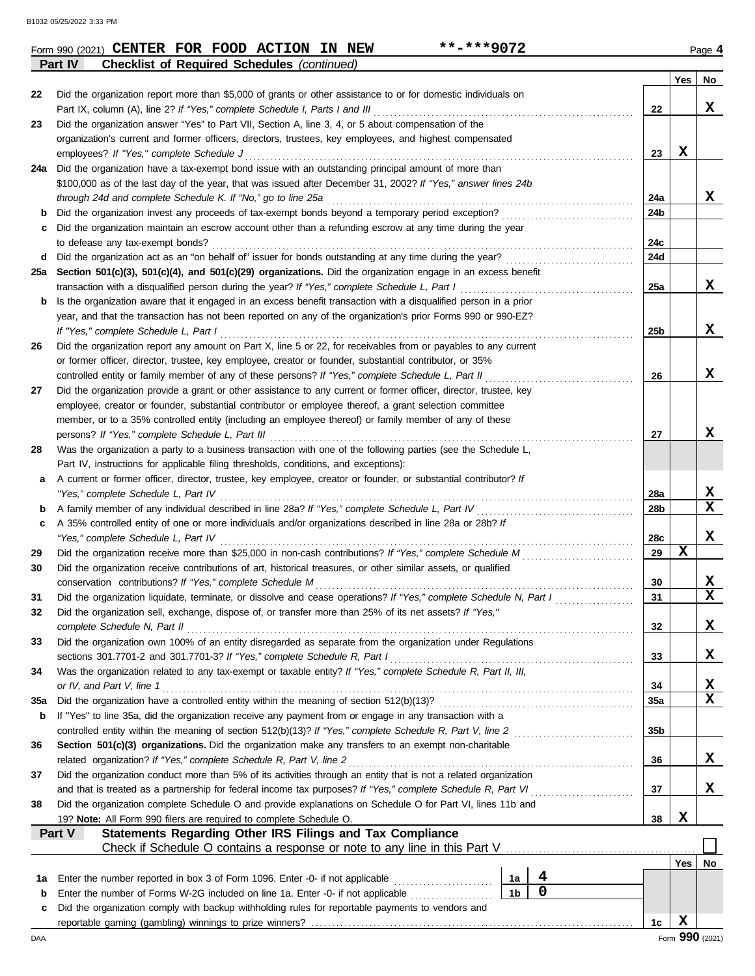**Part IV Checklist of Required Schedules** *(continued)*

|     |                                                                                                                                                                                     |                 | Yes         | No              |
|-----|-------------------------------------------------------------------------------------------------------------------------------------------------------------------------------------|-----------------|-------------|-----------------|
| 22  | Did the organization report more than \$5,000 of grants or other assistance to or for domestic individuals on                                                                       |                 |             |                 |
|     |                                                                                                                                                                                     | 22              |             | x               |
| 23  | Did the organization answer "Yes" to Part VII, Section A, line 3, 4, or 5 about compensation of the                                                                                 |                 |             |                 |
|     | organization's current and former officers, directors, trustees, key employees, and highest compensated                                                                             |                 |             |                 |
|     | employees? If "Yes," complete Schedule J                                                                                                                                            | 23              | $\mathbf x$ |                 |
|     | 24a Did the organization have a tax-exempt bond issue with an outstanding principal amount of more than                                                                             |                 |             |                 |
|     | \$100,000 as of the last day of the year, that was issued after December 31, 2002? If "Yes," answer lines 24b                                                                       |                 |             |                 |
|     |                                                                                                                                                                                     | 24a             |             | x               |
| b   | Did the organization invest any proceeds of tax-exempt bonds beyond a temporary period exception?                                                                                   | 24b             |             |                 |
| c   | Did the organization maintain an escrow account other than a refunding escrow at any time during the year                                                                           | 24c             |             |                 |
|     | to defease any tax-exempt bonds?<br>d Did the organization act as an "on behalf of" issuer for bonds outstanding at any time during the year?                                       | 24d             |             |                 |
|     | 25a Section 501(c)(3), 501(c)(4), and 501(c)(29) organizations. Did the organization engage in an excess benefit                                                                    |                 |             |                 |
|     | transaction with a disqualified person during the year? If "Yes," complete Schedule L, Part I                                                                                       | 25a             |             | x               |
| b   | Is the organization aware that it engaged in an excess benefit transaction with a disqualified person in a prior                                                                    |                 |             |                 |
|     | year, and that the transaction has not been reported on any of the organization's prior Forms 990 or 990-EZ?                                                                        |                 |             |                 |
|     | If "Yes," complete Schedule L, Part I                                                                                                                                               | 25b             |             | X               |
| 26  | Did the organization report any amount on Part X, line 5 or 22, for receivables from or payables to any current                                                                     |                 |             |                 |
|     | or former officer, director, trustee, key employee, creator or founder, substantial contributor, or 35%                                                                             |                 |             |                 |
|     | controlled entity or family member of any of these persons? If "Yes," complete Schedule L, Part II                                                                                  | 26              |             | X               |
| 27  | Did the organization provide a grant or other assistance to any current or former officer, director, trustee, key                                                                   |                 |             |                 |
|     | employee, creator or founder, substantial contributor or employee thereof, a grant selection committee                                                                              |                 |             |                 |
|     | member, or to a 35% controlled entity (including an employee thereof) or family member of any of these                                                                              |                 |             |                 |
|     |                                                                                                                                                                                     | 27              |             | x               |
| 28  | Was the organization a party to a business transaction with one of the following parties (see the Schedule L,                                                                       |                 |             |                 |
|     | Part IV, instructions for applicable filing thresholds, conditions, and exceptions):                                                                                                |                 |             |                 |
| a   | A current or former officer, director, trustee, key employee, creator or founder, or substantial contributor? If                                                                    |                 |             |                 |
|     | "Yes," complete Schedule L, Part IV                                                                                                                                                 | <b>28a</b>      |             | х               |
| b   |                                                                                                                                                                                     | 28b             |             | $\mathbf{x}$    |
| c   | A 35% controlled entity of one or more individuals and/or organizations described in line 28a or 28b? If                                                                            |                 |             |                 |
|     | "Yes," complete Schedule L, Part IV                                                                                                                                                 | 28c<br>29       | $\mathbf x$ | X               |
| 29  |                                                                                                                                                                                     |                 |             |                 |
| 30  | Did the organization receive contributions of art, historical treasures, or other similar assets, or qualified<br>conservation contributions? If "Yes," complete Schedule M         | 30              |             | X               |
| 31  | Did the organization liquidate, terminate, or dissolve and cease operations? If "Yes," complete Schedule N, Part I                                                                  | 31              |             | $\mathbf x$     |
| 32  | Did the organization sell, exchange, dispose of, or transfer more than 25% of its net assets? If "Yes,"                                                                             |                 |             |                 |
|     | complete Schedule N, Part II                                                                                                                                                        | 32              |             | x               |
| 33  | Did the organization own 100% of an entity disregarded as separate from the organization under Regulations                                                                          |                 |             |                 |
|     | sections 301.7701-2 and 301.7701-3? If "Yes," complete Schedule R, Part I                                                                                                           | 33              |             | x               |
| 34  | Was the organization related to any tax-exempt or taxable entity? If "Yes," complete Schedule R, Part II, III,                                                                      |                 |             |                 |
|     | or IV, and Part V, line 1                                                                                                                                                           | 34              |             | X               |
| 35a |                                                                                                                                                                                     | 35a             |             | X               |
| b   | If "Yes" to line 35a, did the organization receive any payment from or engage in any transaction with a                                                                             |                 |             |                 |
|     |                                                                                                                                                                                     | 35 <sub>b</sub> |             |                 |
| 36  | Section 501(c)(3) organizations. Did the organization make any transfers to an exempt non-charitable                                                                                |                 |             |                 |
|     | related organization? If "Yes," complete Schedule R, Part V, line 2                                                                                                                 | 36              |             | X               |
| 37  | Did the organization conduct more than 5% of its activities through an entity that is not a related organization                                                                    |                 |             |                 |
|     |                                                                                                                                                                                     | 37              |             | X               |
| 38  | Did the organization complete Schedule O and provide explanations on Schedule O for Part VI, lines 11b and                                                                          |                 |             |                 |
|     | 19? Note: All Form 990 filers are required to complete Schedule O.                                                                                                                  | 38              | X           |                 |
|     | Statements Regarding Other IRS Filings and Tax Compliance<br>Part V                                                                                                                 |                 |             |                 |
|     |                                                                                                                                                                                     |                 |             |                 |
|     | 4                                                                                                                                                                                   |                 | Yes         | No              |
| 1a  | 1a<br>$\mathbf 0$<br>1 <sub>b</sub>                                                                                                                                                 |                 |             |                 |
| b   | Enter the number of Forms W-2G included on line 1a. Enter -0- if not applicable<br>Did the organization comply with backup withholding rules for reportable payments to vendors and |                 |             |                 |
| с   |                                                                                                                                                                                     | 1c              | X           |                 |
| DAA |                                                                                                                                                                                     |                 |             | Form 990 (2021) |

**Form 990 (2021) CENTER FOR FOOD ACTION IN NEW \*\*-\*\*\*9072** Page 4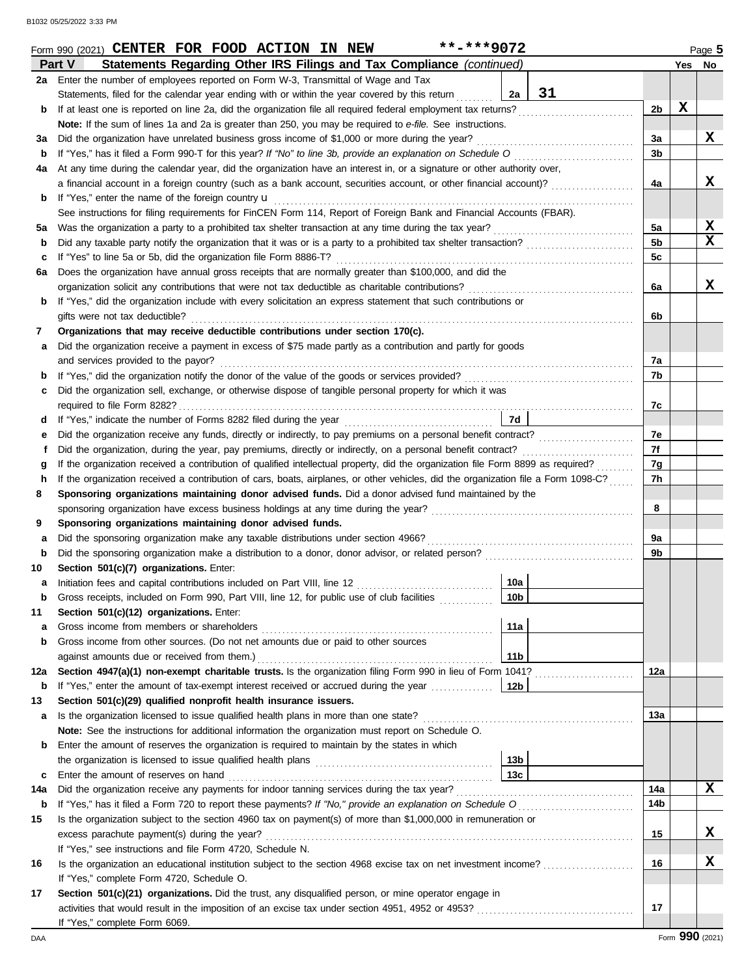|     | **-***9072<br>Form 990 (2021) CENTER FOR FOOD ACTION IN NEW                                                                        |                 |    |                |             | Page 5          |
|-----|------------------------------------------------------------------------------------------------------------------------------------|-----------------|----|----------------|-------------|-----------------|
|     | Statements Regarding Other IRS Filings and Tax Compliance (continued)<br>Part V                                                    |                 |    |                |             | Yes No          |
|     | 2a Enter the number of employees reported on Form W-3, Transmittal of Wage and Tax                                                 |                 |    |                |             |                 |
|     | Statements, filed for the calendar year ending with or within the year covered by this return                                      | 2a              | 31 |                |             |                 |
| b   | If at least one is reported on line 2a, did the organization file all required federal employment tax returns?                     |                 |    | 2 <sub>b</sub> | $\mathbf x$ |                 |
|     | Note: If the sum of lines 1a and 2a is greater than 250, you may be required to e-file. See instructions.                          |                 |    |                |             |                 |
| За  | Did the organization have unrelated business gross income of \$1,000 or more during the year?                                      |                 |    | За             |             | X               |
| b   | If "Yes," has it filed a Form 990-T for this year? If "No" to line 3b, provide an explanation on Schedule O consequences           |                 |    | 3b             |             |                 |
| 4a  | At any time during the calendar year, did the organization have an interest in, or a signature or other authority over,            |                 |    |                |             |                 |
|     | a financial account in a foreign country (such as a bank account, securities account, or other financial account)?                 |                 |    | 4a             |             | X               |
| b   | If "Yes," enter the name of the foreign country u                                                                                  |                 |    |                |             |                 |
|     | See instructions for filing requirements for FinCEN Form 114, Report of Foreign Bank and Financial Accounts (FBAR).                |                 |    |                |             |                 |
| 5a  | Was the organization a party to a prohibited tax shelter transaction at any time during the tax year?                              |                 |    | 5a             |             | X               |
| b   | Did any taxable party notify the organization that it was or is a party to a prohibited tax shelter transaction?                   |                 |    | 5 <sub>b</sub> |             | X               |
| c   | If "Yes" to line 5a or 5b, did the organization file Form 8886-T?                                                                  |                 |    | 5c             |             |                 |
| 6а  | Does the organization have annual gross receipts that are normally greater than \$100,000, and did the                             |                 |    |                |             |                 |
|     | organization solicit any contributions that were not tax deductible as charitable contributions?                                   |                 |    | 6a             |             | X               |
| b   | If "Yes," did the organization include with every solicitation an express statement that such contributions or                     |                 |    |                |             |                 |
|     | gifts were not tax deductible?                                                                                                     |                 |    | 6b             |             |                 |
| 7   | Organizations that may receive deductible contributions under section 170(c).                                                      |                 |    |                |             |                 |
| а   | Did the organization receive a payment in excess of \$75 made partly as a contribution and partly for goods                        |                 |    |                |             |                 |
|     | and services provided to the payor?                                                                                                |                 |    | 7a             |             |                 |
| b   |                                                                                                                                    |                 |    | 7b             |             |                 |
| c   | Did the organization sell, exchange, or otherwise dispose of tangible personal property for which it was                           |                 |    |                |             |                 |
|     | required to file Form 8282?                                                                                                        |                 |    | 7c             |             |                 |
|     |                                                                                                                                    | 7d              |    |                |             |                 |
| d   |                                                                                                                                    |                 |    |                |             |                 |
| е   |                                                                                                                                    |                 |    | 7e<br>7f       |             |                 |
| f   | Did the organization, during the year, pay premiums, directly or indirectly, on a personal benefit contract?                       |                 |    |                |             |                 |
| g   | If the organization received a contribution of qualified intellectual property, did the organization file Form 8899 as required?   |                 |    | 7g             |             |                 |
| h   | If the organization received a contribution of cars, boats, airplanes, or other vehicles, did the organization file a Form 1098-C? |                 |    | 7h             |             |                 |
| 8   | Sponsoring organizations maintaining donor advised funds. Did a donor advised fund maintained by the                               |                 |    |                |             |                 |
|     |                                                                                                                                    |                 |    | 8              |             |                 |
| 9   | Sponsoring organizations maintaining donor advised funds.                                                                          |                 |    |                |             |                 |
| а   | Did the sponsoring organization make any taxable distributions under section 4966?                                                 |                 |    | 9a             |             |                 |
| b   | Did the sponsoring organization make a distribution to a donor, donor advisor, or related person?                                  |                 |    | 9b             |             |                 |
| 10  | Section 501(c)(7) organizations. Enter:                                                                                            |                 |    |                |             |                 |
| a   |                                                                                                                                    | 10a             |    |                |             |                 |
|     | Gross receipts, included on Form 990, Part VIII, line 12, for public use of club facilities                                        | 10 <sub>b</sub> |    |                |             |                 |
| 11  | Section 501(c)(12) organizations. Enter:                                                                                           |                 |    |                |             |                 |
| а   | Gross income from members or shareholders                                                                                          | 11a             |    |                |             |                 |
| b   | Gross income from other sources. (Do not net amounts due or paid to other sources                                                  |                 |    |                |             |                 |
|     | against amounts due or received from them.)                                                                                        | 11 <sub>b</sub> |    |                |             |                 |
| 12a | Section 4947(a)(1) non-exempt charitable trusts. Is the organization filing Form 990 in lieu of Form 1041?                         |                 |    | 12a            |             |                 |
| b   | If "Yes," enter the amount of tax-exempt interest received or accrued during the year                                              | 12b             |    |                |             |                 |
| 13  | Section 501(c)(29) qualified nonprofit health insurance issuers.                                                                   |                 |    |                |             |                 |
| а   | Is the organization licensed to issue qualified health plans in more than one state?                                               |                 |    | 13a            |             |                 |
|     | Note: See the instructions for additional information the organization must report on Schedule O.                                  |                 |    |                |             |                 |
| b   | Enter the amount of reserves the organization is required to maintain by the states in which                                       |                 |    |                |             |                 |
|     |                                                                                                                                    | 13 <sub>b</sub> |    |                |             |                 |
| c   | Enter the amount of reserves on hand                                                                                               | 13 <sub>c</sub> |    |                |             |                 |
| 14a | Did the organization receive any payments for indoor tanning services during the tax year?                                         |                 |    | 14a            |             | X               |
| b   |                                                                                                                                    |                 |    | 14b            |             |                 |
| 15  | Is the organization subject to the section 4960 tax on payment(s) of more than \$1,000,000 in remuneration or                      |                 |    |                |             |                 |
|     | excess parachute payment(s) during the year?                                                                                       |                 |    | 15             |             | x               |
|     | If "Yes," see instructions and file Form 4720, Schedule N.                                                                         |                 |    |                |             |                 |
| 16  | Is the organization an educational institution subject to the section 4968 excise tax on net investment income?                    |                 |    | 16             |             | х               |
|     | If "Yes," complete Form 4720, Schedule O.                                                                                          |                 |    |                |             |                 |
| 17  | Section 501(c)(21) organizations. Did the trust, any disqualified person, or mine operator engage in                               |                 |    |                |             |                 |
|     |                                                                                                                                    |                 |    | 17             |             |                 |
|     | If "Yes," complete Form 6069.                                                                                                      |                 |    |                |             |                 |
| DAA |                                                                                                                                    |                 |    |                |             | Form 990 (2021) |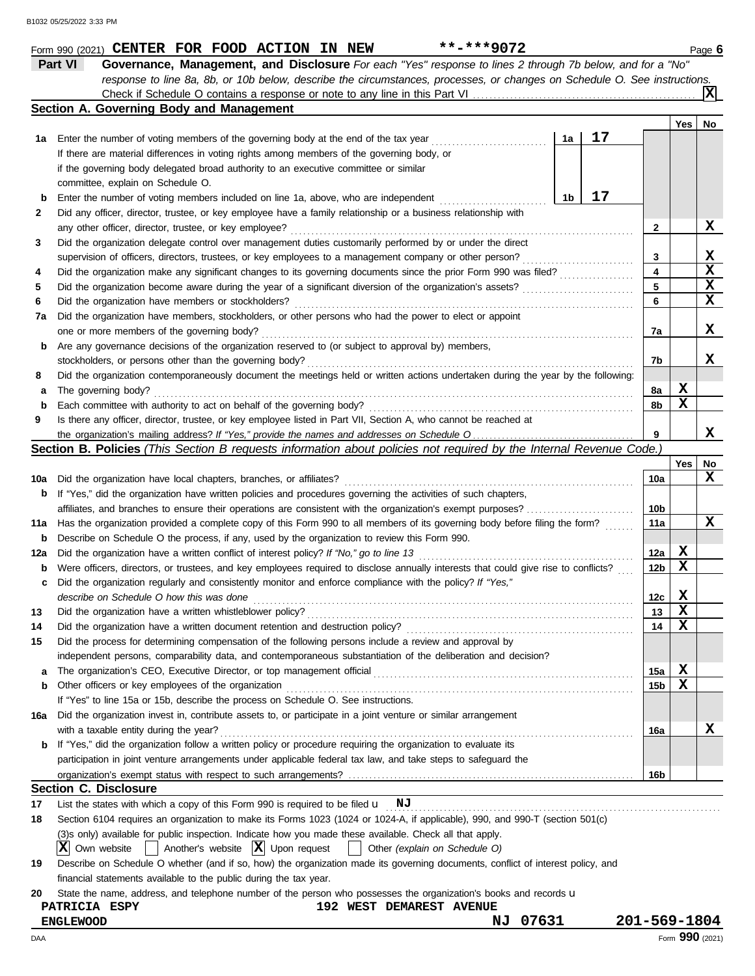| Form 990 (2021) | CENTER FOR | . FOOD | <b>ACTION</b> | IN | <b>NEW</b> | -***9074<br>. . | $\mathsf{a}$ aae lo |
|-----------------|------------|--------|---------------|----|------------|-----------------|---------------------|
|                 |            |        |               |    |            |                 |                     |

**Part VI Governance, Management, and Disclosure** *For each "Yes" response to lines 2 through 7b below, and for a "No" response to line 8a, 8b, or 10b below, describe the circumstances, processes, or changes on Schedule O. See instructions.* Check if Schedule O contains a response or note to any line in this Part VI **X**

|     | Section A. Governing Body and Management                                                                                            |    |    |                         |             |             |
|-----|-------------------------------------------------------------------------------------------------------------------------------------|----|----|-------------------------|-------------|-------------|
|     |                                                                                                                                     |    |    |                         | Yes         | No          |
| 1а  | Enter the number of voting members of the governing body at the end of the tax year                                                 | 1a | 17 |                         |             |             |
|     | If there are material differences in voting rights among members of the governing body, or                                          |    |    |                         |             |             |
|     | if the governing body delegated broad authority to an executive committee or similar                                                |    |    |                         |             |             |
|     | committee, explain on Schedule O.                                                                                                   |    |    |                         |             |             |
| b   | Enter the number of voting members included on line 1a, above, who are independent                                                  | 1b | 17 |                         |             |             |
| 2   | Did any officer, director, trustee, or key employee have a family relationship or a business relationship with                      |    |    |                         |             |             |
|     |                                                                                                                                     |    |    | $\mathbf{2}$            |             | X           |
| 3   | Did the organization delegate control over management duties customarily performed by or under the direct                           |    |    |                         |             |             |
|     | supervision of officers, directors, trustees, or key employees to a management company or other person?                             |    |    | 3                       |             | X           |
| 4   | Did the organization make any significant changes to its governing documents since the prior Form 990 was filed?                    |    |    | $\overline{\mathbf{4}}$ |             | $\mathbf x$ |
| 5   |                                                                                                                                     |    |    | 5                       |             | X           |
| 6   | Did the organization have members or stockholders?                                                                                  |    |    | 6                       |             | X           |
| 7a  | Did the organization have members, stockholders, or other persons who had the power to elect or appoint                             |    |    |                         |             |             |
|     |                                                                                                                                     |    |    | 7a                      |             | х           |
| b   | Are any governance decisions of the organization reserved to (or subject to approval by) members,                                   |    |    |                         |             |             |
|     | stockholders, or persons other than the governing body?                                                                             |    |    | 7b                      |             | x           |
| 8   | Did the organization contemporaneously document the meetings held or written actions undertaken during the year by the following:   |    |    |                         |             |             |
| a   | The governing body?                                                                                                                 |    |    | 8a                      | X           |             |
| b   | Each committee with authority to act on behalf of the governing body?                                                               |    |    | 8b                      | $\mathbf x$ |             |
| 9   | Is there any officer, director, trustee, or key employee listed in Part VII, Section A, who cannot be reached at                    |    |    |                         |             |             |
|     |                                                                                                                                     |    |    | 9                       |             | X           |
|     | Section B. Policies (This Section B requests information about policies not required by the Internal Revenue Code.)                 |    |    |                         |             |             |
|     |                                                                                                                                     |    |    |                         | Yes         | No          |
| 10a | Did the organization have local chapters, branches, or affiliates?                                                                  |    |    | 10a                     |             | x           |
| b   | If "Yes," did the organization have written policies and procedures governing the activities of such chapters,                      |    |    |                         |             |             |
|     |                                                                                                                                     |    |    | 10b                     |             |             |
| 11a | Has the organization provided a complete copy of this Form 990 to all members of its governing body before filing the form?         |    |    | 11a                     |             | X           |
| b   | Describe on Schedule O the process, if any, used by the organization to review this Form 990.                                       |    |    |                         |             |             |
| 12a |                                                                                                                                     |    |    | 12a                     | X           |             |
| b   | Were officers, directors, or trustees, and key employees required to disclose annually interests that could give rise to conflicts? |    |    | 12 <sub>b</sub>         | $\mathbf x$ |             |
| c   | Did the organization regularly and consistently monitor and enforce compliance with the policy? If "Yes,"                           |    |    |                         |             |             |
|     | describe on Schedule O how this was done                                                                                            |    |    | 12c                     | X           |             |
| 13  | Did the organization have a written whistleblower policy?                                                                           |    |    | 13                      | $\mathbf x$ |             |
| 14  |                                                                                                                                     |    |    | 14                      | $\mathbf x$ |             |
| 15  | Did the process for determining compensation of the following persons include a review and approval by                              |    |    |                         |             |             |
|     | independent persons, comparability data, and contemporaneous substantiation of the deliberation and decision?                       |    |    |                         |             |             |
|     | The organization's CEO, Executive Director, or top management official                                                              |    |    | 15a                     | X           |             |
| b   | Other officers or key employees of the organization                                                                                 |    |    | 15b                     | X           |             |
|     | If "Yes" to line 15a or 15b, describe the process on Schedule O. See instructions.                                                  |    |    |                         |             |             |
| 16a | Did the organization invest in, contribute assets to, or participate in a joint venture or similar arrangement                      |    |    |                         |             |             |
|     | with a taxable entity during the year?                                                                                              |    |    | 16a                     |             | х           |
| b   | If "Yes," did the organization follow a written policy or procedure requiring the organization to evaluate its                      |    |    |                         |             |             |
|     | participation in joint venture arrangements under applicable federal tax law, and take steps to safeguard the                       |    |    |                         |             |             |
|     |                                                                                                                                     |    |    | 16b                     |             |             |
|     | <b>Section C. Disclosure</b>                                                                                                        |    |    |                         |             |             |
| 17  | List the states with which a copy of this Form 990 is required to be filed $\mathbf{u}$ NJ                                          |    |    |                         |             |             |
| 18  | Section 6104 requires an organization to make its Forms 1023 (1024 or 1024-A, if applicable), 990, and 990-T (section 501(c)        |    |    |                         |             |             |
|     | (3)s only) available for public inspection. Indicate how you made these available. Check all that apply.                            |    |    |                         |             |             |
|     | ΙXΙ<br>Another's website $ \mathbf{X} $ Upon request<br>Own website<br>Other (explain on Schedule O)                                |    |    |                         |             |             |
| 19  | Describe on Schedule O whether (and if so, how) the organization made its governing documents, conflict of interest policy, and     |    |    |                         |             |             |
|     | financial statements available to the public during the tax year.                                                                   |    |    |                         |             |             |
| 20  | State the name, address, and telephone number of the person who possesses the organization's books and records u                    |    |    |                         |             |             |
|     | PATRICIA ESPY<br><b>192 WEST DEMAREST AVENUE</b>                                                                                    |    |    |                         |             |             |
|     | NJ 07631<br><b>ENGLEWOOD</b>                                                                                                        |    |    | 201-569-1804            |             |             |

**201-569-1804**<br>Form 990 (2021)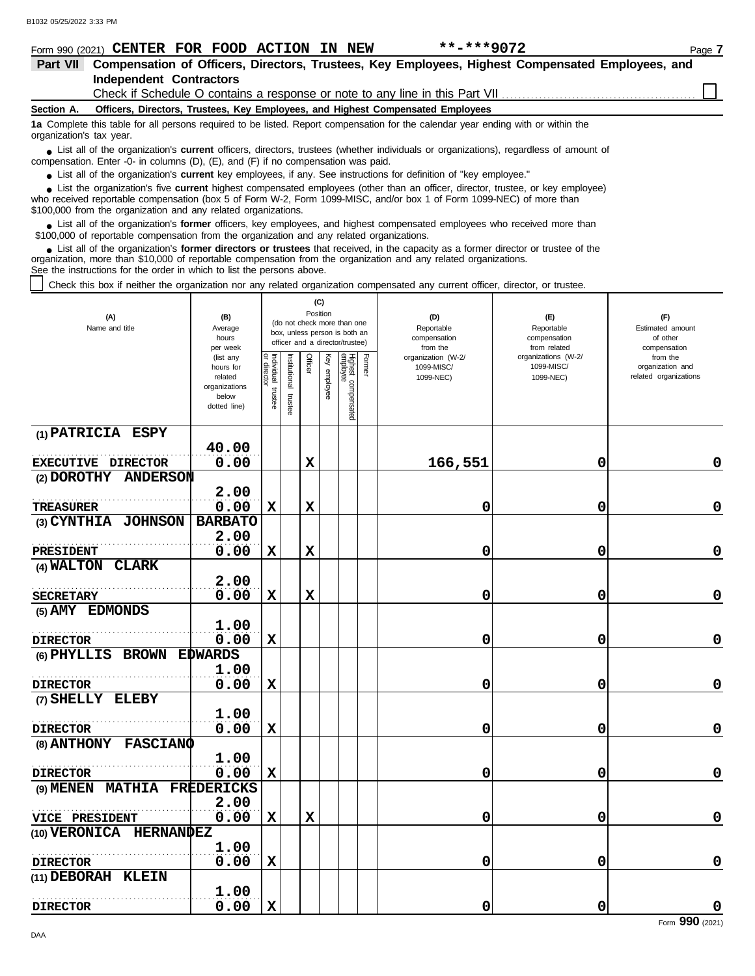|                          | $***$ -*** 9072<br>Form 990 (2021) CENTER FOR FOOD ACTION IN NEW                                                                                                                                                                                                                                                         | Page 7 |
|--------------------------|--------------------------------------------------------------------------------------------------------------------------------------------------------------------------------------------------------------------------------------------------------------------------------------------------------------------------|--------|
| <b>Part VII</b>          | Compensation of Officers, Directors, Trustees, Key Employees, Highest Compensated Employees, and                                                                                                                                                                                                                         |        |
|                          | Independent Contractors                                                                                                                                                                                                                                                                                                  |        |
|                          |                                                                                                                                                                                                                                                                                                                          |        |
| Section A.               | Officers, Directors, Trustees, Key Employees, and Highest Compensated Employees                                                                                                                                                                                                                                          |        |
| organization's tax year. | 1a Complete this table for all persons required to be listed. Report compensation for the calendar year ending with or within the                                                                                                                                                                                        |        |
|                          | • List all of the organization's <b>current</b> officers, directors, trustees (whether individuals or organizations), regardless of amount of<br>compensation. Enter -0- in columns $(D)$ , $(E)$ , and $(F)$ if no compensation was paid.                                                                               |        |
|                          | • List all of the organization's current key employees, if any. See instructions for definition of "key employee."                                                                                                                                                                                                       |        |
|                          | List the organization's five current highest compensated employees (other than an officer, director, trustee, or key employee)<br>who received reportable compensation (box 5 of Form W-2, Form 1099-MISC, and/or box 1 of Form 1099-NEC) of more than<br>\$100,000 from the organization and any related organizations. |        |
|                          | • List all of the organization's former officers, key employees, and highest compensated employees who received more than<br>\$100,000 of reportable compensation from the organization and any related organizations.                                                                                                   |        |
|                          | • List all of the organization's former directors or trustees that received, in the capacity as a former director or trustee of the<br>organization more than \$10,000 of reportable compensation from the organization and any related organizations                                                                    |        |

organization, more than \$10,000 of reportable compensation from the organization and any related organizations.

See the instructions for the order in which to list the persons above.

Check this box if neither the organization nor any related organization compensated any current officer, director, or trustee.

| (A)<br>Name and title                | (B)<br>Average<br>hours<br>per week                                         | (C)<br>Position<br>(do not check more than one<br>box, unless person is both an<br>officer and a director/trustee) |                         |             |              |                                 |        | (D)<br>Reportable<br>compensation<br>from the                                                   | (E)<br>Reportable<br>compensation<br>from related | (F)<br>Estimated amount<br>of other<br>compensation   |
|--------------------------------------|-----------------------------------------------------------------------------|--------------------------------------------------------------------------------------------------------------------|-------------------------|-------------|--------------|---------------------------------|--------|-------------------------------------------------------------------------------------------------|---------------------------------------------------|-------------------------------------------------------|
|                                      | (list any<br>hours for<br>related<br>organizations<br>below<br>dotted line) | Individual<br>or director<br>trustee                                                                               | nstitutional<br>trustee | Officer     | Key employee | Highest compensated<br>employee | Former | organizations (W-2/<br>organization (W-2/<br>1099-MISC/<br>1099-MISC/<br>1099-NEC)<br>1099-NEC) |                                                   | from the<br>organization and<br>related organizations |
| (1) PATRICIA ESPY                    |                                                                             |                                                                                                                    |                         |             |              |                                 |        |                                                                                                 |                                                   |                                                       |
| EXECUTIVE DIRECTOR                   | 40.00<br>0.00                                                               |                                                                                                                    |                         | $\mathbf x$ |              |                                 |        | 166,551                                                                                         | 0                                                 | 0                                                     |
| (2) DOROTHY<br><b>ANDERSON</b>       |                                                                             |                                                                                                                    |                         |             |              |                                 |        |                                                                                                 |                                                   |                                                       |
|                                      | 2.00                                                                        |                                                                                                                    |                         |             |              |                                 |        |                                                                                                 |                                                   |                                                       |
| <b>TREASURER</b>                     | 0.00                                                                        | $\mathbf x$                                                                                                        |                         | X           |              |                                 |        | 0                                                                                               | 0                                                 | 0                                                     |
| (3) CYNTHIA JOHNSON                  | <b>BARBATO</b>                                                              |                                                                                                                    |                         |             |              |                                 |        |                                                                                                 |                                                   |                                                       |
|                                      | 2.00                                                                        |                                                                                                                    |                         |             |              |                                 |        |                                                                                                 |                                                   |                                                       |
| <b>PRESIDENT</b><br>(4) WALTON CLARK | 0.00                                                                        | $\mathbf x$                                                                                                        |                         | $\mathbf x$ |              |                                 |        | 0                                                                                               | 0                                                 | $\mathbf 0$                                           |
|                                      | 2.00                                                                        |                                                                                                                    |                         |             |              |                                 |        |                                                                                                 |                                                   |                                                       |
| <b>SECRETARY</b>                     | 0.00                                                                        | $\mathbf x$                                                                                                        |                         | $\mathbf x$ |              |                                 |        | 0                                                                                               | 0                                                 | 0                                                     |
| (5) AMY EDMONDS                      |                                                                             |                                                                                                                    |                         |             |              |                                 |        |                                                                                                 |                                                   |                                                       |
|                                      | 1.00                                                                        |                                                                                                                    |                         |             |              |                                 |        |                                                                                                 |                                                   |                                                       |
| <b>DIRECTOR</b>                      | 0.00                                                                        | $\mathbf x$                                                                                                        |                         |             |              |                                 |        | 0                                                                                               | 0                                                 | 0                                                     |
| (6) PHYLLIS BROWN                    | <b>EDWARDS</b>                                                              |                                                                                                                    |                         |             |              |                                 |        |                                                                                                 |                                                   |                                                       |
|                                      | 1.00                                                                        |                                                                                                                    |                         |             |              |                                 |        |                                                                                                 |                                                   |                                                       |
| <b>DIRECTOR</b>                      | 0.00                                                                        | X                                                                                                                  |                         |             |              |                                 |        | 0                                                                                               | 0                                                 | $\mathbf 0$                                           |
| (7) SHELLY ELEBY                     | 1.00                                                                        |                                                                                                                    |                         |             |              |                                 |        |                                                                                                 |                                                   |                                                       |
| <b>DIRECTOR</b>                      | 0.00                                                                        | $\mathbf x$                                                                                                        |                         |             |              |                                 |        | 0                                                                                               | 0                                                 | 0                                                     |
| (8) ANTHONY FASCIANO                 |                                                                             |                                                                                                                    |                         |             |              |                                 |        |                                                                                                 |                                                   |                                                       |
|                                      | 1.00                                                                        |                                                                                                                    |                         |             |              |                                 |        |                                                                                                 |                                                   |                                                       |
| <b>DIRECTOR</b>                      | 0.00                                                                        | $\mathbf x$                                                                                                        |                         |             |              |                                 |        | 0                                                                                               | 0                                                 | 0                                                     |
| (9) MENEN MATHIA                     | <b>FREDERICKS</b>                                                           |                                                                                                                    |                         |             |              |                                 |        |                                                                                                 |                                                   |                                                       |
|                                      | 2.00                                                                        |                                                                                                                    |                         |             |              |                                 |        |                                                                                                 |                                                   |                                                       |
| VICE PRESIDENT                       | 0.00                                                                        | X                                                                                                                  |                         | X           |              |                                 |        | 0                                                                                               | 0                                                 | 0                                                     |
| (10) VERONICA HERNANDEZ              | 1.00                                                                        |                                                                                                                    |                         |             |              |                                 |        |                                                                                                 |                                                   |                                                       |
| <b>DIRECTOR</b>                      | 0.00                                                                        | $\mathbf x$                                                                                                        |                         |             |              |                                 |        | 0                                                                                               | 0                                                 | 0                                                     |
| (11) DEBORAH KLEIN                   |                                                                             |                                                                                                                    |                         |             |              |                                 |        |                                                                                                 |                                                   |                                                       |
|                                      | 1.00                                                                        |                                                                                                                    |                         |             |              |                                 |        |                                                                                                 |                                                   |                                                       |
| <b>DIRECTOR</b>                      | 0.00                                                                        | X                                                                                                                  |                         |             |              |                                 |        | 0                                                                                               | 0                                                 | 0                                                     |

Form **990** (2021)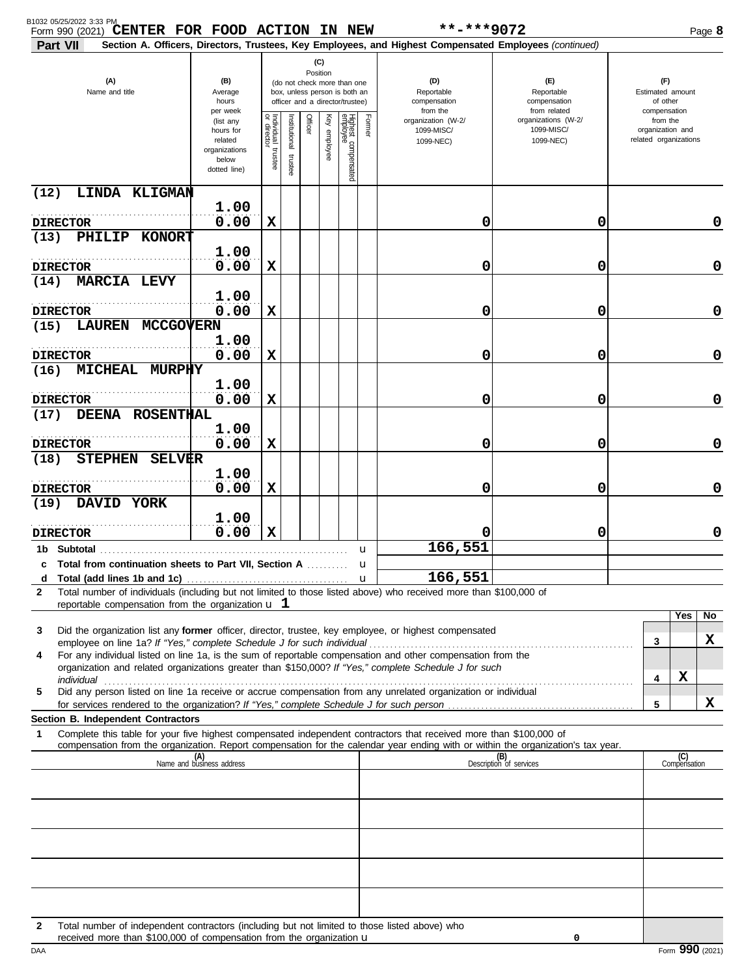| B1032 05/25/2022 3:33 PM<br>**-***9072<br>Form 990 (2021) CENTER FOR FOOD ACTION IN NEW                                                                                                                                                                     |                                                                             |                                      |                         |                 |              |                                                                                                 |              |                                                                                                        | Page 8                                            |  |                                                       |                     |    |
|-------------------------------------------------------------------------------------------------------------------------------------------------------------------------------------------------------------------------------------------------------------|-----------------------------------------------------------------------------|--------------------------------------|-------------------------|-----------------|--------------|-------------------------------------------------------------------------------------------------|--------------|--------------------------------------------------------------------------------------------------------|---------------------------------------------------|--|-------------------------------------------------------|---------------------|----|
| Part VII                                                                                                                                                                                                                                                    |                                                                             |                                      |                         |                 |              |                                                                                                 |              | Section A. Officers, Directors, Trustees, Key Employees, and Highest Compensated Employees (continued) |                                                   |  |                                                       |                     |    |
| (A)<br>Name and title                                                                                                                                                                                                                                       | (B)<br>Average<br>hours<br>per week                                         |                                      |                         | (C)<br>Position |              | (do not check more than one<br>box, unless person is both an<br>officer and a director/trustee) |              | (D)<br>Reportable<br>compensation<br>from the                                                          | (F)<br>Reportable<br>compensation<br>from related |  | (F)<br>Estimated amount<br>of other<br>compensation   |                     |    |
|                                                                                                                                                                                                                                                             | (list any<br>hours for<br>related<br>organizations<br>below<br>dotted line) | Individual<br>or director<br>trustee | nstitutional<br>trustee | Officer         | Key employee | Highest compensated<br>employee                                                                 | Former       | organization (W-2/<br>1099-MISC/<br>1099-NEC)                                                          | organizations (W-2/<br>1099-MISC/<br>1099-NEC)    |  | from the<br>organization and<br>related organizations |                     |    |
| (12)<br>LINDA KLIGMAN                                                                                                                                                                                                                                       |                                                                             |                                      |                         |                 |              |                                                                                                 |              |                                                                                                        |                                                   |  |                                                       |                     |    |
| <b>DIRECTOR</b>                                                                                                                                                                                                                                             | 1.00<br>0.00                                                                | X                                    |                         |                 |              |                                                                                                 |              | 0                                                                                                      | 0                                                 |  |                                                       |                     | 0  |
| (13)<br>PHILIP<br><b>KONORT</b>                                                                                                                                                                                                                             | 1.00                                                                        |                                      |                         |                 |              |                                                                                                 |              |                                                                                                        |                                                   |  |                                                       |                     |    |
| <b>DIRECTOR</b><br><b>MARCIA LEVY</b><br>(14)                                                                                                                                                                                                               | 0.00                                                                        | X                                    |                         |                 |              |                                                                                                 |              | 0                                                                                                      | 0                                                 |  |                                                       |                     | 0  |
|                                                                                                                                                                                                                                                             | 1.00                                                                        |                                      |                         |                 |              |                                                                                                 |              |                                                                                                        |                                                   |  |                                                       |                     |    |
| <b>DIRECTOR</b><br><b>LAUREN</b><br><b>MCCGOVERN</b><br>(15)                                                                                                                                                                                                | 0.00                                                                        | $\mathbf x$                          |                         |                 |              |                                                                                                 |              | 0                                                                                                      | 0                                                 |  |                                                       |                     | 0  |
| <b>DIRECTOR</b>                                                                                                                                                                                                                                             | 1.00<br>0.00                                                                | X                                    |                         |                 |              |                                                                                                 |              | 0                                                                                                      | 0                                                 |  |                                                       |                     | 0  |
| <b>MICHEAL</b><br><b>MURPHY</b><br>(16)                                                                                                                                                                                                                     | 1.00                                                                        |                                      |                         |                 |              |                                                                                                 |              |                                                                                                        |                                                   |  |                                                       |                     |    |
| <b>DIRECTOR</b>                                                                                                                                                                                                                                             | 0.00                                                                        | $\mathbf x$                          |                         |                 |              |                                                                                                 |              | 0                                                                                                      | 0                                                 |  |                                                       |                     | 0  |
| DEENA ROSENTHAL<br>(17)                                                                                                                                                                                                                                     | 1.00                                                                        |                                      |                         |                 |              |                                                                                                 |              |                                                                                                        |                                                   |  |                                                       |                     |    |
| <b>DIRECTOR</b><br><b>STEPHEN</b><br>(18)<br><b>SELVER</b>                                                                                                                                                                                                  | 0.00                                                                        | X                                    |                         |                 |              |                                                                                                 |              | 0                                                                                                      | 0                                                 |  |                                                       |                     | 0  |
| <b>DIRECTOR</b>                                                                                                                                                                                                                                             | 1.00<br>0.00                                                                | X                                    |                         |                 |              |                                                                                                 |              | 0                                                                                                      | 0                                                 |  |                                                       |                     | 0  |
| DAVID YORK<br>(19)                                                                                                                                                                                                                                          |                                                                             |                                      |                         |                 |              |                                                                                                 |              |                                                                                                        |                                                   |  |                                                       |                     |    |
| <b>DIRECTOR</b>                                                                                                                                                                                                                                             | 1.00<br>0.00                                                                | $\mathbf x$                          |                         |                 |              |                                                                                                 |              | O                                                                                                      | 0                                                 |  |                                                       |                     | 0  |
| 1b Subtotal<br>c Total from continuation sheets to Part VII, Section A                                                                                                                                                                                      |                                                                             |                                      |                         |                 |              |                                                                                                 | u<br>u       | 166,551                                                                                                |                                                   |  |                                                       |                     |    |
| d                                                                                                                                                                                                                                                           |                                                                             |                                      |                         |                 |              |                                                                                                 | $\mathbf{u}$ | 166,551                                                                                                |                                                   |  |                                                       |                     |    |
| Total number of individuals (including but not limited to those listed above) who received more than \$100,000 of<br>$\mathbf{2}$<br>reportable compensation from the organization $\mathbf u$ 1                                                            |                                                                             |                                      |                         |                 |              |                                                                                                 |              |                                                                                                        |                                                   |  |                                                       |                     |    |
| Did the organization list any former officer, director, trustee, key employee, or highest compensated<br>3                                                                                                                                                  |                                                                             |                                      |                         |                 |              |                                                                                                 |              |                                                                                                        |                                                   |  |                                                       | Yes                 | No |
| For any individual listed on line 1a, is the sum of reportable compensation and other compensation from the<br>4                                                                                                                                            |                                                                             |                                      |                         |                 |              |                                                                                                 |              |                                                                                                        |                                                   |  | 3                                                     |                     | X  |
| organization and related organizations greater than \$150,000? If "Yes," complete Schedule J for such                                                                                                                                                       |                                                                             |                                      |                         |                 |              |                                                                                                 |              |                                                                                                        |                                                   |  | 4                                                     | X                   |    |
| Did any person listed on line 1a receive or accrue compensation from any unrelated organization or individual<br>5<br>for services rendered to the organization? If "Yes," complete Schedule J for such person                                              |                                                                             |                                      |                         |                 |              |                                                                                                 |              |                                                                                                        |                                                   |  | 5                                                     |                     | X  |
| Section B. Independent Contractors                                                                                                                                                                                                                          |                                                                             |                                      |                         |                 |              |                                                                                                 |              |                                                                                                        |                                                   |  |                                                       |                     |    |
| Complete this table for your five highest compensated independent contractors that received more than \$100,000 of<br>1<br>compensation from the organization. Report compensation for the calendar year ending with or within the organization's tax year. |                                                                             |                                      |                         |                 |              |                                                                                                 |              |                                                                                                        |                                                   |  |                                                       |                     |    |
|                                                                                                                                                                                                                                                             | (A)<br>Name and business address                                            |                                      |                         |                 |              |                                                                                                 |              |                                                                                                        | (B)<br>Description of services                    |  |                                                       | (C)<br>Compensation |    |
|                                                                                                                                                                                                                                                             |                                                                             |                                      |                         |                 |              |                                                                                                 |              |                                                                                                        |                                                   |  |                                                       |                     |    |
|                                                                                                                                                                                                                                                             |                                                                             |                                      |                         |                 |              |                                                                                                 |              |                                                                                                        |                                                   |  |                                                       |                     |    |
|                                                                                                                                                                                                                                                             |                                                                             |                                      |                         |                 |              |                                                                                                 |              |                                                                                                        |                                                   |  |                                                       |                     |    |
|                                                                                                                                                                                                                                                             |                                                                             |                                      |                         |                 |              |                                                                                                 |              |                                                                                                        |                                                   |  |                                                       |                     |    |
|                                                                                                                                                                                                                                                             |                                                                             |                                      |                         |                 |              |                                                                                                 |              |                                                                                                        |                                                   |  |                                                       |                     |    |
| Total number of independent contractors (including but not limited to those listed above) who<br>2<br>received more than \$100,000 of compensation from the organization u                                                                                  |                                                                             |                                      |                         |                 |              |                                                                                                 |              |                                                                                                        | 0                                                 |  |                                                       |                     |    |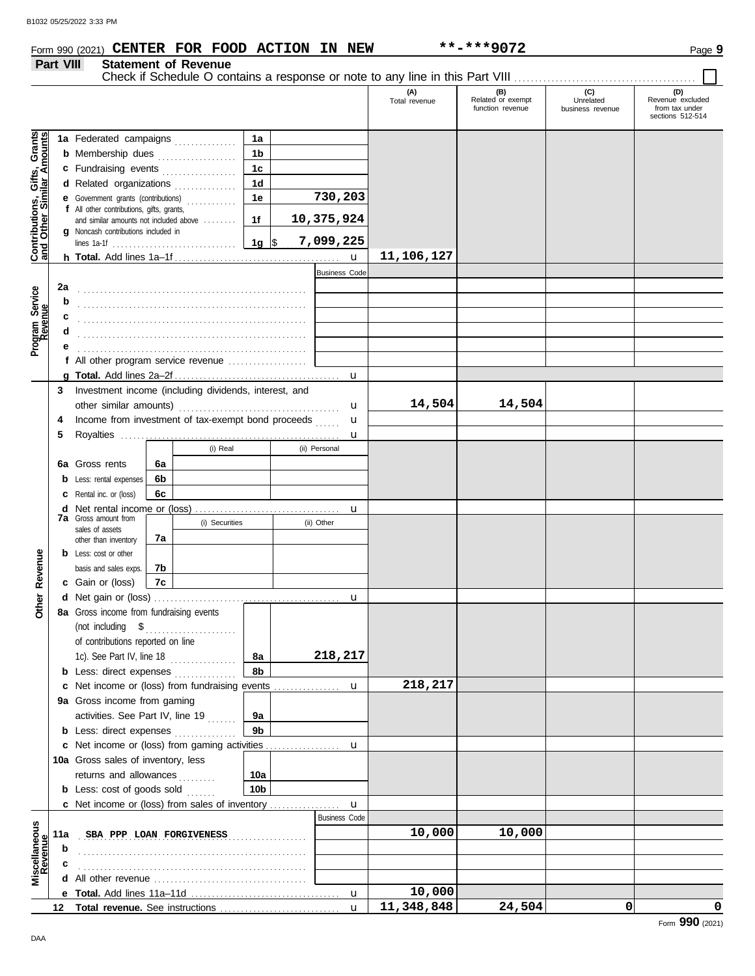**Part VIII Statement of Revenue**

#### **Form 990 (2021) CENTER FOR FOOD ACTION IN NEW \*\*-\*\*\*9072** Page 9

#### Check if Schedule O contains a response or note to any line in this Part VIII. **(A) (B) (C) (D)** Total revenue Related or exempt Unrelated Revenue excluded function revenue business revenue from tax under sections 512-514 <u>ិទី</u> **Contributions, Gifts, Grants and Other Similar Amounts 1a 1a** Federated campaigns **. . . . . . . . . . . .** Grant<br>nount **1b b** Membership dues . . . . . . . . . . . . . . . . Gifts,<br>nilar An **1c c** Fundraising events **. . . . . . . . . . . . . .** . . **1d d** Related organizations . . . . . . . . . . . . . **730,203** Contributions,<br>and Other Sim **1e e** Government grants (contributions) . . . . . . . . . . . . **f** All other contributions, gifts, grants, **10,375,924 1f** and similar amounts not included above ........ **g** Noncash contributions included in **1g** \$ . . . . . . . . . . . . . . . . . . . . . **7,099,225** lines 1a-1f . . . . . . . . . . . . . . . . . . . . . . . . . . . . . . **11,106,127** u **h Total.** Add lines 1a–1f . . . . . . . . . . . . . . . . . . . . . . . . . . . . . . . . . . . . . . . . Business Code Program Service<br>Revenue **2a Program Service** . . . . . . . . . . . . . . . . . . . . . . . . . . . . . . . . . . . . . . . . . . . . . . . . . . . . . . . **b c** . . . . . . . . . . . . . . . . . . . . . . . . . . . . . . . . . . . . . . . . . . . . . . . . . . . . . . . **d** . . . . . . . . . . . . . . . . . . . . . . . . . . . . . . . . . . . . . . . . . . . . . . . . . . . . . . . **e** . . . . . . . . . . . . . . . . . . . . . . . . . . . . . . . . . . . . . . . . . . . . . . . . . . . . . . . **f** All other program service revenue . . . . . . . . . . . . . . . . . . . **g Total.** Add lines 2a–2f . . . . . . . . . . . . . . . . . . . . . . . . . . . . . . . . . . . . . . . . u **3** Investment income (including dividends, interest, and **14,504 14,504** other similar amounts) . . . . . . . . . . . . . . . . . . . . . . . . . . . . . . . . . . . . . . . u u **4** Income from investment of tax-exempt bond proceeds ...... **5** Royalties . . . . . . . . . . . . . . . . . . . . . . . . . . . . . . . . . . . . . . . . . . . . . . . . . . . . . u (i) Real (ii) Personal **6a 6a** Gross rents **6b b** Less: rental expenses **6c c** Rental inc. or (loss) **d** Net rental income or (loss) . . . . . . . . . . . . . . . . . . . . . . . . . . . . . . . . . . . u **7a** Gross amount from (i) Securities (ii) Other sales of assets **7a** other than inventory Revenue **b** Less: cost or other **Other Revenue** basis and sales exps. **7b 7c c** Gain or (loss) **Other d** u Net gain or (loss) . . . . . . . . . . . . . . . . . . . . . . . . . . . . . . . . . . . . . . . . . . . . . **8a** Gross income from fundraising events (not including \$ . . . . . . . . . . . . . . . . . . . . . . of contributions reported on line 1c). See Part IV, line 18 . . . . . . . . . . . . . . . . **8a 218,217 8b b** Less: direct expenses . . . . . . . . . . . . . **218,217** u **c** Net income or (loss) from fundraising events ............... **9a** Gross income from gaming activities. See Part IV, line 19 ....... **9a 9b b** Less: direct expenses ............... u Net income or (loss) from gaming activities . . . . . . . . . . . . . . . . . . **c** 10a Gross sales of inventory, less returns and allowances .......... **10a 10b b** Less: cost of goods sold  $\ldots$ Net income or (loss) from sales of inventory . . . . . . . . . . . . . . . . . **c** u Business Code **Revenue Miscellaneous SBA PPP LOAN FORGIVENESS 10,000 10,000 10,000 11a b** . . . . . . . . . . . . . . . . . . . . . . . . . . . . . . . . . . . . . . . . . . . . . . . . . . . . . . . **c** . . . . . . . . . . . . . . . . . . . . . . . . . . . . . . . . . . . . . . . . . . . . . . . . . . . . . . . **d** All other revenue . . . . . . . . . . . . . . . . . . . . . . . . . . . . . . . . . . . . . **10,000** u **e Total.** Add lines 11a–11d . . . . . . . . . . . . . . . . . . . . . . . . . . . . . . . . . . . . **11,348,848 24,504 0 0** u **12 Total revenue.** See instructions ................................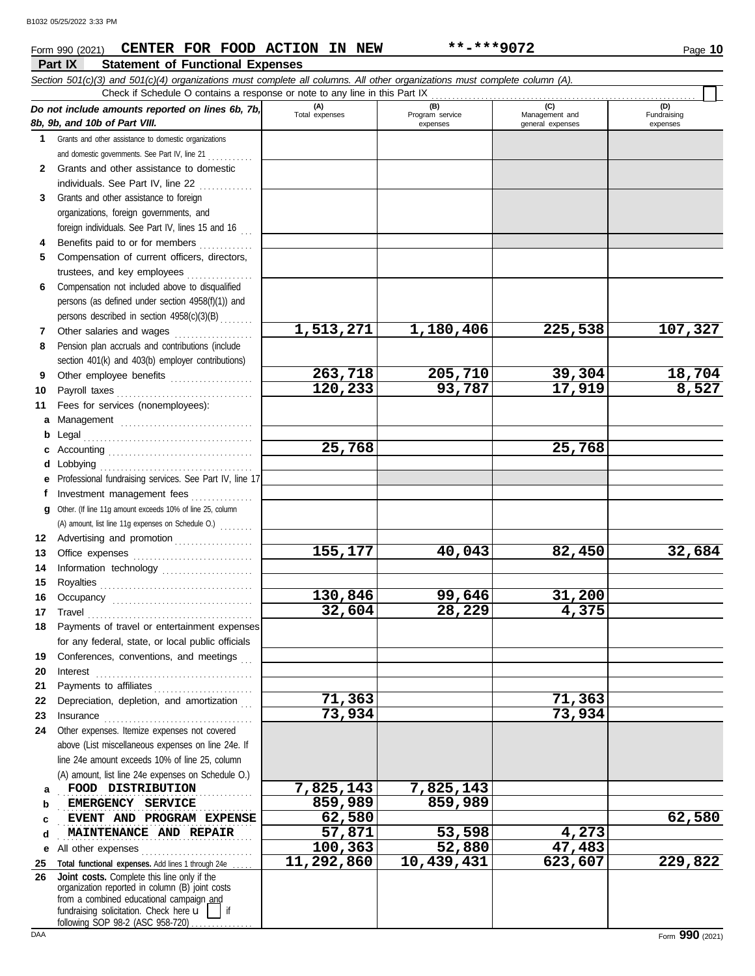#### **Part IX Statement of Functional Expenses Form 990 (2021) CENTER FOR FOOD ACTION IN NEW \*\*-\*\*\*9072** Page 10 *Section 501(c)(3) and 501(c)(4) organizations must complete all columns. All other organizations must complete column (A). Do not include amounts reported on lines 6b, 7b, 8b, 9b, and 10b of Part VIII.* **1 2 3** Grants and other assistance to foreign **4 5 6 7 8 9 10 11 a** Management ................................. **b** Legal . . . . . . . . . . . . . . . . . . . . . . . . . . . . . . . . . . . . . . . . . **c** Accounting . . . . . . . . . . . . . . . . . . . . . . . . . . . . . . . . . . . **d** Lobbying . . . . . . . . . . . . . . . . . . . . . . . . . . . . . . . . . . . . . **e** Professional fundraising services. See Part IV, line 17 **f g** Other. (If line 11g amount exceeds 10% of line 25, column **12** Advertising and promotion . . . . . . . . . . . . . . . . . . **13 14 15 16 17 18 19 20 21 22** Depreciation, depletion, and amortization . . . **23 24 a b c d e** All other expenses . . . . . . . . . . . . . . . . . . . . . . . . . . . **25 Total functional expenses.** Add lines 1 through 24e . . . . . **26** Grants and other assistance to domestic organizations and domestic governments. See Part IV, line 21 . . . . . . . . . . Grants and other assistance to domestic individuals. See Part IV, line 22 organizations, foreign governments, and foreign individuals. See Part IV, lines 15 and 16 Benefits paid to or for members ............. Compensation of current officers, directors, trustees, and key employees ................ Compensation not included above to disqualified persons (as defined under section 4958(f)(1)) and persons described in section 4958(c)(3)(B) . . . . . . . . Other salaries and wages ................... Pension plan accruals and contributions (include section 401(k) and 403(b) employer contributions) Other employee benefits .................... Payroll taxes . . . . . . . . . . . . . . . . . . . . . . . . . . . . . . . . . Fees for services (nonemployees): Investment management fees ................ Office expenses ................................ Information technology ...................... Royalties . . . . . . . . . . . . . . . . . . . . . . . . . . . . . . . . . . . . . Occupancy . . . . . . . . . . . . . . . . . . . . . . . . . . . . . . . . . . Travel . . . . . . . . . . . . . . . . . . . . . . . . . . . . . . . . . . . . . . . . Payments of travel or entertainment expenses for any federal, state, or local public officials Conferences, conventions, and meetings Interest . . . . . . . . . . . . . . . . . . . . . . . . . . . . . . . . . . . . . . Payments to affiliates . . . . . . . . . . . . . . . . . . . . . . . . Insurance . . . . . . . . . . . . . . . . . . . . . . . . . . . . . . . . . . . . Other expenses. Itemize expenses not covered above (List miscellaneous expenses on line 24e. If line 24e amount exceeds 10% of line 25, column (A) amount, list line 24e expenses on Schedule O.) fundraising solicitation. Check here  $\mathbf{u}$  | if organization reported in column (B) joint costs from a combined educational campaign and **(A) (B) (C) (D)** Total expenses Program service Management and expenses and general expenses (D)<br>Fundraising expenses . . . . . . . . . . . . . . . . . . . . . . . . . . . . . . . . . . . . . . . . . . . . . . . **FOOD DISTRIBUTION 7,825,143 7,825,143 EMERGENCY SERVICE** 259,989 859,989 **EVENT AND PROGRAM EXPENSE** 62,580 **62,000 62,000 62,580** . . . . . . . . . . . . . . . . . . . . . . . . . . . . . . . . . . . . . . . . . . . . . . . **MAINTENANCE AND REPAIR 57,871 53,598 4,273** Check if Schedule O contains a response or note to any line in this Part IX **Joint costs.** Complete this line only if the (A) amount, list line 11g expenses on Schedule O.) ....... **1,513,271 1,180,406 225,538 107,327 263,718 205,710 39,304 18,704 120,233 93,787 17,919 8,527 25,768 25,768 155,177 40,043 82,450 32,684 130,846 99,646 31,200 32,604 28,229 4,375 71,363 71,363 73,934 73,934 100,363 52,880 47,483 11,292,860 10,439,431 623,607 229,822**

following SOP 98-2 (ASC 958-720)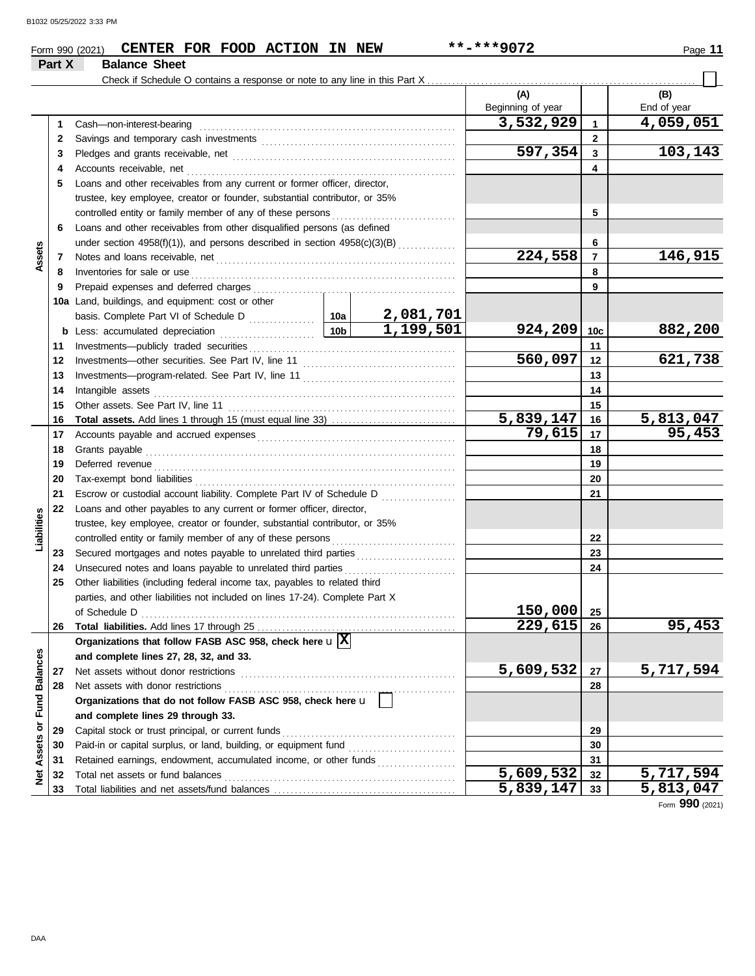|                         |        | Form 990 (2021) CENTER FOR FOOD ACTION IN NEW                                           |                 |           | **-***9072               |                         | Page 11            |  |  |
|-------------------------|--------|-----------------------------------------------------------------------------------------|-----------------|-----------|--------------------------|-------------------------|--------------------|--|--|
|                         | Part X | <b>Balance Sheet</b>                                                                    |                 |           |                          |                         |                    |  |  |
|                         |        |                                                                                         |                 |           |                          |                         |                    |  |  |
|                         |        |                                                                                         |                 |           | (A)<br>Beginning of year |                         | (B)<br>End of year |  |  |
|                         | 1      | Cash-non-interest-bearing                                                               |                 |           | 3,532,929                | $\mathbf{1}$            | 4,059,051          |  |  |
|                         | 2      |                                                                                         |                 |           | $\mathbf{2}$             |                         |                    |  |  |
|                         | 3      |                                                                                         |                 |           | 597,354                  | $\overline{\mathbf{3}}$ | 103,143            |  |  |
|                         | 4      | Accounts receivable, net                                                                |                 |           |                          | 4                       |                    |  |  |
|                         | 5      | Loans and other receivables from any current or former officer, director,               |                 |           |                          |                         |                    |  |  |
|                         |        | trustee, key employee, creator or founder, substantial contributor, or 35%              |                 |           |                          |                         |                    |  |  |
|                         |        | controlled entity or family member of any of these persons                              |                 |           |                          | 5                       |                    |  |  |
|                         | 6      | Loans and other receivables from other disqualified persons (as defined                 |                 |           |                          |                         |                    |  |  |
|                         |        | under section 4958(f)(1)), and persons described in section 4958(c)(3)(B)               |                 |           | 6                        |                         |                    |  |  |
| Assets                  | 7      |                                                                                         |                 |           |                          |                         |                    |  |  |
|                         | 8      | Inventories for sale or use                                                             |                 |           | 224,558                  | $\overline{7}$<br>8     | 146,915            |  |  |
|                         | 9      | Prepaid expenses and deferred charges                                                   |                 |           |                          | 9                       |                    |  |  |
|                         |        | 10a Land, buildings, and equipment: cost or other                                       |                 |           |                          |                         |                    |  |  |
|                         |        |                                                                                         |                 |           |                          |                         |                    |  |  |
|                         |        | <b>b</b> Less: accumulated depreciation                                                 | 10 <sub>b</sub> | 1,199,501 | 924, 209                 | 10 <sub>c</sub>         | 882,200            |  |  |
|                         | 11     | .                                                                                       |                 |           |                          | 11                      |                    |  |  |
|                         | 12     |                                                                                         | 560,097         | 12        | 621,738                  |                         |                    |  |  |
|                         | 13     |                                                                                         |                 |           |                          |                         |                    |  |  |
|                         | 14     | Intangible assets                                                                       |                 |           |                          | 13<br>14                |                    |  |  |
|                         | 15     |                                                                                         |                 |           |                          | 15                      |                    |  |  |
|                         | 16     | Total assets. Add lines 1 through 15 (must equal line 33)                               | 5,839,147       | 16        | $\overline{5,813,047}$   |                         |                    |  |  |
|                         | 17     |                                                                                         |                 |           | 79,615                   | 17                      | 95,453             |  |  |
|                         | 18     | Grants payable                                                                          |                 | 18        |                          |                         |                    |  |  |
|                         | 19     | Deferred revenue                                                                        |                 |           |                          | 19                      |                    |  |  |
|                         | 20     |                                                                                         |                 |           |                          | 20                      |                    |  |  |
|                         | 21     | Escrow or custodial account liability. Complete Part IV of Schedule D                   |                 |           |                          | 21                      |                    |  |  |
|                         | 22     | Loans and other payables to any current or former officer, director,                    |                 |           |                          |                         |                    |  |  |
| Liabilities             |        | trustee, key employee, creator or founder, substantial contributor, or 35%              |                 |           |                          |                         |                    |  |  |
|                         |        | controlled entity or family member of any of these persons                              |                 |           |                          | 22                      |                    |  |  |
|                         | 23     |                                                                                         |                 |           |                          | 23                      |                    |  |  |
|                         | 24     | Unsecured notes and loans payable to unrelated third parties                            |                 |           |                          | 24                      |                    |  |  |
|                         | 25     | Other liabilities (including federal income tax, payables to related third              |                 |           |                          |                         |                    |  |  |
|                         |        | parties, and other liabilities not included on lines 17-24). Complete Part X            |                 |           |                          |                         |                    |  |  |
|                         |        | of Schedule D                                                                           |                 |           | 150,000                  | 25                      |                    |  |  |
|                         | 26     |                                                                                         |                 |           | 229,615                  | 26                      | 95,453             |  |  |
|                         |        | Organizations that follow FASB ASC 958, check here $\mathbf{u}$ $\overline{\mathbf{X}}$ |                 |           |                          |                         |                    |  |  |
|                         |        | and complete lines 27, 28, 32, and 33.                                                  |                 |           |                          |                         |                    |  |  |
|                         | 27     | Net assets without donor restrictions                                                   |                 |           | 5,609,532                | 27                      | 5,717,594          |  |  |
|                         | 28     | Net assets with donor restrictions                                                      |                 |           |                          | 28                      |                    |  |  |
|                         |        | Organizations that do not follow FASB ASC 958, check here u                             |                 |           |                          |                         |                    |  |  |
| Assets or Fund Balances |        | and complete lines 29 through 33.                                                       |                 |           |                          |                         |                    |  |  |
|                         | 29     | Capital stock or trust principal, or current funds                                      |                 |           |                          | 29                      |                    |  |  |
|                         | 30     | Paid-in or capital surplus, or land, building, or equipment fund                        |                 |           |                          | 30                      |                    |  |  |
|                         | 31     | Retained earnings, endowment, accumulated income, or other funds                        |                 |           |                          | 31                      |                    |  |  |
| <b>Net</b>              | 32     | Total net assets or fund balances                                                       |                 |           | $\overline{5,609,532}$   | 32                      | 5,717,594          |  |  |
|                         | 33     |                                                                                         |                 |           | 5,839,147                | 33                      | 5,813,047          |  |  |

5,813,047<br>Form 990 (2021)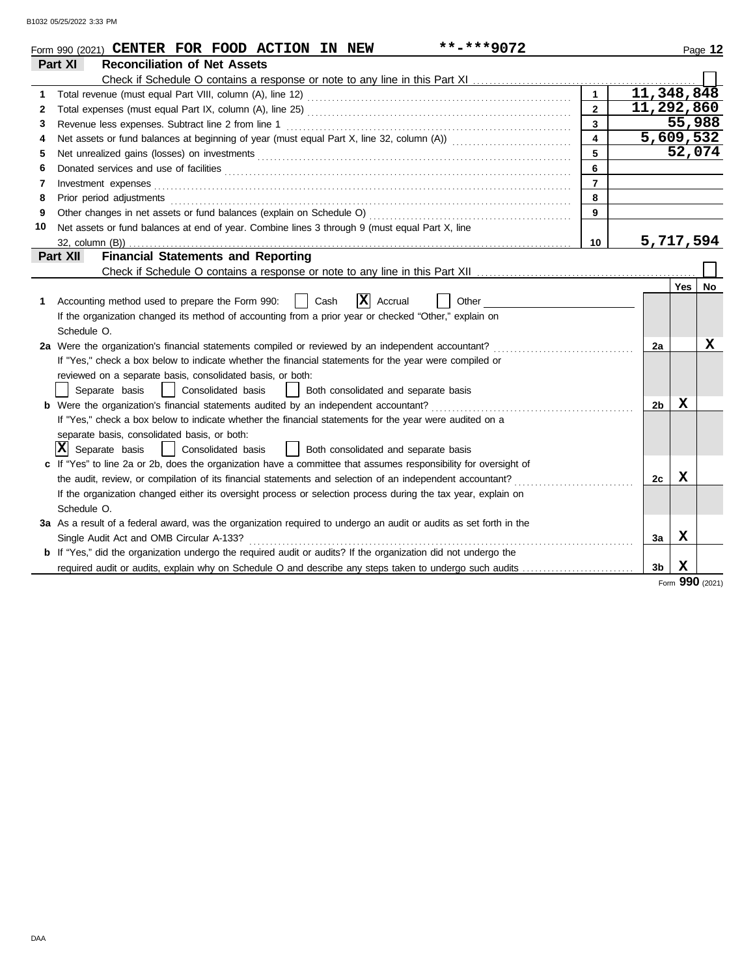|    | **-***9072<br>Form 990 (2021) CENTER FOR FOOD ACTION IN NEW                                                                                                                                                                    |                         |            |        | Page 12         |
|----|--------------------------------------------------------------------------------------------------------------------------------------------------------------------------------------------------------------------------------|-------------------------|------------|--------|-----------------|
|    | <b>Reconciliation of Net Assets</b><br>Part XI                                                                                                                                                                                 |                         |            |        |                 |
|    | Check if Schedule O contains a response or note to any line in this Part XI                                                                                                                                                    |                         |            |        |                 |
| 1  |                                                                                                                                                                                                                                | $\mathbf{1}$            | 11,348,848 |        |                 |
| 2  |                                                                                                                                                                                                                                | $\overline{2}$          | 11,292,860 |        |                 |
| 3  | Revenue less expenses. Subtract line 2 from line 1                                                                                                                                                                             | 3                       |            | 55,988 |                 |
| 4  |                                                                                                                                                                                                                                | $\overline{\mathbf{4}}$ | 5,609,532  |        |                 |
| 5  | Net unrealized gains (losses) on investments [11] match and the contract of the state of the state of the state of the state of the state of the state of the state of the state of the state of the state of the state of the | 5                       |            |        | 52,074          |
| 6  |                                                                                                                                                                                                                                | 6                       |            |        |                 |
| 7  | Investment expenses                                                                                                                                                                                                            | $\overline{7}$          |            |        |                 |
| 8  | Prior period adjustments                                                                                                                                                                                                       | 8                       |            |        |                 |
| 9  | Other changes in net assets or fund balances (explain on Schedule O)                                                                                                                                                           | 9                       |            |        |                 |
| 10 | Net assets or fund balances at end of year. Combine lines 3 through 9 (must equal Part X, line                                                                                                                                 |                         |            |        |                 |
|    |                                                                                                                                                                                                                                | 10                      | 5,717,594  |        |                 |
|    | <b>Financial Statements and Reporting</b><br>Part XII                                                                                                                                                                          |                         |            |        |                 |
|    |                                                                                                                                                                                                                                |                         |            |        |                 |
|    |                                                                                                                                                                                                                                |                         |            | Yes    | No              |
| 1  | <b>X</b><br>Accounting method used to prepare the Form 990:<br>Cash<br>Accrual<br>Other                                                                                                                                        |                         |            |        |                 |
|    | If the organization changed its method of accounting from a prior year or checked "Other," explain on                                                                                                                          |                         |            |        |                 |
|    | Schedule O.                                                                                                                                                                                                                    |                         |            |        |                 |
|    | 2a Were the organization's financial statements compiled or reviewed by an independent accountant?                                                                                                                             |                         | 2a         |        | X               |
|    | If "Yes," check a box below to indicate whether the financial statements for the year were compiled or                                                                                                                         |                         |            |        |                 |
|    | reviewed on a separate basis, consolidated basis, or both:                                                                                                                                                                     |                         |            |        |                 |
|    | Separate basis<br>Consolidated basis<br>Both consolidated and separate basis                                                                                                                                                   |                         |            |        |                 |
|    | <b>b</b> Were the organization's financial statements audited by an independent accountant?                                                                                                                                    |                         | 2b         | x      |                 |
|    | If "Yes," check a box below to indicate whether the financial statements for the year were audited on a                                                                                                                        |                         |            |        |                 |
|    | separate basis, consolidated basis, or both:                                                                                                                                                                                   |                         |            |        |                 |
|    | X <br>Separate basis<br>Consolidated basis<br>Both consolidated and separate basis                                                                                                                                             |                         |            |        |                 |
|    | c If "Yes" to line 2a or 2b, does the organization have a committee that assumes responsibility for oversight of                                                                                                               |                         |            |        |                 |
|    | the audit, review, or compilation of its financial statements and selection of an independent accountant?                                                                                                                      |                         | 2c         | x      |                 |
|    | If the organization changed either its oversight process or selection process during the tax year, explain on                                                                                                                  |                         |            |        |                 |
|    | Schedule O.                                                                                                                                                                                                                    |                         |            |        |                 |
|    | 3a As a result of a federal award, was the organization required to undergo an audit or audits as set forth in the                                                                                                             |                         |            |        |                 |
|    | Single Audit Act and OMB Circular A-133?                                                                                                                                                                                       |                         | За         | X      |                 |
|    | <b>b</b> If "Yes," did the organization undergo the required audit or audits? If the organization did not undergo the                                                                                                          |                         |            |        |                 |
|    | required audit or audits, explain why on Schedule O and describe any steps taken to undergo such audits                                                                                                                        |                         | 3b         | X      |                 |
|    |                                                                                                                                                                                                                                |                         |            |        | Form 990 (2021) |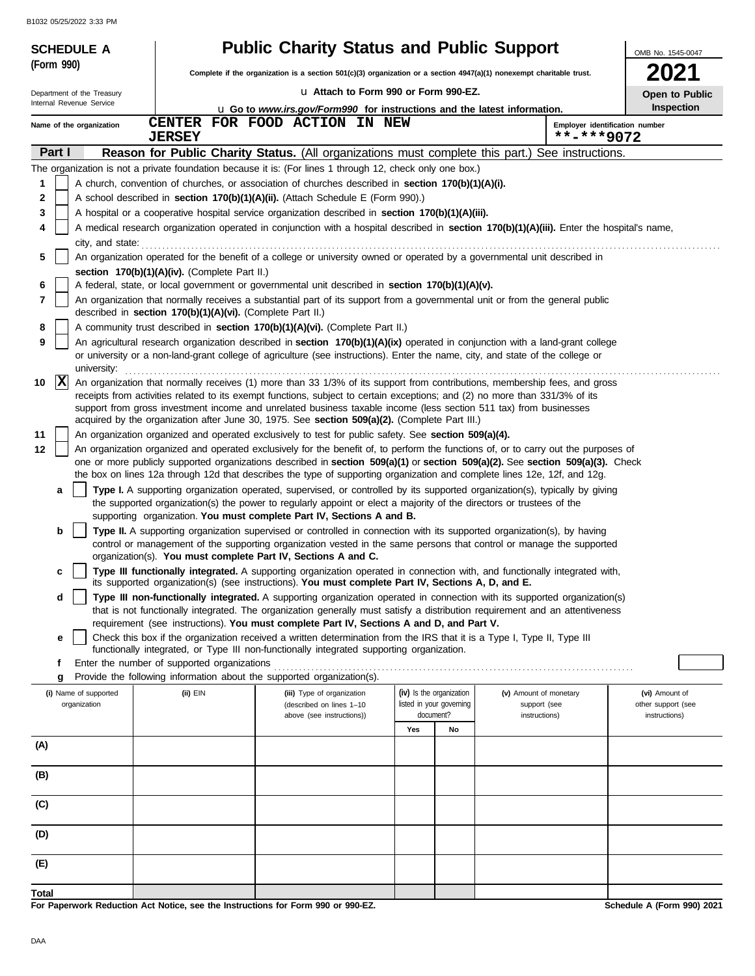| <b>SCHEDULE A</b>                     |                                                            | <b>Public Charity Status and Public Support</b>                                                                                                                                                                                                     |                                                                                                                          |                                                      |                                              | OMB No. 1545-0047                    |  |  |
|---------------------------------------|------------------------------------------------------------|-----------------------------------------------------------------------------------------------------------------------------------------------------------------------------------------------------------------------------------------------------|--------------------------------------------------------------------------------------------------------------------------|------------------------------------------------------|----------------------------------------------|--------------------------------------|--|--|
| (Form 990)                            |                                                            |                                                                                                                                                                                                                                                     | Complete if the organization is a section $501(c)(3)$ organization or a section $4947(a)(1)$ nonexempt charitable trust. |                                                      |                                              |                                      |  |  |
| Department of the Treasury            |                                                            | u Attach to Form 990 or Form 990-EZ.                                                                                                                                                                                                                |                                                                                                                          |                                                      |                                              | 2021<br>Open to Public               |  |  |
| Internal Revenue Service              |                                                            | <b>u</b> Go to <i>www.irs.gov/Form990</i> for instructions and the latest information.                                                                                                                                                              |                                                                                                                          |                                                      | Inspection                                   |                                      |  |  |
| Name of the organization              | <b>CENTER</b><br><b>JERSEY</b>                             | FOR FOOD ACTION IN NEW                                                                                                                                                                                                                              |                                                                                                                          |                                                      | Employer identification number<br>**-***9072 |                                      |  |  |
| Part I                                |                                                            | <b>Reason for Public Charity Status.</b> (All organizations must complete this part.) See instructions.                                                                                                                                             |                                                                                                                          |                                                      |                                              |                                      |  |  |
|                                       |                                                            | The organization is not a private foundation because it is: (For lines 1 through 12, check only one box.)                                                                                                                                           |                                                                                                                          |                                                      |                                              |                                      |  |  |
| 1                                     |                                                            | A church, convention of churches, or association of churches described in section 170(b)(1)(A)(i).                                                                                                                                                  |                                                                                                                          |                                                      |                                              |                                      |  |  |
| 2                                     |                                                            | A school described in section 170(b)(1)(A)(ii). (Attach Schedule E (Form 990).)                                                                                                                                                                     |                                                                                                                          |                                                      |                                              |                                      |  |  |
| 3                                     |                                                            | A hospital or a cooperative hospital service organization described in section 170(b)(1)(A)(iii).                                                                                                                                                   |                                                                                                                          |                                                      |                                              |                                      |  |  |
| 4                                     |                                                            | A medical research organization operated in conjunction with a hospital described in section 170(b)(1)(A)(iii). Enter the hospital's name,                                                                                                          |                                                                                                                          |                                                      |                                              |                                      |  |  |
| city, and state:<br>5                 |                                                            |                                                                                                                                                                                                                                                     |                                                                                                                          |                                                      |                                              |                                      |  |  |
|                                       | section 170(b)(1)(A)(iv). (Complete Part II.)              | An organization operated for the benefit of a college or university owned or operated by a governmental unit described in                                                                                                                           |                                                                                                                          |                                                      |                                              |                                      |  |  |
| 6                                     |                                                            | A federal, state, or local government or governmental unit described in section 170(b)(1)(A)(v).                                                                                                                                                    |                                                                                                                          |                                                      |                                              |                                      |  |  |
| 7                                     | described in section 170(b)(1)(A)(vi). (Complete Part II.) | An organization that normally receives a substantial part of its support from a governmental unit or from the general public                                                                                                                        |                                                                                                                          |                                                      |                                              |                                      |  |  |
| 8                                     |                                                            | A community trust described in section 170(b)(1)(A)(vi). (Complete Part II.)                                                                                                                                                                        |                                                                                                                          |                                                      |                                              |                                      |  |  |
| 9                                     |                                                            | An agricultural research organization described in section 170(b)(1)(A)(ix) operated in conjunction with a land-grant college                                                                                                                       |                                                                                                                          |                                                      |                                              |                                      |  |  |
| university:                           |                                                            | or university or a non-land-grant college of agriculture (see instructions). Enter the name, city, and state of the college or                                                                                                                      |                                                                                                                          |                                                      |                                              |                                      |  |  |
| $\mathbf{x}$<br>10                    |                                                            | An organization that normally receives (1) more than 33 1/3% of its support from contributions, membership fees, and gross                                                                                                                          |                                                                                                                          |                                                      |                                              |                                      |  |  |
|                                       |                                                            | receipts from activities related to its exempt functions, subject to certain exceptions; and (2) no more than 331/3% of its                                                                                                                         |                                                                                                                          |                                                      |                                              |                                      |  |  |
|                                       |                                                            | support from gross investment income and unrelated business taxable income (less section 511 tax) from businesses<br>acquired by the organization after June 30, 1975. See section 509(a)(2). (Complete Part III.)                                  |                                                                                                                          |                                                      |                                              |                                      |  |  |
| 11                                    |                                                            | An organization organized and operated exclusively to test for public safety. See section 509(a)(4).                                                                                                                                                |                                                                                                                          |                                                      |                                              |                                      |  |  |
| 12                                    |                                                            | An organization organized and operated exclusively for the benefit of, to perform the functions of, or to carry out the purposes of                                                                                                                 |                                                                                                                          |                                                      |                                              |                                      |  |  |
|                                       |                                                            | one or more publicly supported organizations described in section 509(a)(1) or section 509(a)(2). See section 509(a)(3). Check                                                                                                                      |                                                                                                                          |                                                      |                                              |                                      |  |  |
|                                       |                                                            | the box on lines 12a through 12d that describes the type of supporting organization and complete lines 12e, 12f, and 12g.                                                                                                                           |                                                                                                                          |                                                      |                                              |                                      |  |  |
| a                                     |                                                            | Type I. A supporting organization operated, supervised, or controlled by its supported organization(s), typically by giving<br>the supported organization(s) the power to regularly appoint or elect a majority of the directors or trustees of the |                                                                                                                          |                                                      |                                              |                                      |  |  |
|                                       |                                                            | supporting organization. You must complete Part IV, Sections A and B.                                                                                                                                                                               |                                                                                                                          |                                                      |                                              |                                      |  |  |
| b                                     |                                                            | Type II. A supporting organization supervised or controlled in connection with its supported organization(s), by having<br>control or management of the supporting organization vested in the same persons that control or manage the supported     |                                                                                                                          |                                                      |                                              |                                      |  |  |
|                                       |                                                            | organization(s). You must complete Part IV, Sections A and C.                                                                                                                                                                                       |                                                                                                                          |                                                      |                                              |                                      |  |  |
| c                                     |                                                            | Type III functionally integrated. A supporting organization operated in connection with, and functionally integrated with,                                                                                                                          |                                                                                                                          |                                                      |                                              |                                      |  |  |
| d                                     |                                                            | its supported organization(s) (see instructions). You must complete Part IV, Sections A, D, and E.<br>Type III non-functionally integrated. A supporting organization operated in connection with its supported organization(s)                     |                                                                                                                          |                                                      |                                              |                                      |  |  |
|                                       |                                                            | that is not functionally integrated. The organization generally must satisfy a distribution requirement and an attentiveness                                                                                                                        |                                                                                                                          |                                                      |                                              |                                      |  |  |
|                                       |                                                            | requirement (see instructions). You must complete Part IV, Sections A and D, and Part V.                                                                                                                                                            |                                                                                                                          |                                                      |                                              |                                      |  |  |
| е                                     |                                                            | Check this box if the organization received a written determination from the IRS that it is a Type I, Type II, Type III<br>functionally integrated, or Type III non-functionally integrated supporting organization.                                |                                                                                                                          |                                                      |                                              |                                      |  |  |
| f                                     | Enter the number of supported organizations                |                                                                                                                                                                                                                                                     |                                                                                                                          |                                                      |                                              |                                      |  |  |
| g                                     |                                                            | Provide the following information about the supported organization(s).                                                                                                                                                                              |                                                                                                                          |                                                      |                                              |                                      |  |  |
| (i) Name of supported<br>organization | $(ii)$ EIN                                                 | (iii) Type of organization<br>(described on lines 1-10                                                                                                                                                                                              |                                                                                                                          | (iv) Is the organization<br>listed in your governing | (v) Amount of monetary<br>support (see       | (vi) Amount of<br>other support (see |  |  |
|                                       |                                                            | above (see instructions))                                                                                                                                                                                                                           |                                                                                                                          | document?                                            | instructions)                                | instructions)                        |  |  |
|                                       |                                                            |                                                                                                                                                                                                                                                     | Yes                                                                                                                      | No                                                   |                                              |                                      |  |  |
| (A)                                   |                                                            |                                                                                                                                                                                                                                                     |                                                                                                                          |                                                      |                                              |                                      |  |  |
| (B)                                   |                                                            |                                                                                                                                                                                                                                                     |                                                                                                                          |                                                      |                                              |                                      |  |  |
| (C)                                   |                                                            |                                                                                                                                                                                                                                                     |                                                                                                                          |                                                      |                                              |                                      |  |  |
|                                       |                                                            |                                                                                                                                                                                                                                                     |                                                                                                                          |                                                      |                                              |                                      |  |  |
| (D)                                   |                                                            |                                                                                                                                                                                                                                                     |                                                                                                                          |                                                      |                                              |                                      |  |  |
| (E)                                   |                                                            |                                                                                                                                                                                                                                                     |                                                                                                                          |                                                      |                                              |                                      |  |  |
| Total                                 |                                                            |                                                                                                                                                                                                                                                     |                                                                                                                          |                                                      |                                              |                                      |  |  |
|                                       |                                                            | For Paperwork Reduction Act Notice, see the Instructions for Form 990 or 990-EZ.                                                                                                                                                                    |                                                                                                                          |                                                      |                                              | Schedule A (Form 990) 2021           |  |  |

DAA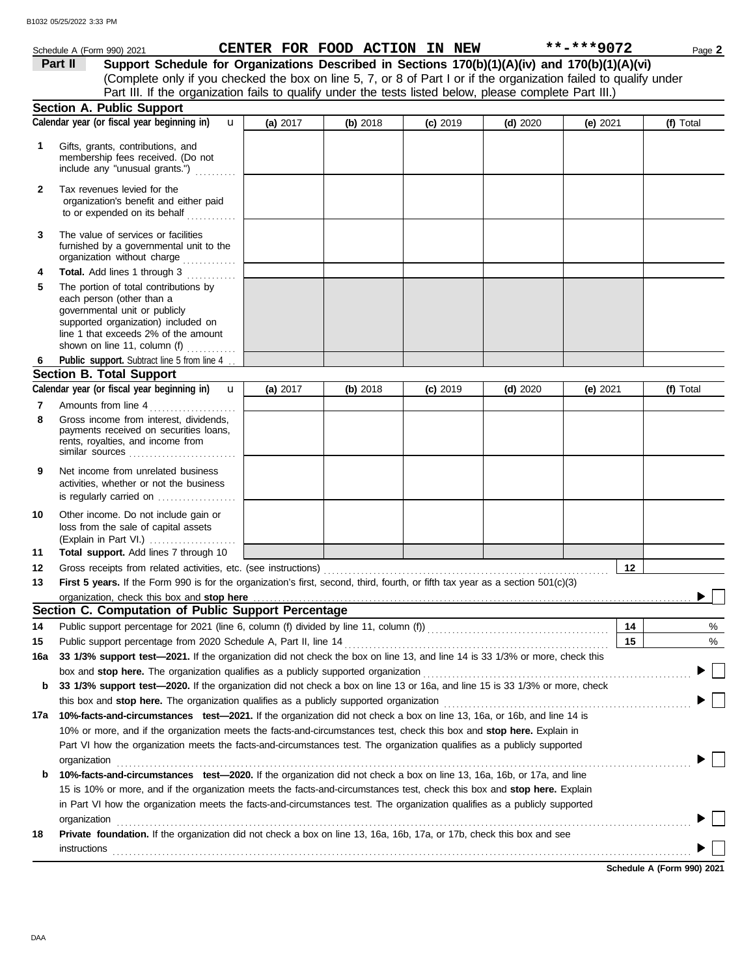|              | Schedule A (Form 990) 2021                                                                                                                                                                                         |          |          | CENTER FOR FOOD ACTION IN NEW |            | **-***9072 | Page 2    |
|--------------|--------------------------------------------------------------------------------------------------------------------------------------------------------------------------------------------------------------------|----------|----------|-------------------------------|------------|------------|-----------|
|              | Support Schedule for Organizations Described in Sections 170(b)(1)(A)(iv) and 170(b)(1)(A)(vi)<br>Part II                                                                                                          |          |          |                               |            |            |           |
|              | (Complete only if you checked the box on line 5, 7, or 8 of Part I or if the organization failed to qualify under                                                                                                  |          |          |                               |            |            |           |
|              | Part III. If the organization fails to qualify under the tests listed below, please complete Part III.)                                                                                                            |          |          |                               |            |            |           |
|              | <b>Section A. Public Support</b>                                                                                                                                                                                   |          |          |                               |            |            |           |
|              | Calendar year (or fiscal year beginning in)<br>$\mathbf{u}$                                                                                                                                                        | (a) 2017 | (b) 2018 | $(c)$ 2019                    | $(d)$ 2020 | (e) 2021   | (f) Total |
| 1            | Gifts, grants, contributions, and<br>membership fees received. (Do not<br>include any "unusual grants.")                                                                                                           |          |          |                               |            |            |           |
| $\mathbf{2}$ | Tax revenues levied for the<br>organization's benefit and either paid<br>to or expended on its behalf                                                                                                              |          |          |                               |            |            |           |
| 3            | The value of services or facilities<br>furnished by a governmental unit to the<br>organization without charge                                                                                                      |          |          |                               |            |            |           |
| 4            | Total. Add lines 1 through 3                                                                                                                                                                                       |          |          |                               |            |            |           |
| 5            | The portion of total contributions by<br>each person (other than a<br>governmental unit or publicly<br>supported organization) included on<br>line 1 that exceeds 2% of the amount<br>shown on line 11, column (f) |          |          |                               |            |            |           |
| 6            | Public support. Subtract line 5 from line 4                                                                                                                                                                        |          |          |                               |            |            |           |
|              | <b>Section B. Total Support</b>                                                                                                                                                                                    |          |          |                               |            |            |           |
|              | Calendar year (or fiscal year beginning in)<br>$\mathbf{u}$                                                                                                                                                        | (a) 2017 | (b) 2018 | $(c)$ 2019                    | $(d)$ 2020 | (e) 2021   | (f) Total |
| 7            | Amounts from line 4                                                                                                                                                                                                |          |          |                               |            |            |           |
| 8            | Gross income from interest, dividends,<br>payments received on securities loans,<br>rents, royalties, and income from<br>similar sources                                                                           |          |          |                               |            |            |           |
| 9            | Net income from unrelated business<br>activities, whether or not the business<br>is regularly carried on                                                                                                           |          |          |                               |            |            |           |
| 10           | Other income. Do not include gain or<br>loss from the sale of capital assets<br>(Explain in Part VI.)                                                                                                              |          |          |                               |            |            |           |
| 11           | Total support. Add lines 7 through 10                                                                                                                                                                              |          |          |                               |            |            |           |
| 12           |                                                                                                                                                                                                                    |          |          |                               |            | 12         |           |
| 13           | First 5 years. If the Form 990 is for the organization's first, second, third, fourth, or fifth tax year as a section 501(c)(3)                                                                                    |          |          |                               |            |            |           |
|              | organization, check this box and stop here                                                                                                                                                                         |          |          |                               |            |            |           |
|              | Section C. Computation of Public Support Percentage                                                                                                                                                                |          |          |                               |            |            |           |
| 14           | Public support percentage for 2021 (line 6, column (f) divided by line 11, column (f)) [[[[[[[[[[[[[[[[[[[[[[                                                                                                      |          |          |                               |            | 14         | %         |
| 15           |                                                                                                                                                                                                                    |          |          |                               |            | 15         | $\%$      |
| 16a          | 33 1/3% support test-2021. If the organization did not check the box on line 13, and line 14 is 33 1/3% or more, check this                                                                                        |          |          |                               |            |            |           |
|              |                                                                                                                                                                                                                    |          |          |                               |            |            |           |
| b            | 33 1/3% support test-2020. If the organization did not check a box on line 13 or 16a, and line 15 is 33 1/3% or more, check                                                                                        |          |          |                               |            |            |           |
|              |                                                                                                                                                                                                                    |          |          |                               |            |            |           |
| 17a          | 10%-facts-and-circumstances test-2021. If the organization did not check a box on line 13, 16a, or 16b, and line 14 is                                                                                             |          |          |                               |            |            |           |
|              | 10% or more, and if the organization meets the facts-and-circumstances test, check this box and stop here. Explain in                                                                                              |          |          |                               |            |            |           |
|              | Part VI how the organization meets the facts-and-circumstances test. The organization qualifies as a publicly supported                                                                                            |          |          |                               |            |            |           |
|              | organization                                                                                                                                                                                                       |          |          |                               |            |            |           |
| b            | 10%-facts-and-circumstances test-2020. If the organization did not check a box on line 13, 16a, 16b, or 17a, and line                                                                                              |          |          |                               |            |            |           |
|              | 15 is 10% or more, and if the organization meets the facts-and-circumstances test, check this box and stop here. Explain                                                                                           |          |          |                               |            |            |           |
|              | in Part VI how the organization meets the facts-and-circumstances test. The organization qualifies as a publicly supported                                                                                         |          |          |                               |            |            |           |
| 18           | organization<br>Private foundation. If the organization did not check a box on line 13, 16a, 16b, 17a, or 17b, check this box and see                                                                              |          |          |                               |            |            |           |
|              |                                                                                                                                                                                                                    |          |          |                               |            |            |           |

**Schedule A (Form 990) 2021**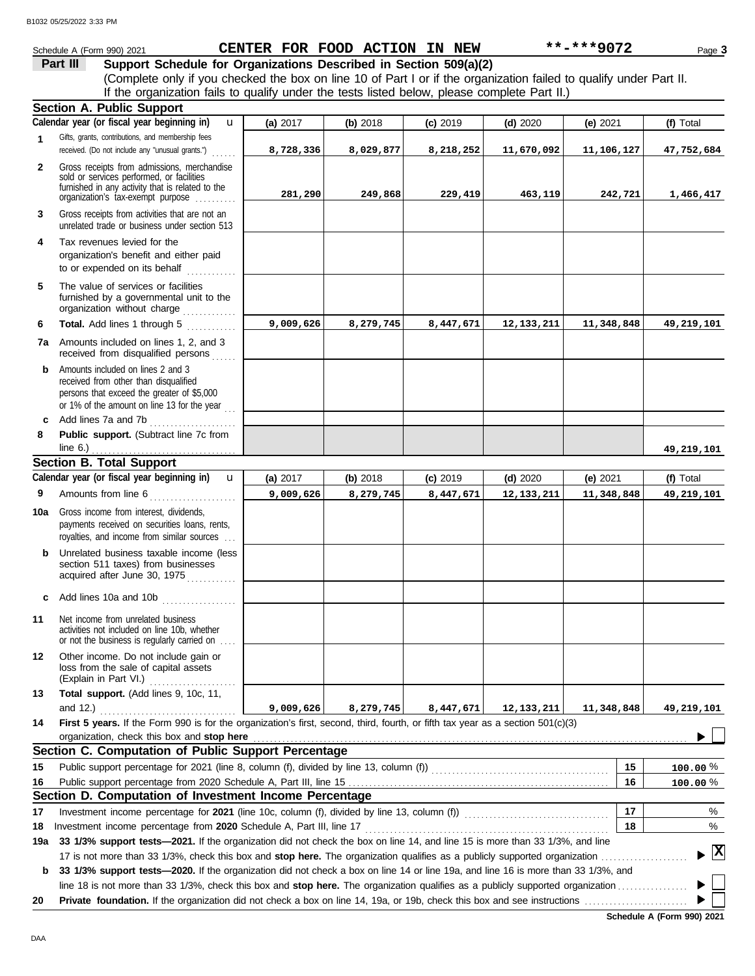|              | Schedule A (Form 990) 2021                                                                                                                                                             |           | CENTER FOR FOOD ACTION IN NEW |            |              | **-***9072 | Page 3                             |
|--------------|----------------------------------------------------------------------------------------------------------------------------------------------------------------------------------------|-----------|-------------------------------|------------|--------------|------------|------------------------------------|
|              | Part III<br>Support Schedule for Organizations Described in Section 509(a)(2)                                                                                                          |           |                               |            |              |            |                                    |
|              | (Complete only if you checked the box on line 10 of Part I or if the organization failed to qualify under Part II.                                                                     |           |                               |            |              |            |                                    |
|              | If the organization fails to qualify under the tests listed below, please complete Part II.)                                                                                           |           |                               |            |              |            |                                    |
|              | <b>Section A. Public Support</b>                                                                                                                                                       |           |                               |            |              |            |                                    |
|              | Calendar year (or fiscal year beginning in)<br>$\mathbf{u}$                                                                                                                            | (a) 2017  | (b) 2018                      | $(c)$ 2019 | (d) $2020$   | (e) 2021   | (f) Total                          |
| 1            | Gifts, grants, contributions, and membership fees<br>received. (Do not include any "unusual grants.")                                                                                  | 8,728,336 | 8,029,877                     | 8,218,252  | 11,670,092   | 11,106,127 | 47,752,684                         |
| $\mathbf{2}$ | Gross receipts from admissions, merchandise<br>sold or services performed, or facilities<br>furnished in any activity that is related to the<br>organization's tax-exempt purpose      | 281,290   | 249,868                       | 229,419    | 463,119      | 242,721    | 1,466,417                          |
| 3            | Gross receipts from activities that are not an<br>unrelated trade or business under section 513                                                                                        |           |                               |            |              |            |                                    |
| 4            | Tax revenues levied for the<br>organization's benefit and either paid<br>to or expended on its behalf                                                                                  |           |                               |            |              |            |                                    |
| 5            | The value of services or facilities<br>furnished by a governmental unit to the<br>organization without charge                                                                          |           |                               |            |              |            |                                    |
| 6            | Total. Add lines 1 through 5<br>.                                                                                                                                                      | 9,009,626 | 8,279,745                     | 8,447,671  | 12, 133, 211 | 11,348,848 | 49,219,101                         |
| 7a           | Amounts included on lines 1, 2, and 3<br>received from disqualified persons                                                                                                            |           |                               |            |              |            |                                    |
| b            | Amounts included on lines 2 and 3<br>received from other than disqualified<br>persons that exceed the greater of \$5,000<br>or 1% of the amount on line 13 for the year $\frac{1}{11}$ |           |                               |            |              |            |                                    |
| c            | Add lines 7a and 7b<br>.                                                                                                                                                               |           |                               |            |              |            |                                    |
| 8            | Public support. (Subtract line 7c from<br>line $6.$ )                                                                                                                                  |           |                               |            |              |            | 49,219,101                         |
|              | <b>Section B. Total Support</b>                                                                                                                                                        |           |                               |            |              |            |                                    |
|              | Calendar year (or fiscal year beginning in)<br>$\mathbf{u}$                                                                                                                            | (a) 2017  | (b) 2018                      | $(c)$ 2019 | $(d)$ 2020   | (e) $2021$ | (f) Total                          |
| 9            | Amounts from line 6                                                                                                                                                                    | 9,009,626 | 8,279,745                     | 8,447,671  | 12, 133, 211 | 11,348,848 | 49, 219, 101                       |
| 10a          | Gross income from interest, dividends,<br>payments received on securities loans, rents,<br>royalties, and income from similar sources                                                  |           |                               |            |              |            |                                    |
| b            | Unrelated business taxable income (less<br>section 511 taxes) from businesses<br>acquired after June 30, 1975                                                                          |           |                               |            |              |            |                                    |
| с            | Add lines 10a and 10b                                                                                                                                                                  |           |                               |            |              |            |                                    |
| 11           | Net income from unrelated business<br>activities not included on line 10b, whether<br>or not the business is regularly carried on                                                      |           |                               |            |              |            |                                    |
| 12           | Other income. Do not include gain or<br>loss from the sale of capital assets<br>(Explain in Part VI.)                                                                                  |           |                               |            |              |            |                                    |
| 13           | Total support. (Add lines 9, 10c, 11,<br>and 12.)                                                                                                                                      | 9,009,626 | 8,279,745                     | 8,447,671  | 12, 133, 211 | 11,348,848 | 49,219,101                         |
| 14           | First 5 years. If the Form 990 is for the organization's first, second, third, fourth, or fifth tax year as a section 501(c)(3)<br>organization, check this box and stop here          |           |                               |            |              |            |                                    |
|              | Section C. Computation of Public Support Percentage                                                                                                                                    |           |                               |            |              |            |                                    |
| 15           |                                                                                                                                                                                        |           |                               |            |              | 15         | $100.00\%$                         |
| 16           |                                                                                                                                                                                        |           |                               |            |              | 16         | 100.00%                            |
|              | Section D. Computation of Investment Income Percentage                                                                                                                                 |           |                               |            |              |            |                                    |
| 17           |                                                                                                                                                                                        |           |                               |            |              | 17         | %                                  |
| 18           | Investment income percentage from 2020 Schedule A, Part III, line 17                                                                                                                   |           |                               |            |              | 18         | %                                  |
| 19a          | 33 1/3% support tests-2021. If the organization did not check the box on line 14, and line 15 is more than 33 1/3%, and line                                                           |           |                               |            |              |            |                                    |
| b            | 33 1/3% support tests-2020. If the organization did not check a box on line 14 or line 19a, and line 16 is more than 33 1/3%, and                                                      |           |                               |            |              |            | $\blacktriangleright$ $\mathbf{X}$ |
|              |                                                                                                                                                                                        |           |                               |            |              |            |                                    |
| 20           |                                                                                                                                                                                        |           |                               |            |              |            |                                    |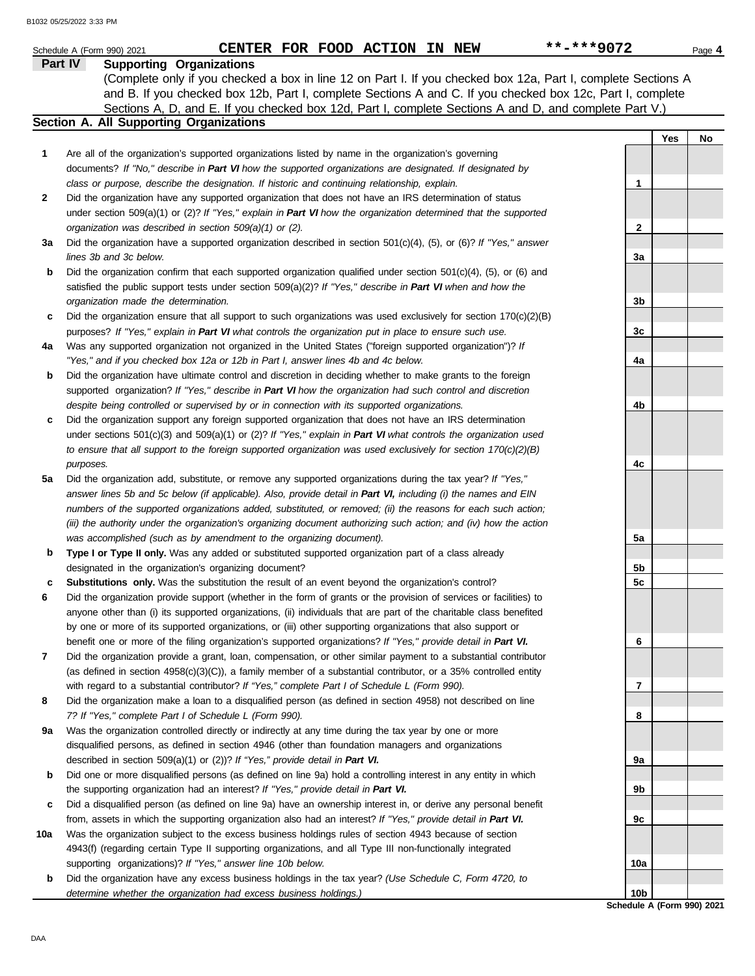|     | CENTER FOR FOOD ACTION IN NEW<br>Schedule A (Form 990) 2021                                                                                                                                                   | **-***9072                 |     | Page 4 |
|-----|---------------------------------------------------------------------------------------------------------------------------------------------------------------------------------------------------------------|----------------------------|-----|--------|
|     | <b>Supporting Organizations</b><br>Part IV                                                                                                                                                                    |                            |     |        |
|     | (Complete only if you checked a box in line 12 on Part I. If you checked box 12a, Part I, complete Sections A                                                                                                 |                            |     |        |
|     | and B. If you checked box 12b, Part I, complete Sections A and C. If you checked box 12c, Part I, complete                                                                                                    |                            |     |        |
|     | Sections A, D, and E. If you checked box 12d, Part I, complete Sections A and D, and complete Part V.)<br>Section A. All Supporting Organizations                                                             |                            |     |        |
|     |                                                                                                                                                                                                               |                            | Yes | No     |
| 1   | Are all of the organization's supported organizations listed by name in the organization's governing                                                                                                          |                            |     |        |
|     | documents? If "No," describe in Part VI how the supported organizations are designated. If designated by                                                                                                      |                            |     |        |
|     | class or purpose, describe the designation. If historic and continuing relationship, explain.                                                                                                                 | 1                          |     |        |
| 2   | Did the organization have any supported organization that does not have an IRS determination of status                                                                                                        |                            |     |        |
|     | under section 509(a)(1) or (2)? If "Yes," explain in Part VI how the organization determined that the supported                                                                                               |                            |     |        |
|     | organization was described in section 509(a)(1) or (2).                                                                                                                                                       | $\mathbf{2}$               |     |        |
| За  | Did the organization have a supported organization described in section $501(c)(4)$ , (5), or (6)? If "Yes," answer                                                                                           |                            |     |        |
|     | lines 3b and 3c below.                                                                                                                                                                                        | За                         |     |        |
| b   | Did the organization confirm that each supported organization qualified under section $501(c)(4)$ , $(5)$ , or $(6)$ and                                                                                      |                            |     |        |
|     | satisfied the public support tests under section 509(a)(2)? If "Yes," describe in Part VI when and how the                                                                                                    |                            |     |        |
|     | organization made the determination.                                                                                                                                                                          | 3b                         |     |        |
| c   | Did the organization ensure that all support to such organizations was used exclusively for section $170(c)(2)(B)$                                                                                            |                            |     |        |
|     | purposes? If "Yes," explain in Part VI what controls the organization put in place to ensure such use.                                                                                                        | 3c                         |     |        |
| 4a  | Was any supported organization not organized in the United States ("foreign supported organization")? If                                                                                                      |                            |     |        |
|     | "Yes," and if you checked box 12a or 12b in Part I, answer lines 4b and 4c below.                                                                                                                             | 4a                         |     |        |
| b   | Did the organization have ultimate control and discretion in deciding whether to make grants to the foreign                                                                                                   |                            |     |        |
|     | supported organization? If "Yes," describe in Part VI how the organization had such control and discretion                                                                                                    |                            |     |        |
|     | despite being controlled or supervised by or in connection with its supported organizations.                                                                                                                  | 4b                         |     |        |
| c   | Did the organization support any foreign supported organization that does not have an IRS determination                                                                                                       |                            |     |        |
|     | under sections $501(c)(3)$ and $509(a)(1)$ or (2)? If "Yes," explain in Part VI what controls the organization used                                                                                           |                            |     |        |
|     | to ensure that all support to the foreign supported organization was used exclusively for section $170(c)(2)(B)$                                                                                              |                            |     |        |
|     | purposes.                                                                                                                                                                                                     | 4c                         |     |        |
| 5a  | Did the organization add, substitute, or remove any supported organizations during the tax year? If "Yes,"                                                                                                    |                            |     |        |
|     | answer lines 5b and 5c below (if applicable). Also, provide detail in Part VI, including (i) the names and EIN                                                                                                |                            |     |        |
|     | numbers of the supported organizations added, substituted, or removed; (ii) the reasons for each such action;                                                                                                 |                            |     |        |
|     | (iii) the authority under the organization's organizing document authorizing such action; and (iv) how the action                                                                                             |                            |     |        |
|     | was accomplished (such as by amendment to the organizing document).                                                                                                                                           | 5a                         |     |        |
| b   | Type I or Type II only. Was any added or substituted supported organization part of a class already                                                                                                           |                            |     |        |
|     | designated in the organization's organizing document?                                                                                                                                                         | 5b                         |     |        |
| с   | Substitutions only. Was the substitution the result of an event beyond the organization's control?                                                                                                            | 5c                         |     |        |
| 6   | Did the organization provide support (whether in the form of grants or the provision of services or facilities) to                                                                                            |                            |     |        |
|     | anyone other than (i) its supported organizations, (ii) individuals that are part of the charitable class benefited                                                                                           |                            |     |        |
|     | by one or more of its supported organizations, or (iii) other supporting organizations that also support or                                                                                                   |                            |     |        |
|     | benefit one or more of the filing organization's supported organizations? If "Yes," provide detail in Part VI.                                                                                                | 6                          |     |        |
| 7   | Did the organization provide a grant, loan, compensation, or other similar payment to a substantial contributor                                                                                               |                            |     |        |
|     | (as defined in section $4958(c)(3)(C)$ ), a family member of a substantial contributor, or a 35% controlled entity                                                                                            | 7                          |     |        |
| 8   | with regard to a substantial contributor? If "Yes," complete Part I of Schedule L (Form 990).<br>Did the organization make a loan to a disqualified person (as defined in section 4958) not described on line |                            |     |        |
|     | 7? If "Yes," complete Part I of Schedule L (Form 990).                                                                                                                                                        | 8                          |     |        |
| 9а  | Was the organization controlled directly or indirectly at any time during the tax year by one or more                                                                                                         |                            |     |        |
|     | disqualified persons, as defined in section 4946 (other than foundation managers and organizations                                                                                                            |                            |     |        |
|     | described in section 509(a)(1) or (2))? If "Yes," provide detail in Part VI.                                                                                                                                  | 9а                         |     |        |
| b   | Did one or more disqualified persons (as defined on line 9a) hold a controlling interest in any entity in which                                                                                               |                            |     |        |
|     | the supporting organization had an interest? If "Yes," provide detail in Part VI.                                                                                                                             | 9b                         |     |        |
| c   | Did a disqualified person (as defined on line 9a) have an ownership interest in, or derive any personal benefit                                                                                               |                            |     |        |
|     | from, assets in which the supporting organization also had an interest? If "Yes," provide detail in Part VI.                                                                                                  | 9c                         |     |        |
| 10a | Was the organization subject to the excess business holdings rules of section 4943 because of section                                                                                                         |                            |     |        |
|     | 4943(f) (regarding certain Type II supporting organizations, and all Type III non-functionally integrated                                                                                                     |                            |     |        |
|     | supporting organizations)? If "Yes," answer line 10b below.                                                                                                                                                   | 10a                        |     |        |
| b   | Did the organization have any excess business holdings in the tax year? (Use Schedule C, Form 4720, to                                                                                                        |                            |     |        |
|     | determine whether the organization had excess business holdings.)                                                                                                                                             | 10 <sub>b</sub>            |     |        |
|     |                                                                                                                                                                                                               | Schedule A (Form 990) 2021 |     |        |

**Schedule A (Form 990) 2021**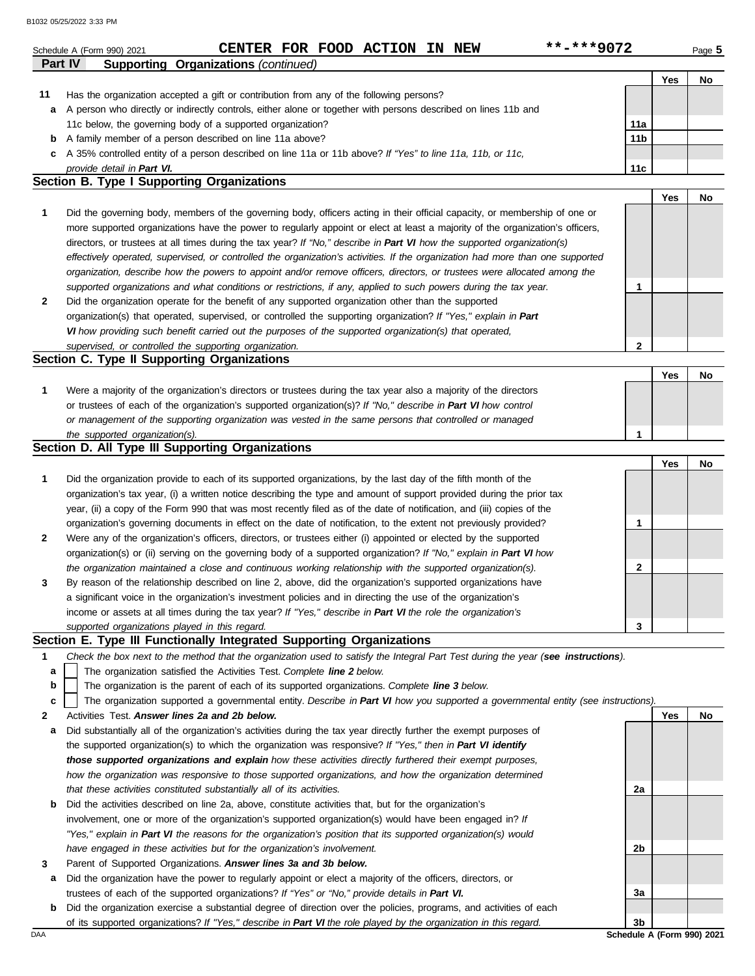|         | **-***9072<br>CENTER FOR FOOD ACTION IN NEW<br>Schedule A (Form 990) 2021                                                                                                                                                                                   |                 |     | Page 5 |
|---------|-------------------------------------------------------------------------------------------------------------------------------------------------------------------------------------------------------------------------------------------------------------|-----------------|-----|--------|
| Part IV | <b>Supporting Organizations (continued)</b>                                                                                                                                                                                                                 |                 | Yes | No     |
| 11      | Has the organization accepted a gift or contribution from any of the following persons?                                                                                                                                                                     |                 |     |        |
| a       | A person who directly or indirectly controls, either alone or together with persons described on lines 11b and                                                                                                                                              |                 |     |        |
|         | 11c below, the governing body of a supported organization?                                                                                                                                                                                                  | 11a             |     |        |
| b       | A family member of a person described on line 11a above?                                                                                                                                                                                                    | 11 <sub>b</sub> |     |        |
| c       | A 35% controlled entity of a person described on line 11a or 11b above? If "Yes" to line 11a, 11b, or 11c,                                                                                                                                                  |                 |     |        |
|         | provide detail in Part VI.                                                                                                                                                                                                                                  | 11 <sub>c</sub> |     |        |
|         | Section B. Type I Supporting Organizations                                                                                                                                                                                                                  |                 |     |        |
| 1       |                                                                                                                                                                                                                                                             |                 | Yes | No     |
|         | Did the governing body, members of the governing body, officers acting in their official capacity, or membership of one or<br>more supported organizations have the power to regularly appoint or elect at least a majority of the organization's officers, |                 |     |        |
|         | directors, or trustees at all times during the tax year? If "No," describe in Part VI how the supported organization(s)                                                                                                                                     |                 |     |        |
|         | effectively operated, supervised, or controlled the organization's activities. If the organization had more than one supported                                                                                                                              |                 |     |        |
|         | organization, describe how the powers to appoint and/or remove officers, directors, or trustees were allocated among the                                                                                                                                    |                 |     |        |
|         | supported organizations and what conditions or restrictions, if any, applied to such powers during the tax year.                                                                                                                                            | $\mathbf 1$     |     |        |
| 2       | Did the organization operate for the benefit of any supported organization other than the supported                                                                                                                                                         |                 |     |        |
|         | organization(s) that operated, supervised, or controlled the supporting organization? If "Yes," explain in Part                                                                                                                                             |                 |     |        |
|         | VI how providing such benefit carried out the purposes of the supported organization(s) that operated,                                                                                                                                                      |                 |     |        |
|         | supervised, or controlled the supporting organization.                                                                                                                                                                                                      | $\mathbf{2}$    |     |        |
|         | Section C. Type II Supporting Organizations                                                                                                                                                                                                                 |                 |     |        |
|         |                                                                                                                                                                                                                                                             |                 | Yes | No     |
| 1       | Were a majority of the organization's directors or trustees during the tax year also a majority of the directors                                                                                                                                            |                 |     |        |
|         | or trustees of each of the organization's supported organization(s)? If "No," describe in Part VI how control                                                                                                                                               |                 |     |        |
|         | or management of the supporting organization was vested in the same persons that controlled or managed                                                                                                                                                      |                 |     |        |
|         | the supported organization(s).                                                                                                                                                                                                                              | $\mathbf{1}$    |     |        |
|         | Section D. All Type III Supporting Organizations                                                                                                                                                                                                            |                 |     |        |
|         |                                                                                                                                                                                                                                                             |                 | Yes | No     |
| 1       | Did the organization provide to each of its supported organizations, by the last day of the fifth month of the                                                                                                                                              |                 |     |        |
|         | organization's tax year, (i) a written notice describing the type and amount of support provided during the prior tax                                                                                                                                       |                 |     |        |
|         | year, (ii) a copy of the Form 990 that was most recently filed as of the date of notification, and (iii) copies of the                                                                                                                                      | 1               |     |        |
| 2       | organization's governing documents in effect on the date of notification, to the extent not previously provided?<br>Were any of the organization's officers, directors, or trustees either (i) appointed or elected by the supported                        |                 |     |        |
|         | organization(s) or (ii) serving on the governing body of a supported organization? If "No," explain in Part VI how                                                                                                                                          |                 |     |        |
|         | the organization maintained a close and continuous working relationship with the supported organization(s).                                                                                                                                                 | 2               |     |        |
| 3       | By reason of the relationship described on line 2, above, did the organization's supported organizations have                                                                                                                                               |                 |     |        |
|         | a significant voice in the organization's investment policies and in directing the use of the organization's                                                                                                                                                |                 |     |        |
|         | income or assets at all times during the tax year? If "Yes," describe in Part VI the role the organization's                                                                                                                                                |                 |     |        |
|         | supported organizations played in this regard.                                                                                                                                                                                                              | 3               |     |        |
|         | Section E. Type III Functionally Integrated Supporting Organizations                                                                                                                                                                                        |                 |     |        |
| 1       | Check the box next to the method that the organization used to satisfy the Integral Part Test during the year (see instructions).                                                                                                                           |                 |     |        |
| a       | The organization satisfied the Activities Test. Complete line 2 below.                                                                                                                                                                                      |                 |     |        |
| b       | The organization is the parent of each of its supported organizations. Complete line 3 below.                                                                                                                                                               |                 |     |        |
| c       | The organization supported a governmental entity. Describe in Part VI how you supported a governmental entity (see instructions).                                                                                                                           |                 |     |        |
| 2       | Activities Test. Answer lines 2a and 2b below.                                                                                                                                                                                                              |                 | Yes | No     |
| а       | Did substantially all of the organization's activities during the tax year directly further the exempt purposes of                                                                                                                                          |                 |     |        |
|         | the supported organization(s) to which the organization was responsive? If "Yes," then in Part VI identify                                                                                                                                                  |                 |     |        |
|         | those supported organizations and explain how these activities directly furthered their exempt purposes,                                                                                                                                                    |                 |     |        |
|         | how the organization was responsive to those supported organizations, and how the organization determined                                                                                                                                                   |                 |     |        |
|         | that these activities constituted substantially all of its activities.                                                                                                                                                                                      | 2a              |     |        |
| b       | Did the activities described on line 2a, above, constitute activities that, but for the organization's                                                                                                                                                      |                 |     |        |
|         | involvement, one or more of the organization's supported organization(s) would have been engaged in? If                                                                                                                                                     |                 |     |        |
|         | "Yes," explain in Part VI the reasons for the organization's position that its supported organization(s) would                                                                                                                                              |                 |     |        |
|         | have engaged in these activities but for the organization's involvement.                                                                                                                                                                                    | 2b              |     |        |
| 3       | Parent of Supported Organizations. Answer lines 3a and 3b below.                                                                                                                                                                                            |                 |     |        |
|         | a Did the organization have the power to regularly appoint or elect a majority of the officers, directors, or                                                                                                                                               |                 |     |        |

- trustees of each of the supported organizations? *If "Yes" or "No," provide details in Part VI.*
- DAA **Schedule A (Form 990) 2021 b** Did the organization exercise a substantial degree of direction over the policies, programs, and activities of each of its supported organizations? *If "Yes," describe in Part VI the role played by the organization in this regard.*

**3a**

**3b**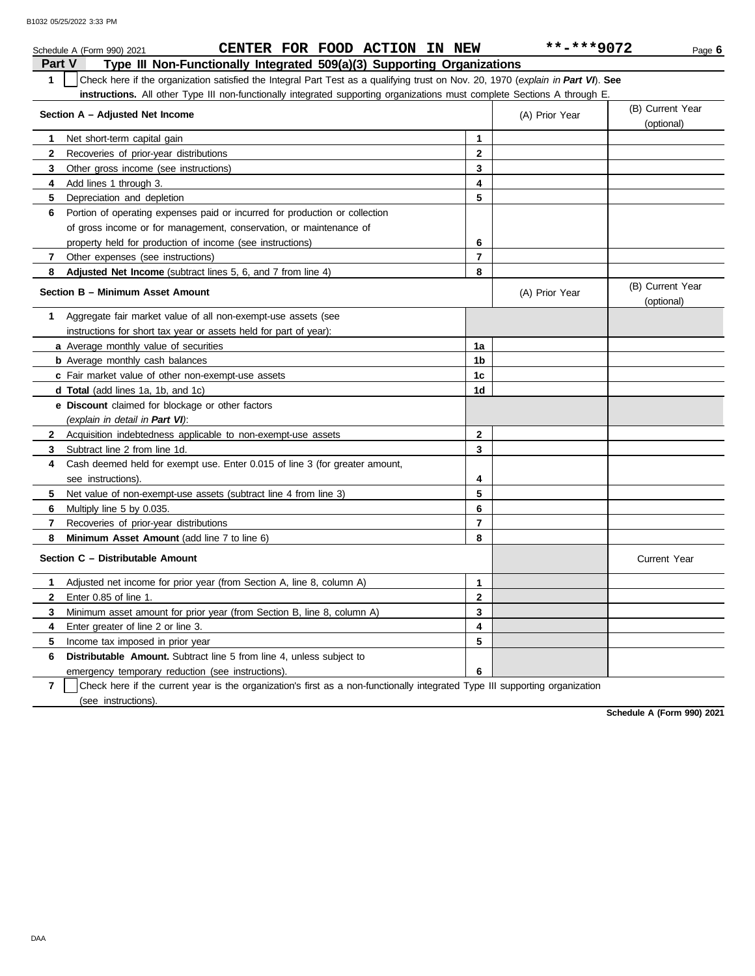|                | CENTER FOR FOOD ACTION IN NEW<br>Schedule A (Form 990) 2021                                                                      |              | **-***9072     | Page 6                         |
|----------------|----------------------------------------------------------------------------------------------------------------------------------|--------------|----------------|--------------------------------|
| <b>Part V</b>  | Type III Non-Functionally Integrated 509(a)(3) Supporting Organizations                                                          |              |                |                                |
| $\mathbf{1}$   | Check here if the organization satisfied the Integral Part Test as a qualifying trust on Nov. 20, 1970 (explain in Part VI). See |              |                |                                |
|                | instructions. All other Type III non-functionally integrated supporting organizations must complete Sections A through E.        |              |                |                                |
|                | Section A - Adjusted Net Income                                                                                                  |              | (A) Prior Year | (B) Current Year<br>(optional) |
| 1              | Net short-term capital gain                                                                                                      | 1            |                |                                |
| $\mathbf{2}$   | Recoveries of prior-year distributions                                                                                           | $\mathbf{2}$ |                |                                |
| 3              | Other gross income (see instructions)                                                                                            | 3            |                |                                |
| 4              | Add lines 1 through 3.                                                                                                           | 4            |                |                                |
| 5              | Depreciation and depletion                                                                                                       | 5            |                |                                |
| 6              | Portion of operating expenses paid or incurred for production or collection                                                      |              |                |                                |
|                | of gross income or for management, conservation, or maintenance of                                                               |              |                |                                |
|                | property held for production of income (see instructions)                                                                        | 6            |                |                                |
| 7              | Other expenses (see instructions)                                                                                                | 7            |                |                                |
| 8              | Adjusted Net Income (subtract lines 5, 6, and 7 from line 4)                                                                     | 8            |                |                                |
|                | Section B - Minimum Asset Amount                                                                                                 |              | (A) Prior Year | (B) Current Year<br>(optional) |
| 1              | Aggregate fair market value of all non-exempt-use assets (see                                                                    |              |                |                                |
|                | instructions for short tax year or assets held for part of year):                                                                |              |                |                                |
|                | a Average monthly value of securities                                                                                            | 1a           |                |                                |
|                | <b>b</b> Average monthly cash balances                                                                                           | 1b           |                |                                |
|                | c Fair market value of other non-exempt-use assets                                                                               | 1c           |                |                                |
|                | d Total (add lines 1a, 1b, and 1c)                                                                                               | 1d           |                |                                |
|                | e Discount claimed for blockage or other factors                                                                                 |              |                |                                |
|                | (explain in detail in Part VI):                                                                                                  |              |                |                                |
|                | 2 Acquisition indebtedness applicable to non-exempt-use assets                                                                   | $\mathbf{2}$ |                |                                |
| 3              | Subtract line 2 from line 1d.                                                                                                    | 3            |                |                                |
| 4              | Cash deemed held for exempt use. Enter 0.015 of line 3 (for greater amount,                                                      |              |                |                                |
|                | see instructions).                                                                                                               | 4            |                |                                |
| 5              | Net value of non-exempt-use assets (subtract line 4 from line 3)                                                                 | 5            |                |                                |
| 6              | Multiply line 5 by 0.035.                                                                                                        | 6            |                |                                |
| 7              | Recoveries of prior-year distributions                                                                                           | 7            |                |                                |
| 8              | Minimum Asset Amount (add line 7 to line 6)                                                                                      | 8            |                |                                |
|                | Section C - Distributable Amount                                                                                                 |              |                | <b>Current Year</b>            |
| 1              | Adjusted net income for prior year (from Section A, line 8, column A)                                                            | 1            |                |                                |
| 2              | Enter 0.85 of line 1.                                                                                                            | 2            |                |                                |
| 3              | Minimum asset amount for prior year (from Section B, line 8, column A)                                                           | 3            |                |                                |
| 4              | Enter greater of line 2 or line 3.                                                                                               | 4            |                |                                |
| 5              | Income tax imposed in prior year                                                                                                 | 5            |                |                                |
| 6              | Distributable Amount. Subtract line 5 from line 4, unless subject to                                                             |              |                |                                |
|                | emergency temporary reduction (see instructions).                                                                                | 6            |                |                                |
| $\overline{7}$ | Check here if the current year is the organization's first as a non-functionally integrated Type III supporting organization     |              |                |                                |

(see instructions).

**Schedule A (Form 990) 2021**

DAA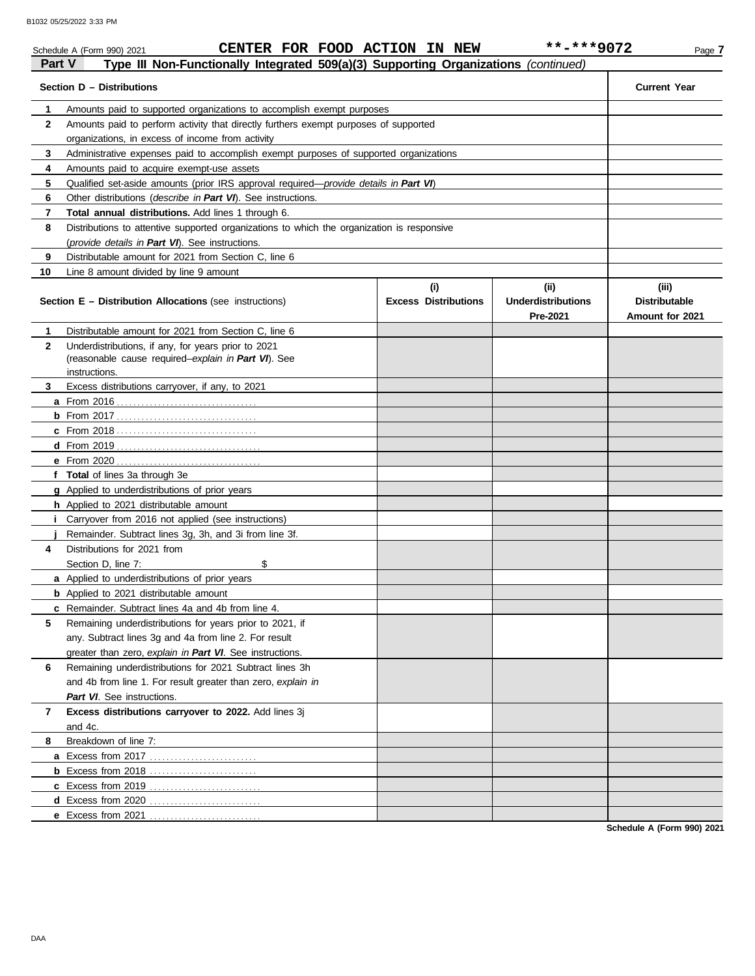|               | CENTER FOR FOOD ACTION IN NEW<br>Schedule A (Form 990) 2021                                |                             | **-***9072                            | Page 7                                  |
|---------------|--------------------------------------------------------------------------------------------|-----------------------------|---------------------------------------|-----------------------------------------|
| <b>Part V</b> | Type III Non-Functionally Integrated 509(a)(3) Supporting Organizations (continued)        |                             |                                       |                                         |
|               | Section D - Distributions                                                                  |                             |                                       | <b>Current Year</b>                     |
| 1             | Amounts paid to supported organizations to accomplish exempt purposes                      |                             |                                       |                                         |
| $\mathbf{2}$  | Amounts paid to perform activity that directly furthers exempt purposes of supported       |                             |                                       |                                         |
|               | organizations, in excess of income from activity                                           |                             |                                       |                                         |
| 3             | Administrative expenses paid to accomplish exempt purposes of supported organizations      |                             |                                       |                                         |
| 4             | Amounts paid to acquire exempt-use assets                                                  |                             |                                       |                                         |
| 5             | Qualified set-aside amounts (prior IRS approval required—provide details in Part VI)       |                             |                                       |                                         |
| 6             | Other distributions (describe in Part VI). See instructions.                               |                             |                                       |                                         |
| 7             | Total annual distributions. Add lines 1 through 6.                                         |                             |                                       |                                         |
| 8             | Distributions to attentive supported organizations to which the organization is responsive |                             |                                       |                                         |
|               | (provide details in Part VI). See instructions.                                            |                             |                                       |                                         |
| 9             | Distributable amount for 2021 from Section C, line 6                                       |                             |                                       |                                         |
| 10            | Line 8 amount divided by line 9 amount                                                     |                             |                                       |                                         |
|               |                                                                                            | (i)                         | (ii)                                  | (iii)                                   |
|               | <b>Section E - Distribution Allocations (see instructions)</b>                             | <b>Excess Distributions</b> | <b>Underdistributions</b><br>Pre-2021 | <b>Distributable</b><br>Amount for 2021 |
| 1             | Distributable amount for 2021 from Section C, line 6                                       |                             |                                       |                                         |
| $\mathbf{2}$  | Underdistributions, if any, for years prior to 2021                                        |                             |                                       |                                         |
|               | (reasonable cause required-explain in Part VI). See                                        |                             |                                       |                                         |
|               | instructions.                                                                              |                             |                                       |                                         |
| 3             | Excess distributions carryover, if any, to 2021                                            |                             |                                       |                                         |
|               |                                                                                            |                             |                                       |                                         |
|               |                                                                                            |                             |                                       |                                         |
|               |                                                                                            |                             |                                       |                                         |
|               |                                                                                            |                             |                                       |                                         |
|               |                                                                                            |                             |                                       |                                         |
|               | f Total of lines 3a through 3e                                                             |                             |                                       |                                         |
|               | g Applied to underdistributions of prior years                                             |                             |                                       |                                         |
|               | h Applied to 2021 distributable amount                                                     |                             |                                       |                                         |
| L.            | Carryover from 2016 not applied (see instructions)                                         |                             |                                       |                                         |
|               | Remainder. Subtract lines 3g, 3h, and 3i from line 3f.                                     |                             |                                       |                                         |
| 4             | Distributions for 2021 from                                                                |                             |                                       |                                         |
|               | Section D. line 7:<br>\$                                                                   |                             |                                       |                                         |
|               | a Applied to underdistributions of prior years                                             |                             |                                       |                                         |
|               | <b>b</b> Applied to 2021 distributable amount                                              |                             |                                       |                                         |
|               | c Remainder. Subtract lines 4a and 4b from line 4.                                         |                             |                                       |                                         |
| 5             | Remaining underdistributions for years prior to 2021, if                                   |                             |                                       |                                         |
|               | any. Subtract lines 3g and 4a from line 2. For result                                      |                             |                                       |                                         |
|               | greater than zero, explain in Part VI. See instructions.                                   |                             |                                       |                                         |
| 6             | Remaining underdistributions for 2021 Subtract lines 3h                                    |                             |                                       |                                         |
|               | and 4b from line 1. For result greater than zero, explain in                               |                             |                                       |                                         |
|               | Part VI. See instructions.                                                                 |                             |                                       |                                         |
| 7             | Excess distributions carryover to 2022. Add lines 3j                                       |                             |                                       |                                         |
|               | and 4c.                                                                                    |                             |                                       |                                         |
| 8             | Breakdown of line 7:                                                                       |                             |                                       |                                         |
|               |                                                                                            |                             |                                       |                                         |
|               | <b>b</b> Excess from 2018                                                                  |                             |                                       |                                         |
|               |                                                                                            |                             |                                       |                                         |
|               |                                                                                            |                             |                                       |                                         |
|               | e Excess from 2021                                                                         |                             |                                       |                                         |

**Schedule A (Form 990) 2021**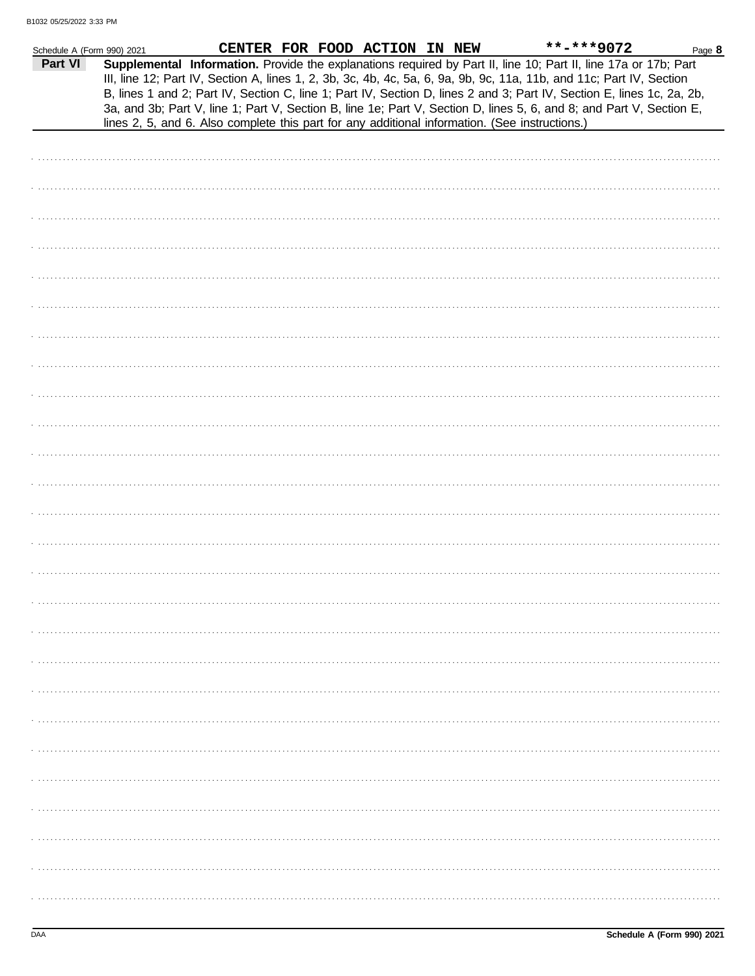| Schedule A (Form 990) 2021 |  | CENTER FOR FOOD ACTION IN NEW | **-***9072                                                                                                                                                                                                                                                                                                                                                                                                                                                                                                                                                                                  | Page 8 |
|----------------------------|--|-------------------------------|---------------------------------------------------------------------------------------------------------------------------------------------------------------------------------------------------------------------------------------------------------------------------------------------------------------------------------------------------------------------------------------------------------------------------------------------------------------------------------------------------------------------------------------------------------------------------------------------|--------|
| Part VI                    |  |                               | Supplemental Information. Provide the explanations required by Part II, line 10; Part II, line 17a or 17b; Part<br>III, line 12; Part IV, Section A, lines 1, 2, 3b, 3c, 4b, 4c, 5a, 6, 9a, 9b, 9c, 11a, 11b, and 11c; Part IV, Section<br>B, lines 1 and 2; Part IV, Section C, line 1; Part IV, Section D, lines 2 and 3; Part IV, Section E, lines 1c, 2a, 2b,<br>3a, and 3b; Part V, line 1; Part V, Section B, line 1e; Part V, Section D, lines 5, 6, and 8; and Part V, Section E,<br>lines 2, 5, and 6. Also complete this part for any additional information. (See instructions.) |        |
|                            |  |                               |                                                                                                                                                                                                                                                                                                                                                                                                                                                                                                                                                                                             |        |
|                            |  |                               |                                                                                                                                                                                                                                                                                                                                                                                                                                                                                                                                                                                             |        |
|                            |  |                               |                                                                                                                                                                                                                                                                                                                                                                                                                                                                                                                                                                                             |        |
|                            |  |                               |                                                                                                                                                                                                                                                                                                                                                                                                                                                                                                                                                                                             |        |
|                            |  |                               |                                                                                                                                                                                                                                                                                                                                                                                                                                                                                                                                                                                             |        |
|                            |  |                               |                                                                                                                                                                                                                                                                                                                                                                                                                                                                                                                                                                                             |        |
|                            |  |                               |                                                                                                                                                                                                                                                                                                                                                                                                                                                                                                                                                                                             |        |
|                            |  |                               |                                                                                                                                                                                                                                                                                                                                                                                                                                                                                                                                                                                             |        |
|                            |  |                               |                                                                                                                                                                                                                                                                                                                                                                                                                                                                                                                                                                                             |        |
|                            |  |                               |                                                                                                                                                                                                                                                                                                                                                                                                                                                                                                                                                                                             |        |
|                            |  |                               |                                                                                                                                                                                                                                                                                                                                                                                                                                                                                                                                                                                             |        |
|                            |  |                               |                                                                                                                                                                                                                                                                                                                                                                                                                                                                                                                                                                                             |        |
|                            |  |                               |                                                                                                                                                                                                                                                                                                                                                                                                                                                                                                                                                                                             |        |
|                            |  |                               |                                                                                                                                                                                                                                                                                                                                                                                                                                                                                                                                                                                             |        |
|                            |  |                               |                                                                                                                                                                                                                                                                                                                                                                                                                                                                                                                                                                                             |        |
|                            |  |                               |                                                                                                                                                                                                                                                                                                                                                                                                                                                                                                                                                                                             |        |
|                            |  |                               |                                                                                                                                                                                                                                                                                                                                                                                                                                                                                                                                                                                             |        |
|                            |  |                               |                                                                                                                                                                                                                                                                                                                                                                                                                                                                                                                                                                                             |        |
|                            |  |                               |                                                                                                                                                                                                                                                                                                                                                                                                                                                                                                                                                                                             |        |
|                            |  |                               |                                                                                                                                                                                                                                                                                                                                                                                                                                                                                                                                                                                             |        |
|                            |  |                               |                                                                                                                                                                                                                                                                                                                                                                                                                                                                                                                                                                                             |        |
|                            |  |                               |                                                                                                                                                                                                                                                                                                                                                                                                                                                                                                                                                                                             |        |
|                            |  |                               |                                                                                                                                                                                                                                                                                                                                                                                                                                                                                                                                                                                             |        |
|                            |  |                               |                                                                                                                                                                                                                                                                                                                                                                                                                                                                                                                                                                                             |        |
|                            |  |                               |                                                                                                                                                                                                                                                                                                                                                                                                                                                                                                                                                                                             |        |
|                            |  |                               |                                                                                                                                                                                                                                                                                                                                                                                                                                                                                                                                                                                             |        |
|                            |  |                               |                                                                                                                                                                                                                                                                                                                                                                                                                                                                                                                                                                                             |        |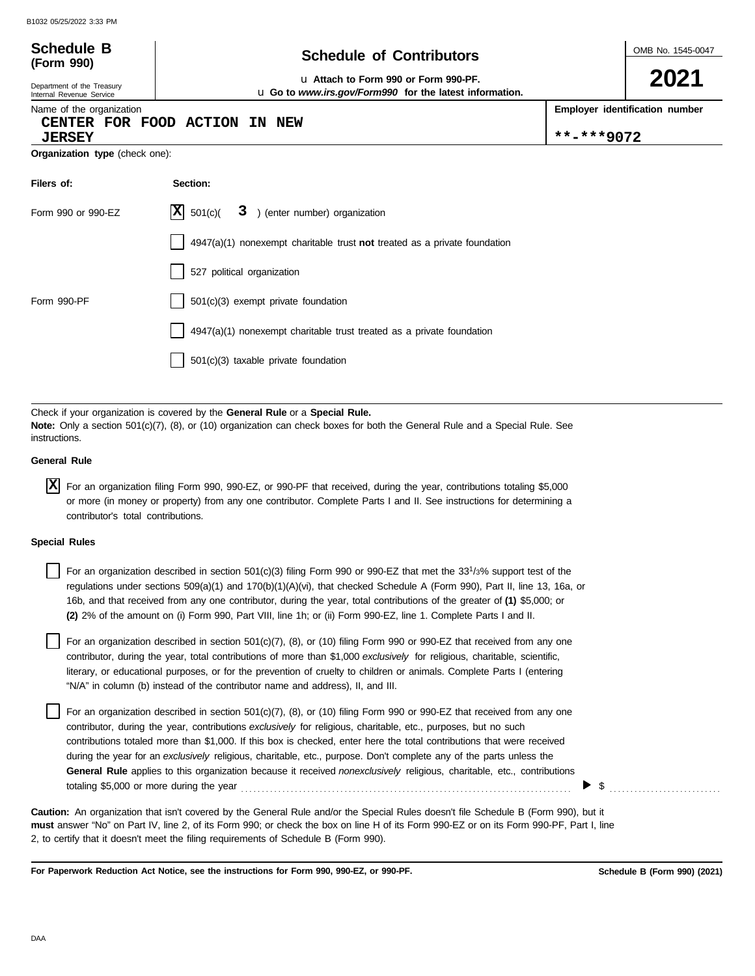Department of the Treasury Internal Revenue Service Name of the organization

**(Form 990)**

### **Schedule of Contributors Schedule B**

**2021**

u **Attach to Form 990 or Form 990-PF.** u **Go to** *www.irs.gov/Form990* **for the latest information.**

**Employer identification number**

#### **CENTER FOR FOOD ACTION IN NEW**

**JERSEY \*\*-\*\*\*9072**

**Organization type** (check one):

| Filers of:         | Section:                                                                    |
|--------------------|-----------------------------------------------------------------------------|
| Form 990 or 990-EZ | $ \mathbf{X} $ 501(c)(<br>3 ) (enter number) organization                   |
|                    | $4947(a)(1)$ nonexempt charitable trust not treated as a private foundation |
|                    | 527 political organization                                                  |
| Form 990-PF        | 501(c)(3) exempt private foundation                                         |
|                    | 4947(a)(1) nonexempt charitable trust treated as a private foundation       |
|                    | 501(c)(3) taxable private foundation                                        |

Check if your organization is covered by the **General Rule** or a **Special Rule. Note:** Only a section 501(c)(7), (8), or (10) organization can check boxes for both the General Rule and a Special Rule. See instructions.

#### **General Rule**

For an organization filing Form 990, 990-EZ, or 990-PF that received, during the year, contributions totaling \$5,000 **X** or more (in money or property) from any one contributor. Complete Parts I and II. See instructions for determining a contributor's total contributions.

#### **Special Rules**

For an organization described in section 501(c)(3) filing Form 990 or 990-EZ that met the 33<sup>1</sup>/3% support test of the regulations under sections 509(a)(1) and 170(b)(1)(A)(vi), that checked Schedule A (Form 990), Part II, line 13, 16a, or 16b, and that received from any one contributor, during the year, total contributions of the greater of **(1)** \$5,000; or **(2)** 2% of the amount on (i) Form 990, Part VIII, line 1h; or (ii) Form 990-EZ, line 1. Complete Parts I and II.

literary, or educational purposes, or for the prevention of cruelty to children or animals. Complete Parts I (entering For an organization described in section 501(c)(7), (8), or (10) filing Form 990 or 990-EZ that received from any one contributor, during the year, total contributions of more than \$1,000 *exclusively* for religious, charitable, scientific, "N/A" in column (b) instead of the contributor name and address), II, and III.

For an organization described in section 501(c)(7), (8), or (10) filing Form 990 or 990-EZ that received from any one contributor, during the year, contributions *exclusively* for religious, charitable, etc., purposes, but no such contributions totaled more than \$1,000. If this box is checked, enter here the total contributions that were received during the year for an *exclusively* religious, charitable, etc., purpose. Don't complete any of the parts unless the **General Rule** applies to this organization because it received *nonexclusively* religious, charitable, etc., contributions totaling \$5,000 or more during the year . . . . . . . . . . . . . . . . . . . . . . . . . . . . . . . . . . . . . . . . . . . . . . . . . . . . . . . . . . . . . . . . . . . . . . . . . . . . . . . .

**must** answer "No" on Part IV, line 2, of its Form 990; or check the box on line H of its Form 990-EZ or on its Form 990-PF, Part I, line 2, to certify that it doesn't meet the filing requirements of Schedule B (Form 990). **Caution:** An organization that isn't covered by the General Rule and/or the Special Rules doesn't file Schedule B (Form 990), but it

**For Paperwork Reduction Act Notice, see the instructions for Form 990, 990-EZ, or 990-PF.**

 $\triangleright$  \$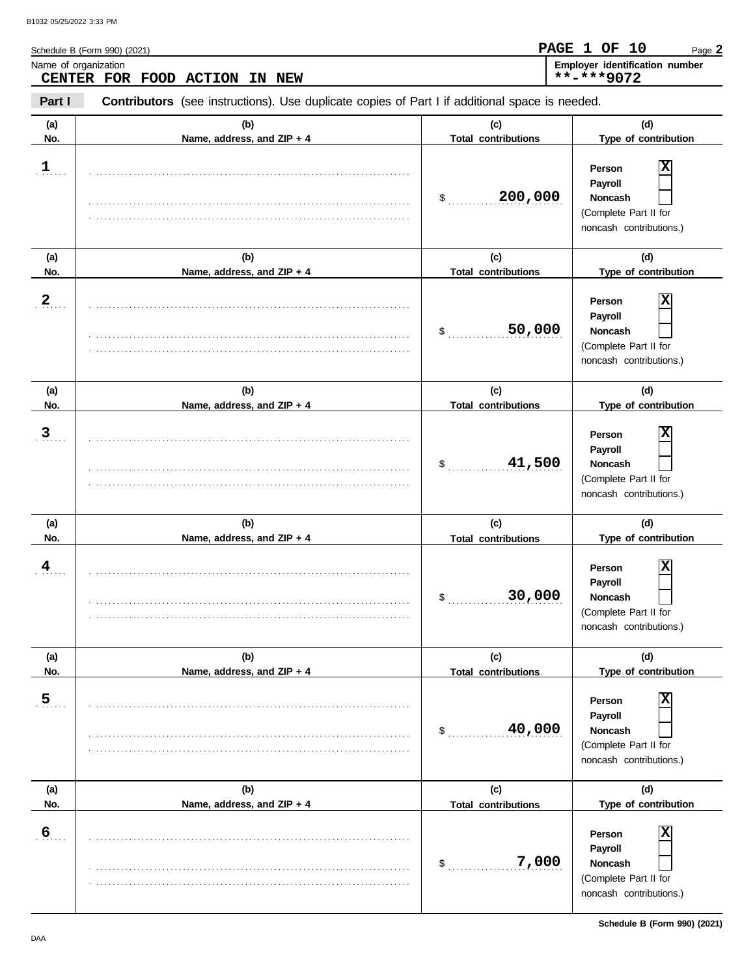|                                                                                                                 | Schedule B (Form 990) (2021)<br>Name of organization<br>CENTER FOR FOOD ACTION<br>IN NEW | Employer identification number<br>**-***9072 |                                                                                                    |  |  |
|-----------------------------------------------------------------------------------------------------------------|------------------------------------------------------------------------------------------|----------------------------------------------|----------------------------------------------------------------------------------------------------|--|--|
| Part I<br><b>Contributors</b> (see instructions). Use duplicate copies of Part I if additional space is needed. |                                                                                          |                                              |                                                                                                    |  |  |
| (a)<br>No.                                                                                                      | (b)<br>Name, address, and ZIP + 4                                                        | (c)<br><b>Total contributions</b>            | (d)<br>Type of contribution                                                                        |  |  |
| $1$                                                                                                             |                                                                                          | 200,000<br>$\updownarrow$                    | X<br>Person<br>Payroll<br>Noncash<br>(Complete Part II for<br>noncash contributions.)              |  |  |
| (a)<br>No.                                                                                                      | (b)                                                                                      | (c)<br><b>Total contributions</b>            | (d)<br>Type of contribution                                                                        |  |  |
| $\boldsymbol{2}$                                                                                                | Name, address, and ZIP + 4                                                               | 50,000<br>$\mathsf{\$}$                      | X<br>Person<br>Payroll<br><b>Noncash</b><br>(Complete Part II for<br>noncash contributions.)       |  |  |
| (a)<br>No.                                                                                                      | (b)<br>Name, address, and ZIP + 4                                                        | (c)<br><b>Total contributions</b>            | (d)<br>Type of contribution                                                                        |  |  |
| 3 <sub>1</sub>                                                                                                  |                                                                                          | 41,500<br>$\mathsf{\$}$                      | X<br>Person<br>Payroll<br>Noncash<br>(Complete Part II for<br>noncash contributions.)              |  |  |
| (a)<br>No.                                                                                                      | (b)<br>Name, address, and ZIP + 4                                                        | (c)<br><b>Total contributions</b>            | (d)<br>Type of contribution                                                                        |  |  |
| 4                                                                                                               |                                                                                          | 30,000<br>\$                                 | $ \mathbf{x} $<br>Person<br>Payroll<br>Noncash<br>(Complete Part II for<br>noncash contributions.) |  |  |
| (a)<br>No.                                                                                                      | (b)<br>Name, address, and ZIP + 4                                                        | (c)<br><b>Total contributions</b>            | (d)<br>Type of contribution                                                                        |  |  |
| $\overline{5}$                                                                                                  |                                                                                          | 40,000<br>\$                                 | х<br>Person<br>Payroll<br>Noncash<br>(Complete Part II for<br>noncash contributions.)              |  |  |
| (a)<br>No.                                                                                                      | (b)<br>Name, address, and ZIP + 4                                                        | (c)<br><b>Total contributions</b>            | (d)<br>Type of contribution                                                                        |  |  |
| 6                                                                                                               |                                                                                          |                                              | $\overline{\mathbf{x}}$<br>Person<br>Payroll                                                       |  |  |

. . . . . . . . . . . . . . . . . . . . . . . . . . . . . . . . . . . . . . . . . . . . . . . . . . . . . . . . . . . . . . . . . . . . . . . . . . . . .

. . . . . . . . . . . . . . . . . . . . . . . . . . . . . . . . . . . . . . . . . . . . . . . . . . . . . . . . . . . . . . . . . . . . . . . . . . . . .

\$ . . . . . . . . . . . . . . . . . . . . . . . . . . . . **7,000**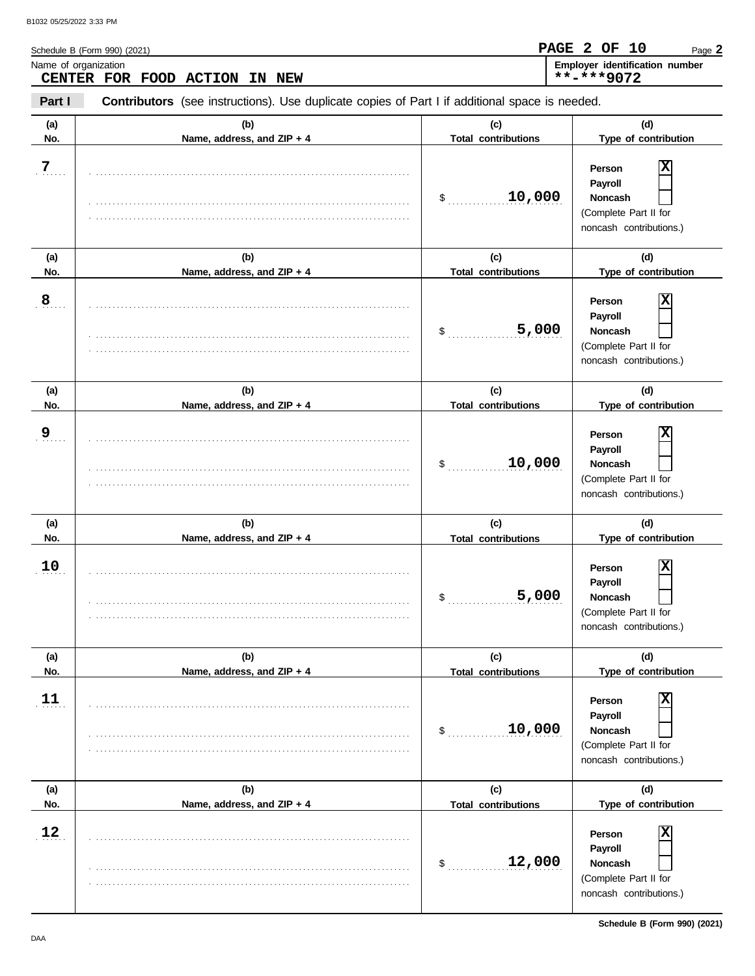| B1032 05/25/2022 3:33 PM |                                                                                                       |                            |                                                                       |
|--------------------------|-------------------------------------------------------------------------------------------------------|----------------------------|-----------------------------------------------------------------------|
|                          | Schedule B (Form 990) (2021)                                                                          |                            | <b>PAGE 2 OF 10</b><br>Page 2                                         |
| Name of organization     | CENTER FOR FOOD ACTION IN<br>NEW                                                                      |                            | Employer identification number<br>$***$ -***9072                      |
| Part I                   | <b>Contributors</b> (see instructions). Use duplicate copies of Part I if additional space is needed. |                            |                                                                       |
| (a)                      | (b)                                                                                                   | (c)                        | (d)                                                                   |
| No.                      | Name, address, and $ZIP + 4$                                                                          | <b>Total contributions</b> | Type of contribution                                                  |
| 7<br>.                   |                                                                                                       | 10,000                     | $\overline{\textbf{x}}$<br>Person<br><b>Payroll</b><br><b>Noncash</b> |
|                          |                                                                                                       |                            | (Complete Part II for<br>noncash contributions.)                      |

| (a)            | (b)                        | (c)                        | (d)                                                                                                         |
|----------------|----------------------------|----------------------------|-------------------------------------------------------------------------------------------------------------|
| No.            | Name, address, and ZIP + 4 | <b>Total contributions</b> | Type of contribution                                                                                        |
| 8              |                            | 5,000<br>$\frac{1}{2}$     | X<br>Person<br>Payroll<br>Noncash<br>(Complete Part II for<br>noncash contributions.)                       |
| (a)            | (b)                        | (c)                        | (d)                                                                                                         |
| No.            | Name, address, and ZIP + 4 | <b>Total contributions</b> | Type of contribution                                                                                        |
| 9 <sub>1</sub> |                            | 10,000<br>$\frac{1}{2}$    | X<br>Person<br>Payroll<br>Noncash<br>(Complete Part II for<br>noncash contributions.)                       |
| (a)            | (b)                        | (c)                        | (d)                                                                                                         |
| No.            | Name, address, and ZIP + 4 | <b>Total contributions</b> | Type of contribution                                                                                        |
| 10             |                            | 5,000<br>\$                | $\overline{\mathbf{x}}$<br>Person<br>Payroll<br>Noncash<br>(Complete Part II for<br>noncash contributions.) |
| (a)            | (b)                        | (c)                        | (d)                                                                                                         |
| No.            | Name, address, and ZIP + 4 | <b>Total contributions</b> | Type of contribution                                                                                        |
| 11             |                            | 10,000<br>$\frac{1}{2}$    | X<br>Person<br>Payroll<br>Noncash<br>(Complete Part II for<br>noncash contributions.)                       |
| (a)            | (b)                        | (c)                        | (d)                                                                                                         |
| No.            | Name, address, and ZIP + 4 | <b>Total contributions</b> | Type of contribution                                                                                        |
| 12             |                            | 12,000<br>$\mathsf{\$}$    | $\overline{\mathbf{x}}$<br>Person<br>Payroll<br>Noncash<br>(Complete Part II for<br>noncash contributions.) |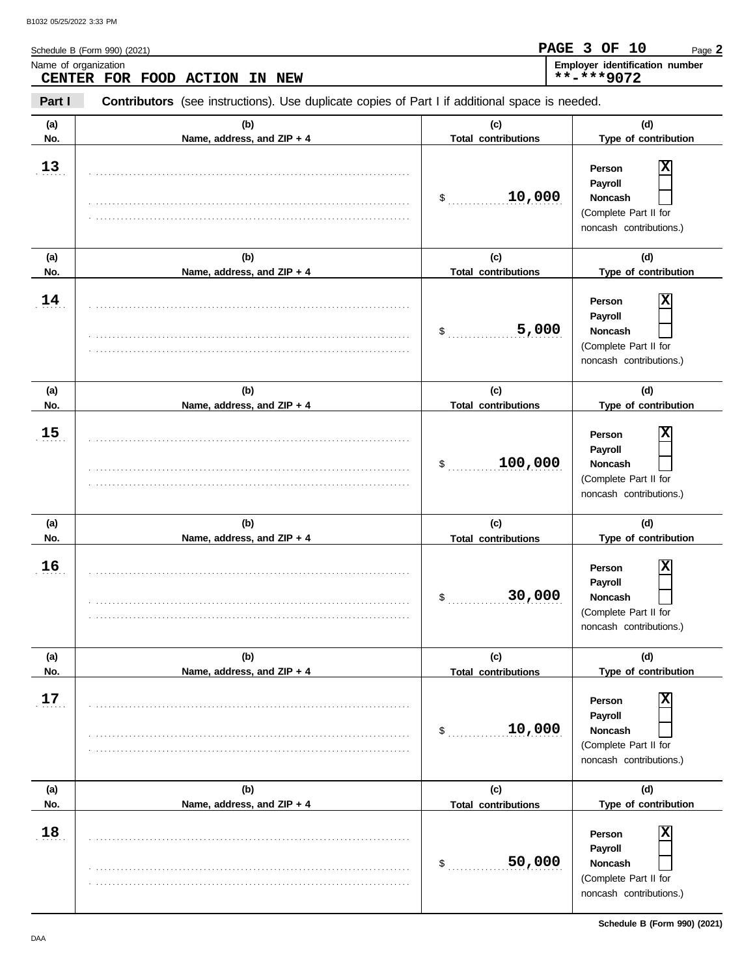| No.        | Name, address, and ZIP + 4 | <b>Total contributions</b>        | Type of contribution                                                                         |
|------------|----------------------------|-----------------------------------|----------------------------------------------------------------------------------------------|
| 13         |                            | 10,000<br>$\frac{1}{2}$           | X<br>Person<br>Payroll<br>Noncash<br>(Complete Part II for<br>noncash contributions.)        |
| (a)        | (b)                        | (c)                               | (d)                                                                                          |
| No.        | Name, address, and ZIP + 4 | <b>Total contributions</b>        | Type of contribution                                                                         |
| 14         |                            | 5,000<br>\$                       | X<br>Person<br>Payroll<br>Noncash<br>(Complete Part II for<br>noncash contributions.)        |
| (a)        | (b)                        | (c)                               | (d)                                                                                          |
| No.        | Name, address, and ZIP + 4 | <b>Total contributions</b>        | Type of contribution                                                                         |
| 15         |                            | 100,000<br>\$                     | X<br>Person<br>Payroll<br>Noncash<br>(Complete Part II for<br>noncash contributions.)        |
| (a)        | (b)                        | (c)                               | (d)                                                                                          |
| No.        | Name, address, and ZIP + 4 | <b>Total contributions</b>        | Type of contribution                                                                         |
| 16         |                            | 30,000<br>\$                      | х<br>Person<br>Payroll<br>Noncash<br>(Complete Part II for<br>noncash contributions.)        |
|            |                            |                                   |                                                                                              |
|            | (b)                        |                                   | (d)                                                                                          |
| (a)<br>No. | Name, address, and ZIP + 4 | (c)<br><b>Total contributions</b> | Type of contribution                                                                         |
| 17         |                            | 10,000<br>\$                      | X<br>Person<br>Payroll<br><b>Noncash</b><br>(Complete Part II for<br>noncash contributions.) |
| (a)        | (b)                        | (c)                               | (d)                                                                                          |
| No.        | Name, address, and ZIP + 4 | <b>Total contributions</b>        | Type of contribution                                                                         |
| 18         |                            | 50,000<br>\$                      | X<br>Person<br>Payroll<br><b>Noncash</b><br>(Complete Part II for<br>noncash contributions.) |

**Contributors** (see instructions). Use duplicate copies of Part I if additional space is needed. **(a) (b) (c) (d)**

Name of organization **Employer identification number**

Schedule B (Form 990) (2021)

**CENTER FOR FOOD ACTION IN NEW**

**Part I**

021)

Page **2**

**PAGE 3 OF 10**

**\*\*-\*\*\*9072**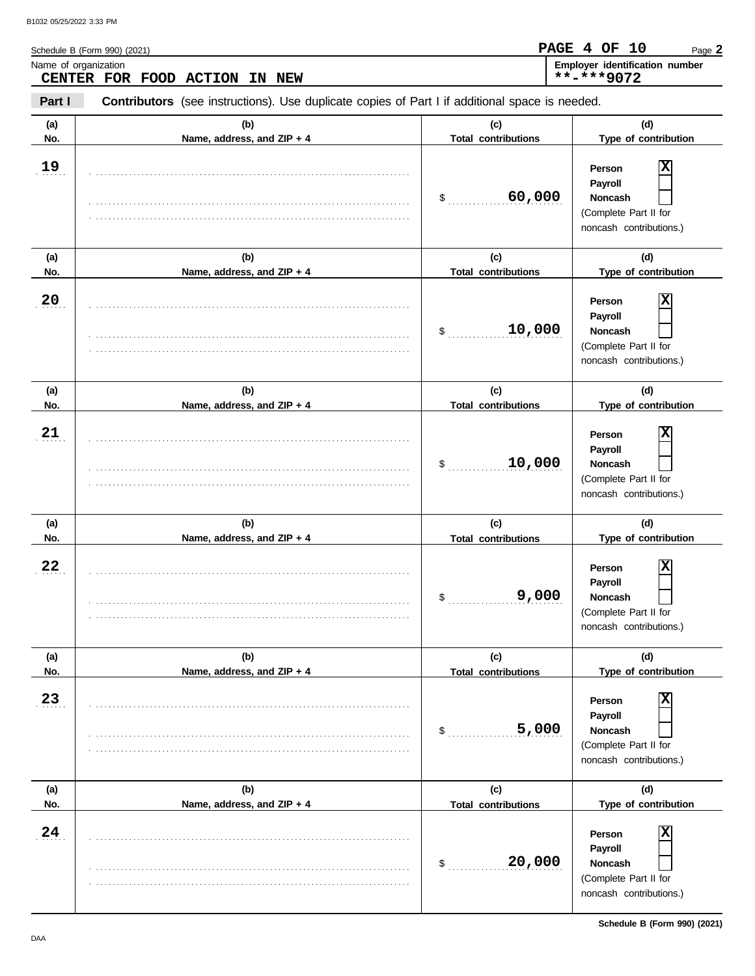| (a) | (b)                        | (c)                        | (d)                                                                                     |
|-----|----------------------------|----------------------------|-----------------------------------------------------------------------------------------|
| No. | Name, address, and ZIP + 4 | <b>Total contributions</b> | Type of contribution                                                                    |
| 19  |                            | 60,000<br>$\sim$           | Person<br>Payroll<br>Noncash<br>(Complete Part II for<br>noncash contributions.)        |
| (a) | (b)                        | (c)                        | (d)                                                                                     |
| No. | Name, address, and ZIP + 4 | <b>Total contributions</b> | Type of contribution                                                                    |
| 20  |                            | 10,000<br>$\mathfrak s$    | Person<br>Payroll<br>Noncash<br>(Complete Part II for<br>noncash contributions.)        |
| (a) | (b)                        | (c)                        | (d)                                                                                     |
| No. | Name, address, and ZIP + 4 | <b>Total contributions</b> | Type of contribution                                                                    |
| 21  |                            | 10,000<br>$\frac{1}{2}$    | Person<br>Payroll<br><b>Noncash</b><br>(Complete Part II for<br>noncash contributions.) |
| (a) | (b)                        | (c)                        | (d)                                                                                     |
| No. | Name, address, and ZIP + 4 | <b>Total contributions</b> | Type of contribution                                                                    |
| 22  |                            | 9,000<br>\$                | Person<br>Payroll<br>Noncash<br>(Complete Part II for<br>noncash contributions.)        |
| (a) | (b)                        | (c)                        | (d)                                                                                     |
| No. | Name. address. and ZIP + 4 | <b>Total contributions</b> | Type of contribution                                                                    |
| 23  |                            | 5,000<br>\$                | Person<br>Payroll<br>Noncash<br>(Complete Part II for<br>noncash contributions.)        |
| (a) | (b)                        | (c)                        | (d)                                                                                     |
| No. | Name, address, and ZIP + 4 | <b>Total contributions</b> | Type of contribution                                                                    |
| 24  |                            | 20,000<br>\$               | Person<br>Payroll<br>Noncash<br>(Complete Part II for<br>noncash contributions.)        |

**Contributors** (see instructions). Use duplicate copies of Part I if additional space is needed.

Name of organization **Employer identification number**

Schedule B (Form 990) (2021)

**CENTER FOR FOOD ACTION IN NEW**

**Part I**

**Schedule B (Form 990) (2021)**

Page **2**

**PAGE 4 OF 10**

**\*\*-\*\*\*9072**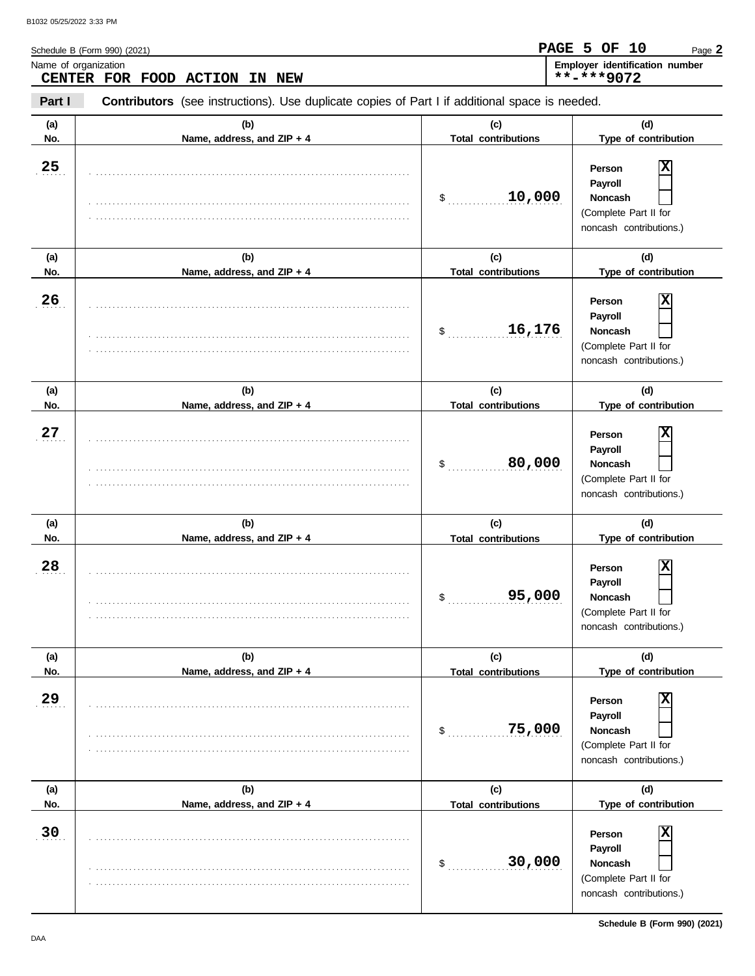| <b>CENTER</b> | FOR FOOD ACTION<br>IN NEW                                                                      |                                            | **-***9072                                                                                                    |  |  |
|---------------|------------------------------------------------------------------------------------------------|--------------------------------------------|---------------------------------------------------------------------------------------------------------------|--|--|
| Part I        | Contributors (see instructions). Use duplicate copies of Part I if additional space is needed. |                                            |                                                                                                               |  |  |
| (a)<br>No.    | (b)<br>Name, address, and ZIP + 4                                                              | (c)<br><b>Total contributions</b>          | (d)<br>Type of contribution                                                                                   |  |  |
| 25            |                                                                                                | 10,000<br>\$                               | x<br>Person<br>Payroll<br>Noncash<br>(Complete Part II for<br>noncash contributions.)                         |  |  |
| (a)           | (b)                                                                                            | (c)                                        | (d)                                                                                                           |  |  |
| No.           | Name, address, and ZIP + 4                                                                     | <b>Total contributions</b>                 | Type of contribution                                                                                          |  |  |
| 26            |                                                                                                | 16,176<br>\$                               | x<br>Person<br>Payroll<br>Noncash<br>(Complete Part II for<br>noncash contributions.)                         |  |  |
| (a)<br>No.    | (b)<br>Name, address, and ZIP + 4                                                              | (c)<br><b>Total contributions</b>          | (d)<br>Type of contribution                                                                                   |  |  |
| 27            |                                                                                                | 80,000<br>\$                               | X<br>Person<br>Payroll<br><b>Noncash</b><br>(Complete Part II for<br>noncash contributions.)                  |  |  |
| (a)<br>No.    | (b)<br>Name, address, and ZIP + 4                                                              | (c)<br><b>Total contributions</b>          | (d)<br>Type of contribution                                                                                   |  |  |
| 28            |                                                                                                | 95,000<br>\$                               | x<br>Person<br>Payroll<br>Noncash<br>(Complete Part II for<br>noncash contributions.)                         |  |  |
| (a)           | (b)                                                                                            | (c)                                        | (d)                                                                                                           |  |  |
| No.<br>29     | Name, address, and ZIP + 4                                                                     | <b>Total contributions</b><br>75,000<br>\$ | Type of contribution<br>X<br>Person<br>Payroll<br>Noncash<br>(Complete Part II for<br>noncash contributions.) |  |  |
| (a)           | (b)                                                                                            | (c)                                        | (d)<br>Type of contribution                                                                                   |  |  |
| No.<br>30     | Name, address, and ZIP + 4                                                                     | <b>Total contributions</b><br>30,000<br>\$ | X<br>Person<br>Payroll<br>Noncash<br>(Complete Part II for<br>noncash contributions.)                         |  |  |

Name of organization **Employer identification number Employer identification number** 

Schedule B (Form 990) (2021)

Page **2**

**PAGE 5 OF 10**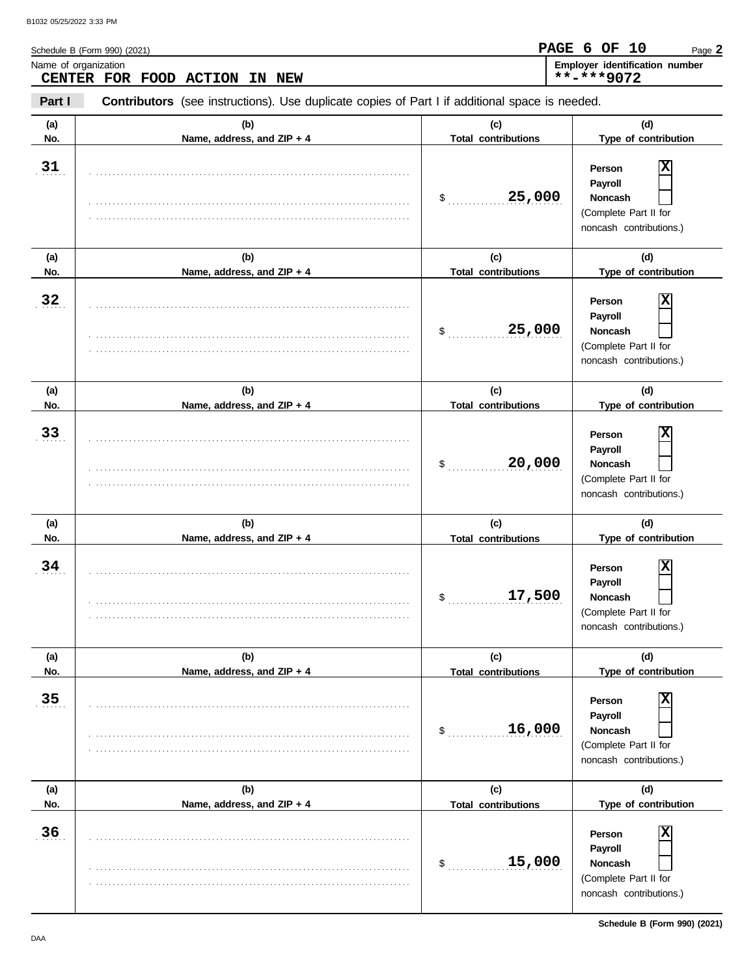|            | Schedule B (Form 990) (2021)<br>Name of organization<br>CENTER FOR FOOD ACTION<br>IN NEW       |                                            | Employer identification number<br>**-***9072                                                                               |
|------------|------------------------------------------------------------------------------------------------|--------------------------------------------|----------------------------------------------------------------------------------------------------------------------------|
| Part I     | Contributors (see instructions). Use duplicate copies of Part I if additional space is needed. |                                            |                                                                                                                            |
| (a)<br>No. | (b)<br>Name, address, and ZIP + 4                                                              | (c)<br><b>Total contributions</b>          | (d)<br>Type of contribution                                                                                                |
| 31         |                                                                                                | 25,000<br>$\mathsf{\$}$                    | $\overline{\mathbf{x}}$<br>Person<br>Payroll<br>Noncash<br>(Complete Part II for<br>noncash contributions.)                |
| (a)        | (b)                                                                                            | (c)                                        | (d)                                                                                                                        |
| No.        | Name, address, and ZIP + 4                                                                     | <b>Total contributions</b>                 | Type of contribution                                                                                                       |
| 32         |                                                                                                | 25,000<br>$\frac{1}{2}$                    | $\overline{\mathbf{x}}$<br>Person<br>Payroll<br>Noncash<br>(Complete Part II for<br>noncash contributions.)                |
| (a)<br>No. | (b)<br>Name, address, and ZIP + 4                                                              | (c)<br><b>Total contributions</b>          | (d)<br>Type of contribution                                                                                                |
| 33         |                                                                                                | 20,000<br>\$                               | $\overline{\mathbf{x}}$<br>Person<br>Payroll<br>Noncash<br>(Complete Part II for<br>noncash contributions.)                |
| (a)        | (b)                                                                                            | (c)                                        | (d)                                                                                                                        |
| No.<br>34  | Name, address, and ZIP + 4                                                                     | <b>Total contributions</b><br>17,500<br>\$ | Type of contribution<br>$ \mathbf{x} $<br>Person<br>Payroll<br>Noncash<br>(Complete Part II for<br>noncash contributions.) |
| (a)        | (b)                                                                                            | (c)                                        | (d)                                                                                                                        |
| No.        | Name, address, and ZIP + 4                                                                     | <b>Total contributions</b>                 | Type of contribution                                                                                                       |
| 35         |                                                                                                | 16,000<br>\$                               | x<br>Person<br>Payroll<br>Noncash<br>(Complete Part II for<br>noncash contributions.)                                      |
| (a)        | (b)                                                                                            | (c)                                        | (d)                                                                                                                        |
| No.        | Name, address, and ZIP + 4                                                                     | <b>Total contributions</b>                 | Type of contribution                                                                                                       |
| 36         |                                                                                                | 15,000<br>\$                               | x<br>Person<br>Payroll<br>Noncash                                                                                          |

. . . . . . . . . . . . . . . . . . . . . . . . . . . . . . . . . . . . . . . . . . . . . . . . . . . . . . . . . . . . . . . . . . . . . . . . . . . . .

(Complete Part II for noncash contributions.)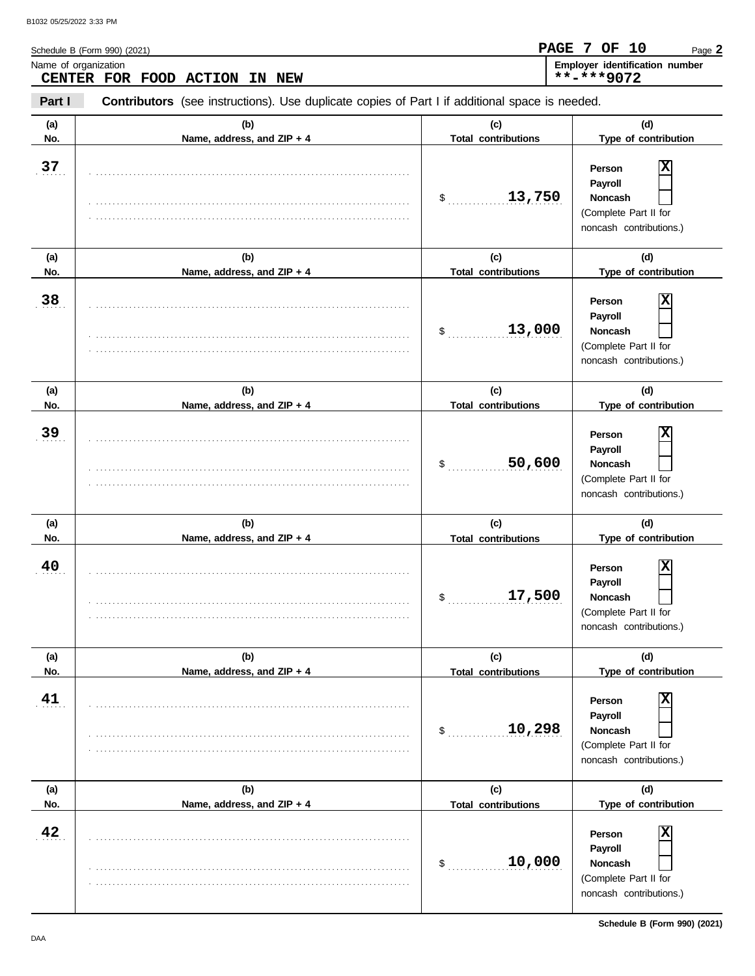| Name of organization<br>CENTER FOR FOOD ACTION<br>NEW<br>IN |                                                                                                |                                   | Employer identification number<br>**-***9072                                                    |  |  |  |
|-------------------------------------------------------------|------------------------------------------------------------------------------------------------|-----------------------------------|-------------------------------------------------------------------------------------------------|--|--|--|
| Part I                                                      | Contributors (see instructions). Use duplicate copies of Part I if additional space is needed. |                                   |                                                                                                 |  |  |  |
| (a)<br>No.                                                  | (b)<br>Name, address, and ZIP + 4                                                              | (c)<br><b>Total contributions</b> | (d)<br>Type of contribution                                                                     |  |  |  |
| 37                                                          |                                                                                                | 13,750<br>$\mathsf{\$}$           | X<br>Person<br>Payroll<br>Noncash<br>(Complete Part II for<br>noncash contributions.)           |  |  |  |
| (a)<br>No.                                                  | (b)<br>Name, address, and ZIP + 4                                                              | (c)<br><b>Total contributions</b> | (d)<br>Type of contribution                                                                     |  |  |  |
| 38                                                          |                                                                                                | 13,000<br>\$                      | х<br>Person<br>Payroll<br>Noncash<br>(Complete Part II for<br>noncash contributions.)           |  |  |  |
| (a)<br>No.                                                  | (b)<br>Name, address, and ZIP + 4                                                              | (c)<br><b>Total contributions</b> | (d)<br>Type of contribution                                                                     |  |  |  |
| 39                                                          |                                                                                                | 50,600<br>\$                      | х<br>Person<br>Payroll<br>Noncash<br>(Complete Part II for<br>noncash contributions.)           |  |  |  |
| (a)<br>No.                                                  | (b)<br>Name, address, and ZIP + 4                                                              | (c)<br><b>Total contributions</b> | (d)<br>Type of contribution                                                                     |  |  |  |
| 40                                                          |                                                                                                | 17,500<br>\$                      | х<br>Person<br>Payroll<br><b>Noncash</b><br>(Complete Part II for<br>noncash contributions.)    |  |  |  |
| (a)<br>No.                                                  | (b)<br>Name, address, and ZIP + 4                                                              | (c)<br><b>Total contributions</b> | (d)<br>Type of contribution                                                                     |  |  |  |
| 41                                                          |                                                                                                | 10,298<br>\$                      | X<br>Person<br>Payroll<br>Noncash<br>(Complete Part II for<br>noncash contributions.)           |  |  |  |
| (a)<br>No.                                                  | (b)<br>Name, address, and ZIP + 4                                                              | (c)<br><b>Total contributions</b> | (d)<br>Type of contribution                                                                     |  |  |  |
| 42                                                          |                                                                                                | 10,000<br>\$                      | $\mathbf x$<br>Person<br>Payroll<br>Noncash<br>(Complete Part II for<br>noncash contributions.) |  |  |  |

Schedule B (Form 990) (2021)

**Schedule B (Form 990) (2021)**

Page **2**

**PAGE 7 OF 10**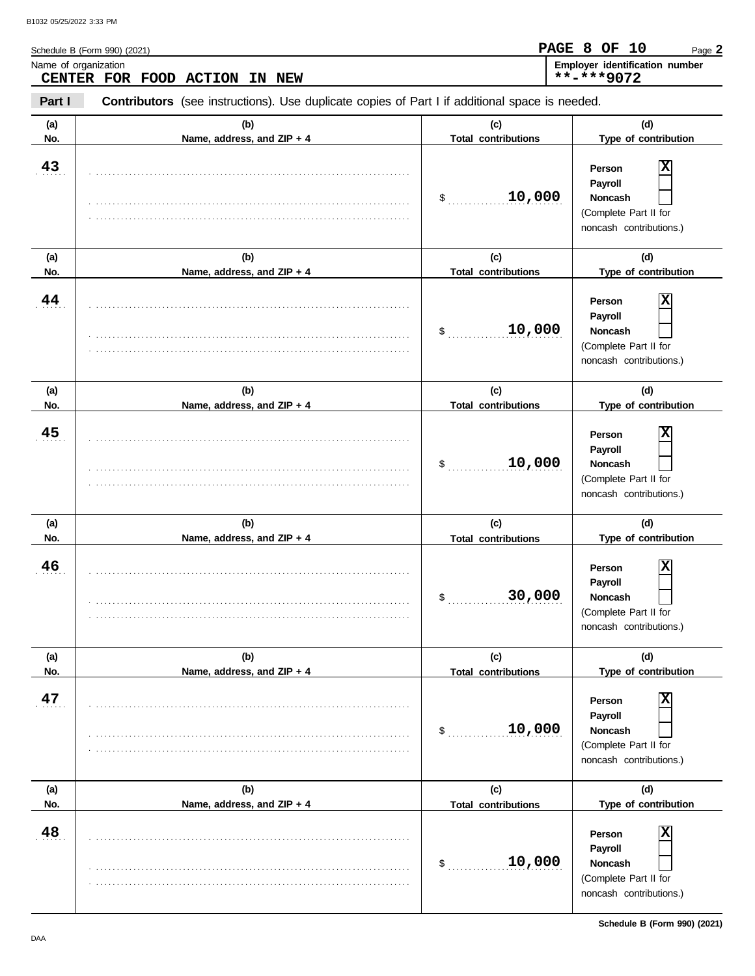| Name of organization<br>CENTER FOR FOOD<br><b>ACTION</b><br><b>NEW</b><br>IN |                                                                                                |                                            | Employer identification number<br>**-***9072                                                                |  |  |  |
|------------------------------------------------------------------------------|------------------------------------------------------------------------------------------------|--------------------------------------------|-------------------------------------------------------------------------------------------------------------|--|--|--|
| Part I                                                                       | Contributors (see instructions). Use duplicate copies of Part I if additional space is needed. |                                            |                                                                                                             |  |  |  |
| (a)<br>No.                                                                   | (b)<br>Name, address, and ZIP + 4                                                              | (c)<br><b>Total contributions</b>          | (d)<br>Type of contribution                                                                                 |  |  |  |
| 43                                                                           |                                                                                                | 10,000<br>\$                               | X<br>Person<br>Payroll<br>Noncash<br>(Complete Part II for<br>noncash contributions.)                       |  |  |  |
| (a)<br>No.                                                                   | (b)                                                                                            | (c)<br><b>Total contributions</b>          | (d)<br>Type of contribution                                                                                 |  |  |  |
| 44                                                                           | Name, address, and ZIP + 4                                                                     | 10,000<br>\$                               | X<br>Person<br>Payroll<br>Noncash<br>(Complete Part II for<br>noncash contributions.)                       |  |  |  |
| (a)<br>No.                                                                   | (b)<br>Name, address, and ZIP + 4                                                              | (c)<br><b>Total contributions</b>          | (d)<br>Type of contribution                                                                                 |  |  |  |
| 45                                                                           |                                                                                                | 10,000<br>\$                               | X<br>Person<br>Payroll<br>Noncash<br>(Complete Part II for<br>noncash contributions.)                       |  |  |  |
| (a)<br>No.                                                                   | (b)<br>Name, address, and ZIP + 4                                                              | (c)<br><b>Total contributions</b>          | (d)<br>Type of contribution                                                                                 |  |  |  |
| 46                                                                           |                                                                                                | 30,000<br>\$                               | X<br>Person<br>Payroll<br><b>Noncash</b><br>(Complete Part II for<br>noncash contributions.)                |  |  |  |
| (a)<br>No.                                                                   | (b)<br>Name, address, and ZIP + 4                                                              | (c)<br><b>Total contributions</b>          | (d)<br>Type of contribution                                                                                 |  |  |  |
| 47                                                                           |                                                                                                | 10,000<br>\$                               | $\overline{\textbf{x}}$<br>Person<br>Payroll<br>Noncash<br>(Complete Part II for<br>noncash contributions.) |  |  |  |
| (a)<br>No.                                                                   | (b)<br>Name, address, and ZIP + 4                                                              | (c)                                        | (d)<br>Type of contribution                                                                                 |  |  |  |
| 48                                                                           |                                                                                                | <b>Total contributions</b><br>10,000<br>\$ | $\overline{\mathbf{x}}$<br>Person<br>Payroll<br>Noncash<br>(Complete Part II for<br>noncash contributions.) |  |  |  |

Schedule B (Form 990) (2021)

Page **2**

**PAGE 8 OF 10**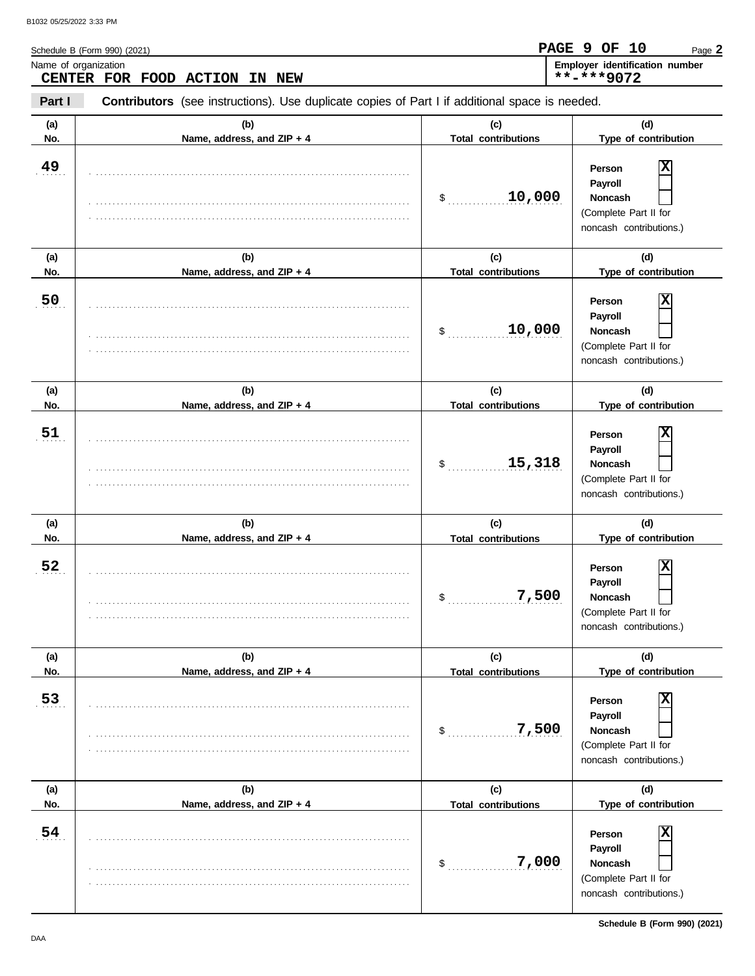| Name of organization<br>CENTER FOR FOOD ACTION<br>IN NEW |                                                                                                |                                   | Employer identification number<br>**-***9072                                                 |  |
|----------------------------------------------------------|------------------------------------------------------------------------------------------------|-----------------------------------|----------------------------------------------------------------------------------------------|--|
| Part I                                                   | Contributors (see instructions). Use duplicate copies of Part I if additional space is needed. |                                   |                                                                                              |  |
| (a)<br>No.                                               | (b)<br>Name, address, and ZIP + 4                                                              | (c)<br><b>Total contributions</b> | (d)<br>Type of contribution                                                                  |  |
| 49                                                       |                                                                                                | 10,000<br>\$                      | X<br>Person<br>Payroll<br>Noncash<br>(Complete Part II for<br>noncash contributions.)        |  |
| (a)<br>No.                                               | (b)<br>Name, address, and ZIP + 4                                                              | (c)<br><b>Total contributions</b> | (d)<br>Type of contribution                                                                  |  |
| 50                                                       |                                                                                                | 10,000<br>\$                      | X<br>Person<br>Payroll<br>Noncash<br>(Complete Part II for<br>noncash contributions.)        |  |
| (a)<br>No.                                               | (b)<br>Name, address, and ZIP + 4                                                              | (c)<br><b>Total contributions</b> | (d)<br>Type of contribution                                                                  |  |
| 51                                                       |                                                                                                | 15,318<br>\$                      | X<br>Person<br>Payroll<br>Noncash<br>(Complete Part II for<br>noncash contributions.)        |  |
| (a)<br>No.                                               | (b)<br>Name, address, and ZIP + 4                                                              | (c)<br><b>Total contributions</b> | (d)<br>Type of contribution                                                                  |  |
| 52                                                       |                                                                                                | 7,500<br>\$                       | X<br>Person<br>Payroll<br><b>Noncash</b><br>(Complete Part II for<br>noncash contributions.) |  |
| (a)<br>No.                                               | (b)<br>Name, address, and ZIP + 4                                                              | (c)<br><b>Total contributions</b> | (d)<br>Type of contribution                                                                  |  |
| 53                                                       |                                                                                                | 7,500<br>\$                       | X<br>Person<br>Payroll<br>Noncash<br>(Complete Part II for<br>noncash contributions.)        |  |
| (a)<br>No.                                               | (b)<br>Name, address, and ZIP + 4                                                              | (c)<br><b>Total contributions</b> | (d)<br>Type of contribution                                                                  |  |
| 54                                                       |                                                                                                | 7,000<br>\$                       | X<br>Person<br>Payroll<br>Noncash<br>(Complete Part II for<br>noncash contributions.)        |  |

**Schedule B (Form 990) (2021)**

Page **2**

**PAGE 9 OF 10**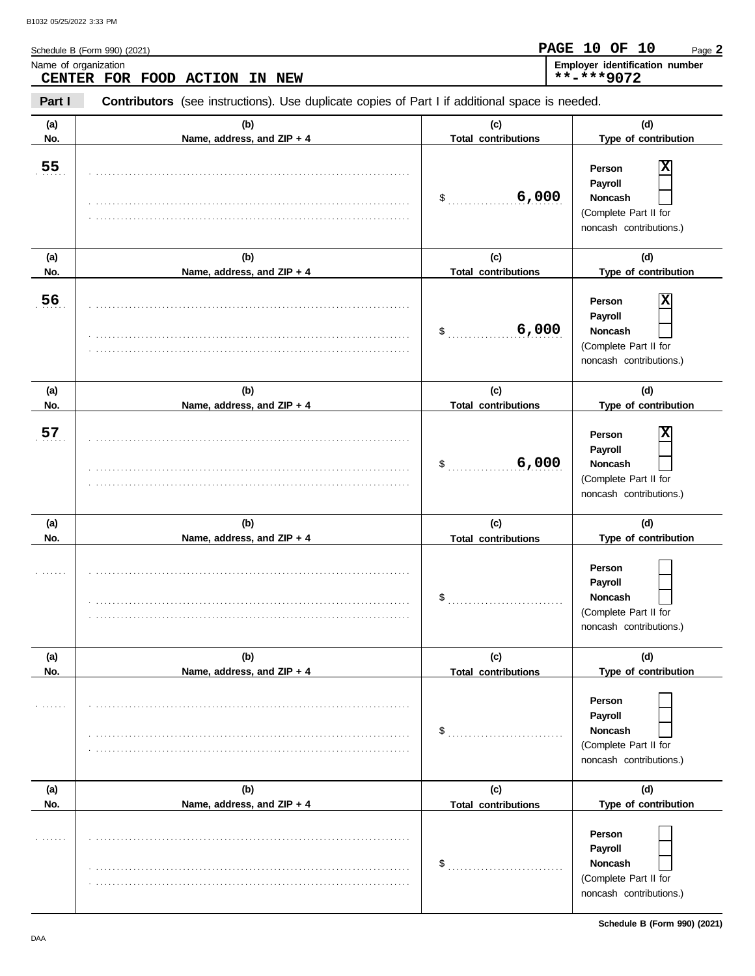**Name of organization** 

Schedule B (Form 990) (2021)

| GE 1 | 0 | דו<br>$\epsilon$ |  |
|------|---|------------------|--|
|      |   |                  |  |

| ame of organization           |  |  | <b>Employer identification number</b> |
|-------------------------------|--|--|---------------------------------------|
| CENTER FOR FOOD ACTION IN NEW |  |  | **-***9072                            |

**Part I Type of contribution Person Payroll Noncash (a) (b) (c) (d) No. Name, address, and ZIP + 4 Type of contribution Person Payroll Noncash (a) (b) (c) (d) No. Name, address, and ZIP + 4 Type of contribution Person Payroll Noncash (a) (b) (c) (d)** No. No. Name, address, and ZIP + 4 **Total contributions** Type of contribution **Person Payroll Noncash**  $\frac{1}{2}$ (Complete Part II for noncash contributions.) \$ . . . . . . . . . . . . . . . . . . . . . . . . . . . . (Complete Part II for noncash contributions.) \$ . . . . . . . . . . . . . . . . . . . . . . . . . . . . **6,000** (Complete Part II for noncash contributions.)  $\frac{1}{2}$ (Complete Part II for noncash contributions.)  $\frac{1}{2}$ (Complete Part II for noncash contributions.) \$ . . . . . . . . . . . . . . . . . . . . . . . . . . . . (Complete Part II for noncash contributions.) **Contributors** (see instructions). Use duplicate copies of Part I if additional space is needed. **(a) (b) (c) (d) No. Name, address, and ZIP + 4 Total contributions Type of contribution Person Payroll Noncash (a) (b) (c) (d)** No. **Name, address, and ZIP + 4 Total contributions** Type of contribution **Person Payroll Noncash (a) (b) (c) (d) No. Name, address, and ZIP + 4** . . . . . . . **55** . . . . . . . **56** . . . . . . . **57** . . . . . . . . . . . . . . . . . . . . . . . . . . . . . . . . . . . . . . . . . . . . . . . . . . . . . . . . . . . . . . . . . . . . . . . . . . . . . . . . . . . . . . . . . . . . . . . . . . . . . . . . . . . . . . . . . . . . . . . . . . . . . . . . . . . . . . . . . . . . . . . . . . . . . . . . . . . . . . . . . . . . . . . . . . . . . . . . . . . . . . . . . . . . . . . . . . . . . . . . . . . . . . . . . . . . . . . . . . . . . . . . . . . . . . . . . . . . . . . . . . . . . . . . . . . . . . . . . . . . . . . . . . . . . . . . . . . . . . . . . . . . . . . . . . . . . . . . . . . . . . . . . . . . . . . . . . . . . . . . . . . . . . . . . . . . . . . . . . . . . . . . . . . . . . . . . . . . . . . . . . . . . . . . . . . . . . . . . . . . . . . . . . . . . . . . . . . . . . . . . . . . . . . . . . . . . . . . . . . . . . . . . . . . . . . . . . . . . . . . . . . . . . . . . . . . . . . . . . . . . . . . . . . . . . . . . . . . . . . . . . . . . . . . . . . . . . . . . . . . . . . . . . . . . . . . . . . . . . . . . . . . . . . . . . . . . . . . . . . . . . . . . . . . . . . . . . . . . . . . . . . . . . . . . . . . . . . . . . . . . . . . . . . . . . . . . . . . . . . . . . . . . . . . . . . . . . . . . . . . . . . . . . . . . . . . . . . . . . . . . . . . . . . . . . . . . . . . . . . . . . . . . . . . . . . . . . . . . . . . . . . . . . . . . . . . . . . . . . . . . . . . . . . . . . . . . . . . . . . . . . . . . . . . . . . . . . . . . . . . . . . . . . . . . . . . . . . . . . . . . . . . . . . . . . . . . . . . . . . . . . . . . . . . . . . . . . . . . . . . . . . . . . . . . . . . . . . . . . . . . . . . . . . . . . . . . . . . . . . . . . . . . . . . . . . . . . . . . . . . . . . . . . . . . . . . . . . . . . . . . . . . . . . . . . . . . . . . . . . . . . . . . . . . . . . . . . . . . . . . . . . . . . . . . . . . . . . . . . . . . . . . . . . . . . . . . . . . . . . . . . . . . . . . . . . . . . . . . . . . . . . . . . . . . . . . . . . . . . . . . . . . . . . . . . . . . . . . . . . . . . . . . . . . . . . . . . . . . . . . . . . . . . . . . . . . . . . . . . . . . . . . . . . . . . . . . . . . . . . . . . . . . . . . . . . . . . . . . . . . . . . . . . . . . . . . . . . . . . . . . . . . . . . . . . . . . . . . . . . . . . . . . . . . . . . . . . . . . . . . . . . . . . . . . . . . . . . . . . . . . . . . . . . . . . . . . . . . . . . . . . . . . . . . . . . . . . . . . . . . . . . . . . . . . . . . . . . . . . . . . . . . . . . . . . . . . . . . . . . . . . . . . . . . . . . . . . . . . . . . . . . . . . . . . . . . . . . . . . . . . . . . . . . . . . . . . . . . . . . . . . . . . . . . . . . . . . . . . . . . . . . . . . . . . . . . . . . . . . . . . . . . . . . . . . . . . . . . . . . . . . . . . . . . . . . . . . . . . . . . . . . . . . . **Total contributions Total contributions Total contributions Total contributions Total contributions 6,000 X 6,000 X X**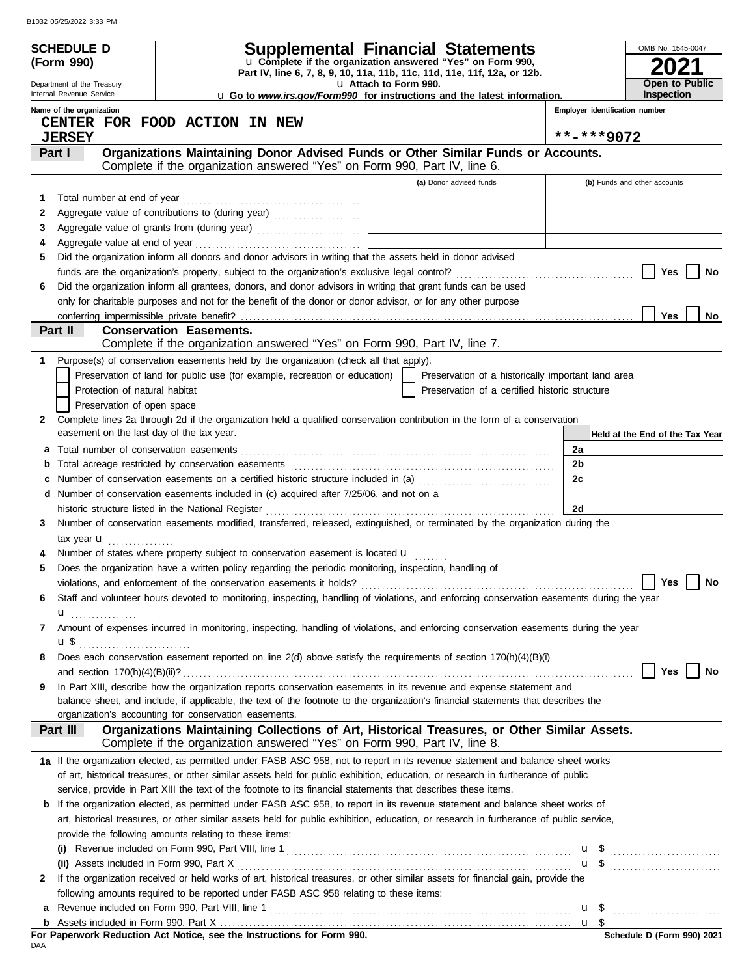|        | <b>SCHEDULE D</b>                         |                                                                                                                                                                           | <b>Supplemental Financial Statements</b>                                                          |                                | OMB No. 1545-0047               |
|--------|-------------------------------------------|---------------------------------------------------------------------------------------------------------------------------------------------------------------------------|---------------------------------------------------------------------------------------------------|--------------------------------|---------------------------------|
|        | (Form 990)                                |                                                                                                                                                                           | u Complete if the organization answered "Yes" on Form 990,                                        |                                |                                 |
|        | Department of the Treasury                |                                                                                                                                                                           | Part IV, line 6, 7, 8, 9, 10, 11a, 11b, 11c, 11d, 11e, 11f, 12a, or 12b.<br>u Attach to Form 990. |                                | Open to Public                  |
|        | Internal Revenue Service                  |                                                                                                                                                                           | <b>u</b> Go to www.irs.gov/Form990 for instructions and the latest information.                   |                                | Inspection                      |
|        | Name of the organization                  |                                                                                                                                                                           |                                                                                                   | Employer identification number |                                 |
|        | <b>JERSEY</b>                             | CENTER FOR FOOD ACTION IN NEW                                                                                                                                             |                                                                                                   | **-***9072                     |                                 |
|        | Part I                                    | Organizations Maintaining Donor Advised Funds or Other Similar Funds or Accounts.                                                                                         |                                                                                                   |                                |                                 |
|        |                                           | Complete if the organization answered "Yes" on Form 990, Part IV, line 6.                                                                                                 |                                                                                                   |                                |                                 |
|        |                                           |                                                                                                                                                                           | (a) Donor advised funds                                                                           |                                | (b) Funds and other accounts    |
| 1      |                                           |                                                                                                                                                                           |                                                                                                   |                                |                                 |
| 2      |                                           | Aggregate value of contributions to (during year)                                                                                                                         |                                                                                                   |                                |                                 |
| 3      |                                           |                                                                                                                                                                           |                                                                                                   |                                |                                 |
| 4<br>5 |                                           | Did the organization inform all donors and donor advisors in writing that the assets held in donor advised                                                                |                                                                                                   |                                |                                 |
|        |                                           |                                                                                                                                                                           |                                                                                                   |                                | Yes<br>No                       |
| 6      |                                           | Did the organization inform all grantees, donors, and donor advisors in writing that grant funds can be used                                                              |                                                                                                   |                                |                                 |
|        |                                           | only for charitable purposes and not for the benefit of the donor or donor advisor, or for any other purpose                                                              |                                                                                                   |                                |                                 |
|        | conferring impermissible private benefit? |                                                                                                                                                                           |                                                                                                   |                                | <b>Yes</b><br>No                |
|        | Part II                                   | <b>Conservation Easements.</b><br>Complete if the organization answered "Yes" on Form 990, Part IV, line 7.                                                               |                                                                                                   |                                |                                 |
| 1.     |                                           | Purpose(s) of conservation easements held by the organization (check all that apply).                                                                                     |                                                                                                   |                                |                                 |
|        |                                           | Preservation of land for public use (for example, recreation or education)                                                                                                | Preservation of a historically important land area                                                |                                |                                 |
|        | Protection of natural habitat             |                                                                                                                                                                           | Preservation of a certified historic structure                                                    |                                |                                 |
|        | Preservation of open space                |                                                                                                                                                                           |                                                                                                   |                                |                                 |
| 2      |                                           | Complete lines 2a through 2d if the organization held a qualified conservation contribution in the form of a conservation                                                 |                                                                                                   |                                |                                 |
|        | easement on the last day of the tax year. |                                                                                                                                                                           |                                                                                                   |                                | Held at the End of the Tax Year |
|        |                                           |                                                                                                                                                                           |                                                                                                   | 2a                             |                                 |
| b      |                                           |                                                                                                                                                                           |                                                                                                   | 2b                             |                                 |
|        |                                           | Number of conservation easements on a certified historic structure included in (a)                                                                                        |                                                                                                   | 2c                             |                                 |
|        |                                           | d Number of conservation easements included in (c) acquired after 7/25/06, and not on a                                                                                   |                                                                                                   | 2d                             |                                 |
| 3      |                                           | Number of conservation easements modified, transferred, released, extinguished, or terminated by the organization during the                                              |                                                                                                   |                                |                                 |
|        | tax year $\mathbf u$                      |                                                                                                                                                                           |                                                                                                   |                                |                                 |
|        |                                           | Number of states where property subject to conservation easement is located u                                                                                             |                                                                                                   |                                |                                 |
| 5      |                                           | Does the organization have a written policy regarding the periodic monitoring, inspection, handling of                                                                    |                                                                                                   |                                |                                 |
|        |                                           |                                                                                                                                                                           |                                                                                                   |                                | Yes $\Box$ No                   |
| 6      |                                           | Staff and volunteer hours devoted to monitoring, inspecting, handling of violations, and enforcing conservation easements during the year                                 |                                                                                                   |                                |                                 |
|        | ${\bf u}$                                 |                                                                                                                                                                           |                                                                                                   |                                |                                 |
| 7      |                                           | Amount of expenses incurred in monitoring, inspecting, handling of violations, and enforcing conservation easements during the year                                       |                                                                                                   |                                |                                 |
| 8      |                                           | Does each conservation easement reported on line 2(d) above satisfy the requirements of section 170(h)(4)(B)(i)                                                           |                                                                                                   |                                |                                 |
|        |                                           |                                                                                                                                                                           |                                                                                                   |                                | Yes<br>No                       |
| 9      |                                           | In Part XIII, describe how the organization reports conservation easements in its revenue and expense statement and                                                       |                                                                                                   |                                |                                 |
|        |                                           | balance sheet, and include, if applicable, the text of the footnote to the organization's financial statements that describes the                                         |                                                                                                   |                                |                                 |
|        |                                           | organization's accounting for conservation easements.                                                                                                                     |                                                                                                   |                                |                                 |
|        | Part III                                  | Organizations Maintaining Collections of Art, Historical Treasures, or Other Similar Assets.<br>Complete if the organization answered "Yes" on Form 990, Part IV, line 8. |                                                                                                   |                                |                                 |
|        |                                           | 1a If the organization elected, as permitted under FASB ASC 958, not to report in its revenue statement and balance sheet works                                           |                                                                                                   |                                |                                 |
|        |                                           | of art, historical treasures, or other similar assets held for public exhibition, education, or research in furtherance of public                                         |                                                                                                   |                                |                                 |
|        |                                           | service, provide in Part XIII the text of the footnote to its financial statements that describes these items.                                                            |                                                                                                   |                                |                                 |
|        |                                           | <b>b</b> If the organization elected, as permitted under FASB ASC 958, to report in its revenue statement and balance sheet works of                                      |                                                                                                   |                                |                                 |
|        |                                           | art, historical treasures, or other similar assets held for public exhibition, education, or research in furtherance of public service,                                   |                                                                                                   |                                |                                 |
|        |                                           | provide the following amounts relating to these items:                                                                                                                    |                                                                                                   |                                |                                 |
|        |                                           |                                                                                                                                                                           |                                                                                                   |                                |                                 |
|        |                                           | If the organization received or held works of art, historical treasures, or other similar assets for financial gain, provide the                                          |                                                                                                   |                                | $\mathbf{u}$ \$                 |
| 2      |                                           | following amounts required to be reported under FASB ASC 958 relating to these items:                                                                                     |                                                                                                   |                                |                                 |
| a      |                                           |                                                                                                                                                                           |                                                                                                   |                                |                                 |
|        |                                           |                                                                                                                                                                           |                                                                                                   | $\mathbf{u}$ s                 |                                 |

|     |  |  | For Paperwork Reduction Act Notice, see the Instructions for Form 990. |  |  |
|-----|--|--|------------------------------------------------------------------------|--|--|
| DAA |  |  |                                                                        |  |  |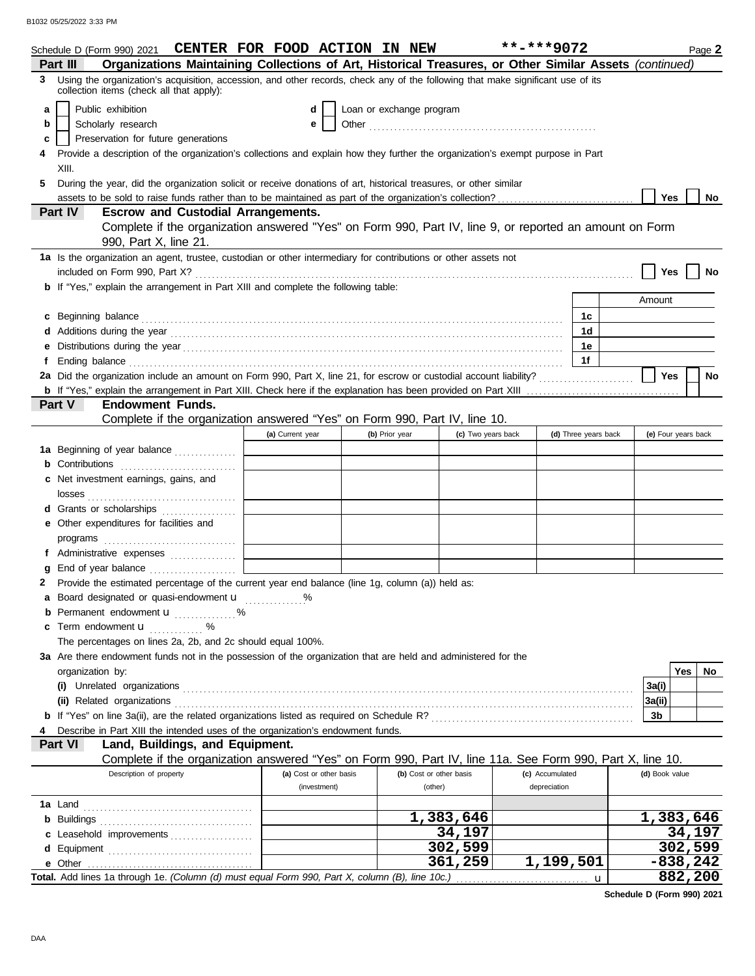|    | Schedule D (Form 990) 2021 CENTER FOR FOOD ACTION IN NEW                                                                                                                                                                             |                         |                          |                         | $***$ -***9072  |                      | Page 2              |  |
|----|--------------------------------------------------------------------------------------------------------------------------------------------------------------------------------------------------------------------------------------|-------------------------|--------------------------|-------------------------|-----------------|----------------------|---------------------|--|
|    | Organizations Maintaining Collections of Art, Historical Treasures, or Other Similar Assets (continued)<br>Part III                                                                                                                  |                         |                          |                         |                 |                      |                     |  |
| 3  | Using the organization's acquisition, accession, and other records, check any of the following that make significant use of its<br>collection items (check all that apply):                                                          |                         |                          |                         |                 |                      |                     |  |
| a  | Public exhibition                                                                                                                                                                                                                    | d                       | Loan or exchange program |                         |                 |                      |                     |  |
| b  | Scholarly research                                                                                                                                                                                                                   | е                       |                          |                         |                 |                      |                     |  |
| c  | Preservation for future generations                                                                                                                                                                                                  |                         |                          |                         |                 |                      |                     |  |
|    | Provide a description of the organization's collections and explain how they further the organization's exempt purpose in Part<br>XIII.                                                                                              |                         |                          |                         |                 |                      |                     |  |
| 5. | During the year, did the organization solicit or receive donations of art, historical treasures, or other similar                                                                                                                    |                         |                          |                         |                 |                      |                     |  |
|    | assets to be sold to raise funds rather than to be maintained as part of the organization's collection?                                                                                                                              |                         |                          |                         |                 |                      | Yes<br>No           |  |
|    | <b>Escrow and Custodial Arrangements.</b><br><b>Part IV</b>                                                                                                                                                                          |                         |                          |                         |                 |                      |                     |  |
|    | Complete if the organization answered "Yes" on Form 990, Part IV, line 9, or reported an amount on Form<br>990, Part X, line 21.                                                                                                     |                         |                          |                         |                 |                      |                     |  |
|    | 1a Is the organization an agent, trustee, custodian or other intermediary for contributions or other assets not                                                                                                                      |                         |                          |                         |                 |                      | Yes<br>No           |  |
|    | <b>b</b> If "Yes," explain the arrangement in Part XIII and complete the following table:                                                                                                                                            |                         |                          |                         |                 |                      |                     |  |
|    |                                                                                                                                                                                                                                      |                         |                          |                         |                 |                      | Amount              |  |
|    | c Beginning balance <b>contract to the contract of the set of the contract of the contract of the contract of the contract of the contract of the contract of the contract of the contract of the contract of the contract of th</b> |                         |                          |                         |                 | 1с                   |                     |  |
|    |                                                                                                                                                                                                                                      |                         |                          |                         |                 | 1d                   |                     |  |
| е  | Distributions during the year manufactured and contact the year manufactured and all the year manufactured and the vector of the state of the state of the state of the state of the state of the state of the state of the st       |                         |                          |                         |                 | 1e                   |                     |  |
| f  | Ending balance <b>construction and the construction of the construction</b> of the construction of the construction of the construction of the construction of the construction of the construction of the construction of the cons  |                         |                          |                         |                 | 1f                   |                     |  |
|    | 2a Did the organization include an amount on Form 990, Part X, line 21, for escrow or custodial account liability?                                                                                                                   |                         |                          |                         |                 |                      | Yes<br><b>No</b>    |  |
|    |                                                                                                                                                                                                                                      |                         |                          |                         |                 |                      |                     |  |
|    | Part V<br><b>Endowment Funds.</b>                                                                                                                                                                                                    |                         |                          |                         |                 |                      |                     |  |
|    | Complete if the organization answered "Yes" on Form 990, Part IV, line 10.                                                                                                                                                           |                         |                          |                         |                 |                      |                     |  |
|    |                                                                                                                                                                                                                                      | (a) Current year        | (b) Prior year           | (c) Two years back      |                 | (d) Three years back | (e) Four years back |  |
|    | 1a Beginning of year balance                                                                                                                                                                                                         |                         |                          |                         |                 |                      |                     |  |
|    |                                                                                                                                                                                                                                      |                         |                          |                         |                 |                      |                     |  |
|    | c Net investment earnings, gains, and                                                                                                                                                                                                |                         |                          |                         |                 |                      |                     |  |
|    |                                                                                                                                                                                                                                      |                         |                          |                         |                 |                      |                     |  |
|    | d Grants or scholarships                                                                                                                                                                                                             |                         |                          |                         |                 |                      |                     |  |
|    | e Other expenditures for facilities and                                                                                                                                                                                              |                         |                          |                         |                 |                      |                     |  |
|    |                                                                                                                                                                                                                                      |                         |                          |                         |                 |                      |                     |  |
|    | f Administrative expenses                                                                                                                                                                                                            |                         |                          |                         |                 |                      |                     |  |
| g  | End of year balance                                                                                                                                                                                                                  |                         |                          |                         |                 |                      |                     |  |
| 2  | Provide the estimated percentage of the current year end balance (line 1g, column (a)) held as:                                                                                                                                      |                         |                          |                         |                 |                      |                     |  |
|    | a Board designated or quasi-endowment u                                                                                                                                                                                              |                         |                          |                         |                 |                      |                     |  |
|    | <b>b</b> Permanent endowment <b>u</b> %                                                                                                                                                                                              |                         |                          |                         |                 |                      |                     |  |
|    | c Term endowment <b>u</b> %                                                                                                                                                                                                          |                         |                          |                         |                 |                      |                     |  |
|    | The percentages on lines 2a, 2b, and 2c should equal 100%.                                                                                                                                                                           |                         |                          |                         |                 |                      |                     |  |
|    | 3a Are there endowment funds not in the possession of the organization that are held and administered for the                                                                                                                        |                         |                          |                         |                 |                      |                     |  |
|    | organization by:                                                                                                                                                                                                                     |                         |                          |                         |                 |                      | Yes<br>No           |  |
|    |                                                                                                                                                                                                                                      |                         |                          |                         |                 |                      | 3a(i)               |  |
|    |                                                                                                                                                                                                                                      |                         |                          |                         |                 |                      | 3a(ii)              |  |
|    |                                                                                                                                                                                                                                      |                         |                          |                         |                 |                      | 3b                  |  |
|    | Describe in Part XIII the intended uses of the organization's endowment funds.                                                                                                                                                       |                         |                          |                         |                 |                      |                     |  |
|    | Land, Buildings, and Equipment.<br>Part VI                                                                                                                                                                                           |                         |                          |                         |                 |                      |                     |  |
|    | Complete if the organization answered "Yes" on Form 990, Part IV, line 11a. See Form 990, Part X, line 10.                                                                                                                           |                         |                          |                         |                 |                      |                     |  |
|    | Description of property                                                                                                                                                                                                              | (a) Cost or other basis |                          | (b) Cost or other basis | (c) Accumulated |                      | (d) Book value      |  |
|    |                                                                                                                                                                                                                                      | (investment)            |                          | (other)                 | depreciation    |                      |                     |  |
|    |                                                                                                                                                                                                                                      |                         |                          |                         |                 |                      |                     |  |
|    |                                                                                                                                                                                                                                      |                         |                          | 1,383,646               |                 |                      | 1,383,646           |  |
|    | c Leasehold improvements                                                                                                                                                                                                             |                         |                          | 34,197                  |                 |                      | 34,197              |  |
| d  |                                                                                                                                                                                                                                      |                         |                          | 302,599                 |                 |                      | 302,599             |  |
|    |                                                                                                                                                                                                                                      |                         |                          | 361,259                 | 1,199,501       |                      | $-838, 242$         |  |
|    |                                                                                                                                                                                                                                      |                         |                          |                         |                 | u                    | 882,200             |  |

**Schedule D (Form 990) 2021**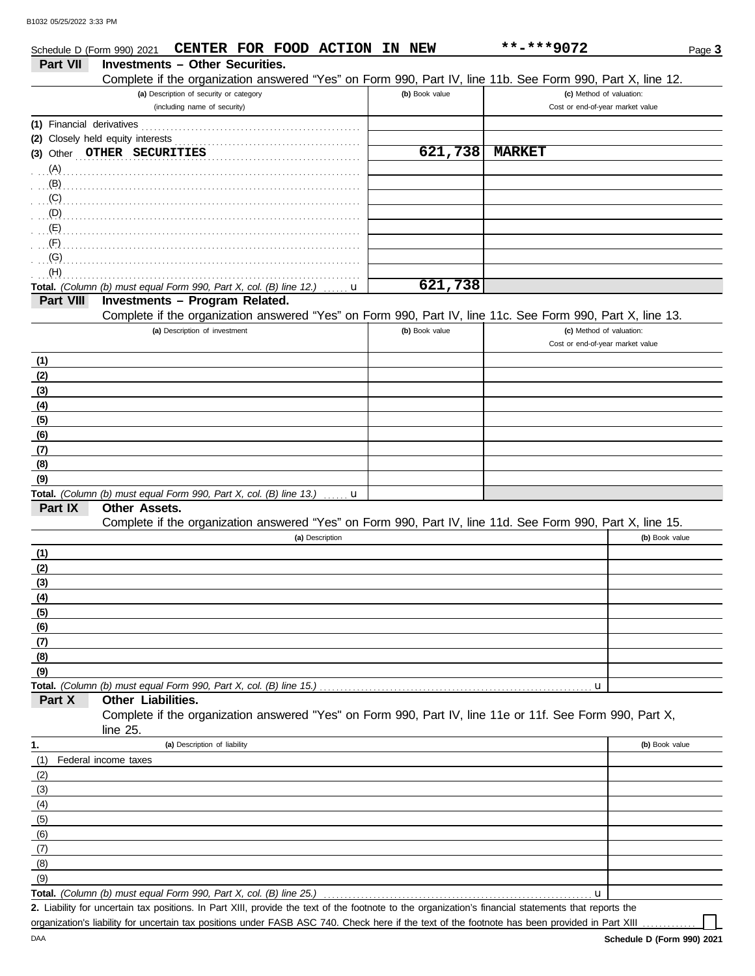|                           | CENTER FOR FOOD ACTION IN NEW<br>Schedule D (Form 990) 2021                                                |                | **-***9072                       | Page 3         |
|---------------------------|------------------------------------------------------------------------------------------------------------|----------------|----------------------------------|----------------|
| Part VII                  | <b>Investments - Other Securities.</b>                                                                     |                |                                  |                |
|                           | Complete if the organization answered "Yes" on Form 990, Part IV, line 11b. See Form 990, Part X, line 12. |                |                                  |                |
|                           | (a) Description of security or category                                                                    | (b) Book value | (c) Method of valuation:         |                |
|                           | (including name of security)                                                                               |                | Cost or end-of-year market value |                |
| (1) Financial derivatives |                                                                                                            |                |                                  |                |
|                           | (2) Closely held equity interests                                                                          |                |                                  |                |
|                           | (3) Other OTHER SECURITIES                                                                                 | 621,738        | <b>MARKET</b>                    |                |
| (A)                       |                                                                                                            |                |                                  |                |
| (B)                       |                                                                                                            |                |                                  |                |
| (C)                       |                                                                                                            |                |                                  |                |
| (D)                       |                                                                                                            |                |                                  |                |
| (E)                       |                                                                                                            |                |                                  |                |
| (F)                       |                                                                                                            |                |                                  |                |
| (G)                       |                                                                                                            |                |                                  |                |
| (H)                       |                                                                                                            |                |                                  |                |
|                           | Total. (Column (b) must equal Form 990, Part X, col. (B) line 12.)<br>u                                    | 621,738        |                                  |                |
| Part VIII                 | Investments - Program Related.                                                                             |                |                                  |                |
|                           | Complete if the organization answered "Yes" on Form 990, Part IV, line 11c. See Form 990, Part X, line 13. |                |                                  |                |
|                           | (a) Description of investment                                                                              | (b) Book value | (c) Method of valuation:         |                |
|                           |                                                                                                            |                | Cost or end-of-year market value |                |
| (1)                       |                                                                                                            |                |                                  |                |
| (2)                       |                                                                                                            |                |                                  |                |
| (3)                       |                                                                                                            |                |                                  |                |
| (4)                       |                                                                                                            |                |                                  |                |
| (5)                       |                                                                                                            |                |                                  |                |
| (6)                       |                                                                                                            |                |                                  |                |
| (7)                       |                                                                                                            |                |                                  |                |
| (8)                       |                                                                                                            |                |                                  |                |
| (9)                       |                                                                                                            |                |                                  |                |
|                           | Total. (Column (b) must equal Form 990, Part X, col. (B) line 13.)<br>u                                    |                |                                  |                |
| Part IX                   | <b>Other Assets.</b>                                                                                       |                |                                  |                |
|                           | Complete if the organization answered "Yes" on Form 990, Part IV, line 11d. See Form 990, Part X, line 15. |                |                                  |                |
|                           | (a) Description                                                                                            |                |                                  | (b) Book value |
| (1)                       |                                                                                                            |                |                                  |                |
| (2)                       |                                                                                                            |                |                                  |                |
| (3)                       |                                                                                                            |                |                                  |                |
| (4)                       |                                                                                                            |                |                                  |                |
| (5)                       |                                                                                                            |                |                                  |                |
| (6)                       |                                                                                                            |                |                                  |                |
| (7)                       |                                                                                                            |                |                                  |                |
| (8)                       |                                                                                                            |                |                                  |                |
| (9)                       |                                                                                                            |                |                                  |                |
|                           | Total. (Column (b) must equal Form 990, Part X, col. (B) line 15.)                                         |                | u                                |                |
| Part X                    | Other Liabilities.                                                                                         |                |                                  |                |
|                           | Complete if the organization answered "Yes" on Form 990, Part IV, line 11e or 11f. See Form 990, Part X,   |                |                                  |                |
|                           | line 25.                                                                                                   |                |                                  |                |
| 1.                        | (a) Description of liability                                                                               |                |                                  | (b) Book value |
| (1)                       | Federal income taxes                                                                                       |                |                                  |                |
| (2)                       |                                                                                                            |                |                                  |                |
| (3)                       |                                                                                                            |                |                                  |                |
| (4)                       |                                                                                                            |                |                                  |                |
| (5)                       |                                                                                                            |                |                                  |                |
| (6)                       |                                                                                                            |                |                                  |                |
| (7)                       |                                                                                                            |                |                                  |                |
| (8)                       |                                                                                                            |                |                                  |                |
| (9)                       |                                                                                                            |                |                                  |                |
|                           | Total. (Column (b) must equal Form 990, Part X, col. (B) line 25.)                                         |                | u                                |                |
|                           |                                                                                                            |                |                                  |                |

Liability for uncertain tax positions. In Part XIII, provide the text of the footnote to the organization's financial statements that reports the **2.** organization's liability for uncertain tax positions under FASB ASC 740. Check here if the text of the footnote has been provided in Part XIII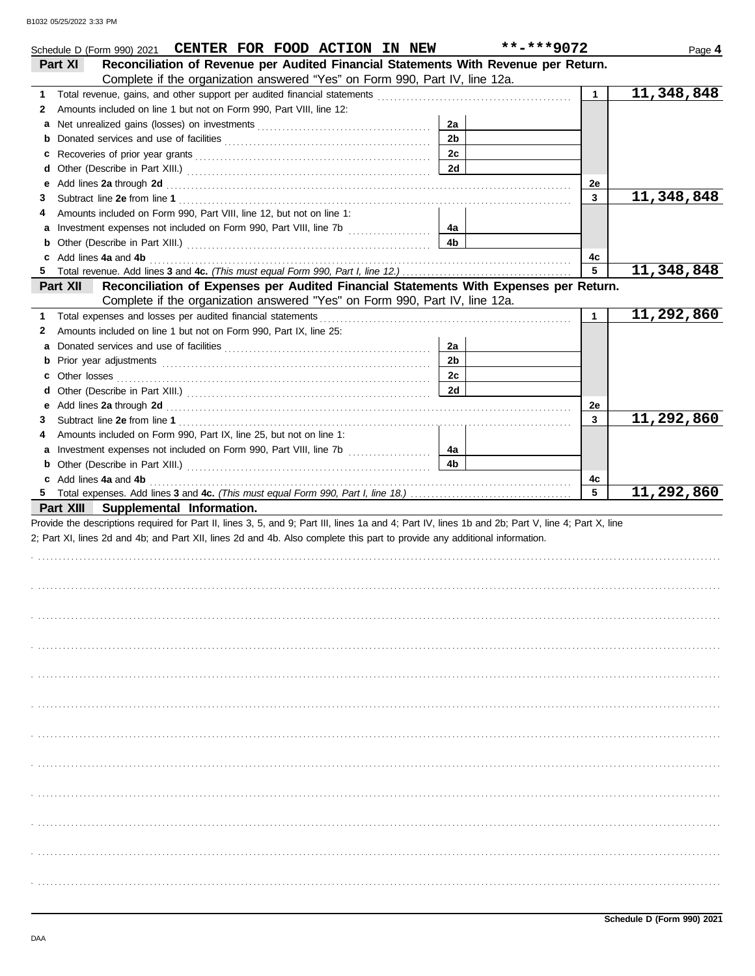|    | Schedule D (Form 990) 2021 CENTER FOR FOOD ACTION IN NEW                                                                                                                                                                       |                      | **-***9072      | Page 4                  |
|----|--------------------------------------------------------------------------------------------------------------------------------------------------------------------------------------------------------------------------------|----------------------|-----------------|-------------------------|
|    | Reconciliation of Revenue per Audited Financial Statements With Revenue per Return.<br>Part XI                                                                                                                                 |                      |                 |                         |
|    | Complete if the organization answered "Yes" on Form 990, Part IV, line 12a.                                                                                                                                                    |                      |                 |                         |
| 1  |                                                                                                                                                                                                                                |                      | $\mathbf{1}$    | 11,348,848              |
| 2  | Amounts included on line 1 but not on Form 990, Part VIII, line 12:                                                                                                                                                            |                      |                 |                         |
| а  |                                                                                                                                                                                                                                | 2a                   |                 |                         |
| b  |                                                                                                                                                                                                                                | 2 <sub>b</sub>       |                 |                         |
| с  |                                                                                                                                                                                                                                | 2c                   |                 |                         |
| d  |                                                                                                                                                                                                                                | 2d                   |                 |                         |
| е  | Add lines 2a through 2d [11] Add [12] Add [12] Add lines 2a through 2d [12] Add lines 2a through 2d [12] Add [12] Add [12] Add [12] Add [12] Add [12] Add [12] Add [12] Add [12] Add [12] Add [12] Add [12] Add [12] Add [12]  |                      | 2e              |                         |
| 3  |                                                                                                                                                                                                                                |                      | 3               | 11,348,848              |
| 4  | Amounts included on Form 990, Part VIII, line 12, but not on line 1:                                                                                                                                                           |                      |                 |                         |
| а  |                                                                                                                                                                                                                                | 4a                   |                 |                         |
| b  |                                                                                                                                                                                                                                | 4b                   |                 |                         |
|    | Add lines 4a and 4b                                                                                                                                                                                                            |                      | 4с              |                         |
| 5  |                                                                                                                                                                                                                                |                      | $5\phantom{.0}$ | 11,348,848              |
|    | Reconciliation of Expenses per Audited Financial Statements With Expenses per Return.<br>Part XII                                                                                                                              |                      |                 |                         |
|    | Complete if the organization answered "Yes" on Form 990, Part IV, line 12a.                                                                                                                                                    |                      |                 |                         |
| 1  | Total expenses and losses per audited financial statements                                                                                                                                                                     |                      | $\mathbf{1}$    | 11,292,860              |
| 2  | Amounts included on line 1 but not on Form 990, Part IX, line 25:                                                                                                                                                              |                      |                 |                         |
| a  |                                                                                                                                                                                                                                | 2a                   |                 |                         |
| b  |                                                                                                                                                                                                                                | 2 <sub>b</sub>       |                 |                         |
| с  |                                                                                                                                                                                                                                | 2c                   |                 |                         |
| d  |                                                                                                                                                                                                                                | 2d                   |                 |                         |
| е  | Add lines 2a through 2d [11] March 2014 [12] March 2014 [12] March 2014 [12] March 2014 [12] March 2014 [12] March 2015 [12] March 2014 [12] March 2014 [12] March 2014 [12] March 2014 [12] March 2014 [12] March 2014 [12] M |                      | 2e              | $\overline{11,292,860}$ |
| 3  |                                                                                                                                                                                                                                |                      | 3               |                         |
| 4  | Amounts included on Form 990, Part IX, line 25, but not on line 1:                                                                                                                                                             |                      |                 |                         |
| а  |                                                                                                                                                                                                                                | 4a<br>4 <sub>b</sub> |                 |                         |
| b  |                                                                                                                                                                                                                                |                      |                 |                         |
| 5. | c Add lines 4a and 4b                                                                                                                                                                                                          |                      | 4c<br>5         | 11,292,860              |
|    | Part XIII Supplemental Information.                                                                                                                                                                                            |                      |                 |                         |
|    | Provide the descriptions required for Part II, lines 3, 5, and 9; Part III, lines 1a and 4; Part IV, lines 1b and 2b; Part V, line 4; Part X, line                                                                             |                      |                 |                         |
|    | 2; Part XI, lines 2d and 4b; and Part XII, lines 2d and 4b. Also complete this part to provide any additional information.                                                                                                     |                      |                 |                         |
|    |                                                                                                                                                                                                                                |                      |                 |                         |
|    |                                                                                                                                                                                                                                |                      |                 |                         |
|    |                                                                                                                                                                                                                                |                      |                 |                         |
|    |                                                                                                                                                                                                                                |                      |                 |                         |
|    |                                                                                                                                                                                                                                |                      |                 |                         |
|    |                                                                                                                                                                                                                                |                      |                 |                         |
|    |                                                                                                                                                                                                                                |                      |                 |                         |
|    |                                                                                                                                                                                                                                |                      |                 |                         |
|    |                                                                                                                                                                                                                                |                      |                 |                         |
|    |                                                                                                                                                                                                                                |                      |                 |                         |
|    |                                                                                                                                                                                                                                |                      |                 |                         |
|    |                                                                                                                                                                                                                                |                      |                 |                         |
|    |                                                                                                                                                                                                                                |                      |                 |                         |
|    |                                                                                                                                                                                                                                |                      |                 |                         |
|    |                                                                                                                                                                                                                                |                      |                 |                         |
|    |                                                                                                                                                                                                                                |                      |                 |                         |
|    |                                                                                                                                                                                                                                |                      |                 |                         |
|    |                                                                                                                                                                                                                                |                      |                 |                         |
|    |                                                                                                                                                                                                                                |                      |                 |                         |
|    |                                                                                                                                                                                                                                |                      |                 |                         |
|    |                                                                                                                                                                                                                                |                      |                 |                         |
|    |                                                                                                                                                                                                                                |                      |                 |                         |
|    |                                                                                                                                                                                                                                |                      |                 |                         |
|    |                                                                                                                                                                                                                                |                      |                 |                         |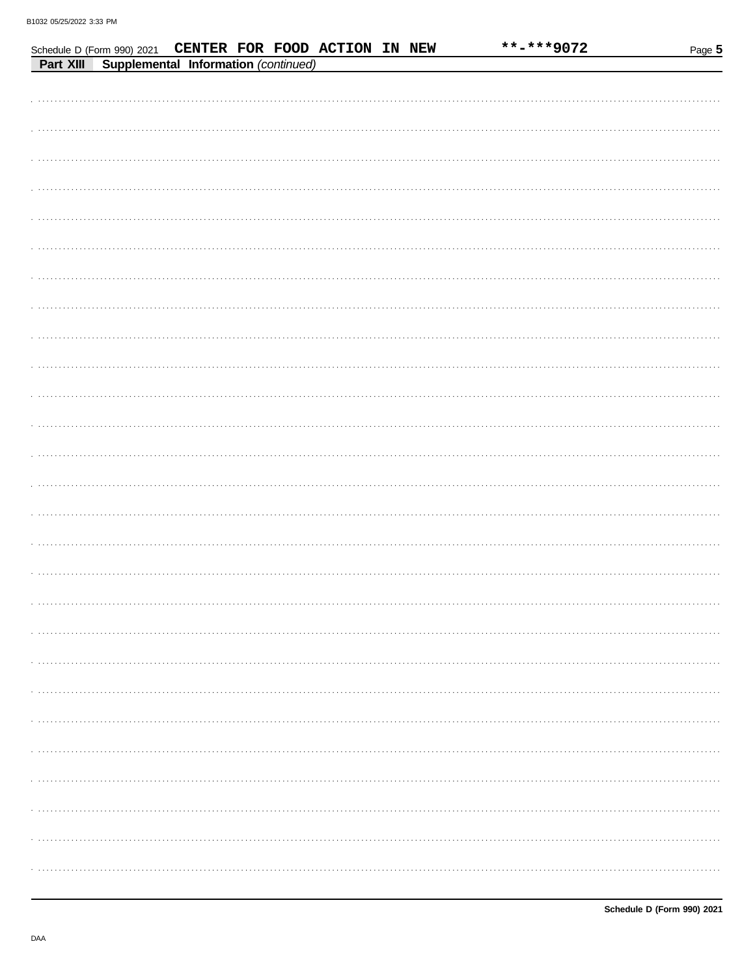|  |                                                | Schedule D (Form 990) 2021 CENTER FOR FOOD ACTION IN NEW |  | **-***9072 | Page 5 |
|--|------------------------------------------------|----------------------------------------------------------|--|------------|--------|
|  | Part XIII Supplemental Information (continued) |                                                          |  |            |        |
|  |                                                |                                                          |  |            |        |
|  |                                                |                                                          |  |            |        |
|  |                                                |                                                          |  |            |        |
|  |                                                |                                                          |  |            |        |
|  |                                                |                                                          |  |            |        |
|  |                                                |                                                          |  |            |        |
|  |                                                |                                                          |  |            |        |
|  |                                                |                                                          |  |            |        |
|  |                                                |                                                          |  |            |        |
|  |                                                |                                                          |  |            |        |
|  |                                                |                                                          |  |            |        |
|  |                                                |                                                          |  |            |        |
|  |                                                |                                                          |  |            |        |
|  |                                                |                                                          |  |            |        |
|  |                                                |                                                          |  |            |        |
|  |                                                |                                                          |  |            |        |
|  |                                                |                                                          |  |            |        |
|  |                                                |                                                          |  |            |        |
|  |                                                |                                                          |  |            |        |
|  |                                                |                                                          |  |            |        |
|  |                                                |                                                          |  |            |        |
|  |                                                |                                                          |  |            |        |
|  |                                                |                                                          |  |            |        |
|  |                                                |                                                          |  |            |        |
|  |                                                |                                                          |  |            |        |
|  |                                                |                                                          |  |            |        |
|  |                                                |                                                          |  |            |        |
|  |                                                |                                                          |  |            |        |
|  |                                                |                                                          |  |            |        |
|  |                                                |                                                          |  |            |        |
|  |                                                |                                                          |  |            |        |
|  |                                                |                                                          |  |            |        |
|  |                                                |                                                          |  |            |        |
|  |                                                |                                                          |  |            |        |
|  |                                                |                                                          |  |            |        |
|  |                                                |                                                          |  |            |        |
|  |                                                |                                                          |  |            |        |
|  |                                                |                                                          |  |            |        |
|  |                                                |                                                          |  |            |        |
|  |                                                |                                                          |  |            |        |
|  |                                                |                                                          |  |            |        |
|  |                                                |                                                          |  |            |        |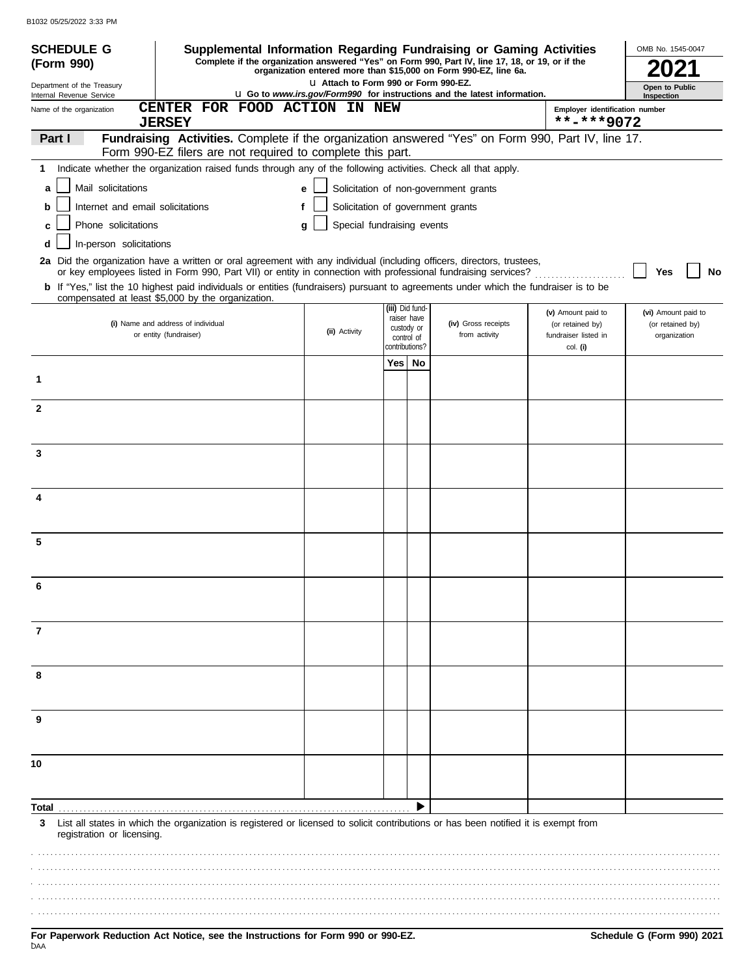| <b>SCHEDULE G</b><br>(Form 990)                              | Supplemental Information Regarding Fundraising or Gaming Activities<br>Complete if the organization answered "Yes" on Form 990, Part IV, line 17, 18, or 19, or if the                     |                                        | OMB No. 1545-0047             |                                                                                 |                                              |                                  |
|--------------------------------------------------------------|--------------------------------------------------------------------------------------------------------------------------------------------------------------------------------------------|----------------------------------------|-------------------------------|---------------------------------------------------------------------------------|----------------------------------------------|----------------------------------|
| Department of the Treasury                                   |                                                                                                                                                                                            | LI Attach to Form 990 or Form 990-EZ.  |                               | organization entered more than \$15,000 on Form 990-EZ, line 6a.                |                                              |                                  |
| Internal Revenue Service                                     |                                                                                                                                                                                            |                                        |                               | <b>u</b> Go to www.irs.gov/Form990 for instructions and the latest information. |                                              | Open to Public<br>Inspection     |
| Name of the organization                                     | FOR FOOD ACTION IN NEW<br><b>CENTER</b><br><b>JERSEY</b>                                                                                                                                   |                                        |                               |                                                                                 | Employer identification number<br>**-***9072 |                                  |
| Part I                                                       | Fundraising Activities. Complete if the organization answered "Yes" on Form 990, Part IV, line 17.                                                                                         |                                        |                               |                                                                                 |                                              |                                  |
|                                                              | Form 990-EZ filers are not required to complete this part.                                                                                                                                 |                                        |                               |                                                                                 |                                              |                                  |
| 1                                                            | Indicate whether the organization raised funds through any of the following activities. Check all that apply.                                                                              |                                        |                               |                                                                                 |                                              |                                  |
| Mail solicitations<br>a                                      |                                                                                                                                                                                            | e                                      |                               | Solicitation of non-government grants                                           |                                              |                                  |
| Internet and email solicitations<br>b<br>Phone solicitations |                                                                                                                                                                                            | Solicitation of government grants<br>f |                               |                                                                                 |                                              |                                  |
| c<br>In-person solicitations<br>d                            |                                                                                                                                                                                            | Special fundraising events<br>q        |                               |                                                                                 |                                              |                                  |
|                                                              | 2a Did the organization have a written or oral agreement with any individual (including officers, directors, trustees,                                                                     |                                        |                               |                                                                                 |                                              |                                  |
|                                                              | or key employees listed in Form 990, Part VII) or entity in connection with professional fundraising services?                                                                             |                                        |                               |                                                                                 |                                              | Yes<br>No                        |
|                                                              | b If "Yes," list the 10 highest paid individuals or entities (fundraisers) pursuant to agreements under which the fundraiser is to be<br>compensated at least \$5,000 by the organization. |                                        |                               |                                                                                 |                                              |                                  |
|                                                              |                                                                                                                                                                                            |                                        | (iii) Did fund<br>raiser have |                                                                                 | (v) Amount paid to                           | (vi) Amount paid to              |
|                                                              | (i) Name and address of individual<br>or entity (fundraiser)                                                                                                                               | (ii) Activity                          | custody or<br>control of      | (iv) Gross receipts<br>from activity                                            | (or retained by)<br>fundraiser listed in     | (or retained by)<br>organization |
|                                                              |                                                                                                                                                                                            |                                        | contributions?<br>Yes   No    |                                                                                 | col. (i)                                     |                                  |
| 1                                                            |                                                                                                                                                                                            |                                        |                               |                                                                                 |                                              |                                  |
|                                                              |                                                                                                                                                                                            |                                        |                               |                                                                                 |                                              |                                  |
| $\mathbf{2}$                                                 |                                                                                                                                                                                            |                                        |                               |                                                                                 |                                              |                                  |
|                                                              |                                                                                                                                                                                            |                                        |                               |                                                                                 |                                              |                                  |
| 3                                                            |                                                                                                                                                                                            |                                        |                               |                                                                                 |                                              |                                  |
|                                                              |                                                                                                                                                                                            |                                        |                               |                                                                                 |                                              |                                  |
| 4                                                            |                                                                                                                                                                                            |                                        |                               |                                                                                 |                                              |                                  |
|                                                              |                                                                                                                                                                                            |                                        |                               |                                                                                 |                                              |                                  |
| 5                                                            |                                                                                                                                                                                            |                                        |                               |                                                                                 |                                              |                                  |
|                                                              |                                                                                                                                                                                            |                                        |                               |                                                                                 |                                              |                                  |
|                                                              |                                                                                                                                                                                            |                                        |                               |                                                                                 |                                              |                                  |
| 6                                                            |                                                                                                                                                                                            |                                        |                               |                                                                                 |                                              |                                  |
|                                                              |                                                                                                                                                                                            |                                        |                               |                                                                                 |                                              |                                  |
| 7                                                            |                                                                                                                                                                                            |                                        |                               |                                                                                 |                                              |                                  |
|                                                              |                                                                                                                                                                                            |                                        |                               |                                                                                 |                                              |                                  |
| 8                                                            |                                                                                                                                                                                            |                                        |                               |                                                                                 |                                              |                                  |
|                                                              |                                                                                                                                                                                            |                                        |                               |                                                                                 |                                              |                                  |
| 9                                                            |                                                                                                                                                                                            |                                        |                               |                                                                                 |                                              |                                  |
|                                                              |                                                                                                                                                                                            |                                        |                               |                                                                                 |                                              |                                  |
|                                                              |                                                                                                                                                                                            |                                        |                               |                                                                                 |                                              |                                  |
| 10                                                           |                                                                                                                                                                                            |                                        |                               |                                                                                 |                                              |                                  |
|                                                              |                                                                                                                                                                                            |                                        |                               |                                                                                 |                                              |                                  |
| Total                                                        |                                                                                                                                                                                            |                                        |                               |                                                                                 |                                              |                                  |
| 3<br>registration or licensing.                              | List all states in which the organization is registered or licensed to solicit contributions or has been notified it is exempt from                                                        |                                        |                               |                                                                                 |                                              |                                  |
|                                                              |                                                                                                                                                                                            |                                        |                               |                                                                                 |                                              |                                  |
|                                                              |                                                                                                                                                                                            |                                        |                               |                                                                                 |                                              |                                  |
|                                                              |                                                                                                                                                                                            |                                        |                               |                                                                                 |                                              |                                  |
|                                                              |                                                                                                                                                                                            |                                        |                               |                                                                                 |                                              |                                  |
|                                                              |                                                                                                                                                                                            |                                        |                               |                                                                                 |                                              |                                  |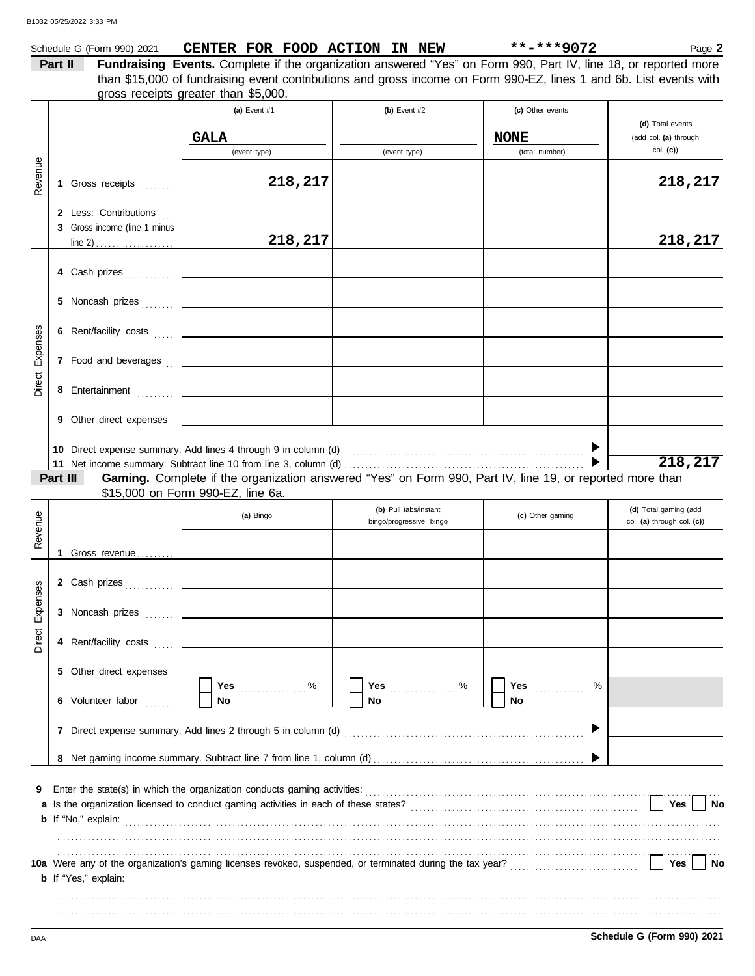|          |         | Schedule G (Form 990) 2021                            | CENTER FOR FOOD ACTION IN NEW                                                                                                                                                                                          |                         | **-***9072                    | Page 2                            |
|----------|---------|-------------------------------------------------------|------------------------------------------------------------------------------------------------------------------------------------------------------------------------------------------------------------------------|-------------------------|-------------------------------|-----------------------------------|
|          | Part II |                                                       | Fundraising Events. Complete if the organization answered "Yes" on Form 990, Part IV, line 18, or reported more                                                                                                        |                         |                               |                                   |
|          |         |                                                       | than \$15,000 of fundraising event contributions and gross income on Form 990-EZ, lines 1 and 6b. List events with                                                                                                     |                         |                               |                                   |
|          |         |                                                       | gross receipts greater than \$5,000.                                                                                                                                                                                   |                         |                               |                                   |
|          |         |                                                       | (a) Event #1                                                                                                                                                                                                           | (b) Event #2            | (c) Other events              |                                   |
|          |         |                                                       |                                                                                                                                                                                                                        |                         |                               | (d) Total events                  |
|          |         |                                                       | <b>GALA</b>                                                                                                                                                                                                            |                         | <b>NONE</b><br>(total number) | (add col. (a) through<br>col. (c) |
|          |         |                                                       | (event type)                                                                                                                                                                                                           | (event type)            |                               |                                   |
| Revenue  |         |                                                       | 218,217                                                                                                                                                                                                                |                         |                               |                                   |
|          |         | 1 Gross receipts                                      |                                                                                                                                                                                                                        |                         |                               | 218, 217                          |
|          |         |                                                       |                                                                                                                                                                                                                        |                         |                               |                                   |
|          |         | 2 Less: Contributions<br>3 Gross income (line 1 minus |                                                                                                                                                                                                                        |                         |                               |                                   |
|          |         |                                                       | 218,217                                                                                                                                                                                                                |                         |                               | 218, 217                          |
|          |         |                                                       |                                                                                                                                                                                                                        |                         |                               |                                   |
|          |         | 4 Cash prizes                                         |                                                                                                                                                                                                                        |                         |                               |                                   |
|          |         |                                                       |                                                                                                                                                                                                                        |                         |                               |                                   |
|          |         | 5 Noncash prizes                                      |                                                                                                                                                                                                                        |                         |                               |                                   |
|          |         |                                                       |                                                                                                                                                                                                                        |                         |                               |                                   |
|          |         | 6 Rent/facility costs                                 |                                                                                                                                                                                                                        |                         |                               |                                   |
| Expenses |         |                                                       |                                                                                                                                                                                                                        |                         |                               |                                   |
|          |         | 7 Food and beverages                                  |                                                                                                                                                                                                                        |                         |                               |                                   |
|          |         |                                                       |                                                                                                                                                                                                                        |                         |                               |                                   |
| Direct   |         | 8 Entertainment                                       |                                                                                                                                                                                                                        |                         |                               |                                   |
|          |         |                                                       |                                                                                                                                                                                                                        |                         |                               |                                   |
|          |         | <b>9</b> Other direct expenses                        |                                                                                                                                                                                                                        |                         |                               |                                   |
|          |         |                                                       |                                                                                                                                                                                                                        |                         |                               |                                   |
|          |         |                                                       |                                                                                                                                                                                                                        |                         |                               |                                   |
|          |         |                                                       |                                                                                                                                                                                                                        |                         |                               | 218,217                           |
|          |         | Part III                                              | Gaming. Complete if the organization answered "Yes" on Form 990, Part IV, line 19, or reported more than                                                                                                               |                         |                               |                                   |
|          |         |                                                       |                                                                                                                                                                                                                        |                         |                               |                                   |
|          |         |                                                       | \$15,000 on Form 990-EZ, line 6a.                                                                                                                                                                                      |                         |                               |                                   |
|          |         |                                                       | (a) Bingo                                                                                                                                                                                                              | (b) Pull tabs/instant   | (c) Other gaming              | (d) Total gaming (add             |
|          |         |                                                       |                                                                                                                                                                                                                        | bingo/progressive bingo |                               | col. (a) through col. (c))        |
| Revenue  |         |                                                       |                                                                                                                                                                                                                        |                         |                               |                                   |
|          | 1.      | Gross revenue                                         |                                                                                                                                                                                                                        |                         |                               |                                   |
|          |         |                                                       |                                                                                                                                                                                                                        |                         |                               |                                   |
| ses      |         |                                                       |                                                                                                                                                                                                                        |                         |                               |                                   |
|          |         |                                                       |                                                                                                                                                                                                                        |                         |                               |                                   |
| Expen    |         | 3 Noncash prizes                                      |                                                                                                                                                                                                                        |                         |                               |                                   |
|          |         |                                                       |                                                                                                                                                                                                                        |                         |                               |                                   |
| Direct   |         | 4 Rent/facility costs                                 |                                                                                                                                                                                                                        |                         |                               |                                   |
|          |         |                                                       |                                                                                                                                                                                                                        |                         |                               |                                   |
|          |         | 5 Other direct expenses                               | $\%$                                                                                                                                                                                                                   |                         | ℅                             |                                   |
|          |         | 6 Volunteer labor                                     | <b>Yes</b><br>No                                                                                                                                                                                                       | No                      | <b>Yes</b><br>No.             |                                   |
|          |         |                                                       |                                                                                                                                                                                                                        |                         |                               |                                   |
|          |         |                                                       | 7 Direct expense summary. Add lines 2 through 5 in column (d)                                                                                                                                                          |                         |                               |                                   |
|          |         |                                                       |                                                                                                                                                                                                                        |                         |                               |                                   |
|          |         |                                                       |                                                                                                                                                                                                                        |                         |                               |                                   |
|          |         |                                                       |                                                                                                                                                                                                                        |                         |                               |                                   |
| 9        |         |                                                       |                                                                                                                                                                                                                        |                         |                               |                                   |
|          |         |                                                       |                                                                                                                                                                                                                        |                         |                               | Yes<br>No                         |
|          |         |                                                       |                                                                                                                                                                                                                        |                         |                               |                                   |
|          |         |                                                       |                                                                                                                                                                                                                        |                         |                               |                                   |
|          |         |                                                       |                                                                                                                                                                                                                        |                         |                               |                                   |
|          |         |                                                       | 10a Were any of the organization's gaming licenses revoked, suspended, or terminated during the tax year?<br>10a Were any of the organization's gaming licenses revoked, suspended, or terminated during the tax year? |                         |                               | Yes<br><b>No</b>                  |
|          |         | <b>b</b> If "Yes," explain:                           |                                                                                                                                                                                                                        |                         |                               |                                   |
|          |         |                                                       |                                                                                                                                                                                                                        |                         |                               |                                   |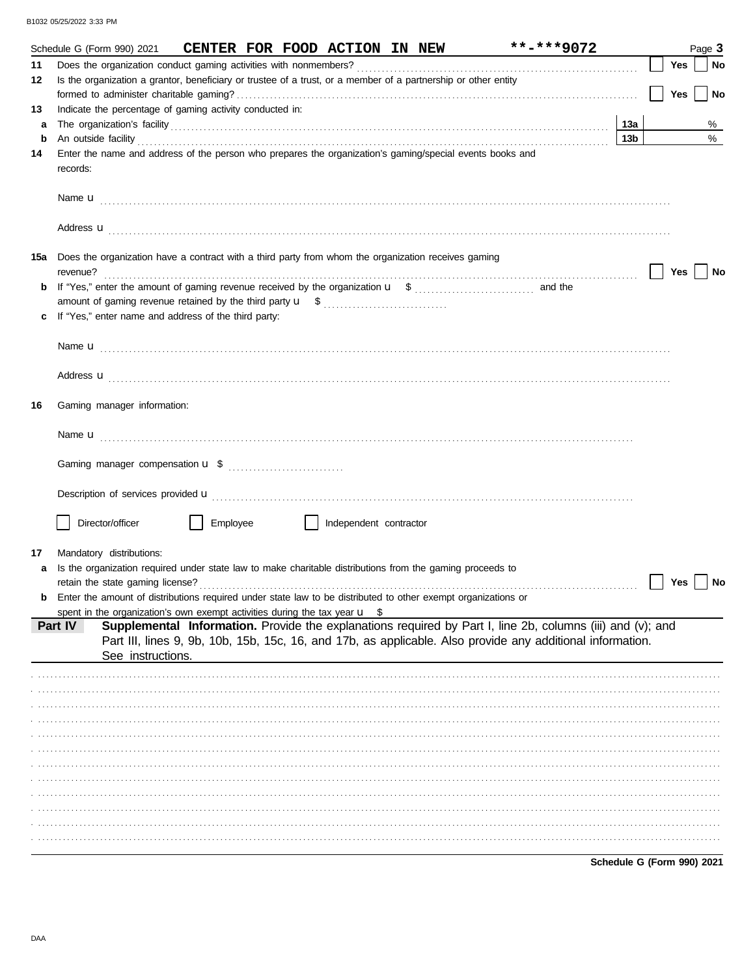|         | $***$ -***9072<br>Schedule G (Form 990) 2021<br>CENTER FOR FOOD ACTION IN NEW                                                                                                                                                                                                                                                                    |                            |     | Page 3 |
|---------|--------------------------------------------------------------------------------------------------------------------------------------------------------------------------------------------------------------------------------------------------------------------------------------------------------------------------------------------------|----------------------------|-----|--------|
| 11      |                                                                                                                                                                                                                                                                                                                                                  |                            | Yes | No     |
| 12      | Is the organization a grantor, beneficiary or trustee of a trust, or a member of a partnership or other entity                                                                                                                                                                                                                                   |                            |     |        |
|         |                                                                                                                                                                                                                                                                                                                                                  |                            | Yes | No     |
| 13      | Indicate the percentage of gaming activity conducted in:                                                                                                                                                                                                                                                                                         |                            |     |        |
| a       |                                                                                                                                                                                                                                                                                                                                                  | 13а                        |     | %      |
| b<br>14 | An outside facility <b>contract and the contract of a contract of a contract of a contract of a contract of a contract of a contract of a contract of a contract of a contract of a contract of a contract of a contract of a co</b><br>Enter the name and address of the person who prepares the organization's gaming/special events books and | 13 <sub>b</sub>            |     | %      |
|         | records:                                                                                                                                                                                                                                                                                                                                         |                            |     |        |
|         |                                                                                                                                                                                                                                                                                                                                                  |                            |     |        |
|         |                                                                                                                                                                                                                                                                                                                                                  |                            |     |        |
|         | 15a Does the organization have a contract with a third party from whom the organization receives gaming<br>revenue?                                                                                                                                                                                                                              |                            | Yes | No     |
| b       |                                                                                                                                                                                                                                                                                                                                                  |                            |     |        |
|         |                                                                                                                                                                                                                                                                                                                                                  |                            |     |        |
|         | If "Yes," enter name and address of the third party:                                                                                                                                                                                                                                                                                             |                            |     |        |
|         |                                                                                                                                                                                                                                                                                                                                                  |                            |     |        |
|         |                                                                                                                                                                                                                                                                                                                                                  |                            |     |        |
|         |                                                                                                                                                                                                                                                                                                                                                  |                            |     |        |
|         | Address <b>u</b>                                                                                                                                                                                                                                                                                                                                 |                            |     |        |
| 16      | Gaming manager information:                                                                                                                                                                                                                                                                                                                      |                            |     |        |
|         |                                                                                                                                                                                                                                                                                                                                                  |                            |     |        |
|         |                                                                                                                                                                                                                                                                                                                                                  |                            |     |        |
|         |                                                                                                                                                                                                                                                                                                                                                  |                            |     |        |
|         | Description of services provided <b>u</b> electron contract the contract of the contract of services provided <b>u</b>                                                                                                                                                                                                                           |                            |     |        |
|         |                                                                                                                                                                                                                                                                                                                                                  |                            |     |        |
|         | Director/officer<br>Employee<br>Independent contractor                                                                                                                                                                                                                                                                                           |                            |     |        |
|         |                                                                                                                                                                                                                                                                                                                                                  |                            |     |        |
| 17      | Mandatory distributions:                                                                                                                                                                                                                                                                                                                         |                            |     |        |
| a       | Is the organization required under state law to make charitable distributions from the gaming proceeds to<br>retain the state gaming license?                                                                                                                                                                                                    |                            | Yes | No     |
|         | Enter the amount of distributions required under state law to be distributed to other exempt organizations or                                                                                                                                                                                                                                    |                            |     |        |
|         | spent in the organization's own exempt activities during the tax year $\mathbf{u}$ \$                                                                                                                                                                                                                                                            |                            |     |        |
|         | Supplemental Information. Provide the explanations required by Part I, line 2b, columns (iii) and (v); and<br>Part IV                                                                                                                                                                                                                            |                            |     |        |
|         | Part III, lines 9, 9b, 10b, 15b, 15c, 16, and 17b, as applicable. Also provide any additional information.<br>See instructions.                                                                                                                                                                                                                  |                            |     |        |
|         |                                                                                                                                                                                                                                                                                                                                                  |                            |     |        |
|         |                                                                                                                                                                                                                                                                                                                                                  |                            |     |        |
|         |                                                                                                                                                                                                                                                                                                                                                  |                            |     |        |
|         |                                                                                                                                                                                                                                                                                                                                                  |                            |     |        |
|         |                                                                                                                                                                                                                                                                                                                                                  |                            |     |        |
|         |                                                                                                                                                                                                                                                                                                                                                  |                            |     |        |
|         |                                                                                                                                                                                                                                                                                                                                                  |                            |     |        |
|         |                                                                                                                                                                                                                                                                                                                                                  |                            |     |        |
|         |                                                                                                                                                                                                                                                                                                                                                  |                            |     |        |
|         |                                                                                                                                                                                                                                                                                                                                                  |                            |     |        |
|         |                                                                                                                                                                                                                                                                                                                                                  |                            |     |        |
|         |                                                                                                                                                                                                                                                                                                                                                  |                            |     |        |
|         |                                                                                                                                                                                                                                                                                                                                                  | Schedule G (Form 990) 2021 |     |        |

DAA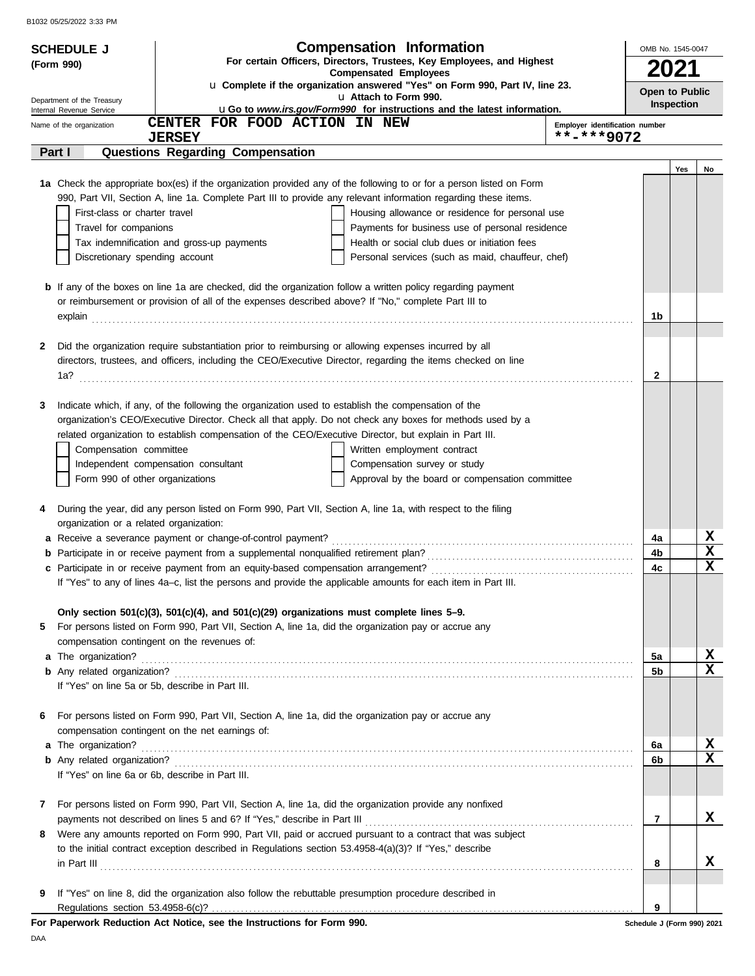|    | <b>SCHEDULE J</b>                                | <b>Compensation Information</b><br>For certain Officers, Directors, Trustees, Key Employees, and Highest             |                                              | OMB No. 1545-0047          |                   |                  |
|----|--------------------------------------------------|----------------------------------------------------------------------------------------------------------------------|----------------------------------------------|----------------------------|-------------------|------------------|
|    | (Form 990)                                       | <b>Compensated Employees</b>                                                                                         |                                              | 2021                       |                   |                  |
|    | Department of the Treasury                       | u Complete if the organization answered "Yes" on Form 990, Part IV, line 23.<br>u Attach to Form 990.                |                                              | Open to Public             |                   |                  |
|    | Internal Revenue Service                         | uGo to www.irs.gov/Form990 for instructions and the latest information.                                              |                                              |                            | <b>Inspection</b> |                  |
|    | Name of the organization                         | CENTER FOR FOOD ACTION IN NEW<br><b>JERSEY</b>                                                                       | Employer identification number<br>**-***9072 |                            |                   |                  |
|    | Part I                                           | Questions Regarding Compensation                                                                                     |                                              |                            |                   |                  |
|    |                                                  |                                                                                                                      |                                              |                            | Yes               | No               |
|    |                                                  | 1a Check the appropriate box(es) if the organization provided any of the following to or for a person listed on Form |                                              |                            |                   |                  |
|    |                                                  | 990, Part VII, Section A, line 1a. Complete Part III to provide any relevant information regarding these items.      |                                              |                            |                   |                  |
|    | First-class or charter travel                    | Housing allowance or residence for personal use                                                                      |                                              |                            |                   |                  |
|    | Travel for companions                            | Payments for business use of personal residence                                                                      |                                              |                            |                   |                  |
|    |                                                  | Tax indemnification and gross-up payments<br>Health or social club dues or initiation fees                           |                                              |                            |                   |                  |
|    | Discretionary spending account                   | Personal services (such as maid, chauffeur, chef)                                                                    |                                              |                            |                   |                  |
|    |                                                  | <b>b</b> If any of the boxes on line 1a are checked, did the organization follow a written policy regarding payment  |                                              |                            |                   |                  |
|    |                                                  | or reimbursement or provision of all of the expenses described above? If "No," complete Part III to                  |                                              |                            |                   |                  |
|    | explain                                          |                                                                                                                      |                                              | 1b                         |                   |                  |
|    |                                                  |                                                                                                                      |                                              |                            |                   |                  |
| 2  |                                                  | Did the organization require substantiation prior to reimbursing or allowing expenses incurred by all                |                                              |                            |                   |                  |
|    | 1a?                                              | directors, trustees, and officers, including the CEO/Executive Director, regarding the items checked on line         |                                              | 2                          |                   |                  |
|    |                                                  |                                                                                                                      |                                              |                            |                   |                  |
| 3  |                                                  | Indicate which, if any, of the following the organization used to establish the compensation of the                  |                                              |                            |                   |                  |
|    |                                                  | organization's CEO/Executive Director. Check all that apply. Do not check any boxes for methods used by a            |                                              |                            |                   |                  |
|    |                                                  | related organization to establish compensation of the CEO/Executive Director, but explain in Part III.               |                                              |                            |                   |                  |
|    | Compensation committee                           | Written employment contract                                                                                          |                                              |                            |                   |                  |
|    |                                                  | Independent compensation consultant<br>Compensation survey or study                                                  |                                              |                            |                   |                  |
|    | Form 990 of other organizations                  | Approval by the board or compensation committee                                                                      |                                              |                            |                   |                  |
| 4  |                                                  | During the year, did any person listed on Form 990, Part VII, Section A, line 1a, with respect to the filing         |                                              |                            |                   |                  |
|    | organization or a related organization:          |                                                                                                                      |                                              |                            |                   |                  |
|    |                                                  | a Receive a severance payment or change-of-control payment?                                                          |                                              | 4a                         |                   | X                |
|    |                                                  | <b>b</b> Participate in or receive payment from a supplemental nonqualified retirement plan?                         |                                              | 4b                         |                   | $\mathbf x$      |
|    |                                                  |                                                                                                                      |                                              | 4c                         |                   | $\mathbf x$      |
|    |                                                  | If "Yes" to any of lines 4a–c, list the persons and provide the applicable amounts for each item in Part III.        |                                              |                            |                   |                  |
|    |                                                  | Only section $501(c)(3)$ , $501(c)(4)$ , and $501(c)(29)$ organizations must complete lines $5-9$ .                  |                                              |                            |                   |                  |
| 5. |                                                  | For persons listed on Form 990, Part VII, Section A, line 1a, did the organization pay or accrue any                 |                                              |                            |                   |                  |
|    |                                                  | compensation contingent on the revenues of:                                                                          |                                              |                            |                   |                  |
|    | a The organization?                              |                                                                                                                      |                                              | 5a                         |                   | X                |
|    |                                                  |                                                                                                                      |                                              | 5b                         |                   | $\mathbf x$      |
|    | If "Yes" on line 5a or 5b, describe in Part III. |                                                                                                                      |                                              |                            |                   |                  |
|    |                                                  |                                                                                                                      |                                              |                            |                   |                  |
| 6  |                                                  | For persons listed on Form 990, Part VII, Section A, line 1a, did the organization pay or accrue any                 |                                              |                            |                   |                  |
|    |                                                  | compensation contingent on the net earnings of:                                                                      |                                              |                            |                   |                  |
|    | a The organization?                              |                                                                                                                      |                                              | 6а                         |                   | X<br>$\mathbf x$ |
|    | If "Yes" on line 6a or 6b, describe in Part III. |                                                                                                                      |                                              | 6b                         |                   |                  |
|    |                                                  |                                                                                                                      |                                              |                            |                   |                  |
| 7  |                                                  | For persons listed on Form 990, Part VII, Section A, line 1a, did the organization provide any nonfixed              |                                              |                            |                   |                  |
|    |                                                  |                                                                                                                      |                                              | 7                          |                   | x                |
| 8  |                                                  | Were any amounts reported on Form 990, Part VII, paid or accrued pursuant to a contract that was subject             |                                              |                            |                   |                  |
|    |                                                  | to the initial contract exception described in Regulations section 53.4958-4(a)(3)? If "Yes," describe               |                                              |                            |                   |                  |
|    |                                                  | $\ $ n Part III $\ $                                                                                                 |                                              | 8                          |                   | x                |
| 9  |                                                  | If "Yes" on line 8, did the organization also follow the rebuttable presumption procedure described in               |                                              |                            |                   |                  |
|    |                                                  |                                                                                                                      |                                              | 9                          |                   |                  |
|    |                                                  | For Paperwork Reduction Act Notice, see the Instructions for Form 990.                                               |                                              | Schedule J (Form 990) 2021 |                   |                  |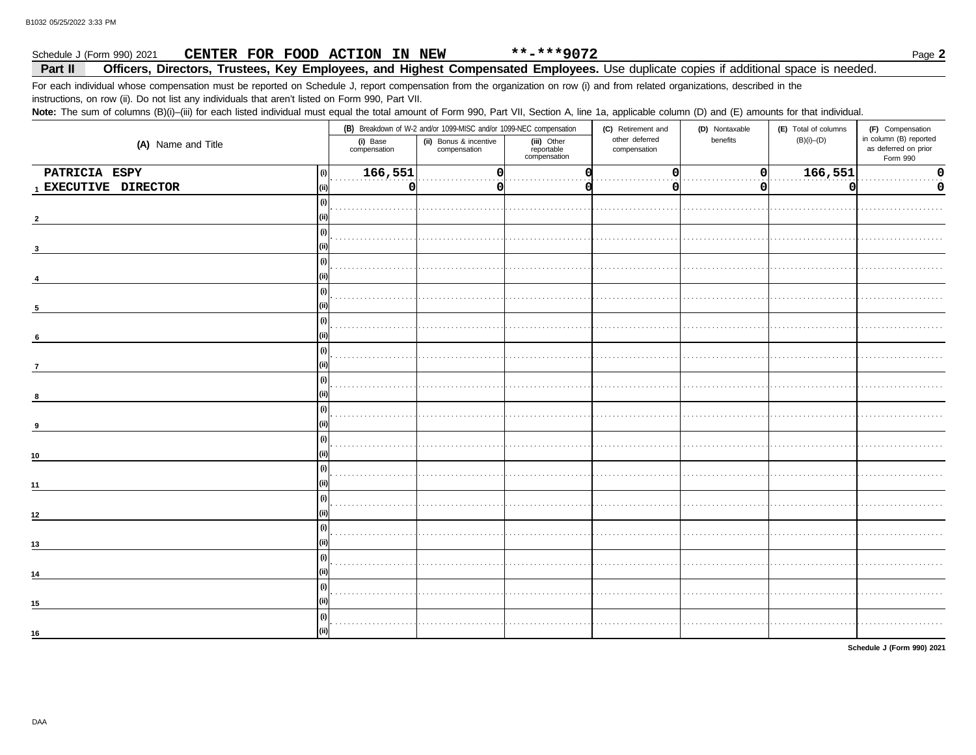#### $***$ -\*\*\*9072 CENTER FOR FOOD ACTION IN NEW Schedule J (Form 990) 2021

#### Officers, Directors, Trustees, Key Employees, and Highest Compensated Employees. Use duplicate copies if additional space is needed. Part II

For each individual whose compensation must be reported on Schedule J, report compensation from the organization on row (i) and from related organizations, described in the

instructions, on row (ii). Do not list any individuals that aren't listed on Form 990, Part VII.

Note: The sum of columns (B)(i)-(iii) for each listed individual must equal the total amount of Form 990, Part VII, Section A, line 1a, applicable column (D) and (E) amounts for that individual.

|                      |                          | (B) Breakdown of W-2 and/or 1099-MISC and/or 1099-NEC compensation |                                           |                                | (D) Nontaxable | (E) Total of columns | (F) Compensation                                           |  |
|----------------------|--------------------------|--------------------------------------------------------------------|-------------------------------------------|--------------------------------|----------------|----------------------|------------------------------------------------------------|--|
| (A) Name and Title   | (i) Base<br>compensation | (ii) Bonus & incentive<br>compensation                             | (iii) Other<br>reportable<br>compensation | other deferred<br>compensation | benefits       | $(B)(i)$ – $(D)$     | in column (B) reported<br>as deferred on prior<br>Form 990 |  |
| PATRICIA ESPY        | 166,551<br>(i)           |                                                                    |                                           |                                | 0              | 166,551              | $\Omega$                                                   |  |
| 1 EXECUTIVE DIRECTOR | 0<br>(ii)                | 0                                                                  |                                           |                                | O              |                      | 0                                                          |  |
|                      | (i)                      |                                                                    |                                           |                                |                |                      |                                                            |  |
|                      |                          |                                                                    |                                           |                                |                |                      |                                                            |  |
|                      | (i)                      |                                                                    |                                           |                                |                |                      |                                                            |  |
|                      |                          |                                                                    |                                           |                                |                |                      |                                                            |  |
|                      | (i)                      |                                                                    |                                           |                                |                |                      |                                                            |  |
|                      |                          |                                                                    |                                           |                                |                |                      |                                                            |  |
|                      | (i)                      |                                                                    |                                           |                                |                |                      |                                                            |  |
|                      |                          |                                                                    |                                           |                                |                |                      |                                                            |  |
|                      | (i)                      |                                                                    |                                           |                                |                |                      |                                                            |  |
| 6                    |                          |                                                                    |                                           |                                |                |                      |                                                            |  |
|                      | (i)                      |                                                                    |                                           |                                |                |                      |                                                            |  |
|                      |                          |                                                                    |                                           |                                |                |                      |                                                            |  |
|                      | (i)                      |                                                                    |                                           |                                |                |                      |                                                            |  |
|                      |                          |                                                                    |                                           |                                |                |                      |                                                            |  |
|                      | (i)                      |                                                                    |                                           |                                |                |                      |                                                            |  |
|                      |                          |                                                                    |                                           |                                |                |                      |                                                            |  |
|                      | (i)                      |                                                                    |                                           |                                |                |                      |                                                            |  |
| 10                   |                          |                                                                    |                                           |                                |                |                      |                                                            |  |
|                      | (i)                      |                                                                    |                                           |                                |                |                      |                                                            |  |
| 11                   |                          |                                                                    |                                           |                                |                |                      |                                                            |  |
|                      | (i)                      |                                                                    |                                           |                                |                |                      |                                                            |  |
| 12                   |                          |                                                                    |                                           |                                |                |                      |                                                            |  |
|                      | (i)                      |                                                                    |                                           |                                |                |                      |                                                            |  |
| 13                   |                          |                                                                    |                                           |                                |                |                      |                                                            |  |
|                      | (i)                      |                                                                    |                                           |                                |                |                      |                                                            |  |
| 14                   |                          |                                                                    |                                           |                                |                |                      |                                                            |  |
|                      | (i)                      |                                                                    |                                           |                                |                |                      |                                                            |  |
| 15                   |                          |                                                                    |                                           |                                |                |                      |                                                            |  |
|                      | (i)                      |                                                                    |                                           |                                |                |                      |                                                            |  |
|                      |                          |                                                                    |                                           |                                |                |                      |                                                            |  |
| 16                   |                          |                                                                    |                                           |                                |                |                      |                                                            |  |

Schedule J (Form 990) 2021

Page 2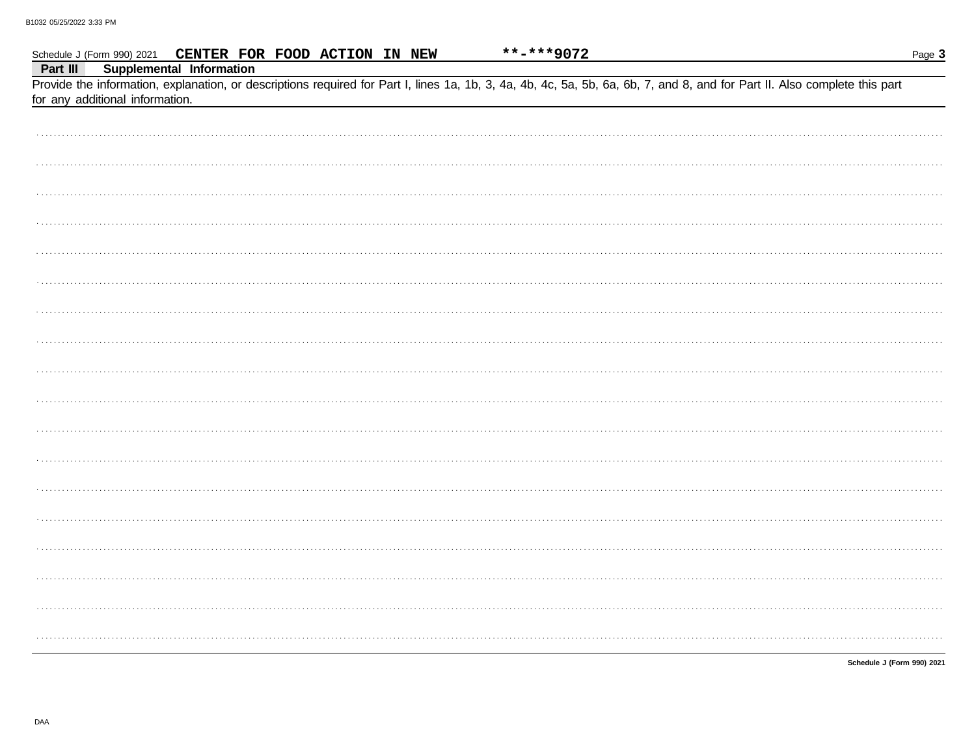|          | Schedule J (Form 990) 2021 CENTER FOR FOOD ACTION IN NEW |  | **-***9072 |                                                                                                                                                                            | Page 3 |
|----------|----------------------------------------------------------|--|------------|----------------------------------------------------------------------------------------------------------------------------------------------------------------------------|--------|
| Part III | <b>Supplemental Information</b>                          |  |            |                                                                                                                                                                            |        |
|          | for any additional information.                          |  |            | Provide the information, explanation, or descriptions required for Part I, lines 1a, 1b, 3, 4a, 4b, 4c, 5a, 5b, 6a, 6b, 7, and 8, and for Part II. Also complete this part |        |
|          |                                                          |  |            |                                                                                                                                                                            |        |
|          |                                                          |  |            |                                                                                                                                                                            |        |
|          |                                                          |  |            |                                                                                                                                                                            |        |
|          |                                                          |  |            |                                                                                                                                                                            |        |
|          |                                                          |  |            |                                                                                                                                                                            |        |
|          |                                                          |  |            |                                                                                                                                                                            |        |
|          |                                                          |  |            |                                                                                                                                                                            |        |
|          |                                                          |  |            |                                                                                                                                                                            |        |
|          |                                                          |  |            |                                                                                                                                                                            |        |
|          |                                                          |  |            |                                                                                                                                                                            |        |
|          |                                                          |  |            |                                                                                                                                                                            |        |
|          |                                                          |  |            |                                                                                                                                                                            |        |
|          |                                                          |  |            |                                                                                                                                                                            |        |
|          |                                                          |  |            |                                                                                                                                                                            |        |
|          |                                                          |  |            |                                                                                                                                                                            |        |
|          |                                                          |  |            |                                                                                                                                                                            |        |
|          |                                                          |  |            |                                                                                                                                                                            |        |
|          |                                                          |  |            |                                                                                                                                                                            |        |
|          |                                                          |  |            |                                                                                                                                                                            |        |

Schedule J (Form 990) 2021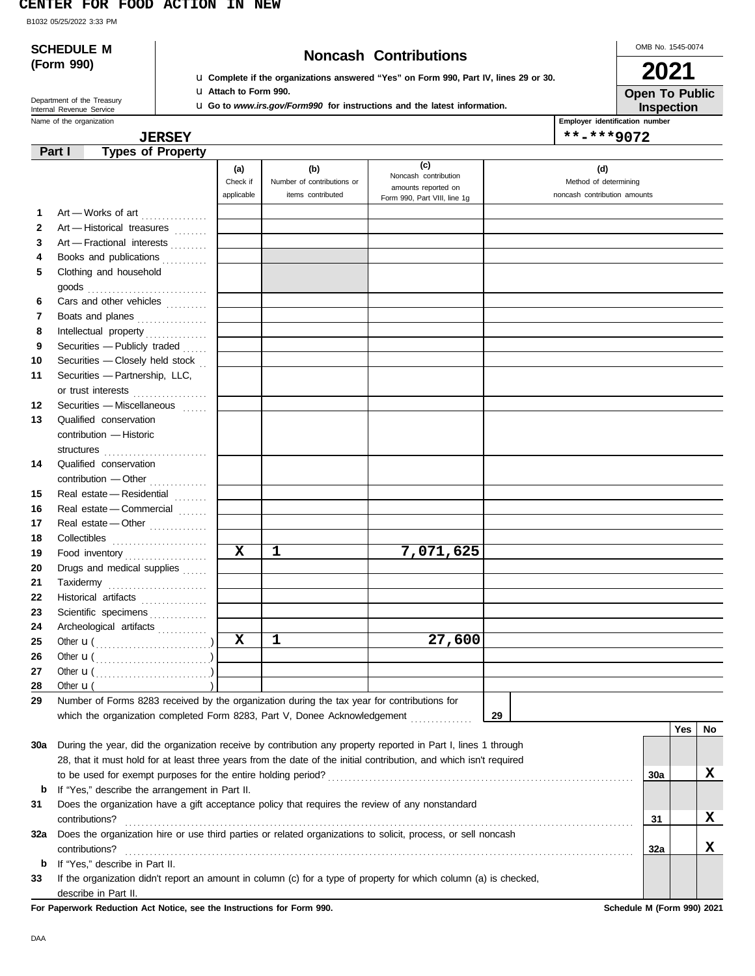#### **CENTER FOR FOOD ACTION IN NEW**

B1032 05/25/2022 3:33 PM

|              | <b>SCHEDULE M</b>                                                                                                   |                               |                                                        |                                                                                                                             |                       | OMB No. 1545-0074                   |     |    |
|--------------|---------------------------------------------------------------------------------------------------------------------|-------------------------------|--------------------------------------------------------|-----------------------------------------------------------------------------------------------------------------------------|-----------------------|-------------------------------------|-----|----|
|              | (Form 990)                                                                                                          |                               |                                                        | <b>Noncash Contributions</b><br><b>u</b> Complete if the organizations answered "Yes" on Form 990, Part IV, lines 29 or 30. |                       | 2021                                |     |    |
|              |                                                                                                                     | <b>u</b> Attach to Form 990.  |                                                        |                                                                                                                             |                       | <b>Open To Public</b>               |     |    |
|              | Department of the Treasury<br>Internal Revenue Service                                                              |                               |                                                        | <b>u</b> Go to www.irs.gov/Form990 for instructions and the latest information.                                             |                       | Inspection                          |     |    |
|              | Name of the organization                                                                                            |                               |                                                        |                                                                                                                             |                       | Employer identification number      |     |    |
|              | <b>JERSEY</b>                                                                                                       |                               |                                                        |                                                                                                                             |                       | **-***9072                          |     |    |
|              | <b>Types of Property</b><br>Part I                                                                                  |                               |                                                        |                                                                                                                             |                       |                                     |     |    |
|              |                                                                                                                     | (a)<br>Check if<br>applicable | (b)<br>Number of contributions or<br>items contributed | (c)<br>Noncash contribution<br>amounts reported on<br>Form 990, Part VIII, line 1g                                          | Method of determining | (d)<br>noncash contribution amounts |     |    |
| 1            | Art - Works of art                                                                                                  |                               |                                                        |                                                                                                                             |                       |                                     |     |    |
| $\mathbf{2}$ | Art - Historical treasures                                                                                          |                               |                                                        |                                                                                                                             |                       |                                     |     |    |
| 3            | Art - Fractional interests                                                                                          |                               |                                                        |                                                                                                                             |                       |                                     |     |    |
| 4            | Books and publications                                                                                              |                               |                                                        |                                                                                                                             |                       |                                     |     |    |
| 5            | Clothing and household                                                                                              |                               |                                                        |                                                                                                                             |                       |                                     |     |    |
|              | $\mathsf{goods}\xrightarrow{\hspace{0.5cm}}$                                                                        |                               |                                                        |                                                                                                                             |                       |                                     |     |    |
| 6            | Cars and other vehicles                                                                                             |                               |                                                        |                                                                                                                             |                       |                                     |     |    |
| 7            | Boats and planes                                                                                                    |                               |                                                        |                                                                                                                             |                       |                                     |     |    |
| 8            |                                                                                                                     |                               |                                                        |                                                                                                                             |                       |                                     |     |    |
| 9            | Securities - Publicly traded                                                                                        |                               |                                                        |                                                                                                                             |                       |                                     |     |    |
| 10           | Securities - Closely held stock                                                                                     |                               |                                                        |                                                                                                                             |                       |                                     |     |    |
| 11           | Securities - Partnership, LLC,                                                                                      |                               |                                                        |                                                                                                                             |                       |                                     |     |    |
|              | or trust interests                                                                                                  |                               |                                                        |                                                                                                                             |                       |                                     |     |    |
| 12           | Securities - Miscellaneous                                                                                          |                               |                                                        |                                                                                                                             |                       |                                     |     |    |
| 13           | Qualified conservation                                                                                              |                               |                                                        |                                                                                                                             |                       |                                     |     |    |
|              | contribution - Historic                                                                                             |                               |                                                        |                                                                                                                             |                       |                                     |     |    |
|              |                                                                                                                     |                               |                                                        |                                                                                                                             |                       |                                     |     |    |
| 14           | Qualified conservation                                                                                              |                               |                                                        |                                                                                                                             |                       |                                     |     |    |
|              | contribution - Other                                                                                                |                               |                                                        |                                                                                                                             |                       |                                     |     |    |
| 15           | Real estate - Residential                                                                                           |                               |                                                        |                                                                                                                             |                       |                                     |     |    |
| 16           | Real estate - Commercial                                                                                            |                               |                                                        |                                                                                                                             |                       |                                     |     |    |
| 17           | Real estate - Other                                                                                                 |                               |                                                        |                                                                                                                             |                       |                                     |     |    |
| 18           |                                                                                                                     |                               |                                                        |                                                                                                                             |                       |                                     |     |    |
| 19           | Food inventory                                                                                                      | $\mathbf x$                   | 1                                                      | 7,071,625                                                                                                                   |                       |                                     |     |    |
| 20           | Drugs and medical supplies                                                                                          |                               |                                                        |                                                                                                                             |                       |                                     |     |    |
| 21           | Taxidermy                                                                                                           |                               |                                                        |                                                                                                                             |                       |                                     |     |    |
| 22           | Historical artifacts                                                                                                |                               |                                                        |                                                                                                                             |                       |                                     |     |    |
| 23           | Scientific specimens                                                                                                |                               |                                                        |                                                                                                                             |                       |                                     |     |    |
| 24           | Archeological artifacts                                                                                             |                               |                                                        |                                                                                                                             |                       |                                     |     |    |
| 25           |                                                                                                                     | $\mathbf x$                   | $\mathbf 1$                                            | 27,600                                                                                                                      |                       |                                     |     |    |
| 26           | Other $\mathbf{u}(\dots, \dots, \dots, \dots, \dots)$                                                               |                               |                                                        |                                                                                                                             |                       |                                     |     |    |
| 27           |                                                                                                                     |                               |                                                        |                                                                                                                             |                       |                                     |     |    |
| 28           | Other $\mathbf{u}$ (<br>Number of Forms 8283 received by the organization during the tax year for contributions for |                               |                                                        |                                                                                                                             |                       |                                     |     |    |
| 29           |                                                                                                                     |                               |                                                        |                                                                                                                             |                       |                                     |     |    |
|              | which the organization completed Form 8283, Part V, Donee Acknowledgement                                           |                               |                                                        |                                                                                                                             | 29                    |                                     | Yes | No |
| 30a          | During the year, did the organization receive by contribution any property reported in Part I, lines 1 through      |                               |                                                        |                                                                                                                             |                       |                                     |     |    |
|              | 28, that it must hold for at least three years from the date of the initial contribution, and which isn't required  |                               |                                                        |                                                                                                                             |                       |                                     |     |    |
|              |                                                                                                                     |                               |                                                        |                                                                                                                             |                       | 30a                                 |     | x  |
| b            | If "Yes," describe the arrangement in Part II.                                                                      |                               |                                                        |                                                                                                                             |                       |                                     |     |    |
| 31           | Does the organization have a gift acceptance policy that requires the review of any nonstandard                     |                               |                                                        |                                                                                                                             |                       |                                     |     |    |
|              | contributions?                                                                                                      |                               |                                                        |                                                                                                                             |                       | 31                                  |     | X  |
| 32a          | Does the organization hire or use third parties or related organizations to solicit, process, or sell noncash       |                               |                                                        |                                                                                                                             |                       |                                     |     |    |
|              | contributions?                                                                                                      |                               |                                                        |                                                                                                                             |                       | 32a                                 |     | х  |
| b            | If "Yes," describe in Part II.                                                                                      |                               |                                                        |                                                                                                                             |                       |                                     |     |    |
| 33           | If the organization didn't report an amount in column (c) for a type of property for which column (a) is checked,   |                               |                                                        |                                                                                                                             |                       |                                     |     |    |
|              | describe in Part II.                                                                                                |                               |                                                        |                                                                                                                             |                       |                                     |     |    |

**For Paperwork Reduction Act Notice, see the Instructions for Form 990. Schedule M (Form 990) 2021**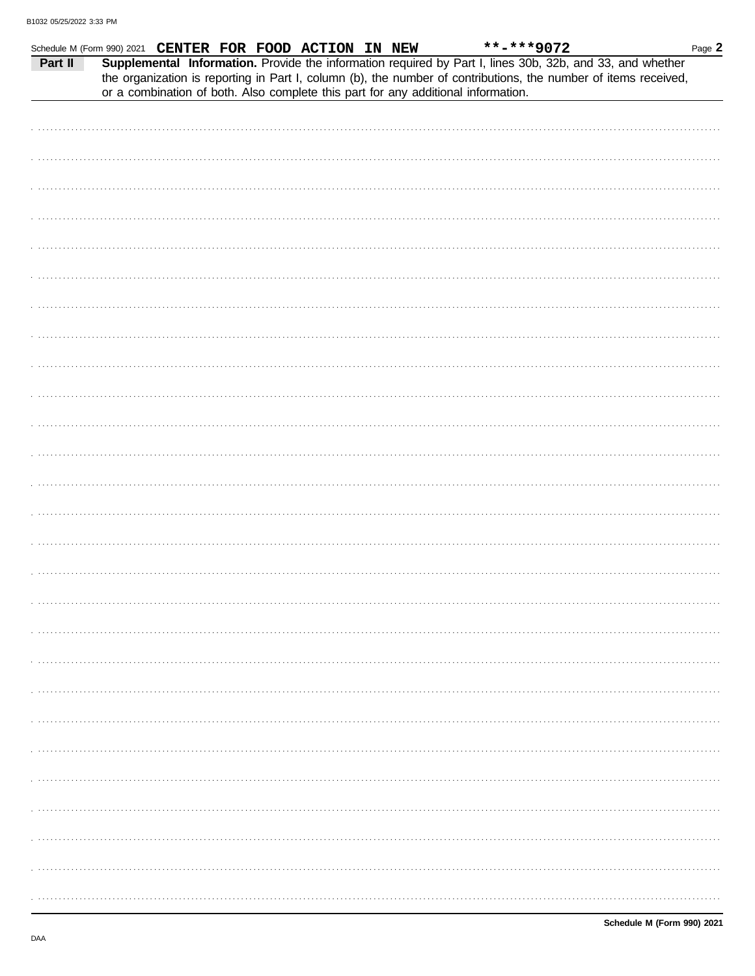|         | Schedule M (Form 990) 2021 CENTER FOR FOOD ACTION IN NEW |  |  | **-***9072                                                                                                                                                                                                                   | Page 2 |
|---------|----------------------------------------------------------|--|--|------------------------------------------------------------------------------------------------------------------------------------------------------------------------------------------------------------------------------|--------|
| Part II |                                                          |  |  | Supplemental Information. Provide the information required by Part I, lines 30b, 32b, and 33, and whether<br>the organization is reporting in Part I, column (b), the number of contributions, the number of items received, |        |
|         |                                                          |  |  | or a combination of both. Also complete this part for any additional information.                                                                                                                                            |        |
|         |                                                          |  |  |                                                                                                                                                                                                                              |        |
|         |                                                          |  |  |                                                                                                                                                                                                                              |        |
|         |                                                          |  |  |                                                                                                                                                                                                                              |        |
|         |                                                          |  |  |                                                                                                                                                                                                                              |        |
|         |                                                          |  |  |                                                                                                                                                                                                                              |        |
|         |                                                          |  |  |                                                                                                                                                                                                                              |        |
|         |                                                          |  |  |                                                                                                                                                                                                                              |        |
|         |                                                          |  |  |                                                                                                                                                                                                                              |        |
|         |                                                          |  |  |                                                                                                                                                                                                                              |        |
|         |                                                          |  |  |                                                                                                                                                                                                                              |        |
|         |                                                          |  |  |                                                                                                                                                                                                                              |        |
|         |                                                          |  |  |                                                                                                                                                                                                                              |        |
|         |                                                          |  |  |                                                                                                                                                                                                                              |        |
|         |                                                          |  |  |                                                                                                                                                                                                                              |        |
|         |                                                          |  |  |                                                                                                                                                                                                                              |        |
|         |                                                          |  |  |                                                                                                                                                                                                                              |        |
|         |                                                          |  |  |                                                                                                                                                                                                                              |        |
|         |                                                          |  |  |                                                                                                                                                                                                                              |        |
|         |                                                          |  |  |                                                                                                                                                                                                                              |        |
|         |                                                          |  |  |                                                                                                                                                                                                                              |        |
|         |                                                          |  |  |                                                                                                                                                                                                                              |        |
|         |                                                          |  |  |                                                                                                                                                                                                                              |        |
|         |                                                          |  |  |                                                                                                                                                                                                                              |        |
|         |                                                          |  |  |                                                                                                                                                                                                                              |        |
|         |                                                          |  |  |                                                                                                                                                                                                                              |        |
|         |                                                          |  |  |                                                                                                                                                                                                                              |        |
|         |                                                          |  |  |                                                                                                                                                                                                                              |        |
|         |                                                          |  |  |                                                                                                                                                                                                                              |        |
|         |                                                          |  |  |                                                                                                                                                                                                                              |        |
|         |                                                          |  |  |                                                                                                                                                                                                                              |        |
|         |                                                          |  |  |                                                                                                                                                                                                                              |        |
|         |                                                          |  |  |                                                                                                                                                                                                                              |        |
|         |                                                          |  |  |                                                                                                                                                                                                                              |        |
|         |                                                          |  |  |                                                                                                                                                                                                                              |        |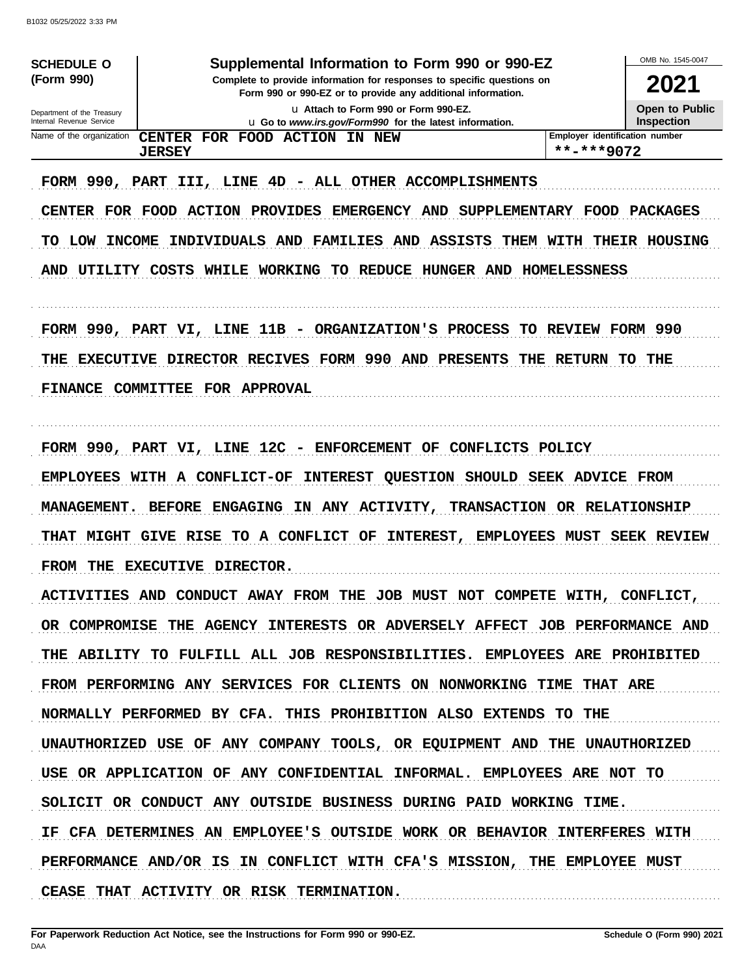| <b>SCHEDULE O</b>                                    | Supplemental Information to Form 990 or 990-EZ                                                                                         |                                | OMB No. 1545-0047     |
|------------------------------------------------------|----------------------------------------------------------------------------------------------------------------------------------------|--------------------------------|-----------------------|
| (Form 990)                                           | Complete to provide information for responses to specific questions on<br>Form 990 or 990-EZ or to provide any additional information. |                                | 2021                  |
| Department of the Treasury                           | La Attach to Form 990 or Form 990-EZ.                                                                                                  |                                | <b>Open to Public</b> |
| Internal Revenue Service<br>Name of the organization | <b>u</b> Go to www.irs.gov/Form990 for the latest information.<br><b>CENTER</b><br>FOR FOOD ACTION IN NEW                              | Employer identification number | <b>Inspection</b>     |
|                                                      | <b>JERSEY</b>                                                                                                                          | **-***9072                     |                       |
| FORM 990, PART<br>CENTER FOR FOOD                    | III, LINE 4D - ALL OTHER ACCOMPLISHMENTS<br><b>ACTION PROVIDES</b><br>EMERGENCY AND                                                    | SUPPLEMENTARY FOOD             | PACKAGES              |
|                                                      |                                                                                                                                        |                                |                       |
| <b>INCOME</b><br>TO<br>LOW                           | INDIVIDUALS AND<br><b>FAMILIES AND</b><br>ASSISTS                                                                                      | THEM WITH                      | <b>THEIR HOUSING</b>  |
| <b>AND</b><br>UTILITY                                | <b>COSTS</b><br>WHILE WORKING<br>TO REDUCE<br>HUNGER AND HOMELESSNESS                                                                  |                                |                       |
|                                                      | 11B - ORGANIZATION'S PROCESS<br>FORM 990, PART VI, LINE                                                                                | TO REVIEW FORM 990             |                       |
| THE                                                  | EXECUTIVE DIRECTOR RECIVES FORM 990 AND PRESENTS<br>THE                                                                                | <b>RETURN</b>                  | TO.<br>THE            |
| <b>FINANCE</b>                                       | <b>COMMITTEE</b><br><b>FOR APPROVAL</b>                                                                                                |                                |                       |
|                                                      |                                                                                                                                        |                                |                       |
|                                                      | FORM 990, PART VI, LINE 12C<br>- ENFORCEMENT<br>OF<br>CONFLICTS POLICY                                                                 |                                |                       |
| <b>EMPLOYEES</b>                                     | WITH A CONFLICT-OF<br>QUESTION SHOULD<br><b>INTEREST</b>                                                                               | <b>SEEK ADVICE FROM</b>        |                       |
| <b>MANAGEMENT.</b>                                   | ANY ACTIVITY,<br><b>TRANSACTION</b><br><b>BEFORE</b><br><b>ENGAGING</b><br>ΙN.                                                         | OR RELATIONSHIP                |                       |
| THAT<br><b>MIGHT</b>                                 | GIVE RISE TO A CONFLICT OF<br><b>INTEREST,</b><br><b>EMPLOYEES</b>                                                                     | <b>MUST</b>                    | <b>SEEK REVIEW</b>    |
| <b>FROM</b><br>THE                                   | <b>DIRECTOR.</b><br><b>EXECUTIVE</b>                                                                                                   |                                |                       |
|                                                      | ACTIVITIES AND CONDUCT AWAY FROM THE JOB MUST NOT COMPETE WITH, CONFLICT,                                                              |                                |                       |
|                                                      | OR COMPROMISE THE AGENCY INTERESTS OR ADVERSELY AFFECT JOB PERFORMANCE AND                                                             |                                |                       |
|                                                      | THE ABILITY TO FULFILL ALL JOB RESPONSIBILITIES. EMPLOYEES ARE PROHIBITED                                                              |                                |                       |
|                                                      | FROM PERFORMING ANY SERVICES FOR CLIENTS ON NONWORKING TIME THAT ARE                                                                   |                                |                       |
|                                                      | NORMALLY PERFORMED BY CFA. THIS PROHIBITION ALSO EXTENDS TO THE                                                                        |                                |                       |
|                                                      | UNAUTHORIZED USE OF ANY COMPANY TOOLS, OR EQUIPMENT AND THE UNAUTHORIZED                                                               |                                |                       |
|                                                      | USE OR APPLICATION OF ANY CONFIDENTIAL INFORMAL. EMPLOYEES ARE NOT TO                                                                  |                                |                       |
|                                                      | SOLICIT OR CONDUCT ANY OUTSIDE BUSINESS DURING PAID WORKING TIME.                                                                      |                                |                       |
|                                                      | IF CFA DETERMINES AN EMPLOYEE'S OUTSIDE WORK OR BEHAVIOR INTERFERES WITH                                                               |                                |                       |
|                                                      | PERFORMANCE AND/OR IS IN CONFLICT WITH CFA'S MISSION, THE EMPLOYEE MUST                                                                |                                |                       |
|                                                      | CEASE THAT ACTIVITY OR RISK TERMINATION.                                                                                               |                                |                       |
|                                                      |                                                                                                                                        |                                |                       |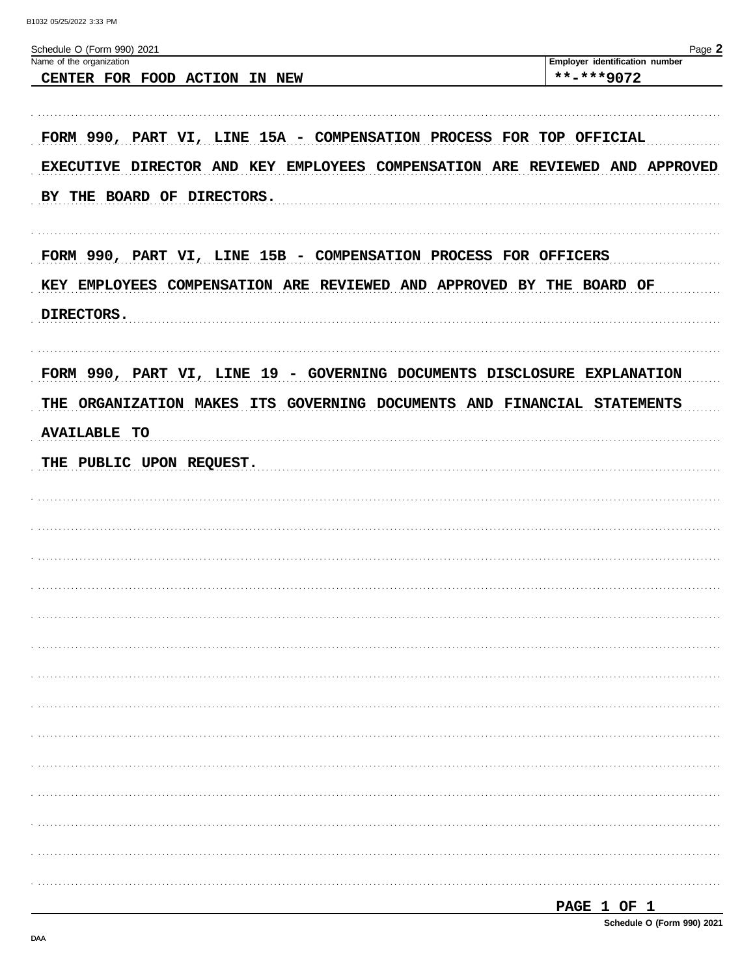| Schedule O (Form 990) 2021<br>Name of the organization                      | Page 2<br>Employer identification number |
|-----------------------------------------------------------------------------|------------------------------------------|
| CENTER FOR FOOD ACTION IN NEW                                               | **-***9072                               |
|                                                                             |                                          |
| FORM 990, PART VI, LINE 15A - COMPENSATION PROCESS FOR TOP OFFICIAL         |                                          |
|                                                                             |                                          |
| EXECUTIVE DIRECTOR AND KEY EMPLOYEES COMPENSATION ARE REVIEWED AND APPROVED |                                          |
| BY THE BOARD OF DIRECTORS.                                                  |                                          |
|                                                                             |                                          |
| FORM 990, PART VI, LINE 15B - COMPENSATION PROCESS FOR OFFICERS             |                                          |
|                                                                             |                                          |
| KEY EMPLOYEES COMPENSATION ARE REVIEWED AND APPROVED BY THE BOARD OF        |                                          |
| DIRECTORS.                                                                  |                                          |
|                                                                             |                                          |
| FORM 990, PART VI, LINE 19 - GOVERNING DOCUMENTS DISCLOSURE EXPLANATION     |                                          |
| THE ORGANIZATION MAKES ITS GOVERNING DOCUMENTS AND FINANCIAL STATEMENTS     |                                          |
|                                                                             |                                          |
| <b>AVAILABLE TO</b>                                                         |                                          |
| THE PUBLIC UPON REQUEST.                                                    |                                          |
|                                                                             |                                          |
|                                                                             |                                          |
|                                                                             |                                          |
|                                                                             |                                          |
| .                                                                           |                                          |
|                                                                             |                                          |
|                                                                             |                                          |
|                                                                             |                                          |
|                                                                             |                                          |
|                                                                             |                                          |
|                                                                             |                                          |
|                                                                             |                                          |
|                                                                             |                                          |
|                                                                             |                                          |
|                                                                             |                                          |
|                                                                             |                                          |
|                                                                             |                                          |

| <b>PAGE</b> |  | - |  |
|-------------|--|---|--|
|-------------|--|---|--|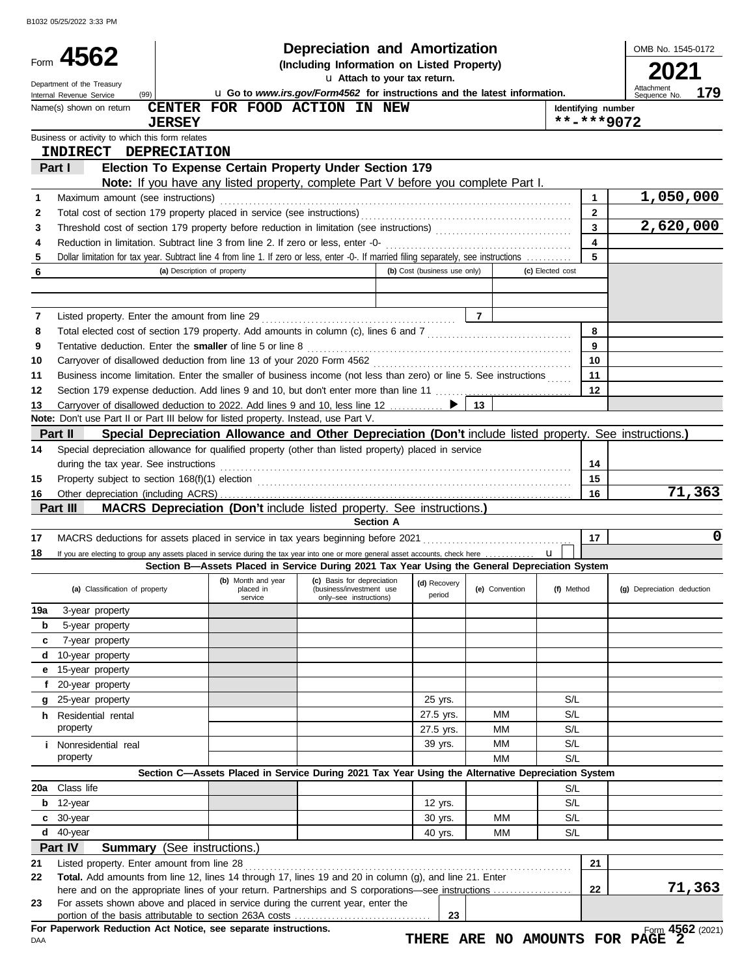|          | Form 4562<br>Department of the Treasury                                                                                                 | <b>Depreciation and Amortization</b><br>(Including Information on Listed Property)                       |                                                                           |                              | OMB No. 1545-0172 |                  |                    |                                   |
|----------|-----------------------------------------------------------------------------------------------------------------------------------------|----------------------------------------------------------------------------------------------------------|---------------------------------------------------------------------------|------------------------------|-------------------|------------------|--------------------|-----------------------------------|
|          | (99)<br>Internal Revenue Service                                                                                                        |                                                                                                          | u Go to www.irs.gov/Form4562 for instructions and the latest information. |                              |                   |                  |                    | Attachment<br>179<br>Sequence No. |
|          | Name(s) shown on return                                                                                                                 | <b>CENTER</b>                                                                                            | FOR FOOD ACTION IN NEW                                                    |                              |                   |                  | Identifying number |                                   |
|          |                                                                                                                                         | <b>JERSEY</b>                                                                                            |                                                                           |                              |                   |                  | $***$ -***9072     |                                   |
|          | Business or activity to which this form relates<br>INDIRECT DEPRECIATION                                                                |                                                                                                          |                                                                           |                              |                   |                  |                    |                                   |
|          | Part I                                                                                                                                  | Election To Expense Certain Property Under Section 179                                                   |                                                                           |                              |                   |                  |                    |                                   |
|          |                                                                                                                                         | Note: If you have any listed property, complete Part V before you complete Part I.                       |                                                                           |                              |                   |                  |                    |                                   |
| 1        | Maximum amount (see instructions)                                                                                                       |                                                                                                          |                                                                           |                              |                   |                  | 1                  | 1,050,000                         |
| 2        |                                                                                                                                         |                                                                                                          |                                                                           |                              |                   |                  | $\mathbf{2}$       |                                   |
| 3        |                                                                                                                                         |                                                                                                          |                                                                           |                              |                   |                  | 3                  | 2,620,000                         |
| 4        | Reduction in limitation. Subtract line 3 from line 2. If zero or less, enter -0-                                                        |                                                                                                          |                                                                           |                              |                   |                  | 4                  |                                   |
| 5        | Dollar limitation for tax year. Subtract line 4 from line 1. If zero or less, enter -0-. If married filing separately, see instructions |                                                                                                          |                                                                           |                              |                   |                  | 5                  |                                   |
| 6        |                                                                                                                                         | (a) Description of property                                                                              |                                                                           | (b) Cost (business use only) |                   | (c) Elected cost |                    |                                   |
|          |                                                                                                                                         |                                                                                                          |                                                                           |                              |                   |                  |                    |                                   |
|          |                                                                                                                                         |                                                                                                          |                                                                           |                              |                   |                  |                    |                                   |
| 7        | Listed property. Enter the amount from line 29                                                                                          |                                                                                                          |                                                                           |                              | $\overline{7}$    |                  |                    |                                   |
| 8        |                                                                                                                                         |                                                                                                          |                                                                           |                              |                   |                  | 8                  |                                   |
| 9        | Tentative deduction. Enter the smaller of line 5 or line 8                                                                              |                                                                                                          |                                                                           |                              |                   |                  | 9                  |                                   |
| 10       | Carryover of disallowed deduction from line 13 of your 2020 Form 4562                                                                   |                                                                                                          |                                                                           |                              |                   |                  | 10                 |                                   |
| 11       | Business income limitation. Enter the smaller of business income (not less than zero) or line 5. See instructions                       |                                                                                                          |                                                                           |                              |                   |                  | 11                 |                                   |
| 12       |                                                                                                                                         |                                                                                                          |                                                                           |                              |                   |                  | 12                 |                                   |
| 13       |                                                                                                                                         |                                                                                                          |                                                                           |                              | 13                |                  |                    |                                   |
|          | Note: Don't use Part II or Part III below for listed property. Instead, use Part V.                                                     |                                                                                                          |                                                                           |                              |                   |                  |                    |                                   |
|          | Part II                                                                                                                                 | Special Depreciation Allowance and Other Depreciation (Don't include listed property. See instructions.) |                                                                           |                              |                   |                  |                    |                                   |
| 14       | Special depreciation allowance for qualified property (other than listed property) placed in service                                    |                                                                                                          |                                                                           |                              |                   |                  |                    |                                   |
|          | during the tax year. See instructions                                                                                                   |                                                                                                          |                                                                           |                              |                   |                  | 14                 |                                   |
| 15       |                                                                                                                                         |                                                                                                          |                                                                           |                              |                   |                  | 15                 |                                   |
| 16       |                                                                                                                                         |                                                                                                          |                                                                           |                              |                   |                  | 16                 | 71,363                            |
|          | Part III                                                                                                                                | MACRS Depreciation (Don't include listed property. See instructions.)                                    | <b>Section A</b>                                                          |                              |                   |                  |                    |                                   |
|          |                                                                                                                                         |                                                                                                          |                                                                           |                              |                   |                  |                    | 0                                 |
| 17       |                                                                                                                                         |                                                                                                          |                                                                           |                              |                   |                  | 17                 |                                   |
| 18       |                                                                                                                                         | Section B-Assets Placed in Service During 2021 Tax Year Using the General Depreciation System            |                                                                           |                              |                   |                  |                    |                                   |
|          |                                                                                                                                         | (b) Month and year                                                                                       | (c) Basis for depreciation                                                | (d) Recovery                 |                   |                  |                    |                                   |
|          | (a) Classification of property                                                                                                          | placed in<br>service                                                                                     | (business/investment use<br>only-see instructions)                        | period                       | (e) Convention    | (f) Method       |                    | (g) Depreciation deduction        |
| 19a      | 3-year property                                                                                                                         |                                                                                                          |                                                                           |                              |                   |                  |                    |                                   |
|          | 5-year property                                                                                                                         |                                                                                                          |                                                                           |                              |                   |                  |                    |                                   |
| b        |                                                                                                                                         |                                                                                                          |                                                                           |                              |                   |                  |                    |                                   |
|          |                                                                                                                                         |                                                                                                          |                                                                           |                              |                   |                  |                    |                                   |
| c<br>d   | 7-year property<br>10-year property                                                                                                     |                                                                                                          |                                                                           |                              |                   |                  |                    |                                   |
| е        |                                                                                                                                         |                                                                                                          |                                                                           |                              |                   |                  |                    |                                   |
| f        | 15-year property<br>20-year property                                                                                                    |                                                                                                          |                                                                           |                              |                   |                  |                    |                                   |
| g        | 25-year property                                                                                                                        |                                                                                                          |                                                                           |                              |                   | S/L              |                    |                                   |
|          |                                                                                                                                         |                                                                                                          |                                                                           | 25 yrs.                      | MМ                | S/L              |                    |                                   |
|          | <b>h</b> Residential rental<br>property                                                                                                 |                                                                                                          |                                                                           | 27.5 yrs.<br>27.5 yrs.       | MМ                | S/L              |                    |                                   |
|          | <i>i</i> Nonresidential real                                                                                                            |                                                                                                          |                                                                           | 39 yrs.                      | MМ                | S/L              |                    |                                   |
|          | property                                                                                                                                |                                                                                                          |                                                                           |                              | MМ                | S/L              |                    |                                   |
|          |                                                                                                                                         | Section C-Assets Placed in Service During 2021 Tax Year Using the Alternative Depreciation System        |                                                                           |                              |                   |                  |                    |                                   |
|          | Class life                                                                                                                              |                                                                                                          |                                                                           |                              |                   | S/L              |                    |                                   |
| b        | 12-year                                                                                                                                 |                                                                                                          |                                                                           | 12 yrs.                      |                   | S/L              |                    |                                   |
| c        | 30-year                                                                                                                                 |                                                                                                          |                                                                           | 30 yrs.                      | MМ                | S/L              |                    |                                   |
| 20a<br>d | 40-year                                                                                                                                 |                                                                                                          |                                                                           | 40 yrs.                      | MМ                | S/L              |                    |                                   |
|          |                                                                                                                                         |                                                                                                          |                                                                           |                              |                   |                  |                    |                                   |
| 21       | Part IV<br>Listed property. Enter amount from line 28                                                                                   | <b>Summary</b> (See instructions.)                                                                       |                                                                           |                              |                   |                  | 21                 |                                   |
| 22       | Total. Add amounts from line 12, lines 14 through 17, lines 19 and 20 in column (g), and line 21. Enter                                 |                                                                                                          |                                                                           |                              |                   |                  |                    |                                   |
|          |                                                                                                                                         |                                                                                                          |                                                                           |                              |                   |                  | 22                 | 71,363                            |
| 23       | For assets shown above and placed in service during the current year, enter the                                                         |                                                                                                          |                                                                           | 23                           |                   |                  |                    |                                   |

DAA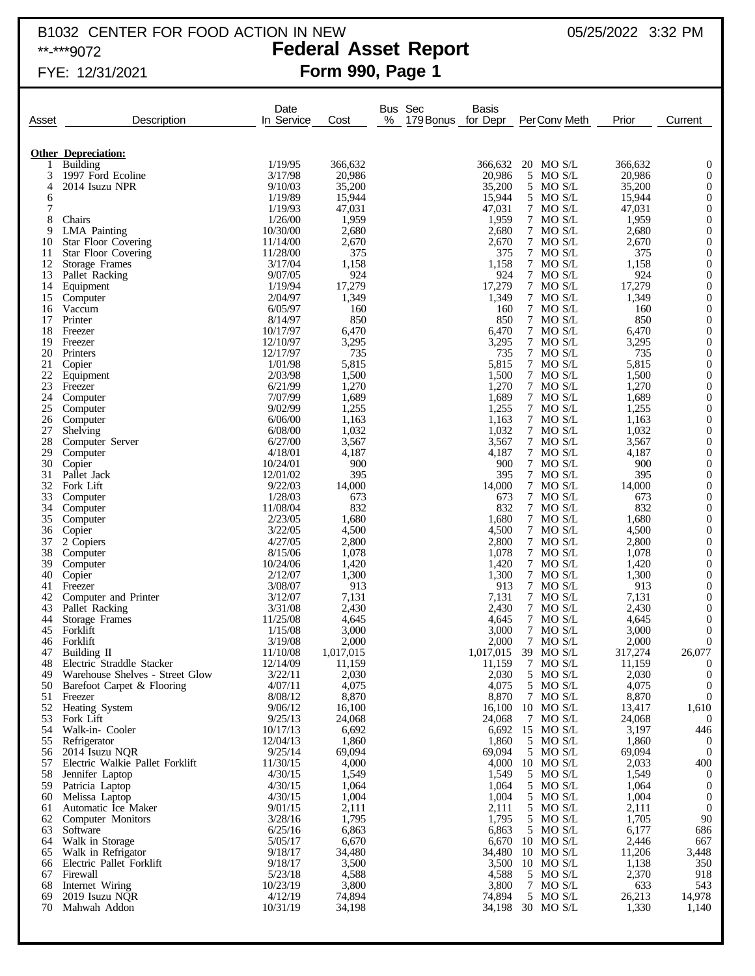# B1032 CENTER FOR FOOD ACTION IN NEW  $05/25/2022$  3:32 PM

# \*\*-\*\*\*9072 **Federal Asset Report**

## FYE: 12/31/2021 **Form 990, Page 1**

| Asset          | Description                                                  | Date<br>In Service   | Cost            | Bus Sec<br>%<br>179 Bonus | Basis<br>for Depr | PerConv Meth           | Prior           | Current                              |
|----------------|--------------------------------------------------------------|----------------------|-----------------|---------------------------|-------------------|------------------------|-----------------|--------------------------------------|
|                |                                                              |                      |                 |                           |                   |                        |                 |                                      |
| 1              | <b>Other Depreciation:</b><br>Building                       | 1/19/95              | 366,632         |                           | 366,632           | 20 MO S/L              | 366,632         | $\mathbf{0}$                         |
| 3              | 1997 Ford Ecoline                                            | 3/17/98              | 20,986          |                           | 20,986            | 5 MO S/L               | 20,986          | $\mathbf{0}$                         |
| $\overline{4}$ | 2014 Isuzu NPR                                               | 9/10/03              | 35,200          |                           | 35,200            | 5 MO S/L               | 35,200          | $\mathbf{0}$                         |
| 6              |                                                              | 1/19/89              | 15,944          |                           | 15,944            | 5 MO S/L               | 15,944          | $\boldsymbol{0}$                     |
| 7              |                                                              | 1/19/93<br>1/26/00   | 47,031          |                           | 47,031            | 7 MO S/L               | 47,031          | $\mathbf{0}$                         |
| 8<br>9         | Chairs<br><b>LMA</b> Painting                                | 10/30/00             | 1,959<br>2,680  |                           | 1,959<br>2,680    | 7 MO S/L<br>7 MO S/L   | 1,959<br>2,680  | $\mathbf{0}$<br>$\boldsymbol{0}$     |
| 10             | <b>Star Floor Covering</b>                                   | 11/14/00             | 2,670           |                           | 2,670             | 7 MO S/L               | 2,670           | $\boldsymbol{0}$                     |
| 11             | <b>Star Floor Covering</b>                                   | 11/28/00             | 375             |                           | 375               | 7 MO S/L               | 375             | $\mathbf{0}$                         |
| 12             | Storage Frames                                               | 3/17/04              | 1,158           |                           | 1,158             | 7 MO S/L               | 1,158           | $\boldsymbol{0}$                     |
| 13             | Pallet Racking                                               | 9/07/05<br>1/19/94   | 924<br>17,279   |                           | 924<br>17,279     | 7 MO S/L<br>7 MO S/L   | 924<br>17,279   | $\mathbf{0}$<br>$\boldsymbol{0}$     |
| 14<br>15       | Equipment<br>Computer                                        | 2/04/97              | 1,349           |                           | 1,349             | 7 MO S/L               | 1,349           | $\mathbf{0}$                         |
| 16             | Vaccum                                                       | 6/05/97              | 160             |                           | 160               | 7 MO S/L               | 160             | $\boldsymbol{0}$                     |
| 17             | Printer                                                      | 8/14/97              | 850             |                           | 850               | 7 MO S/L               | 850             | $\mathbf{0}$                         |
| 18             | Freezer                                                      | 10/17/97             | 6,470           |                           | 6,470             | 7 MO S/L               | 6,470           | $\boldsymbol{0}$                     |
| 19<br>20       | Freezer<br>Printers                                          | 12/10/97<br>12/17/97 | 3,295<br>735    |                           | 3,295<br>735      | 7 MO S/L<br>7 MO S/L   | 3,295<br>735    | $\mathbf{0}$<br>$\boldsymbol{0}$     |
| 21             | Copier                                                       | 1/01/98              | 5,815           |                           | 5,815             | 7 MO S/L               | 5,815           | $\mathbf{0}$                         |
| 22             | Equipment                                                    | 2/03/98              | 1,500           |                           | 1,500             | 7 MO S/L               | 1,500           | $\mathbf{0}$                         |
| 23             | Freezer                                                      | 6/21/99              | 1,270           |                           | 1,270             | 7 MO S/L               | 1,270           | $\mathbf{0}$                         |
| 24             | Computer                                                     | 7/07/99              | 1,689           |                           | 1,689             | 7 MO S/L               | 1,689           | $\boldsymbol{0}$                     |
| 25<br>26       | Computer<br>Computer                                         | 9/02/99<br>6/06/00   | 1,255<br>1,163  |                           | 1,255<br>1,163    | 7 MO S/L<br>7 MO S/L   | 1,255<br>1,163  | $\mathbf{0}$<br>$\mathbf{0}$         |
| 27             | Shelving                                                     | 6/08/00              | 1,032           |                           | 1,032             | 7 MO S/L               | 1,032           | $\mathbf{0}$                         |
| 28             | Computer Server                                              | 6/27/00              | 3,567           |                           | 3,567             | 7 MO S/L               | 3,567           | $\boldsymbol{0}$                     |
| 29             | Computer                                                     | 4/18/01              | 4,187           |                           | 4,187             | 7 MO S/L               | 4,187           | $\mathbf{0}$                         |
| 30             | Copier                                                       | 10/24/01             | 900             |                           | 900               | 7 MO S/L               | 900             | $\boldsymbol{0}$                     |
| 31<br>32       | Pallet Jack<br>Fork Lift                                     | 12/01/02<br>9/22/03  | 395<br>14,000   |                           | 395<br>14,000     | 7 MO S/L<br>7 MO S/L   | 395<br>14,000   | $\mathbf{0}$<br>$\boldsymbol{0}$     |
| 33             | Computer                                                     | 1/28/03              | 673             |                           | 673               | 7 MO S/L               | 673             | $\mathbf{0}$                         |
| 34             | Computer                                                     | 11/08/04             | 832             |                           | 832               | 7 MO S/L               | 832             | $\boldsymbol{0}$                     |
| 35             | Computer                                                     | 2/23/05              | 1,680           |                           | 1,680             | 7 MO S/L               | 1,680           | $\mathbf{0}$                         |
| 36             | Copier                                                       | 3/22/05              | 4,500           |                           | 4,500             | 7 MO S/L               | 4,500           | $\boldsymbol{0}$                     |
| 37<br>38       | 2 Copiers<br>Computer                                        | 4/27/05<br>8/15/06   | 2,800<br>1,078  |                           | 2,800<br>1,078    | 7 MO S/L<br>7 MO S/L   | 2,800<br>1,078  | $\boldsymbol{0}$<br>$\boldsymbol{0}$ |
| 39             | Computer                                                     | 10/24/06             | 1,420           |                           | 1,420             | 7 MO S/L               | 1,420           | $\boldsymbol{0}$                     |
| 40             | Copier                                                       | 2/12/07              | 1,300           |                           | 1,300             | 7 MO S/L               | 1,300           | $\boldsymbol{0}$                     |
| 41             | Freezer                                                      | 3/08/07              | 913             |                           | 913               | 7 MO S/L               | 913             | $\boldsymbol{0}$                     |
| 42<br>43       | Computer and Printer<br>Pallet Racking                       | 3/12/07<br>3/31/08   | 7,131<br>2,430  |                           | 7,131<br>2,430    | 7 MO S/L<br>7 MO S/L   | 7,131<br>2,430  | $\boldsymbol{0}$<br>$\mathbf{0}$     |
| 44             | Storage Frames                                               | 11/25/08             | 4,645           |                           | 4,645             | 7 MO S/L               | 4,645           | $\boldsymbol{0}$                     |
| 45             | Forklift                                                     | 1/15/08              | 3,000           |                           | 3,000             | 7 MO S/L               | 3,000           | $\mathbf{0}$                         |
| 46             | Forklift                                                     | 3/19/08              | 2,000           |                           | 2,000             | 7 MO S/L               | 2,000           | $\mathbf{0}$                         |
|                | 47 Building II                                               | 11/10/08             | 1,017,015       |                           | 1,017,015         | 39 MO S/L<br>7 MO S/L  | 317,274         | 26,077                               |
| 48<br>49       | Electric Straddle Stacker<br>Warehouse Shelves - Street Glow | 12/14/09<br>3/22/11  | 11,159<br>2,030 |                           | 11,159<br>2,030   | 5 MO S/L               | 11,159<br>2,030 | $\mathbf{0}$<br>$\boldsymbol{0}$     |
| 50             | Barefoot Carpet & Flooring                                   | 4/07/11              | 4,075           |                           | 4,075             | 5 MO S/L               | 4,075           | $\mathbf{0}$                         |
| 51             | Freezer                                                      | 8/08/12              | 8,870           |                           | 8,870             | 7 MO S/L               | 8,870           | $\overline{0}$                       |
|                | 52 Heating System                                            | 9/06/12              | 16,100          |                           | 16,100            | 10 MO S/L              | 13,417          | 1,610                                |
| 53<br>54       | Fork Lift<br>Walk-in- Cooler                                 | 9/25/13<br>10/17/13  | 24,068<br>6,692 |                           | 24,068<br>6,692   | 7 MO S/L<br>15 MO S/L  | 24,068<br>3,197 | $\overline{0}$<br>446                |
| 55             | Refrigerator                                                 | 12/04/13             | 1,860           |                           | 1,860             | 5 MO S/L               | 1,860           | $\overline{0}$                       |
| 56             | 2014 Isuzu NQR                                               | 9/25/14              | 69,094          |                           | 69,094            | 5 MO S/L               | 69,094          | $\overline{0}$                       |
| 57             | Electric Walkie Pallet Forklift                              | 11/30/15             | 4,000           |                           | 4,000             | 10 MO S/L              | 2,033           | 400                                  |
| 58             | Jennifer Laptop                                              | 4/30/15              | 1,549           |                           | 1,549             | 5 MO S/L               | 1,549           | $\overline{0}$                       |
| 59<br>60       | Patricia Laptop<br>Melissa Laptop                            | 4/30/15<br>4/30/15   | 1,064<br>1,004  |                           | 1,064<br>1,004    | 5 MO S/L<br>5 MO S/L   | 1,064<br>1,004  | $\overline{0}$<br>$\boldsymbol{0}$   |
| 61             | Automatic Ice Maker                                          | 9/01/15              | 2,111           |                           | 2,111             | 5 MO S/L               | 2,111           | $\mathbf{0}$                         |
| 62             | Computer Monitors                                            | 3/28/16              | 1,795           |                           | 1,795             | 5 MO S/L               | 1,705           | 90                                   |
| 63             | Software                                                     | 6/25/16              | 6,863           |                           | 6,863             | 5 MO S/L               | 6,177           | 686                                  |
| 64             | Walk in Storage                                              | 5/05/17              | 6,670           |                           | 6,670             | 10 MO S/L              | 2,446           | 667                                  |
| 65<br>66       | Walk in Refrigator<br>Electric Pallet Forklift               | 9/18/17<br>9/18/17   | 34,480<br>3,500 |                           | 34,480<br>3,500   | 10 MO S/L<br>10 MO S/L | 11,206<br>1,138 | 3,448<br>350                         |
| 67             | Firewall                                                     | 5/23/18              | 4,588           |                           | 4,588             | 5 MO S/L               | 2,370           | 918                                  |
| 68             | Internet Wiring                                              | 10/23/19             | 3,800           |                           | 3,800             | 7 MO S/L               | 633             | 543                                  |
| 69             | 2019 Isuzu NQR                                               | 4/12/19              | 74,894          |                           | 74,894            | 5 MO S/L               | 26,213          | 14,978                               |
| 70             | Mahwah Addon                                                 | 10/31/19             | 34,198          |                           |                   | 34,198 30 MO S/L       | 1,330           | 1,140                                |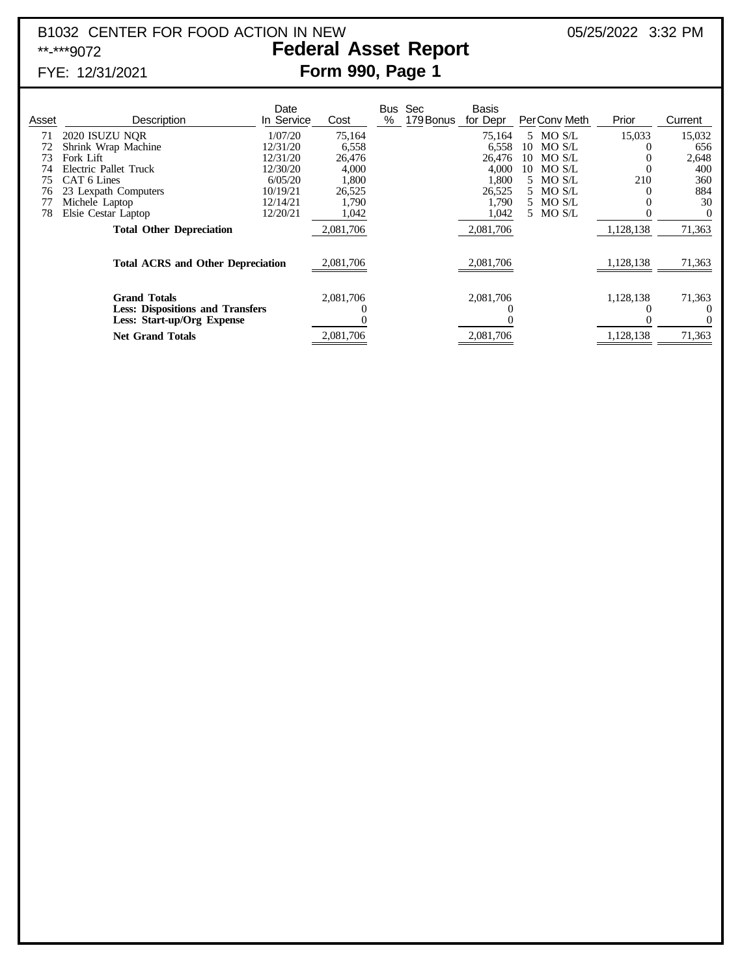### B1032 CENTER FOR FOOD ACTION IN NEW 05/25/2022 3:32 PM<br>**Federal Asset Report** 05/25/2022 3:32 PM **Federal Asset Report** FYE: 12/31/2021 **Form 990, Page 1**

| Asset                                    | Description                                                                                  | Date<br>In Service | Cost      | Bus<br>% | Sec<br>179 Bonus | <b>Basis</b><br>for Depr | PerConv Meth | Prior     | Current  |
|------------------------------------------|----------------------------------------------------------------------------------------------|--------------------|-----------|----------|------------------|--------------------------|--------------|-----------|----------|
| 71                                       | 2020 ISUZU NOR                                                                               | 1/07/20            | 75,164    |          |                  | 75,164                   | 5 MO S/L     | 15,033    | 15,032   |
|                                          | Shrink Wrap Machine                                                                          | 12/31/20           | 6,558     |          |                  | 6,558                    | 10 MO S/L    |           | 656      |
| 73                                       | Fork Lift                                                                                    | 12/31/20           | 26,476    |          |                  | 26,476                   | MO S/L<br>10 |           | 2,648    |
|                                          | Electric Pallet Truck                                                                        | 12/30/20           | 4,000     |          |                  | 4,000                    | MO S/L<br>10 |           | 400      |
|                                          | CAT 6 Lines                                                                                  | 6/05/20            | 1,800     |          |                  | 1,800                    | 5 MO S/L     | 210       | 360      |
| 76                                       | 23 Lexpath Computers                                                                         | 10/19/21           | 26,525    |          |                  | 26,525                   | 5 MO S/L     |           | 884      |
|                                          | Michele Laptop                                                                               | 12/14/21           | 1,790     |          |                  | 1,790                    | 5 MO S/L     |           | 30       |
| 78                                       | Elsie Cestar Laptop                                                                          | 12/20/21           | 1,042     |          |                  | 1,042                    | 5 MO S/L     |           | $\Omega$ |
|                                          | <b>Total Other Depreciation</b>                                                              |                    | 2,081,706 |          |                  | 2,081,706                |              | 1,128,138 | 71,363   |
| <b>Total ACRS and Other Depreciation</b> |                                                                                              |                    | 2,081,706 |          |                  | 2,081,706                |              | 1,128,138 | 71,363   |
|                                          | <b>Grand Totals</b><br><b>Less: Dispositions and Transfers</b><br>Less: Start-up/Org Expense |                    | 2,081,706 |          |                  | 2,081,706                |              | 1,128,138 | 71,363   |
|                                          | <b>Net Grand Totals</b>                                                                      |                    | 2,081,706 |          |                  | 2,081,706                |              | 1,128,138 | 71,363   |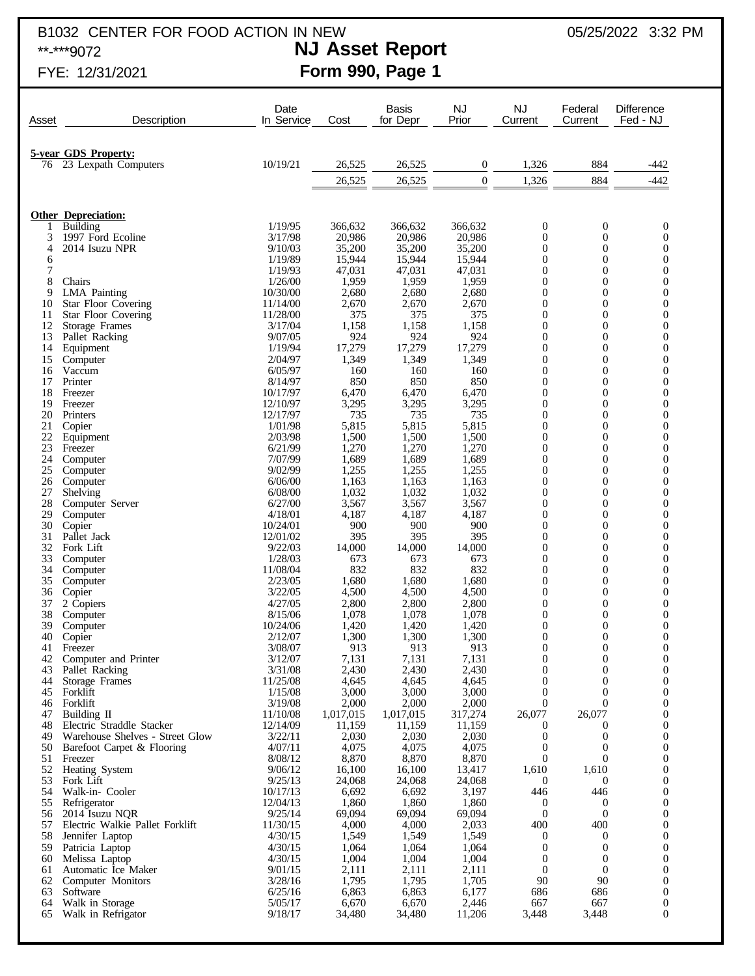B1032 CENTER FOR FOOD ACTION IN NEW 05/25/2022 3:32 PM<br>**NJ Asset Report** 05/25/2022 3:32 PM

## \*\*-\*\*\*9072 **NJ Asset Report** FYE: 12/31/2021 **Form 990, Page 1**

| Asset    | Description                             | Date<br>In Service   | Cost               | <b>Basis</b><br>for Depr | <b>NJ</b><br>Prior | NJ<br>Current                    | Federal<br>Current                 | Difference<br>Fed - NJ               |
|----------|-----------------------------------------|----------------------|--------------------|--------------------------|--------------------|----------------------------------|------------------------------------|--------------------------------------|
|          |                                         |                      |                    |                          |                    |                                  |                                    |                                      |
|          | <b>5-year GDS Property:</b>             |                      |                    |                          |                    |                                  |                                    |                                      |
| 76       | 23 Lexpath Computers                    | 10/19/21             | 26,525             | 26,525                   | $\boldsymbol{0}$   | 1,326                            | 884                                | $-442$                               |
|          |                                         |                      | 26,525             | 26,525                   | $\overline{0}$     | 1,326                            | 884                                | $-442$                               |
|          |                                         |                      |                    |                          |                    |                                  |                                    |                                      |
|          | <b>Other Depreciation:</b>              |                      |                    |                          |                    |                                  |                                    |                                      |
| 3        | Building<br>1997 Ford Ecoline           | 1/19/95<br>3/17/98   | 366,632<br>20,986  | 366,632                  | 366,632<br>20.986  | $\boldsymbol{0}$<br>$\theta$     | $\boldsymbol{0}$<br>$\overline{0}$ | $\boldsymbol{0}$<br>$\boldsymbol{0}$ |
| 4        | 2014 Isuzu NPR                          | 9/10/03              | 35,200             | 20,986<br>35,200         | 35,200             | $\mathbf{0}$                     | $\mathbf{0}$                       | $\boldsymbol{0}$                     |
| 6        |                                         | 1/19/89              | 15,944             | 15,944                   | 15,944             | $\mathbf{0}$                     | $\mathbf{0}$                       | $\boldsymbol{0}$                     |
| 7        |                                         | 1/19/93              | 47,031             | 47,031                   | 47,031             | $\mathbf{0}$                     | $\boldsymbol{0}$                   | $\boldsymbol{0}$                     |
| 8<br>9   | Chairs<br><b>LMA</b> Painting           | 1/26/00<br>10/30/00  | 1,959<br>2,680     | 1,959<br>2,680           | 1,959<br>2,680     | $\mathbf{0}$<br>$\mathbf{0}$     | $\mathbf{0}$<br>$\mathbf{0}$       | $\boldsymbol{0}$<br>$\boldsymbol{0}$ |
| 10       | <b>Star Floor Covering</b>              | 11/14/00             | 2,670              | 2,670                    | 2,670              | $\mathbf{0}$                     | $\mathbf{0}$                       | $\boldsymbol{0}$                     |
| 11       | <b>Star Floor Covering</b>              | 11/28/00             | 375                | 375                      | 375                | $\theta$                         | $\boldsymbol{0}$                   | $\boldsymbol{0}$                     |
| 12<br>13 | <b>Storage Frames</b><br>Pallet Racking | 3/17/04<br>9/07/05   | 1,158<br>924       | 1,158<br>924             | 1,158<br>924       | $\theta$<br>$\theta$             | $\mathbf{0}$<br>$\boldsymbol{0}$   | $\boldsymbol{0}$<br>$\boldsymbol{0}$ |
| 14       | Equipment                               | 1/19/94              | 17,279             | 17,279                   | 17,279             | $\theta$                         | $\mathbf{0}$                       | $\boldsymbol{0}$                     |
| 15       | Computer                                | 2/04/97              | 1,349              | 1,349                    | 1,349              | $\boldsymbol{0}$                 | $\boldsymbol{0}$                   | $\boldsymbol{0}$                     |
| 16<br>17 | Vaccum<br>Printer                       | 6/05/97<br>8/14/97   | 160<br>850         | 160<br>850               | 160<br>850         | $\theta$<br>$\theta$             | $\mathbf{0}$<br>$\overline{0}$     | $\boldsymbol{0}$<br>$\boldsymbol{0}$ |
| 18       | Freezer                                 | 10/17/97             | 6,470              | 6,470                    | 6,470              | $\theta$                         | $\overline{0}$                     | $\boldsymbol{0}$                     |
| 19       | Freezer                                 | 12/10/97             | 3,295              | 3,295                    | 3,295              | $\theta$                         | $\boldsymbol{0}$                   | $\boldsymbol{0}$                     |
| 20<br>21 | Printers<br>Copier                      | 12/17/97<br>1/01/98  | 735<br>5,815       | 735<br>5,815             | 735<br>5,815       | $\theta$<br>$\mathbf{0}$         | $\overline{0}$<br>$\boldsymbol{0}$ | $\boldsymbol{0}$<br>$\boldsymbol{0}$ |
| 22       | Equipment                               | 2/03/98              | 1,500              | 1,500                    | 1,500              | $\theta$                         | $\overline{0}$                     | $\boldsymbol{0}$                     |
| 23       | Freezer                                 | 6/21/99              | 1,270              | 1,270                    | 1,270              | $\theta$                         | $\boldsymbol{0}$                   | $\boldsymbol{0}$                     |
| 24<br>25 | Computer                                | 7/07/99<br>9/02/99   | 1,689<br>1,255     | 1,689<br>1,255           | 1,689              | $\theta$<br>$\boldsymbol{0}$     | $\overline{0}$<br>$\boldsymbol{0}$ | $\boldsymbol{0}$                     |
| 26       | Computer<br>Computer                    | 6/06/00              | 1,163              | 1,163                    | 1,255<br>1,163     | $\theta$                         | $\overline{0}$                     | $\boldsymbol{0}$<br>$\boldsymbol{0}$ |
| 27       | Shelving                                | 6/08/00              | 1,032              | 1,032                    | 1,032              | $\boldsymbol{0}$                 | $\boldsymbol{0}$                   | $\boldsymbol{0}$                     |
| 28       | Computer Server                         | 6/27/00              | 3,567              | 3,567                    | 3,567              | $\theta$                         | $\overline{0}$                     | $\boldsymbol{0}$                     |
| 29<br>30 | Computer<br>Copier                      | 4/18/01<br>10/24/01  | 4,187<br>900       | 4,187<br>900             | 4,187<br>900       | $\theta$<br>$\theta$             | $\overline{0}$<br>$\overline{0}$   | $\boldsymbol{0}$<br>$\boldsymbol{0}$ |
| 31       | Pallet Jack                             | 12/01/02             | 395                | 395                      | 395                | $\theta$                         | $\boldsymbol{0}$                   | $\boldsymbol{0}$                     |
| 32       | Fork Lift                               | 9/22/03              | 14,000             | 14,000                   | 14,000             | $\theta$                         | $\overline{0}$                     | $\boldsymbol{0}$                     |
| 33<br>34 | Computer<br>Computer                    | 1/28/03<br>11/08/04  | 673<br>832         | 673<br>832               | 673<br>832         | $\boldsymbol{0}$<br>$\mathbf{0}$ | $\boldsymbol{0}$<br>$\overline{0}$ | $\boldsymbol{0}$<br>$\boldsymbol{0}$ |
| 35       | Computer                                | 2/23/05              | 1,680              | 1,680                    | 1,680              | $\theta$                         | $\boldsymbol{0}$                   | $\boldsymbol{0}$                     |
| 36       | Copier                                  | 3/22/05              | 4,500              | 4,500                    | 4,500              | $\mathbf{0}$                     | $\overline{0}$                     | $\boldsymbol{0}$                     |
| 37<br>38 | 2 Copiers<br>Computer                   | 4/27/05<br>8/15/06   | 2,800<br>1,078     | 2,800<br>1,078           | 2,800<br>1,078     | $\boldsymbol{0}$<br>$\mathbf{0}$ | $\boldsymbol{0}$<br>$\overline{0}$ | $\boldsymbol{0}$<br>$\boldsymbol{0}$ |
| 39       | Computer                                | 10/24/06             | 1,420              | 1,420                    | 1,420              | $\boldsymbol{0}$                 | $\boldsymbol{0}$                   | $\boldsymbol{0}$                     |
| 40       | Copier                                  | 2/12/07              | 1,300              | 1,300                    | 1,300              | $\theta$                         | $\overline{0}$                     | $\boldsymbol{0}$                     |
| 41       | Freezer                                 | 3/08/07<br>3/12/07   | 913<br>7,131       | 913<br>7,131             | 913<br>7,131       | $\mathbf{0}$<br>$\mathbf{0}$     | $\mathbf{0}$<br>$\boldsymbol{0}$   | $\mathbf{0}$                         |
| 42<br>43 | Computer and Printer<br>Pallet Racking  | 3/31/08              | 2,430              | 2,430                    | 2,430              | $\mathbf{0}$                     | $\boldsymbol{0}$                   | 0<br>$\boldsymbol{0}$                |
| 44       | Storage Frames                          | 11/25/08             | 4,645              | 4,645                    | 4,645              | $\mathbf{0}$                     | $\boldsymbol{0}$                   | $\mathbf{0}$                         |
| 45       | Forklift                                | 1/15/08              | 3,000              | 3,000                    | 3,000              | $\mathbf{0}$<br>$\overline{0}$   | $\boldsymbol{0}$<br>$\overline{0}$ | $\boldsymbol{0}$                     |
| 47       | 46 Forklift<br>Building II              | 3/19/08<br>11/10/08  | 2,000<br>1,017,015 | 2,000<br>1,017,015       | 2,000<br>317,274   | 26,077                           | 26,077                             | $\boldsymbol{0}$<br>$\boldsymbol{0}$ |
| 48       | Electric Straddle Stacker               | 12/14/09             | 11,159             | 11,159                   | 11,159             | $\mathbf{0}$                     | $\theta$                           | $\boldsymbol{0}$                     |
| 49       | Warehouse Shelves - Street Glow         | 3/22/11              | 2,030              | 2,030                    | 2,030              | $\mathbf{0}$                     | $\boldsymbol{0}$                   | $\boldsymbol{0}$                     |
| 50<br>51 | Barefoot Carpet & Flooring<br>Freezer   | 4/07/11<br>8/08/12   | 4,075<br>8,870     | 4,075<br>8,870           | 4,075<br>8,870     | $\mathbf{0}$<br>$\mathbf{0}$     | $\theta$<br>$\overline{0}$         | $\boldsymbol{0}$<br>$\boldsymbol{0}$ |
| 52       | Heating System                          | 9/06/12              | 16,100             | 16,100                   | 13,417             | 1,610                            | 1,610                              | $\boldsymbol{0}$                     |
| 53       | Fork Lift                               | 9/25/13              | 24,068             | 24,068                   | 24,068             | $\mathbf{0}$                     | $\mathbf{0}$                       | $\boldsymbol{0}$                     |
| 54<br>55 | Walk-in- Cooler<br>Refrigerator         | 10/17/13<br>12/04/13 | 6,692<br>1,860     | 6,692<br>1,860           | 3,197<br>1,860     | 446<br>$\mathbf{0}$              | 446<br>$\boldsymbol{0}$            | $\boldsymbol{0}$<br>$\boldsymbol{0}$ |
| 56       | 2014 Isuzu NQR                          | 9/25/14              | 69,094             | 69,094                   | 69,094             | $\mathbf{0}$                     | $\mathbf{0}$                       | $\boldsymbol{0}$                     |
| 57       | Electric Walkie Pallet Forklift         | 11/30/15             | 4,000              | 4,000                    | 2,033              | 400                              | 400                                | $\boldsymbol{0}$                     |
| 58<br>59 | Jennifer Laptop<br>Patricia Laptop      | 4/30/15<br>4/30/15   | 1,549<br>1,064     | 1,549<br>1,064           | 1,549<br>1,064     | $\mathbf{0}$<br>$\mathbf{0}$     | $\mathbf{0}$<br>$\boldsymbol{0}$   | $\boldsymbol{0}$<br>$\boldsymbol{0}$ |
| 60       | Melissa Laptop                          | 4/30/15              | 1,004              | 1,004                    | 1,004              | $\boldsymbol{0}$                 | $\theta$                           | $\boldsymbol{0}$                     |
| 61       | Automatic Ice Maker                     | 9/01/15              | 2,111              | 2,111                    | 2,111              | $\mathbf{0}$                     | $\mathbf{0}$                       | $\boldsymbol{0}$                     |
| 62<br>63 | Computer Monitors<br>Software           | 3/28/16<br>6/25/16   | 1,795<br>6,863     | 1,795<br>6,863           | 1,705<br>6,177     | 90<br>686                        | 90<br>686                          | $\boldsymbol{0}$<br>$\boldsymbol{0}$ |
| 64       | Walk in Storage                         | 5/05/17              | 6,670              | 6,670                    | 2,446              | 667                              | 667                                | $\boldsymbol{0}$                     |
| 65       | Walk in Refrigator                      | 9/18/17              | 34,480             | 34,480                   | 11,206             | 3,448                            | 3,448                              | $\boldsymbol{0}$                     |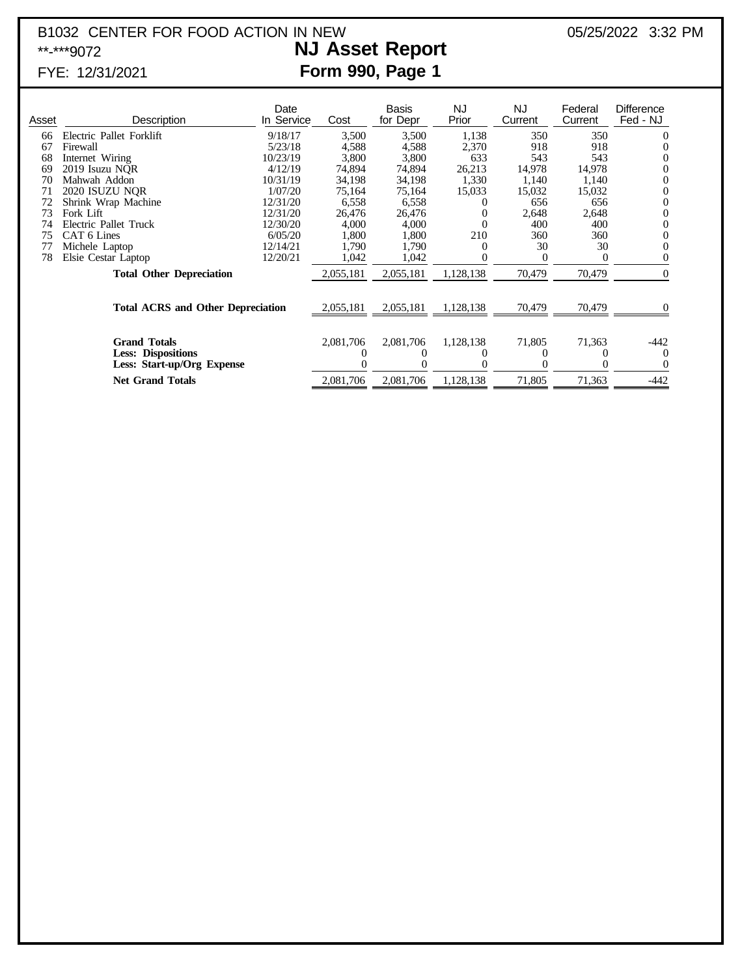### B1032 CENTER FOR FOOD ACTION IN NEW 05/25/2022 3:32 PM<br> **NJ Asset Report** 05/25/2022 3:32 PM \*\*-\*\*\*9072 **NJ Asset Report** FYE: 12/31/2021 **Form 990, Page 1**

| Asset                                    | Description                                                                    | Date<br>In Service | Cost      | Basis<br>for Depr | NJ.<br>Prior | <b>NJ</b><br>Current | Federal<br>Current | <b>Difference</b><br>Fed - NJ |
|------------------------------------------|--------------------------------------------------------------------------------|--------------------|-----------|-------------------|--------------|----------------------|--------------------|-------------------------------|
| 66                                       | Electric Pallet Forklift                                                       | 9/18/17            | 3,500     | 3,500             | 1,138        | 350                  | 350                | $\theta$                      |
| 67                                       | Firewall                                                                       | 5/23/18            | 4,588     | 4,588             | 2,370        | 918                  | 918                |                               |
| 68                                       | Internet Wiring                                                                | 10/23/19           | 3,800     | 3,800             | 633          | 543                  | 543                |                               |
| 69                                       | 2019 Isuzu NQR                                                                 | 4/12/19            | 74,894    | 74,894            | 26,213       | 14,978               | 14,978             |                               |
| 70                                       | Mahwah Addon                                                                   | 10/31/19           | 34,198    | 34,198            | 1,330        | 1,140                | 1,140              | $\Omega$                      |
| 71                                       | 2020 ISUZU NOR                                                                 | 1/07/20            | 75,164    | 75,164            | 15,033       | 15,032               | 15,032             | $\Omega$                      |
| 72                                       | Shrink Wrap Machine                                                            | 12/31/20           | 6,558     | 6,558             |              | 656                  | 656                | $\theta$                      |
| 73                                       | Fork Lift                                                                      | 12/31/20           | 26,476    | 26,476            | $_{0}$       | 2,648                | 2,648              | $\Omega$                      |
| 74                                       | Electric Pallet Truck                                                          | 12/30/20           | 4,000     | 4,000             |              | 400                  | 400                | $\theta$                      |
| 75                                       | CAT 6 Lines                                                                    | 6/05/20            | 1,800     | 1,800             | 210          | 360                  | 360                | $\theta$                      |
| 77                                       | Michele Laptop                                                                 | 12/14/21           | 1,790     | 1,790             |              | 30                   | 30                 |                               |
| 78                                       | Elsie Cestar Laptop                                                            | 12/20/21           | 1,042     | 1,042             |              |                      |                    |                               |
|                                          | <b>Total Other Depreciation</b>                                                |                    | 2,055,181 | 2,055,181         | 1,128,138    | 70,479               | 70,479             | $\theta$                      |
| <b>Total ACRS and Other Depreciation</b> |                                                                                |                    | 2,055,181 | 2,055,181         | 1,128,138    | 70,479               | 70,479             |                               |
|                                          | <b>Grand Totals</b><br><b>Less: Dispositions</b><br>Less: Start-up/Org Expense |                    |           | 2,081,706         | 1,128,138    | 71,805               | 71,363             | -442<br>$\theta$              |
|                                          | <b>Net Grand Totals</b>                                                        |                    | 2,081,706 | 2,081,706         | 1,128,138    | 71,805               | 71,363             | $-442$                        |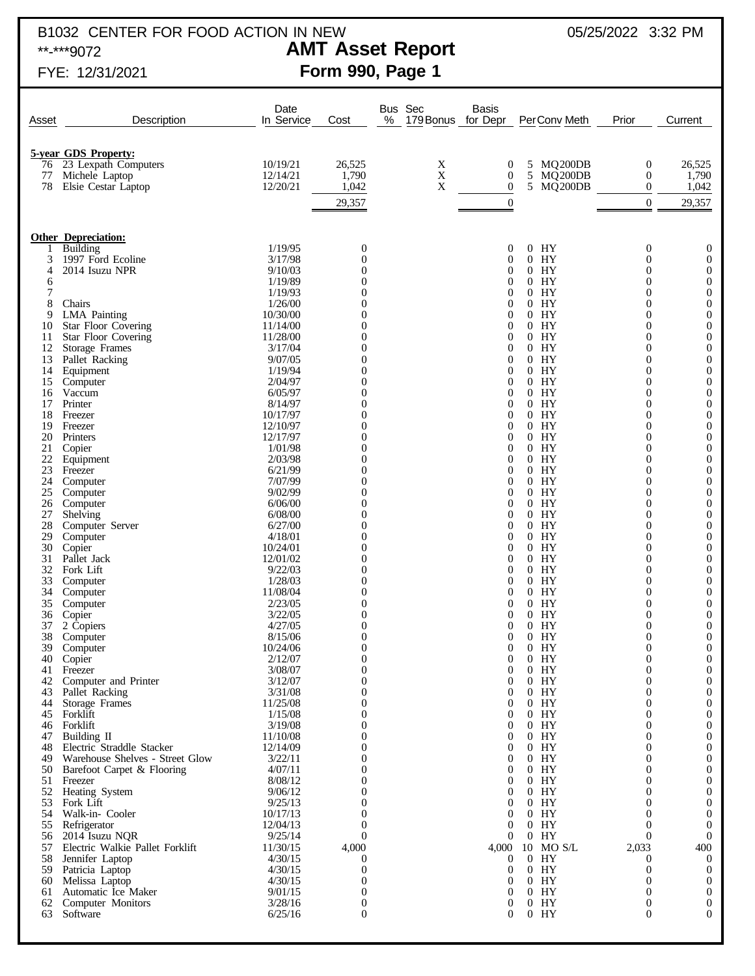# B1032 CENTER FOR FOOD ACTION IN NEW 05/25/2022 3:32 PM<br>**AMT Asset Report** 05/25/2022 3:32 PM

## **AMT Asset Report** FYE: 12/31/2021 **Form 990, Page 1**

| Asset    | Description                                  | Date<br>In Service  | Cost                               | Bus Sec<br>Basis<br>%<br>179 Bonus for Depr<br>Prior<br>PerConv Meth<br>Current            |
|----------|----------------------------------------------|---------------------|------------------------------------|--------------------------------------------------------------------------------------------|
|          | <b>5-year GDS Property:</b>                  |                     |                                    |                                                                                            |
| 76       | 23 Lexpath Computers                         | 10/19/21            | 26,525                             | X<br>MQ200DB<br>26,525<br>0<br>5<br>$\boldsymbol{0}$                                       |
| 77       | Michele Laptop                               | 12/14/21            | 1,790                              | X<br>$\boldsymbol{0}$<br>5 MQ200DB<br>1,790<br>$\mathbf{0}$                                |
| 78       | Elsie Cestar Laptop                          | 12/20/21            | 1,042                              | X<br>$\boldsymbol{0}$<br>1,042<br>5<br>MQ200DB<br>$\mathbf{0}$                             |
|          |                                              |                     | 29,357                             | $\boldsymbol{0}$<br>$\mathbf{0}$<br>29,357                                                 |
|          | <b>Other Depreciation:</b>                   |                     |                                    |                                                                                            |
|          | Building                                     | 1/19/95             | 0                                  | $0$ HY<br>$\mathbf{0}$<br>$\mathbf{0}$<br>0                                                |
| 3        | 1997 Ford Ecoline                            | 3/17/98             | $\boldsymbol{0}$                   | $0$ HY<br>$\mathbf{0}$<br>0<br>$\theta$                                                    |
| 4        | 2014 Isuzu NPR                               | 9/10/03             | $\overline{0}$<br>$\overline{0}$   | $0$ HY<br>$\mathbf{0}$<br>0<br>0<br>$0$ HY<br>$\mathbf{0}$<br>0<br>$\theta$                |
| 6<br>7   |                                              | 1/19/89<br>1/19/93  | $\overline{0}$                     | $0$ HY<br>$\mathbf{0}$<br>0<br>0                                                           |
| 8        | Chairs                                       | 1/26/00             | $\overline{0}$                     | $0$ HY<br>$\mathbf{0}$<br>0<br>$\theta$                                                    |
| 9        | <b>LMA</b> Painting                          | 10/30/00            | $\Omega$                           | $0$ HY<br>$\mathbf{0}$<br>0<br>0                                                           |
| 10       | <b>Star Floor Covering</b>                   | 11/14/00            | 0                                  | $0$ HY<br>$\mathbf{0}$<br>$\overline{0}$<br>$\theta$                                       |
| 11<br>12 | <b>Star Floor Covering</b><br>Storage Frames | 11/28/00<br>3/17/04 | $\overline{0}$<br>$\overline{0}$   | $0$ HY<br>$\mathbf{0}$<br>0<br>0<br>$0$ HY<br>$\mathbf{0}$<br>0<br>$\theta$                |
| 13       | Pallet Racking                               | 9/07/05             | $\overline{0}$                     | $0$ HY<br>$\mathbf{0}$<br>0<br>0                                                           |
| 14       | Equipment                                    | 1/19/94             | 0                                  | $0$ HY<br>$\mathbf{0}$<br>$\boldsymbol{0}$<br>$\theta$                                     |
| 15       | Computer                                     | 2/04/97             | $\overline{0}$                     | $0$ HY<br>$\mathbf{0}$<br>0<br>0                                                           |
| 16       | Vaccum                                       | 6/05/97             | $\overline{0}$                     | $0$ HY<br>$\mathbf{0}$<br>0<br>$\theta$                                                    |
| 17<br>18 | Printer<br>Freezer                           | 8/14/97<br>10/17/97 | $\overline{0}$<br>$\overline{0}$   | $0$ HY<br>$\mathbf{0}$<br>0<br>0<br>$0$ HY<br>$\mathbf{0}$<br>$\boldsymbol{0}$<br>$\theta$ |
| 19       | Freezer                                      | 12/10/97            | $\overline{0}$                     | $0$ HY<br>$\mathbf{0}$<br>0<br>0                                                           |
| 20       | Printers                                     | 12/17/97            | $\overline{0}$                     | $0$ HY<br>$\mathbf{0}$<br>0<br>$\theta$                                                    |
| 21       | Copier                                       | 1/01/98             | $\overline{0}$                     | $0$ HY<br>$\mathbf{0}$<br>0<br>0                                                           |
| 22       | Equipment                                    | 2/03/98             | $\overline{0}$                     | $0$ HY<br>$\mathbf{0}$<br>$\boldsymbol{0}$<br>$\theta$                                     |
| 23       | Freezer                                      | 6/21/99<br>7/07/99  | $\overline{0}$<br>$\overline{0}$   | $0$ HY<br>$\mathbf{0}$<br>0<br>0<br>$0$ HY<br>$\mathbf{0}$                                 |
| 24<br>25 | Computer<br>Computer                         | 9/02/99             | $\overline{0}$                     | 0<br>$\theta$<br>$0$ HY<br>$\mathbf{0}$<br>0<br>0                                          |
| 26       | Computer                                     | 6/06/00             | 0                                  | $0$ HY<br>$\mathbf{0}$<br>$\overline{0}$<br>$\theta$                                       |
| 27       | Shelving                                     | 6/08/00             | $\overline{0}$                     | $0$ HY<br>$\mathbf{0}$<br>0<br>0                                                           |
| 28       | Computer Server                              | 6/27/00             | $\overline{0}$                     | $0$ HY<br>$\mathbf{0}$<br>0<br>$\theta$                                                    |
| 29<br>30 | Computer                                     | 4/18/01<br>10/24/01 | $\Omega$<br>0                      | $0$ HY<br>$\mathbf{0}$<br>0<br>0<br>$0$ HY<br>$\mathbf{0}$<br>$\overline{0}$<br>$\theta$   |
| 31       | Copier<br>Pallet Jack                        | 12/01/02            | $\overline{0}$                     | $0$ HY<br>$\boldsymbol{0}$<br>0<br>0                                                       |
| 32       | Fork Lift                                    | 9/22/03             | $\overline{0}$                     | $0$ HY<br>$\boldsymbol{0}$<br>0<br>$\theta$                                                |
| 33       | Computer                                     | 1/28/03             | $\overline{0}$                     | $0$ HY<br>$\mathbf{0}$<br>0<br>0                                                           |
| 34       | Computer                                     | 11/08/04            | $\overline{0}$                     | $0$ HY<br>$\mathbf{0}$<br>0<br>$\theta$                                                    |
| 35<br>36 | Computer<br>Copier                           | 2/23/05<br>3/22/05  | $\overline{0}$<br>0                | $0$ HY<br>$\mathbf{0}$<br>0<br>0<br>$0$ HY<br>$\mathbf{0}$<br>0<br>$\theta$                |
| 37       | 2 Copiers                                    | 4/27/05             | 0                                  | $0$ HY<br>$\mathbf{0}$<br>$\theta$<br>0                                                    |
| 38       | Computer                                     | 8/15/06             | $\boldsymbol{0}$                   | $0$ HY<br>$\mathbf{0}$<br>0<br>$\mathbf{0}$                                                |
| 39       | Computer                                     | 10/24/06            | $\Omega$                           | $0$ HY<br>$\Omega$<br>$\Omega$<br>0                                                        |
| 40       | Copier                                       | 2/12/07             | $\boldsymbol{0}$<br>$\overline{0}$ | $0$ HY<br>$\overline{0}$<br>0<br>$\mathbf{0}$<br>$\overline{0}$<br>0                       |
|          | 41 Freezer<br>42 Computer and Printer        | 3/08/07<br>3/12/07  | $\overline{0}$                     | $0$ HY<br>0<br>$0$ HY<br>$\overline{0}$<br>$\theta$<br>0                                   |
|          | 43 Pallet Racking                            | 3/31/08             | $\Omega$                           | $0$ HY<br>$\mathbf{0}$<br>0<br>0                                                           |
| 44       | Storage Frames                               | 11/25/08            | 0                                  | $0$ HY<br>$\mathbf{0}$<br>0<br>$\mathbf{0}$                                                |
|          | 45 Forklift                                  | 1/15/08             | 0                                  | $0$ HY<br>$\mathbf{0}$<br>0<br>0                                                           |
|          | 46 Forklift<br>47 Building II                | 3/19/08<br>11/10/08 | 0<br>0                             | $0$ HY<br>$\mathbf{0}$<br>0<br>0<br>$0$ HY<br>$\mathbf{0}$<br>0<br>0                       |
| 48       | Electric Straddle Stacker                    | 12/14/09            | $_{0}$                             | $0$ HY<br>$\mathbf{0}$<br>0<br>0                                                           |
| 49       | Warehouse Shelves - Street Glow              | 3/22/11             | 0                                  | $0$ HY<br>$\mathbf{0}$<br>0<br>0                                                           |
|          | 50 Barefoot Carpet & Flooring                | 4/07/11             | 0                                  | $0$ HY<br>$\mathbf{0}$<br>0<br>0                                                           |
|          | 51 Freezer                                   | 8/08/12             | 0                                  | $0$ HY<br>$\mathbf{0}$<br>0<br>0                                                           |
|          | 52 Heating System<br>53 Fork Lift            | 9/06/12<br>9/25/13  | 0<br>0                             | $0$ HY<br>$\mathbf{0}$<br>0<br>0<br>$0$ HY<br>$\mathbf{0}$<br>0<br>0                       |
| 54       | Walk-in- Cooler                              | 10/17/13            | 0                                  | $0$ HY<br>$\mathbf{0}$<br>0<br>$\Omega$                                                    |
|          | 55 Refrigerator                              | 12/04/13            | 0                                  | $0$ HY<br>$\boldsymbol{0}$<br>0<br>$\Omega$                                                |
| 56       | 2014 Isuzu NQR                               | 9/25/14             | $\Omega$                           | $0$ HY<br>$\overline{0}$<br>$\overline{0}$<br>$\mathbf{0}$                                 |
|          | 57 Electric Walkie Pallet Forklift           | 11/30/15            | 4,000                              | 400<br>10 MO S/L<br>4,000<br>2,033                                                         |
| 58       | Jennifer Laptop<br>59 Patricia Laptop        | 4/30/15<br>4/30/15  | $\theta$<br>0                      | $0$ HY<br>$\mathbf{0}$<br>0<br>$\theta$<br>$0$ HY<br>$\boldsymbol{0}$<br>0<br>0            |
| 60       | Melissa Laptop                               | 4/30/15             | 0                                  | $0$ HY<br>$\boldsymbol{0}$<br>0<br>$\Omega$                                                |
| 61       | Automatic Ice Maker                          | 9/01/15             | 0                                  | $0$ HY<br>$\boldsymbol{0}$<br>0<br>0                                                       |
| 62       | Computer Monitors                            | 3/28/16             | 0                                  | $0$ HY<br>$\overline{0}$<br>0<br>$\theta$                                                  |
| 63       | Software                                     | 6/25/16             | $\mathbf{0}$                       | $0$ HY<br>$\overline{0}$<br>0<br>$\mathbf{0}$                                              |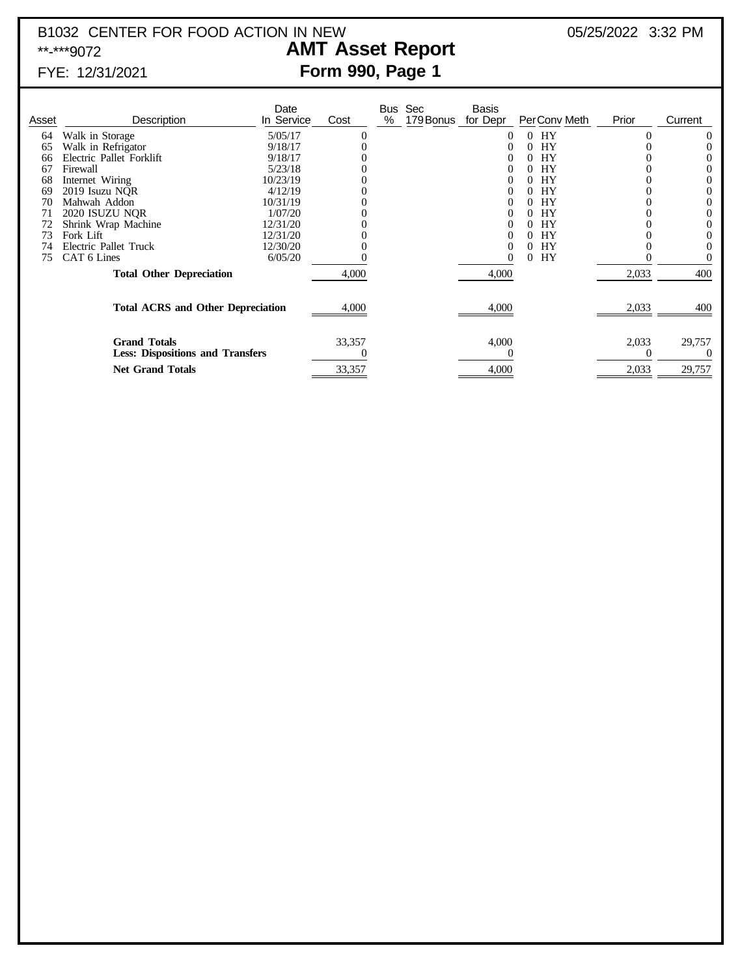# B1032 CENTER FOR FOOD ACTION IN NEW 05/25/2022 3:32 PM<br>**AMT Asset Report** 05/25/2022 3:32 PM

### **AMT Asset Report** FYE: 12/31/2021 **Form 990, Page 1**

| Asset | Description                                                    | Date<br>In Service | Cost   | Bus<br>% | Sec<br>179 Bonus | <b>Basis</b><br>for Depr | PerConv Meth   | Prior | Current  |
|-------|----------------------------------------------------------------|--------------------|--------|----------|------------------|--------------------------|----------------|-------|----------|
| 64    | Walk in Storage                                                | 5/05/17            | 0      |          |                  | O                        | HY             | 0     | $\theta$ |
| 65    | Walk in Refrigator                                             | 9/18/17            |        |          |                  |                          | <b>HY</b>      |       |          |
| 66    | Electric Pallet Forklift                                       | 9/18/17            |        |          |                  |                          | HY             |       |          |
| 67    | Firewall                                                       | 5/23/18            |        |          |                  |                          | <b>HY</b>      |       |          |
| 68    | Internet Wiring                                                | 10/23/19           |        |          |                  |                          | <b>HY</b>      |       |          |
| 69    | 2019 Isuzu NOR                                                 | 4/12/19            |        |          |                  |                          | <b>HY</b>      |       |          |
| 70    | Mahwah Addon                                                   | 10/31/19           |        |          |                  |                          | HY             |       |          |
| 71    | 2020 ISUZU NQR                                                 | 1/07/20            |        |          |                  |                          | <b>HY</b>      |       |          |
|       | Shrink Wrap Machine                                            | 12/31/20           |        |          |                  |                          | HY             |       |          |
| 73    | Fork Lift                                                      | 12/31/20           |        |          |                  |                          | HY             |       |          |
|       | Electric Pallet Truck                                          | 12/30/20           |        |          |                  | 0                        | <b>HY</b>      |       |          |
| 75    | CAT 6 Lines                                                    | 6/05/20            |        |          |                  |                          | <b>HY</b><br>0 |       |          |
|       | <b>Total Other Depreciation</b>                                |                    | 4,000  |          |                  | 4,000                    |                | 2,033 | 400      |
|       | <b>Total ACRS and Other Depreciation</b>                       |                    | 4,000  |          |                  | 4,000                    |                | 2,033 | 400      |
|       | <b>Grand Totals</b><br><b>Less: Dispositions and Transfers</b> |                    | 33,357 |          |                  | 4,000                    |                | 2,033 | 29,757   |
|       | <b>Net Grand Totals</b>                                        |                    | 33,357 |          |                  | 4,000                    |                | 2,033 | 29,757   |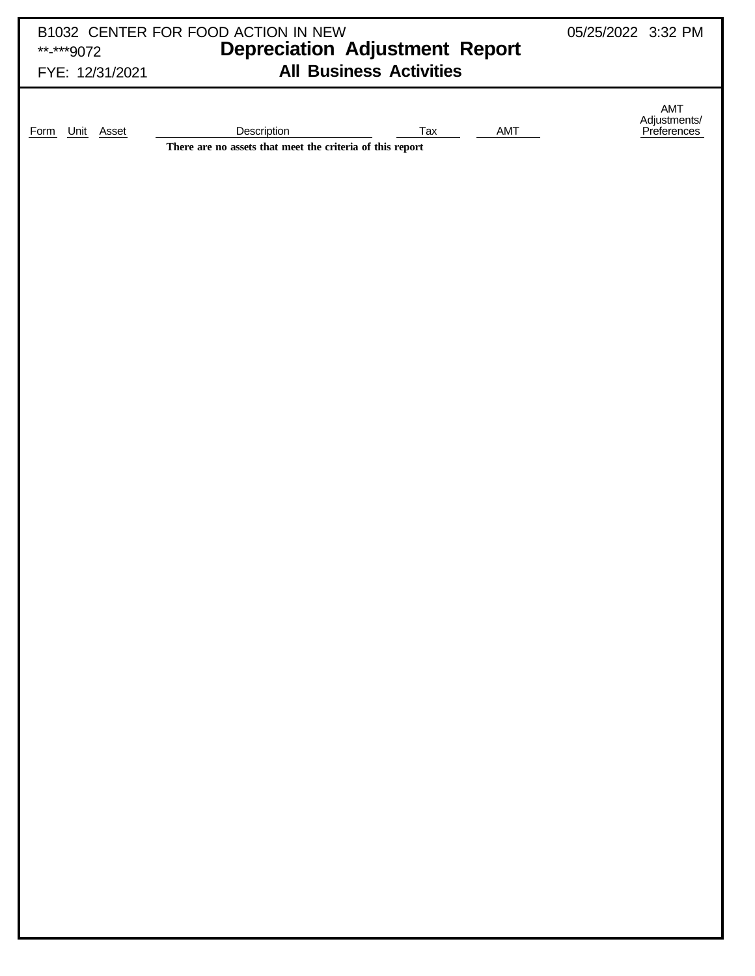| **-***9072<br>FYE: 12/31/2021 | B1032 CENTER FOR FOOD ACTION IN NEW                                      | 05/25/2022 3:32 PM<br><b>Depreciation Adjustment Report</b><br><b>All Business Activities</b> |     |                                    |  |  |  |
|-------------------------------|--------------------------------------------------------------------------|-----------------------------------------------------------------------------------------------|-----|------------------------------------|--|--|--|
| Form Unit Asset               | Description<br>There are no assets that meet the criteria of this report | <b>Tax</b>                                                                                    | AMT | AMT<br>Adjustments/<br>Preferences |  |  |  |
|                               |                                                                          |                                                                                               |     |                                    |  |  |  |
|                               |                                                                          |                                                                                               |     |                                    |  |  |  |
|                               |                                                                          |                                                                                               |     |                                    |  |  |  |
|                               |                                                                          |                                                                                               |     |                                    |  |  |  |
|                               |                                                                          |                                                                                               |     |                                    |  |  |  |
|                               |                                                                          |                                                                                               |     |                                    |  |  |  |
|                               |                                                                          |                                                                                               |     |                                    |  |  |  |
|                               |                                                                          |                                                                                               |     |                                    |  |  |  |
|                               |                                                                          |                                                                                               |     |                                    |  |  |  |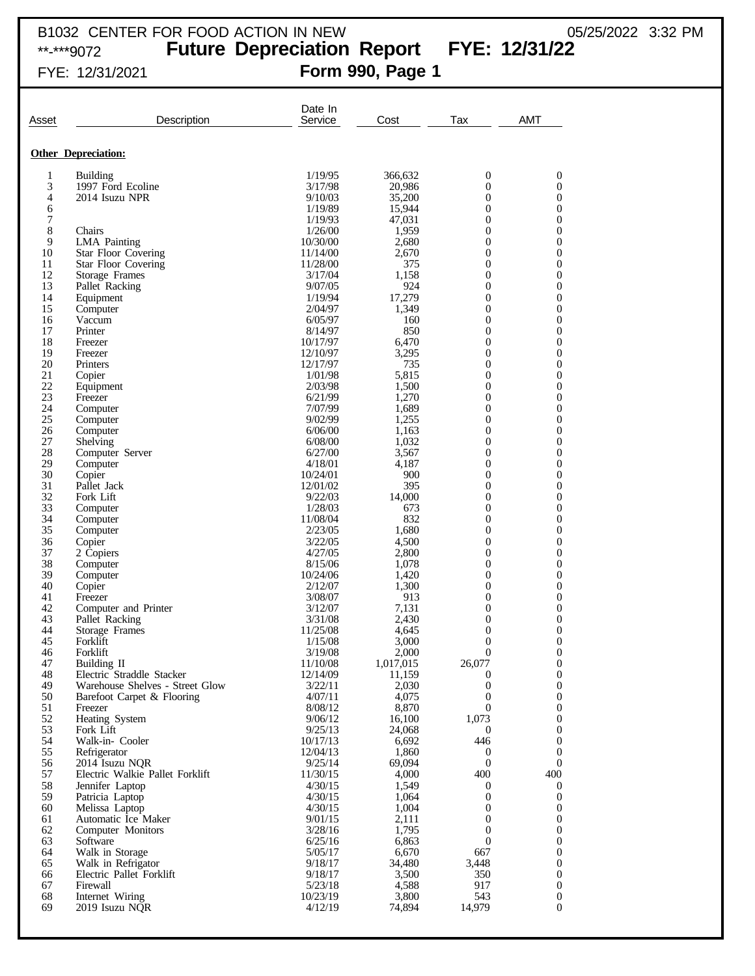# **Future Depreciation Report FYE: 12/31/22**

### FYE: 12/31/2021 **Form 990, Page 1**

| Asset               | Description                                                   | Date In<br>Service   | Cost            | Tax                                  | <b>AMT</b>                           |
|---------------------|---------------------------------------------------------------|----------------------|-----------------|--------------------------------------|--------------------------------------|
|                     | <b>Other Depreciation:</b>                                    |                      |                 |                                      |                                      |
| 1                   | <b>Building</b>                                               | 1/19/95              | 366.632         | $\boldsymbol{0}$                     | 0                                    |
| 3                   | 1997 Ford Ecoline                                             | 3/17/98              | 20,986          | $\boldsymbol{0}$                     | $\boldsymbol{0}$                     |
| 4                   | 2014 Isuzu NPR                                                | 9/10/03              | 35,200          | 0                                    | $\boldsymbol{0}$                     |
| 6                   |                                                               | 1/19/89              | 15,944          | $\boldsymbol{0}$                     | $\boldsymbol{0}$                     |
| $\overline{7}$<br>8 | Chairs                                                        | 1/19/93<br>1/26/00   | 47.031<br>1,959 | $\overline{0}$<br>$\mathbf{0}$       | $\boldsymbol{0}$<br>$\boldsymbol{0}$ |
| 9                   | <b>LMA</b> Painting                                           | 10/30/00             | 2,680           | 0                                    | $\boldsymbol{0}$                     |
| 10                  | <b>Star Floor Covering</b>                                    | 11/14/00             | 2,670           | $\boldsymbol{0}$                     | $\boldsymbol{0}$                     |
| 11                  | <b>Star Floor Covering</b>                                    | 11/28/00             | 375             | $\overline{0}$                       | $\boldsymbol{0}$                     |
| 12                  | Storage Frames                                                | 3/17/04              | 1,158           | $\boldsymbol{0}$                     | $\boldsymbol{0}$                     |
| 13<br>14            | Pallet Racking<br>Equipment                                   | 9/07/05<br>1/19/94   | 924<br>17,279   | 0<br>$\boldsymbol{0}$                | $\boldsymbol{0}$<br>$\boldsymbol{0}$ |
| 15                  | Computer                                                      | 2/04/97              | 1,349           | $\overline{0}$                       | $\boldsymbol{0}$                     |
| 16                  | Vaccum                                                        | 6/05/97              | 160             | $\boldsymbol{0}$                     | $\boldsymbol{0}$                     |
| 17                  | Printer                                                       | 8/14/97              | 850             | 0                                    | $\boldsymbol{0}$                     |
| 18                  | Freezer                                                       | 10/17/97             | 6,470           | $\boldsymbol{0}$                     | $\boldsymbol{0}$                     |
| 19<br>20            | Freezer<br>Printers                                           | 12/10/97<br>12/17/97 | 3,295<br>735    | $\overline{0}$<br>$\boldsymbol{0}$   | $\boldsymbol{0}$<br>$\boldsymbol{0}$ |
| 21                  | Copier                                                        | 1/01/98              | 5,815           | 0                                    | $\boldsymbol{0}$                     |
| 22                  | Equipment                                                     | 2/03/98              | 1,500           | $\boldsymbol{0}$                     | $\boldsymbol{0}$                     |
| 23                  | Freezer                                                       | 6/21/99              | 1,270           | $\overline{0}$                       | $\boldsymbol{0}$                     |
| 24                  | Computer                                                      | 7/07/99              | 1,689           | $\boldsymbol{0}$                     | $\boldsymbol{0}$                     |
| 25<br>26            | Computer<br>Computer                                          | 9/02/99<br>6/06/00   | 1,255<br>1,163  | 0<br>$\boldsymbol{0}$                | $\boldsymbol{0}$<br>$\boldsymbol{0}$ |
| 27                  | Shelving                                                      | 6/08/00              | 1,032           | $\overline{0}$                       | $\boldsymbol{0}$                     |
| 28                  | Computer Server                                               | 6/27/00              | 3,567           | $\boldsymbol{0}$                     | $\boldsymbol{0}$                     |
| 29                  | Computer                                                      | 4/18/01              | 4,187           | $\overline{0}$                       | $\boldsymbol{0}$                     |
| 30                  | Copier                                                        | 10/24/01             | 900             | $\boldsymbol{0}$                     | $\boldsymbol{0}$                     |
| 31<br>32            | Pallet Jack<br>Fork Lift                                      | 12/01/02<br>9/22/03  | 395<br>14,000   | $\overline{0}$<br>$\boldsymbol{0}$   | $\boldsymbol{0}$<br>$\boldsymbol{0}$ |
| 33                  | Computer                                                      | 1/28/03              | 673             | 0                                    | $\boldsymbol{0}$                     |
| 34                  | Computer                                                      | 11/08/04             | 832             | $\boldsymbol{0}$                     | $\boldsymbol{0}$                     |
| 35                  | Computer                                                      | 2/23/05              | 1,680           | 0                                    | $\boldsymbol{0}$                     |
| 36                  | Copier                                                        | 3/22/05              | 4,500           | $\boldsymbol{0}$                     | $\boldsymbol{0}$                     |
| 37<br>38            | 2 Copiers                                                     | 4/27/05<br>8/15/06   | 2,800<br>1,078  | 0<br>$\boldsymbol{0}$                | $\boldsymbol{0}$<br>$\boldsymbol{0}$ |
| 39                  | Computer<br>Computer                                          | 10/24/06             | 1,420           | 0                                    | $\boldsymbol{0}$                     |
| 40                  | Copier                                                        | 2/12/07              | 1,300           | $\boldsymbol{0}$                     | $\boldsymbol{0}$                     |
| 41                  | Freezer                                                       | 3/08/07              | 913             | 0                                    | $\boldsymbol{0}$                     |
| 42                  | Computer and Printer                                          | 3/12/07              | 7,131           | $\boldsymbol{0}$                     | $\boldsymbol{0}$                     |
| 43<br>44            | Pallet Racking<br>Storage Frames                              | 3/31/08<br>11/25/08  | 2,430<br>4,645  | 0<br>$\boldsymbol{0}$                | $\boldsymbol{0}$<br>$\boldsymbol{0}$ |
| 45                  | Forklift                                                      | 1/15/08              | 3,000           | $\overline{0}$                       | $\overline{0}$                       |
| 46                  | Forklift                                                      | 3/19/08              | 2,000           | $\boldsymbol{0}$                     | $\boldsymbol{0}$                     |
| 47                  | Building II                                                   | 11/10/08             | 1,017,015       | 26,077                               | $\boldsymbol{0}$                     |
| 48                  | Electric Straddle Stacker                                     | 12/14/09             | 11,159          | $\boldsymbol{0}$                     | $\boldsymbol{0}$<br>$\boldsymbol{0}$ |
| 49<br>50            | Warehouse Shelves - Street Glow<br>Barefoot Carpet & Flooring | 3/22/11<br>4/07/11   | 2,030<br>4,075  | $\boldsymbol{0}$<br>$\boldsymbol{0}$ | $\boldsymbol{0}$                     |
| 51                  | Freezer                                                       | 8/08/12              | 8,870           | $\theta$                             | $\boldsymbol{0}$                     |
| 52                  | Heating System                                                | 9/06/12              | 16,100          | 1,073                                | $\boldsymbol{0}$                     |
| 53                  | Fork Lift                                                     | 9/25/13              | 24,068          | $\overline{0}$                       | $\boldsymbol{0}$                     |
| 54<br>55            | Walk-in- Cooler<br>Refrigerator                               | 10/17/13<br>12/04/13 | 6,692<br>1,860  | 446                                  | $\boldsymbol{0}$<br>$\mathbf{0}$     |
| 56                  | 2014 Isuzu NQR                                                | 9/25/14              | 69,094          | $\boldsymbol{0}$<br>$\mathbf{0}$     | $\mathbf{0}$                         |
| 57                  | Electric Walkie Pallet Forklift                               | 11/30/15             | 4,000           | 400                                  | 400                                  |
| 58                  | Jennifer Laptop                                               | 4/30/15              | 1,549           | $\boldsymbol{0}$                     | $\boldsymbol{0}$                     |
| 59                  | Patricia Laptop                                               | 4/30/15              | 1,064           | $\boldsymbol{0}$                     | $\mathbf{0}$                         |
| 60<br>61            | Melissa Laptop<br>Automatic Ice Maker                         | 4/30/15<br>9/01/15   | 1,004<br>2,111  | $\boldsymbol{0}$<br>$\mathbf{0}$     | $\boldsymbol{0}$<br>$\boldsymbol{0}$ |
| 62                  | Computer Monitors                                             | 3/28/16              | 1,795           | $\boldsymbol{0}$                     | $\boldsymbol{0}$                     |
| 63                  | Software                                                      | 6/25/16              | 6,863           | $\boldsymbol{0}$                     | $\boldsymbol{0}$                     |
| 64                  | Walk in Storage                                               | 5/05/17              | 6,670           | 667                                  | $\boldsymbol{0}$                     |
| 65                  | Walk in Refrigator                                            | 9/18/17              | 34,480          | 3,448                                | $\boldsymbol{0}$                     |
| 66                  | Electric Pallet Forklift                                      | 9/18/17              | 3,500           | 350                                  | $\boldsymbol{0}$                     |
| 67<br>68            | Firewall<br>Internet Wiring                                   | 5/23/18<br>10/23/19  | 4,588<br>3,800  | 917<br>543                           | $\boldsymbol{0}$<br>$\boldsymbol{0}$ |
| 69                  | 2019 Isuzu NQR                                                | 4/12/19              | 74,894          | 14,979                               | 0                                    |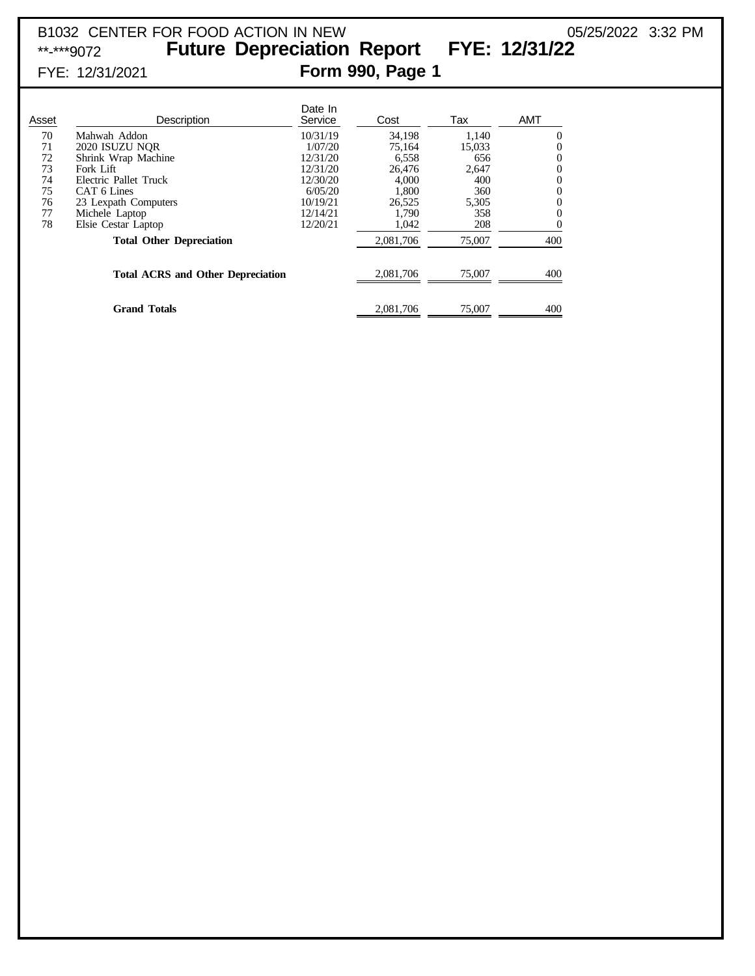### B1032 CENTER FOR FOOD ACTION IN NEW 05/25/2022 3:32 PM<br>\*\*-\*\*\*9072 **Future Depreciation Report FYE: 12/31/22** Future Depreciation Report FYE: 12/31/22 FYE: 12/31/2021 **Form 990, Page 1**

| Asset | Description                              | Date In<br>Service | Cost      | Tax    | <b>AMT</b> |
|-------|------------------------------------------|--------------------|-----------|--------|------------|
| 70    | Mahwah Addon                             | 10/31/19           | 34.198    | 1.140  | 0          |
| 71    | 2020 ISUZU NOR                           | 1/07/20            | 75.164    | 15,033 | 0          |
| 72    | Shrink Wrap Machine                      | 12/31/20           | 6,558     | 656    | 0          |
| 73    | Fork Lift                                | 12/31/20           | 26,476    | 2,647  | 0          |
| 74    | Electric Pallet Truck                    | 12/30/20           | 4.000     | 400    | 0          |
| 75    | CAT 6 Lines                              | 6/05/20            | 1.800     | 360    | 0          |
| 76    | 23 Lexpath Computers                     | 10/19/21           | 26,525    | 5,305  | 0          |
| 77    | Michele Laptop                           | 12/14/21           | 1.790     | 358    | 0          |
| 78    | Elsie Cestar Laptop                      | 12/20/21           | 1,042     | 208    | 0          |
|       | <b>Total Other Depreciation</b>          |                    | 2,081,706 | 75,007 | 400        |
|       | <b>Total ACRS and Other Depreciation</b> |                    | 2,081,706 | 75,007 | 400        |
|       | <b>Grand Totals</b>                      |                    | 2,081,706 | 75,007 | 400        |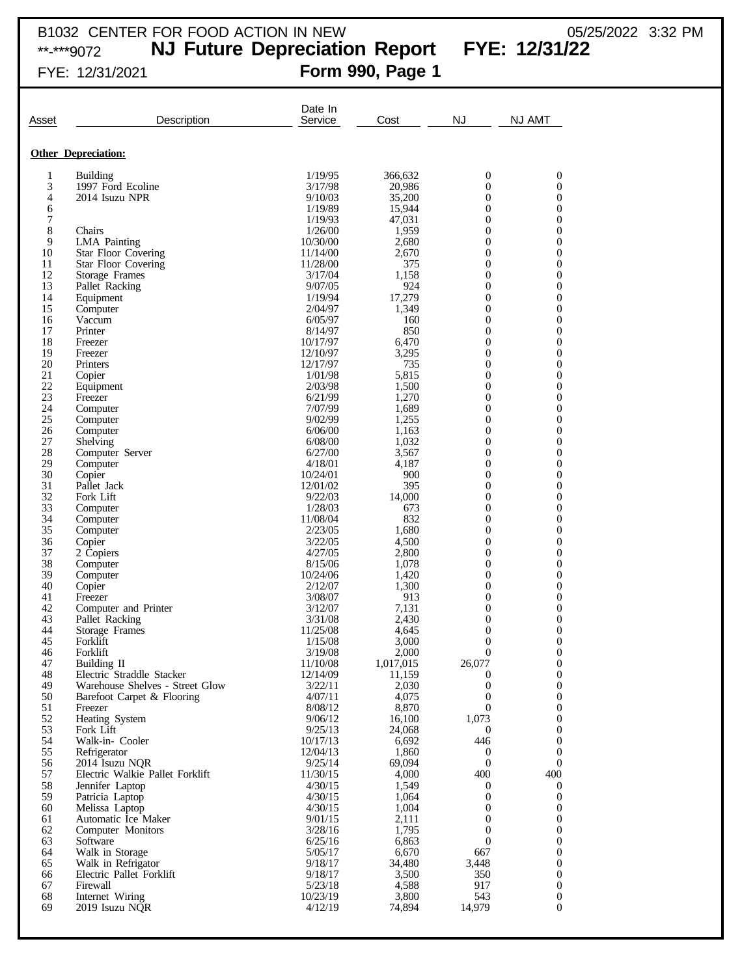### B1032 CENTER FOR FOOD ACTION IN NEW  $05/25/2022$  3:32 PM

\*\*-\*\*\*9072 **NJ Future Depreciation Report FYE: 12/31/22**

## FYE: 12/31/2021 **Form 990, Page 1**

| Asset    | Description                                              | Date In<br>Service   | Cost            | <b>NJ</b>                          | <b>NJ AMT</b>     |
|----------|----------------------------------------------------------|----------------------|-----------------|------------------------------------|-------------------|
|          |                                                          |                      |                 |                                    |                   |
|          | <b>Other Depreciation:</b>                               |                      |                 |                                    |                   |
| 1        | <b>Building</b>                                          | 1/19/95              | 366,632         | 0                                  | 0                 |
| 3        | 1997 Ford Ecoline                                        | 3/17/98              | 20,986          | $\overline{0}$                     | $\mathbf{0}$      |
| 4        | 2014 Isuzu NPR                                           | 9/10/03              | 35,200          | $\boldsymbol{0}$                   | 0                 |
| 6        |                                                          | 1/19/89              | 15,944          | $\overline{0}$                     | $\mathbf{0}$      |
| 7        |                                                          | 1/19/93              | 47,031          | $\overline{0}$                     | 0                 |
| 8        | Chairs                                                   | 1/26/00              | 1,959           | $\overline{0}$                     | 0                 |
| 9        | <b>LMA</b> Painting                                      | 10/30/00             | 2,680           | $\boldsymbol{0}$                   | 0                 |
| 10<br>11 | <b>Star Floor Covering</b><br><b>Star Floor Covering</b> | 11/14/00<br>11/28/00 | 2,670<br>375    | $\overline{0}$<br>$\boldsymbol{0}$ | 0<br>0            |
| 12       | Storage Frames                                           | 3/17/04              | 1,158           | $\overline{0}$                     | 0                 |
| 13       | Pallet Racking                                           | 9/07/05              | 924             | $\boldsymbol{0}$                   | 0                 |
| 14       | Equipment                                                | 1/19/94              | 17,279          | $\overline{0}$                     | 0                 |
| 15       | Computer                                                 | 2/04/97              | 1,349           | $\boldsymbol{0}$                   | 0                 |
| 16       | Vaccum                                                   | 6/05/97              | 160             | $\overline{0}$                     | 0                 |
| 17       | Printer                                                  | 8/14/97              | 850             | $\boldsymbol{0}$                   | 0                 |
| 18<br>19 | Freezer                                                  | 10/17/97             | 6,470           | $\overline{0}$                     | 0                 |
| 20       | Freezer<br>Printers                                      | 12/10/97<br>12/17/97 | 3,295<br>735    | $\boldsymbol{0}$<br>$\overline{0}$ | 0<br>0            |
| 21       | Copier                                                   | 1/01/98              | 5,815           | $\boldsymbol{0}$                   | 0                 |
| 22       | Equipment                                                | 2/03/98              | 1,500           | $\overline{0}$                     | 0                 |
| 23       | Freezer                                                  | 6/21/99              | 1,270           | $\boldsymbol{0}$                   | 0                 |
| 24       | Computer                                                 | 7/07/99              | 1,689           | $\overline{0}$                     | 0                 |
| 25       | Computer                                                 | 9/02/99              | 1,255           | $\boldsymbol{0}$                   | 0                 |
| 26       | Computer                                                 | 6/06/00              | 1,163           | $\overline{0}$                     | 0                 |
| 27<br>28 | Shelving<br>Computer Server                              | 6/08/00<br>6/27/00   | 1,032<br>3,567  | $\boldsymbol{0}$<br>$\overline{0}$ | 0<br>0            |
| 29       | Computer                                                 | 4/18/01              | 4,187           | $\boldsymbol{0}$                   | 0                 |
| 30       | Copier                                                   | 10/24/01             | 900             | $\overline{0}$                     | 0                 |
| 31       | Pallet Jack                                              | 12/01/02             | 395             | $\overline{0}$                     | 0                 |
| 32       | Fork Lift                                                | 9/22/03              | 14,000          | $\overline{0}$                     | 0                 |
| 33       | Computer                                                 | 1/28/03              | 673             | $\boldsymbol{0}$                   | 0                 |
| 34<br>35 | Computer                                                 | 11/08/04<br>2/23/05  | 832<br>1,680    | $\overline{0}$<br>$\boldsymbol{0}$ | 0<br>0            |
| 36       | Computer<br>Copier                                       | 3/22/05              | 4,500           | $\overline{0}$                     | 0                 |
| 37       | 2 Copiers                                                | 4/27/05              | 2,800           | $\boldsymbol{0}$                   | 0                 |
| 38       | Computer                                                 | 8/15/06              | 1,078           | $\overline{0}$                     | 0                 |
| 39       | Computer                                                 | 10/24/06             | 1,420           | $\boldsymbol{0}$                   | 0                 |
| 40       | Copier                                                   | 2/12/07              | 1,300           | $\overline{0}$                     | 0                 |
| 41       | Freezer                                                  | 3/08/07              | 913             | $\boldsymbol{0}$                   | 0                 |
| 42<br>43 | Computer and Printer<br>Pallet Racking                   | 3/12/07<br>3/31/08   | 7,131<br>2,430  | $\overline{0}$<br>$\boldsymbol{0}$ | 0<br>0            |
| 44       | Storage Frames                                           | 11/25/08             | 4,645           | $\overline{0}$                     | $\boldsymbol{0}$  |
| 45       | Forklift                                                 | 1/15/08              | 3.000           | $\boldsymbol{0}$                   | 0                 |
| 46       | Forklift                                                 | 3/19/08              | 2,000           | $\theta$                           | $\Omega$          |
| 47       | Building II                                              | 11/10/08             | 1,017,015       | 26,077                             | $\boldsymbol{0}$  |
| 48       | Electric Straddle Stacker                                | 12/14/09             | 11,159          | 0                                  | $\mathbf{0}$      |
| 49<br>50 | Warehouse Shelves - Street Glow                          | 3/22/11<br>4/07/11   | 2,030<br>4,075  | 0<br>$\mathbf{0}$                  | 0<br>0            |
| 51       | Barefoot Carpet & Flooring<br>Freezer                    | 8/08/12              | 8,870           | $\theta$                           | 0                 |
| 52       | Heating System                                           | 9/06/12              | 16,100          | 1,073                              | $\mathbf{0}$      |
| 53       | Fork Lift                                                | 9/25/13              | 24,068          | $\bf{0}$                           | 0                 |
| 54       | Walk-in- Cooler                                          | 10/17/13             | 6,692           | 446                                | $\mathbf{0}$      |
| 55       | Refrigerator                                             | 12/04/13             | 1,860           | 0                                  | 0                 |
| 56       | 2014 Isuzu NQR                                           | 9/25/14              | 69,094          | $\Omega$                           | $\mathbf{0}$      |
| 57<br>58 | Electric Walkie Pallet Forklift<br>Jennifer Laptop       | 11/30/15<br>4/30/15  | 4,000<br>1,549  | 400<br>0                           | 400<br>0          |
| 59       | Patricia Laptop                                          | 4/30/15              | 1,064           | 0                                  | $\boldsymbol{0}$  |
| 60       | Melissa Laptop                                           | 4/30/15              | 1,004           | 0                                  | $\mathbf{0}$      |
| 61       | Automatic Ice Maker                                      | 9/01/15              | 2,111           | 0                                  | 0                 |
| 62       | Computer Monitors                                        | 3/28/16              | 1,795           | 0                                  | $\mathbf{0}$      |
| 63       | Software                                                 | 6/25/16              | 6,863           | $\theta$                           | 0                 |
| 64       | Walk in Storage                                          | 5/05/17              | 6,670           | 667                                | $\mathbf{0}$      |
| 65<br>66 | Walk in Refrigator<br>Electric Pallet Forklift           | 9/18/17<br>9/18/17   | 34,480<br>3,500 | 3,448<br>350                       | 0<br>$\mathbf{0}$ |
| 67       | Firewall                                                 | 5/23/18              | 4,588           | 917                                | 0                 |
| 68       | Internet Wiring                                          | 10/23/19             | 3,800           | 543                                | 0                 |
| 69       | 2019 Isuzu NQR                                           | 4/12/19              | 74,894          | 14,979                             | 0                 |
|          |                                                          |                      |                 |                                    |                   |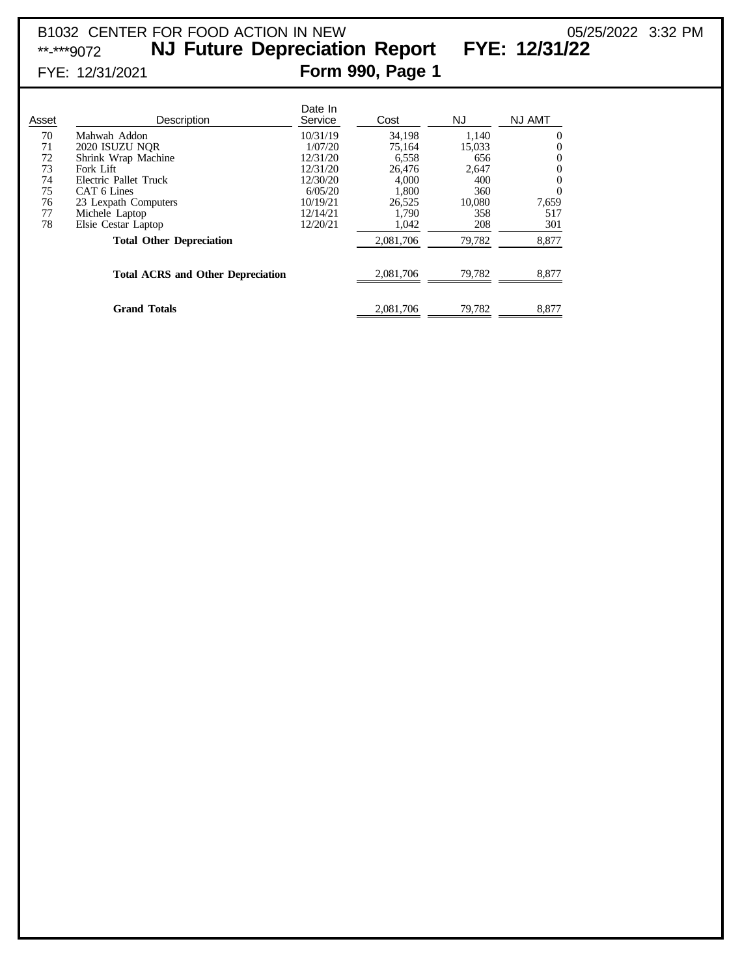### B1032 CENTER FOR FOOD ACTION IN NEW 05/25/2022 3:32 PM<br>\*\*-\*\*\*9072 **NJ Future Depreciation Report FYE: 12/31/22** NJ Future Depreciation Report FYE: 12/31/22 FYE: 12/31/2021 **Form 990, Page 1**

| Asset | Description                              | Date In<br>Service | Cost      | NJ     | NJ AMT           |
|-------|------------------------------------------|--------------------|-----------|--------|------------------|
| 70    | Mahwah Addon                             | 10/31/19           | 34,198    | 1,140  | 0                |
| 71    | 2020 ISUZU NOR                           | 1/07/20            | 75,164    | 15,033 | $\boldsymbol{0}$ |
| 72    | Shrink Wrap Machine                      | 12/31/20           | 6,558     | 656    | $\boldsymbol{0}$ |
| 73    | Fork Lift                                | 12/31/20           | 26.476    | 2,647  | 0                |
| 74    | Electric Pallet Truck                    | 12/30/20           | 4.000     | 400    | 0                |
| 75    | CAT 6 Lines                              | 6/05/20            | 1.800     | 360    | $\overline{0}$   |
| 76    | 23 Lexpath Computers                     | 10/19/21           | 26,525    | 10,080 | 7,659            |
| 77    | Michele Laptop                           | 12/14/21           | 1,790     | 358    | 517              |
| 78    | Elsie Cestar Laptop                      | 12/20/21           | 1,042     | 208    | 301              |
|       | <b>Total Other Depreciation</b>          |                    | 2,081,706 | 79,782 | 8,877            |
|       | <b>Total ACRS and Other Depreciation</b> |                    | 2,081,706 | 79,782 | 8,877            |
|       | <b>Grand Totals</b>                      |                    | 2,081,706 | 79,782 | 8,877            |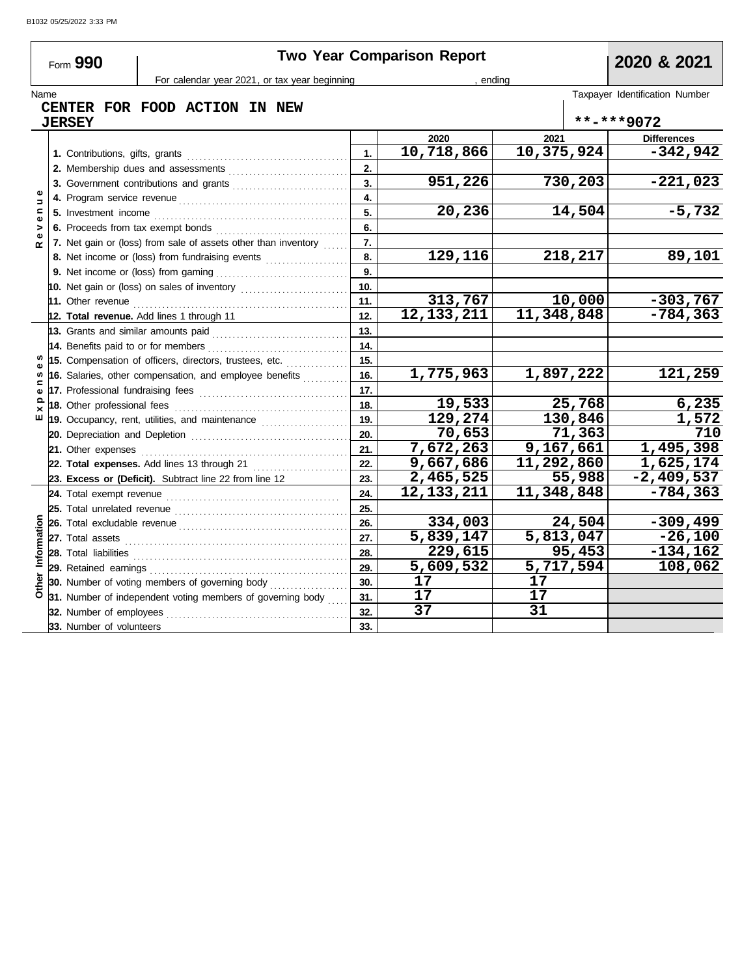|                    | Form 990                 | For calendar year 2021, or tax year beginning                                                             |     | <b>Two Year Comparison Report</b><br>ending |            |                        | 2020 & 2021                    |
|--------------------|--------------------------|-----------------------------------------------------------------------------------------------------------|-----|---------------------------------------------|------------|------------------------|--------------------------------|
| Name               |                          |                                                                                                           |     |                                             |            |                        | Taxpayer Identification Number |
|                    |                          | CENTER FOR FOOD ACTION IN NEW                                                                             |     |                                             |            |                        |                                |
|                    | <b>JERSEY</b>            |                                                                                                           |     |                                             |            |                        | **-***9072                     |
|                    |                          |                                                                                                           |     | 2020                                        | 2021       |                        | <b>Differences</b>             |
|                    |                          |                                                                                                           | 1.  | 10,718,866                                  | 10,375,924 |                        | $-342,942$                     |
|                    |                          |                                                                                                           | 2.  |                                             |            |                        |                                |
|                    |                          |                                                                                                           | 3.  | 951,226                                     |            | 730,203                | $-221,023$                     |
| Ф<br>$\Rightarrow$ |                          |                                                                                                           | 4.  |                                             |            |                        |                                |
| Ξ<br>Ф             |                          |                                                                                                           | 5.  | 20,236                                      |            | 14,504                 | $-5,732$                       |
| >                  |                          |                                                                                                           | 6.  |                                             |            |                        |                                |
|                    |                          | 7. Net gain or (loss) from sale of assets other than inventory                                            | 7.  |                                             |            |                        |                                |
|                    |                          | 8. Net income or (loss) from fundraising events                                                           | 8.  | $\overline{129,116}$                        |            | 218,217                | 89,101                         |
|                    |                          |                                                                                                           | 9.  |                                             |            |                        |                                |
|                    |                          |                                                                                                           | 10. |                                             |            |                        |                                |
|                    | 11. Other revenue        |                                                                                                           | 11. | 313,767                                     |            | 10,000                 | $-303,767$                     |
|                    |                          | 12. Total revenue. Add lines 1 through 11                                                                 | 12. | $\overline{12,133,211}$                     | 11,348,848 |                        | $-784, 363$                    |
|                    |                          |                                                                                                           | 13. |                                             |            |                        |                                |
|                    |                          |                                                                                                           | 14. |                                             |            |                        |                                |
|                    |                          | 15. Compensation of officers, directors, trustees, etc.                                                   | 15. |                                             |            |                        |                                |
| $\mathbf{r}$       |                          | 16. Salaries, other compensation, and employee benefits                                                   | 16. | 1,775,963                                   |            | 1,897,222              | 121,259                        |
|                    |                          |                                                                                                           | 17. |                                             |            |                        |                                |
| ௨                  |                          |                                                                                                           | 18. | 19,533                                      |            | 25,768                 | 6,235                          |
| ш                  |                          | 19. Occupancy, rent, utilities, and maintenance <i>[[19. Occupancy, rent, utilities</i> , and maintenance | 19. | 129,274                                     |            | 130,846                | 1,572                          |
|                    |                          |                                                                                                           | 20. | 70,653                                      |            | 71,363                 | 710                            |
|                    |                          | 21. Other expenses <b>21. 2010</b>                                                                        | 21. | 7,672,263                                   |            | 9,167,661              | 1,495,398                      |
|                    |                          | 22. Total expenses. Add lines 13 through 21                                                               | 22. | 9,667,686                                   | 11,292,860 |                        | 1,625,174                      |
|                    |                          | 23. Excess or (Deficit). Subtract line 22 from line 12                                                    | 23. | 2,465,525                                   |            | 55,988                 | $-2,409,537$                   |
|                    |                          |                                                                                                           | 24. | 12, 133, 211                                | 11,348,848 |                        | $-784, 363$                    |
|                    |                          |                                                                                                           | 25. |                                             |            |                        |                                |
|                    |                          |                                                                                                           | 26. | 334,003                                     |            | 24,504                 | $-309, 499$                    |
|                    |                          |                                                                                                           | 27. | 5,839,147                                   |            | $\overline{5,813,047}$ | $-26,100$                      |
| Information        | 28. Total liabilities    |                                                                                                           | 28. | $\overline{229,615}$                        |            | 95,453                 | $-134,162$                     |
|                    |                          |                                                                                                           | 29. | 5,609,532                                   |            | 5,717,594              | 108,062                        |
| Other              |                          | 30. Number of voting members of governing body                                                            | 30. | 17                                          | 17         |                        |                                |
|                    |                          | 31. Number of independent voting members of governing body                                                | 31. | 17                                          | 17         |                        |                                |
|                    |                          |                                                                                                           | 32. | 37                                          | 31         |                        |                                |
|                    | 33. Number of volunteers |                                                                                                           | 33. |                                             |            |                        |                                |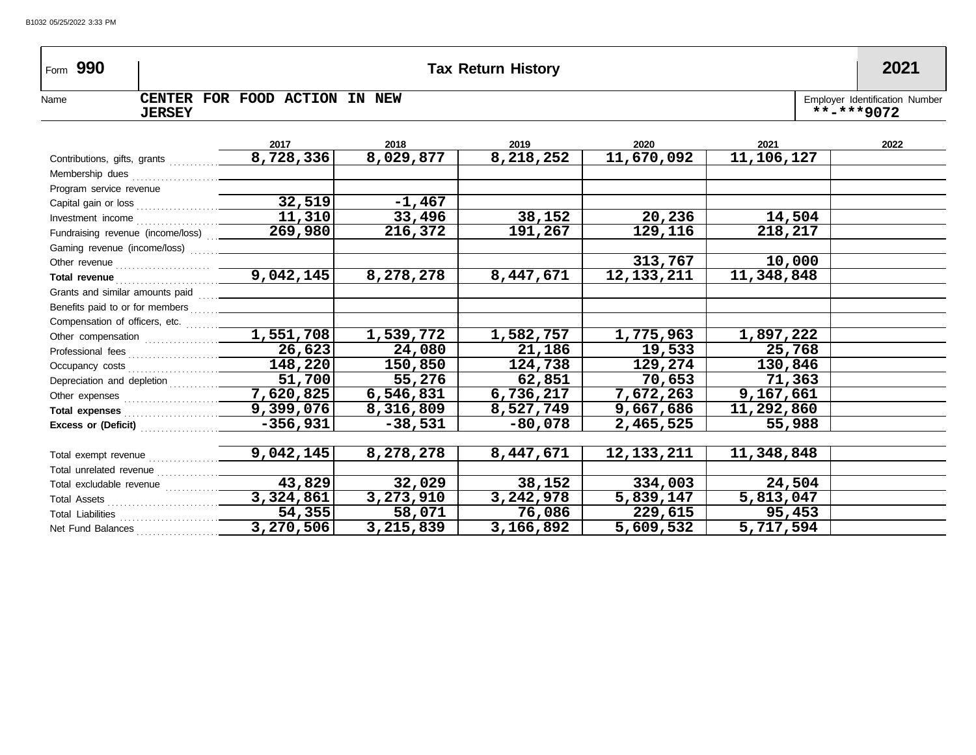| Form $990$                                                                                                                                                                                                                          |               |                                                                                          |           | <b>Tax Return History</b> |              |            | 2021                                         |
|-------------------------------------------------------------------------------------------------------------------------------------------------------------------------------------------------------------------------------------|---------------|------------------------------------------------------------------------------------------|-----------|---------------------------|--------------|------------|----------------------------------------------|
| Name                                                                                                                                                                                                                                | <b>JERSEY</b> | CENTER FOR FOOD ACTION IN NEW                                                            |           |                           |              |            | Employer Identification Number<br>**-***9072 |
|                                                                                                                                                                                                                                     |               | 2017                                                                                     | 2018      | 2019                      | 2020         | 2021       | 2022                                         |
|                                                                                                                                                                                                                                     |               | 8,728,336                                                                                | 8,029,877 | 8,218,252                 | 11,670,092   | 11,106,127 |                                              |
|                                                                                                                                                                                                                                     |               |                                                                                          |           |                           |              |            |                                              |
| Program service revenue                                                                                                                                                                                                             |               |                                                                                          |           |                           |              |            |                                              |
|                                                                                                                                                                                                                                     |               |                                                                                          | $-1,467$  |                           |              |            |                                              |
|                                                                                                                                                                                                                                     |               | Investment income $\begin{array}{ c c c }\n\hline\n\textbf{11,310}\n\hline\n\end{array}$ | 33,496    | 38,152                    | 20,236       | 14,504     |                                              |
|                                                                                                                                                                                                                                     |               | Fundraising revenue (income/loss) 269,980                                                | 216,372   | 191,267                   | 129,116      | 218,217    |                                              |
|                                                                                                                                                                                                                                     |               |                                                                                          |           |                           |              |            |                                              |
|                                                                                                                                                                                                                                     |               |                                                                                          |           |                           | 313,767      | 10,000     |                                              |
|                                                                                                                                                                                                                                     |               |                                                                                          | 8,278,278 | 8,447,671                 | 12, 133, 211 | 11,348,848 |                                              |
| Grants and similar amounts paid                                                                                                                                                                                                     |               |                                                                                          |           |                           |              |            |                                              |
| Benefits paid to or for members [11, 11, 11] [10] Denefits paid to or for members                                                                                                                                                   |               |                                                                                          |           |                           |              |            |                                              |
|                                                                                                                                                                                                                                     |               |                                                                                          |           |                           |              |            |                                              |
|                                                                                                                                                                                                                                     |               | Other compensation 2,551,708                                                             | 1,539,772 | 1,582,757                 | 1,775,963    | 1,897,222  |                                              |
|                                                                                                                                                                                                                                     |               |                                                                                          | 24,080    | 21,186                    | 19,533       | 25,768     |                                              |
|                                                                                                                                                                                                                                     |               | 148,220                                                                                  | 150,850   | 124,738                   | 129,274      | 130,846    |                                              |
|                                                                                                                                                                                                                                     |               | $\overline{51,700}$                                                                      | 55,276    | 62,851                    | 70,653       | 71,363     |                                              |
|                                                                                                                                                                                                                                     |               | 7,620,825                                                                                | 6,546,831 | 6,736,217                 | 7,672,263    | 9,167,661  |                                              |
|                                                                                                                                                                                                                                     |               |                                                                                          | 8,316,809 | 8,527,749                 | 9,667,686    | 11,292,860 |                                              |
|                                                                                                                                                                                                                                     |               | $-356,931$                                                                               | $-38,531$ | $-80,078$                 | 2,465,525    | 55,988     |                                              |
|                                                                                                                                                                                                                                     |               |                                                                                          |           |                           |              |            |                                              |
| Total exempt revenue <i>manual</i> contracts and the contracts of the contracts of the contracts of the contracts of the contracts of the contracts of the contracts of the contracts of the contracts of the contracts of the cont |               | 9,042,145                                                                                | 8,278,278 | 8,447,671                 | 12, 133, 211 | 11,348,848 |                                              |
|                                                                                                                                                                                                                                     |               |                                                                                          |           |                           |              |            |                                              |
|                                                                                                                                                                                                                                     |               | 43,829                                                                                   | 32,029    | 38,152                    | 334,003      | 24,504     |                                              |
|                                                                                                                                                                                                                                     |               | 3,324,861                                                                                | 3,273,910 | 3,242,978                 | 5,839,147    | 5,813,047  |                                              |
|                                                                                                                                                                                                                                     |               | 54,355                                                                                   | 58,071    | 76,086                    | 229,615      | 95,453     |                                              |
|                                                                                                                                                                                                                                     |               | 3,270,506                                                                                | 3,215,839 | 3,166,892                 | 5,609,532    | 5,717,594  |                                              |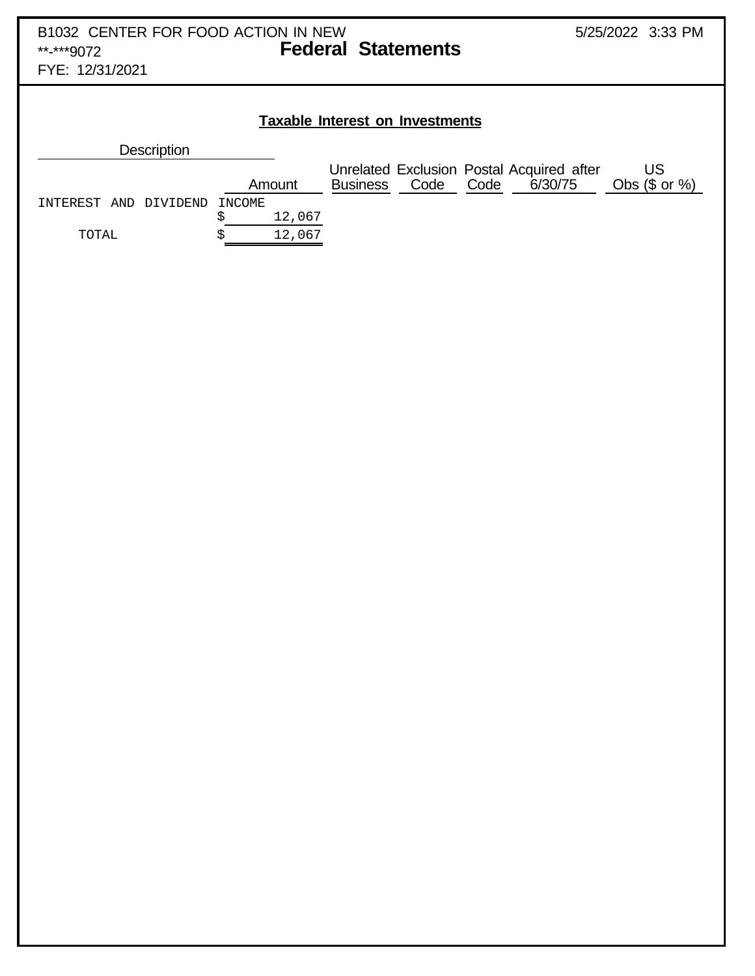FYE: 12/31/2021

#### **Taxable Interest on Investments**

| <b>Description</b>       |        |        |                 |      |      |                                                      |                        |
|--------------------------|--------|--------|-----------------|------|------|------------------------------------------------------|------------------------|
|                          |        | Amount | <b>Business</b> | Code | Code | Unrelated Exclusion Postal Acquired after<br>6/30/75 | US<br>Obs $(\$$ or $%$ |
| DIVIDEND<br>INTEREST AND | INCOME |        |                 |      |      |                                                      |                        |
|                          |        | 12,067 |                 |      |      |                                                      |                        |
| TOTAL                    |        | 12,067 |                 |      |      |                                                      |                        |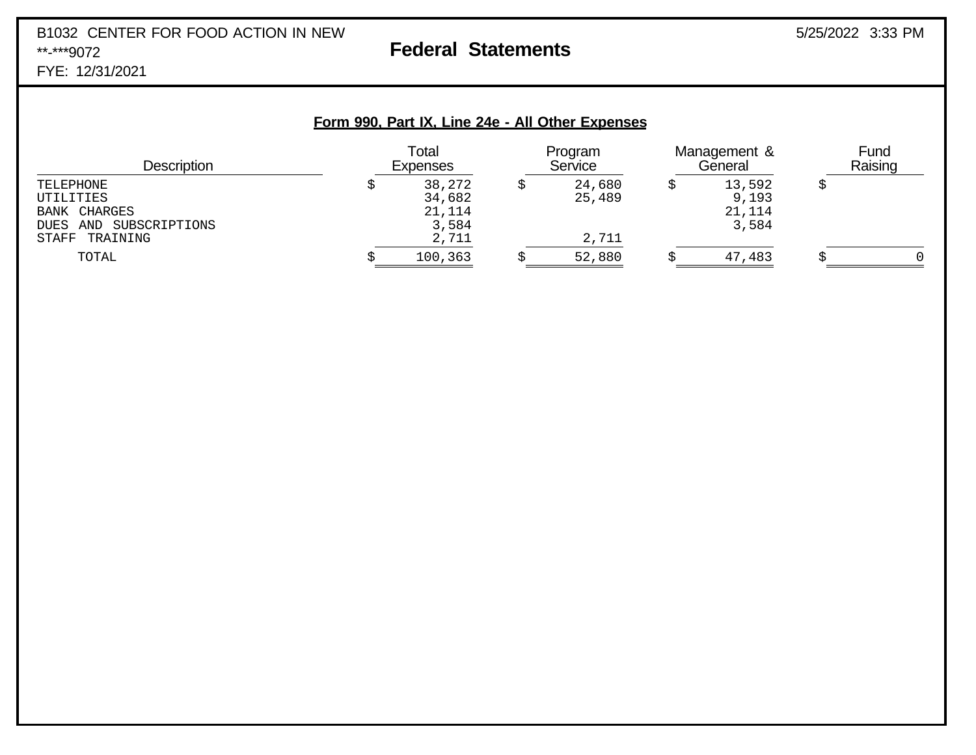## B1032 CENTER FOR FOOD ACTION IN NEW 3/25/2022 3:33 PM \*\*-\*\*\*9072 **Federal Statements**

FYE: 12/31/2021

#### **Form 990, Part IX, Line 24e - All Other Expenses**

| <b>Description</b>                                                                    | Total<br><b>Expenses</b>                     |  | Program<br>Service        |  | Management &<br>General            |  | Fund<br>Raising |
|---------------------------------------------------------------------------------------|----------------------------------------------|--|---------------------------|--|------------------------------------|--|-----------------|
| TELEPHONE<br>UTILITIES<br>BANK CHARGES<br>DUES AND SUBSCRIPTIONS<br>TRAINING<br>STAFF | 38,272<br>34,682<br>21,114<br>3,584<br>2,711 |  | 24,680<br>25,489<br>2,711 |  | 13,592<br>9,193<br>21,114<br>3,584 |  |                 |
| TOTAL                                                                                 | 100,363                                      |  | 52,880                    |  | 47,483                             |  |                 |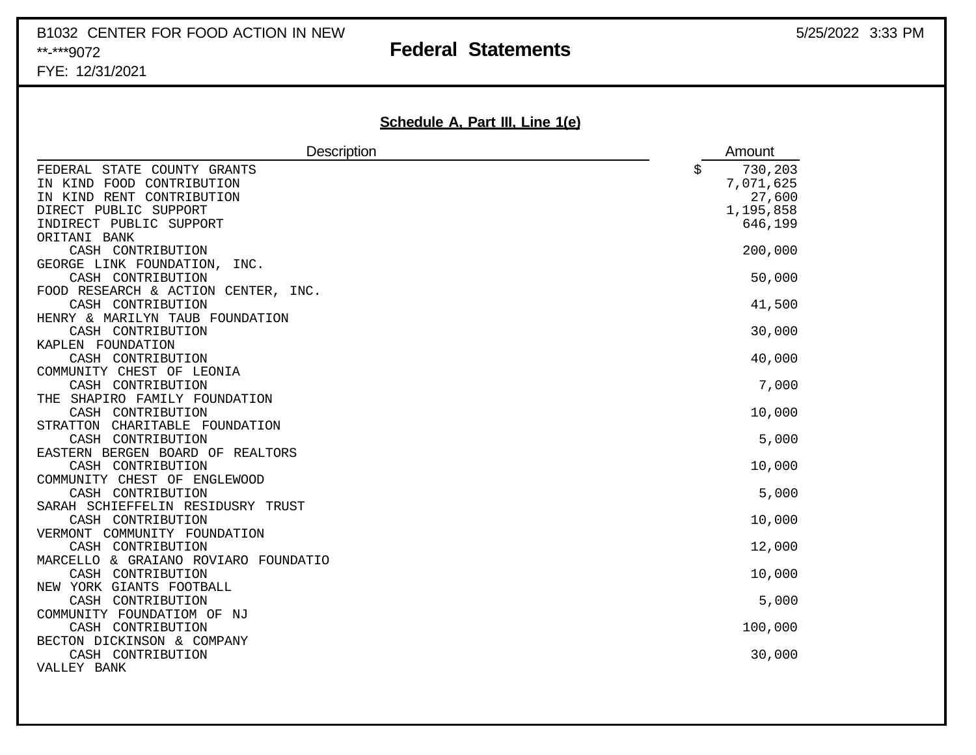# B1032 CENTER FOR FOOD ACTION IN NEW **Federal Statements** 5/25/2022 3:33 PM 5/25/2022 3:33 PM

### **Federal Statements**

FYE: 12/31/2021

### **Schedule A, Part III, Line 1(e)**

| <b>Description</b>                                                                                                                        | Amount                                                       |
|-------------------------------------------------------------------------------------------------------------------------------------------|--------------------------------------------------------------|
| FEDERAL STATE COUNTY GRANTS<br>IN KIND FOOD CONTRIBUTION<br>IN KIND RENT CONTRIBUTION<br>DIRECT PUBLIC SUPPORT<br>INDIRECT PUBLIC SUPPORT | \$<br>730,203<br>7,071,625<br>27,600<br>1,195,858<br>646,199 |
| ORITANI BANK<br>CASH CONTRIBUTION                                                                                                         | 200,000                                                      |
| GEORGE LINK FOUNDATION, INC.<br>CASH CONTRIBUTION                                                                                         | 50,000                                                       |
| FOOD RESEARCH & ACTION CENTER, INC.<br>CASH CONTRIBUTION                                                                                  | 41,500                                                       |
| HENRY & MARILYN TAUB FOUNDATION                                                                                                           |                                                              |
| CASH CONTRIBUTION                                                                                                                         | 30,000                                                       |
| KAPLEN FOUNDATION                                                                                                                         |                                                              |
| CASH CONTRIBUTION<br>COMMUNITY CHEST OF LEONIA                                                                                            | 40,000                                                       |
| CASH CONTRIBUTION                                                                                                                         | 7,000                                                        |
| THE SHAPIRO FAMILY FOUNDATION                                                                                                             |                                                              |
| CASH CONTRIBUTION                                                                                                                         | 10,000                                                       |
| STRATTON CHARITABLE FOUNDATION                                                                                                            |                                                              |
| CASH CONTRIBUTION<br>EASTERN BERGEN BOARD OF REALTORS                                                                                     | 5,000                                                        |
| CASH CONTRIBUTION                                                                                                                         | 10,000                                                       |
| COMMUNITY CHEST OF ENGLEWOOD                                                                                                              |                                                              |
| CASH CONTRIBUTION                                                                                                                         | 5,000                                                        |
| SARAH SCHIEFFELIN RESIDUSRY TRUST                                                                                                         |                                                              |
| CASH CONTRIBUTION                                                                                                                         | 10,000                                                       |
| VERMONT COMMUNITY FOUNDATION                                                                                                              | 12,000                                                       |
| CASH CONTRIBUTION<br>MARCELLO & GRAIANO ROVIARO FOUNDATIO                                                                                 |                                                              |
| CASH CONTRIBUTION                                                                                                                         | 10,000                                                       |
| NEW YORK GIANTS FOOTBALL                                                                                                                  |                                                              |
| CASH CONTRIBUTION                                                                                                                         | 5,000                                                        |
| COMMUNITY FOUNDATIOM OF NJ                                                                                                                |                                                              |
| CASH CONTRIBUTION                                                                                                                         | 100,000                                                      |
| BECTON DICKINSON & COMPANY                                                                                                                |                                                              |
| CASH CONTRIBUTION<br>VALLEY BANK                                                                                                          | 30,000                                                       |
|                                                                                                                                           |                                                              |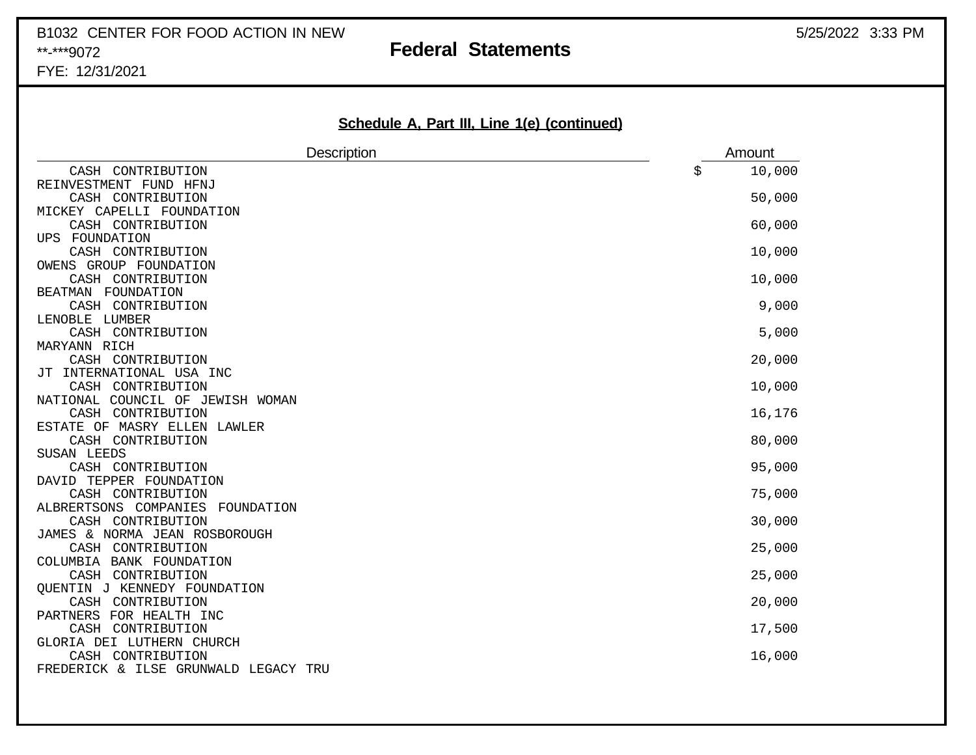## B1032 CENTER FOR FOOD ACTION IN NEW 36 and 5/25/2022 3:33 PM \*\*-\*\*\*9072 **Federal Statements**

FYE: 12/31/2021

|  |  |  |  | Schedule A, Part III, Line 1(e) (continued) |
|--|--|--|--|---------------------------------------------|
|  |  |  |  |                                             |

| 10,000<br>CASH CONTRIBUTION<br>\$<br>REINVESTMENT FUND HFNJ<br>50,000<br>CASH CONTRIBUTION<br>MICKEY CAPELLI FOUNDATION<br>60,000<br>CASH CONTRIBUTION<br>UPS FOUNDATION<br>10,000<br>CASH CONTRIBUTION<br>OWENS GROUP FOUNDATION<br>CASH CONTRIBUTION<br>10,000<br>BEATMAN FOUNDATION<br>9,000<br>CASH CONTRIBUTION<br>LENOBLE LUMBER |
|----------------------------------------------------------------------------------------------------------------------------------------------------------------------------------------------------------------------------------------------------------------------------------------------------------------------------------------|
|                                                                                                                                                                                                                                                                                                                                        |
|                                                                                                                                                                                                                                                                                                                                        |
|                                                                                                                                                                                                                                                                                                                                        |
|                                                                                                                                                                                                                                                                                                                                        |
|                                                                                                                                                                                                                                                                                                                                        |
|                                                                                                                                                                                                                                                                                                                                        |
|                                                                                                                                                                                                                                                                                                                                        |
|                                                                                                                                                                                                                                                                                                                                        |
|                                                                                                                                                                                                                                                                                                                                        |
|                                                                                                                                                                                                                                                                                                                                        |
|                                                                                                                                                                                                                                                                                                                                        |
|                                                                                                                                                                                                                                                                                                                                        |
| 5,000<br>CASH CONTRIBUTION                                                                                                                                                                                                                                                                                                             |
| MARYANN RICH<br>CASH CONTRIBUTION                                                                                                                                                                                                                                                                                                      |
| 20,000<br>JT INTERNATIONAL USA INC                                                                                                                                                                                                                                                                                                     |
| 10,000<br>CASH CONTRIBUTION                                                                                                                                                                                                                                                                                                            |
| NATIONAL COUNCIL OF JEWISH WOMAN                                                                                                                                                                                                                                                                                                       |
| 16,176<br>CASH CONTRIBUTION                                                                                                                                                                                                                                                                                                            |
| ESTATE OF MASRY ELLEN LAWLER                                                                                                                                                                                                                                                                                                           |
| CASH CONTRIBUTION<br>80,000                                                                                                                                                                                                                                                                                                            |
| SUSAN LEEDS                                                                                                                                                                                                                                                                                                                            |
| 95,000<br>CASH CONTRIBUTION                                                                                                                                                                                                                                                                                                            |
| DAVID TEPPER FOUNDATION                                                                                                                                                                                                                                                                                                                |
| 75,000<br>CASH CONTRIBUTION                                                                                                                                                                                                                                                                                                            |
| ALBRERTSONS COMPANIES FOUNDATION                                                                                                                                                                                                                                                                                                       |
| CASH CONTRIBUTION<br>30,000                                                                                                                                                                                                                                                                                                            |
| JAMES & NORMA JEAN ROSBOROUGH                                                                                                                                                                                                                                                                                                          |
| CASH CONTRIBUTION<br>25,000                                                                                                                                                                                                                                                                                                            |
| COLUMBIA BANK FOUNDATION                                                                                                                                                                                                                                                                                                               |
| CASH CONTRIBUTION<br>25,000                                                                                                                                                                                                                                                                                                            |
| QUENTIN J KENNEDY FOUNDATION<br>CASH CONTRIBUTION                                                                                                                                                                                                                                                                                      |
| 20,000<br>PARTNERS FOR HEALTH INC                                                                                                                                                                                                                                                                                                      |
| CASH CONTRIBUTION<br>17,500                                                                                                                                                                                                                                                                                                            |
| GLORIA DEI LUTHERN CHURCH                                                                                                                                                                                                                                                                                                              |
| CASH CONTRIBUTION<br>16,000                                                                                                                                                                                                                                                                                                            |
| FREDERICK & ILSE GRUNWALD LEGACY TRU                                                                                                                                                                                                                                                                                                   |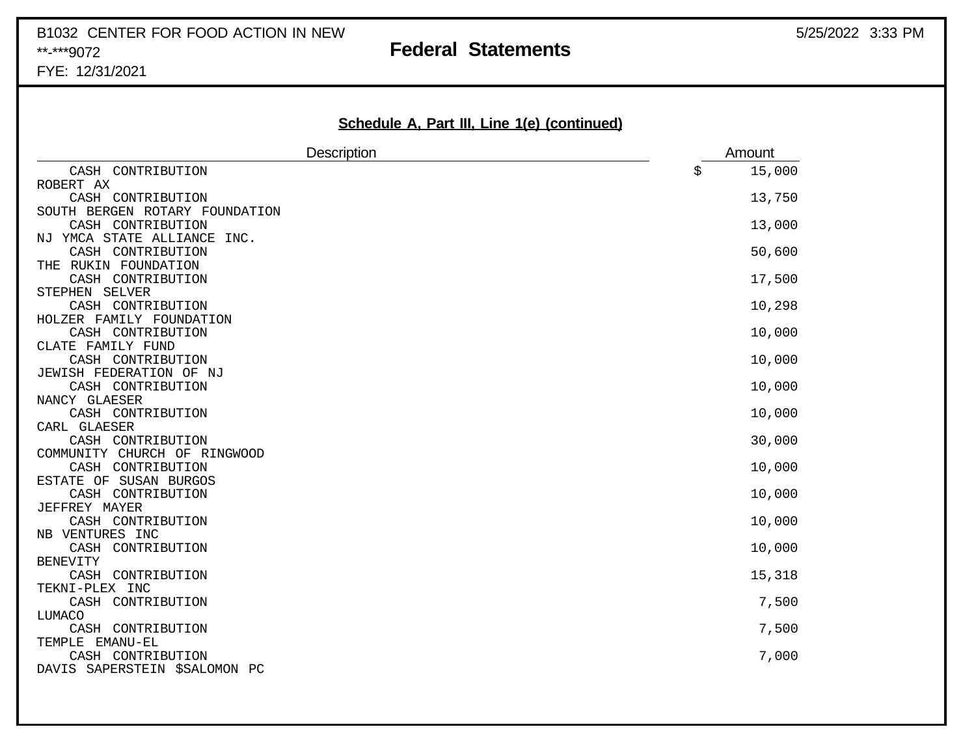## B1032 CENTER FOR FOOD ACTION IN NEW 3/25/2022 3:33 PM \*\*-\*\*\*9072 **Federal Statements**

FYE: 12/31/2021

| Schedule A, Part III, Line 1(e) (continued) |              |
|---------------------------------------------|--------------|
| <b>Description</b>                          | Amount       |
| CASH CONTRIBUTION                           | 15,000<br>\$ |
| ROBERT AX                                   |              |
| CASH CONTRIBUTION                           | 13,750       |
| SOUTH BERGEN ROTARY FOUNDATION              |              |
| CASH CONTRIBUTION                           | 13,000       |
| NJ YMCA STATE ALLIANCE<br>INC.              |              |
| CASH CONTRIBUTION                           | 50,600       |
| THE RUKIN FOUNDATION                        |              |
| CASH CONTRIBUTION<br>STEPHEN SELVER         | 17,500       |
| CASH CONTRIBUTION                           | 10,298       |
| HOLZER FAMILY FOUNDATION                    |              |
| CASH CONTRIBUTION                           | 10,000       |
| CLATE FAMILY FUND                           |              |
| CASH CONTRIBUTION                           | 10,000       |
| JEWISH FEDERATION OF NJ                     |              |
| CASH CONTRIBUTION                           | 10,000       |
| NANCY GLAESER                               |              |
| CASH CONTRIBUTION                           | 10,000       |
| CARL GLAESER                                |              |
| CASH CONTRIBUTION                           | 30,000       |
| COMMUNITY CHURCH OF RINGWOOD                |              |
| CASH CONTRIBUTION                           | 10,000       |
| ESTATE OF SUSAN BURGOS                      |              |
| CASH CONTRIBUTION                           | 10,000       |
| JEFFREY MAYER<br>CASH CONTRIBUTION          | 10,000       |
| NB VENTURES INC                             |              |
| CASH CONTRIBUTION                           | 10,000       |
| <b>BENEVITY</b>                             |              |
| CASH CONTRIBUTION                           | 15,318       |
| TEKNI-PLEX INC                              |              |
| CASH CONTRIBUTION                           | 7,500        |
| LUMACO                                      |              |
| CASH CONTRIBUTION                           | 7,500        |
| TEMPLE EMANU-EL                             |              |
| CASH CONTRIBUTION                           | 7,000        |
| DAVIS SAPERSTEIN \$SALOMON PC               |              |